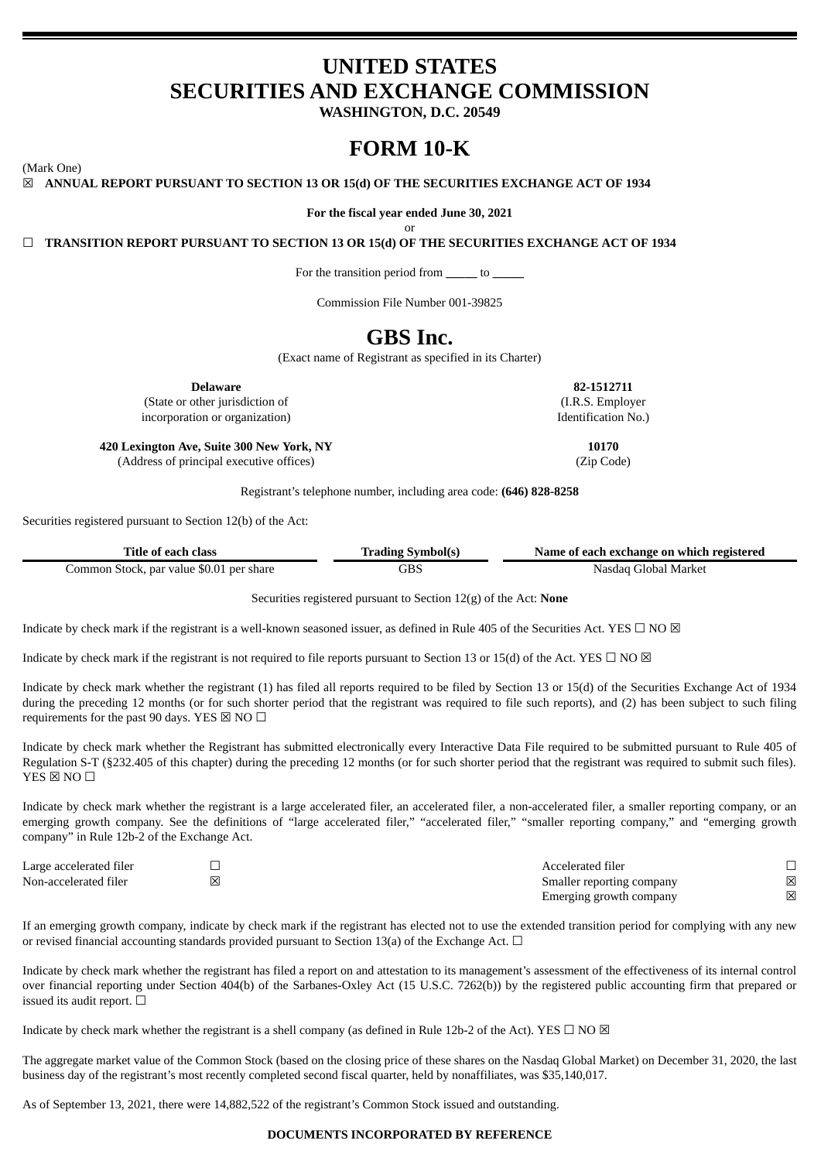# **UNITED STATES SECURITIES AND EXCHANGE COMMISSION**

**WASHINGTON, D.C. 20549**

# **FORM 10-K**

(Mark One)

☒ **ANNUAL REPORT PURSUANT TO SECTION 13 OR 15(d) OF THE SECURITIES EXCHANGE ACT OF 1934**

**For the fiscal year ended June 30, 2021**

or

☐ **TRANSITION REPORT PURSUANT TO SECTION 13 OR 15(d) OF THE SECURITIES EXCHANGE ACT OF 1934**

For the transition period from **\_\_\_\_\_** to **\_\_\_\_\_**

Commission File Number 001-39825

# **GBS Inc.**

(Exact name of Registrant as specified in its Charter)

(State or other jurisdiction of incorporation or organization)

(I.R.S. Employer Identification No.)

**420 Lexington Ave, Suite 300 New York, NY 10170** (Address of principal executive offices) (Zip Code)

Registrant's telephone number, including area code: **(646) 828-8258**

Securities registered pursuant to Section 12(b) of the Act:

| Title of each class                      | Trading Symbol(s) | Name of each exchange on which registered |  |
|------------------------------------------|-------------------|-------------------------------------------|--|
| Common Stock, par value \$0.01 per share |                   | ı Global Market<br>-Nasdac                |  |

Securities registered pursuant to Section 12(g) of the Act: **None**

Indicate by check mark if the registrant is a well-known seasoned issuer, as defined in Rule 405 of the Securities Act. YES  $\Box$  NO  $\boxtimes$ 

Indicate by check mark if the registrant is not required to file reports pursuant to Section 13 or 15(d) of the Act. YES  $\Box$  NO  $\boxtimes$ 

Indicate by check mark whether the registrant (1) has filed all reports required to be filed by Section 13 or 15(d) of the Securities Exchange Act of 1934 during the preceding 12 months (or for such shorter period that the registrant was required to file such reports), and (2) has been subject to such filing requirements for the past 90 days. YES  $\boxtimes$  NO  $\Box$ 

Indicate by check mark whether the Registrant has submitted electronically every Interactive Data File required to be submitted pursuant to Rule 405 of Regulation S-T (§232.405 of this chapter) during the preceding 12 months (or for such shorter period that the registrant was required to submit such files). YES  $\boxtimes$  NO  $\square$ 

Indicate by check mark whether the registrant is a large accelerated filer, an accelerated filer, a non-accelerated filer, a smaller reporting company, or an emerging growth company. See the definitions of "large accelerated filer," "accelerated filer," "smaller reporting company," and "emerging growth company" in Rule 12b-2 of the Exchange Act.

| Large accelerated filer |                         | Accelerated filer         |   |
|-------------------------|-------------------------|---------------------------|---|
| Non-accelerated filer   |                         | Smaller reporting company | 冈 |
|                         | Emerging growth company | 冈                         |   |

If an emerging growth company, indicate by check mark if the registrant has elected not to use the extended transition period for complying with any new or revised financial accounting standards provided pursuant to Section 13(a) of the Exchange Act.  $\Box$ 

Indicate by check mark whether the registrant has filed a report on and attestation to its management's assessment of the effectiveness of its internal control over financial reporting under Section 404(b) of the Sarbanes-Oxley Act (15 U.S.C. 7262(b)) by the registered public accounting firm that prepared or issued its audit report.  $\Box$ 

Indicate by check mark whether the registrant is a shell company (as defined in Rule 12b-2 of the Act). YES  $\Box$  NO  $\boxtimes$ 

The aggregate market value of the Common Stock (based on the closing price of these shares on the Nasdaq Global Market) on December 31, 2020, the last business day of the registrant's most recently completed second fiscal quarter, held by nonaffiliates, was \$35,140,017.

As of September 13, 2021, there were 14,882,522 of the registrant's Common Stock issued and outstanding.

#### **DOCUMENTS INCORPORATED BY REFERENCE**

**Delaware 82-1512711**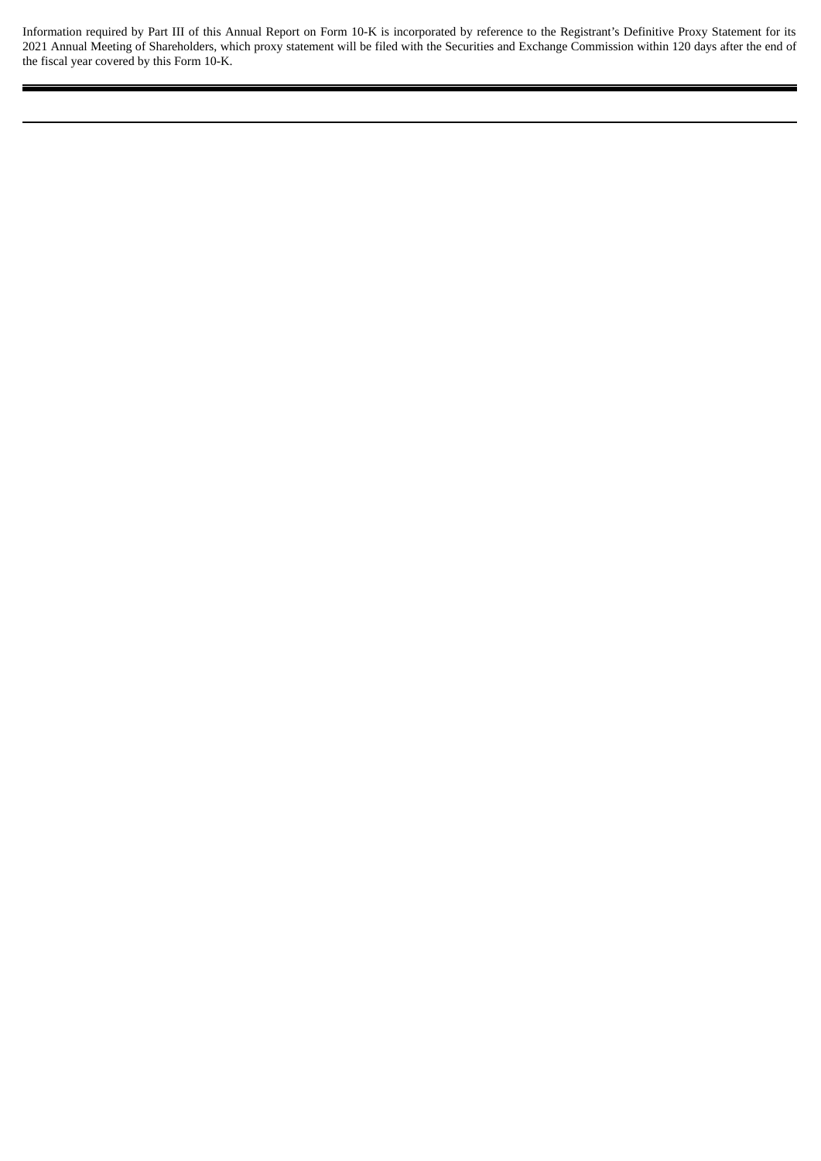Information required by Part III of this Annual Report on Form 10-K is incorporated by reference to the Registrant's Definitive Proxy Statement for its 2021 Annual Meeting of Shareholders, which proxy statement will be filed with the Securities and Exchange Commission within 120 days after the end of the fiscal year covered by this Form 10-K.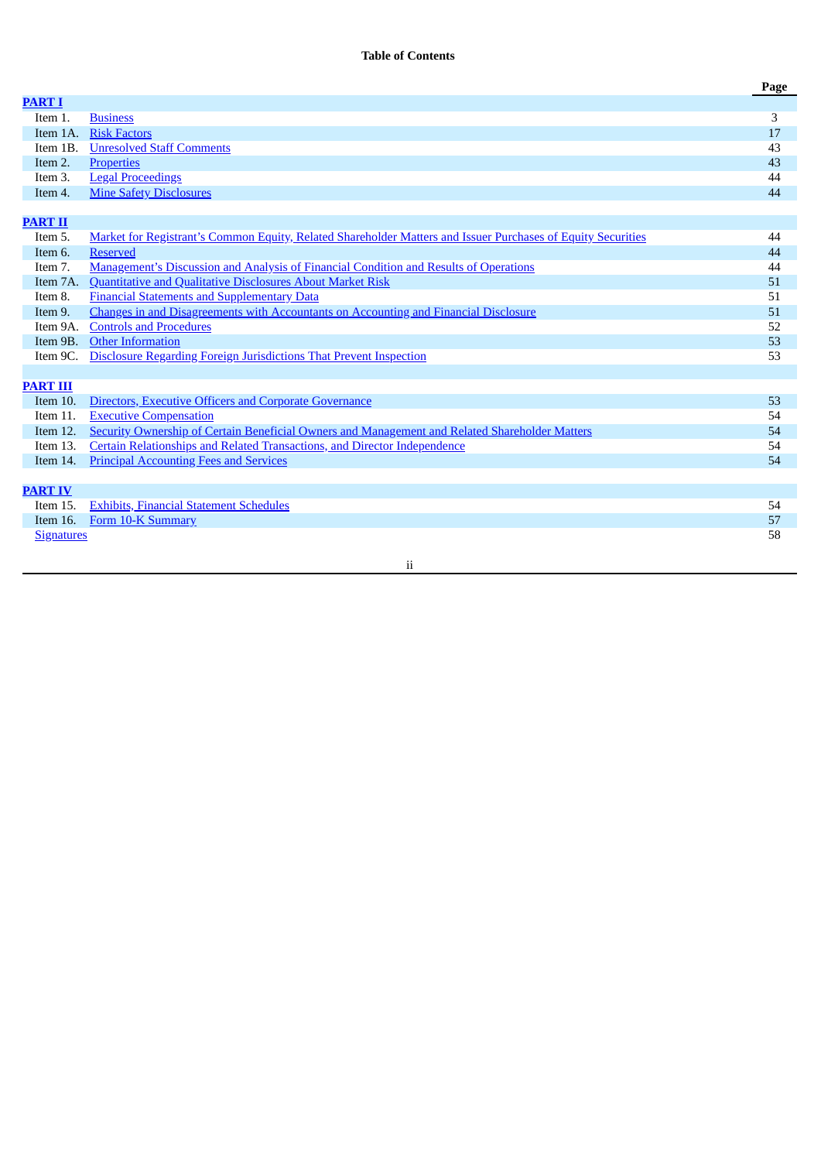|                   |                                                                                                              | Page |
|-------------------|--------------------------------------------------------------------------------------------------------------|------|
| <b>PART I</b>     |                                                                                                              |      |
| Item 1.           | <b>Business</b>                                                                                              | 3    |
| Item 1A.          | <b>Risk Factors</b>                                                                                          | 17   |
| Item 1B.          | <b>Unresolved Staff Comments</b>                                                                             | 43   |
| Item 2.           | <b>Properties</b>                                                                                            | 43   |
| Item 3.           | <b>Legal Proceedings</b>                                                                                     | 44   |
| Item 4.           | <b>Mine Safety Disclosures</b>                                                                               | 44   |
|                   |                                                                                                              |      |
| <b>PART II</b>    |                                                                                                              |      |
| Item 5.           | Market for Registrant's Common Equity, Related Shareholder Matters and Issuer Purchases of Equity Securities | 44   |
| Item 6.           | Reserved                                                                                                     | 44   |
| Item 7.           | Management's Discussion and Analysis of Financial Condition and Results of Operations                        | 44   |
| Item 7A.          | Quantitative and Qualitative Disclosures About Market Risk                                                   | 51   |
| Item 8.           | <b>Financial Statements and Supplementary Data</b>                                                           | 51   |
| Item 9.           | Changes in and Disagreements with Accountants on Accounting and Financial Disclosure                         | 51   |
| Item 9A.          | <b>Controls and Procedures</b>                                                                               | 52   |
| Item 9B.          | Other Information                                                                                            | 53   |
| Item 9C.          | Disclosure Regarding Foreign Jurisdictions That Prevent Inspection                                           | 53   |
|                   |                                                                                                              |      |
| <b>PART III</b>   |                                                                                                              |      |
| Item 10.          | Directors, Executive Officers and Corporate Governance                                                       | 53   |
| Item 11.          | <b>Executive Compensation</b>                                                                                | 54   |
| Item 12.          | Security Ownership of Certain Beneficial Owners and Management and Related Shareholder Matters               | 54   |
| Item 13.          | <b>Certain Relationships and Related Transactions, and Director Independence</b>                             | 54   |
| Item 14.          | <b>Principal Accounting Fees and Services</b>                                                                | 54   |
|                   |                                                                                                              |      |
| <b>PART IV</b>    |                                                                                                              |      |
| Item 15.          | <b>Exhibits, Financial Statement Schedules</b>                                                               | 54   |
| Item 16.          | Form 10-K Summary                                                                                            | 57   |
| <b>Signatures</b> |                                                                                                              | 58   |

ii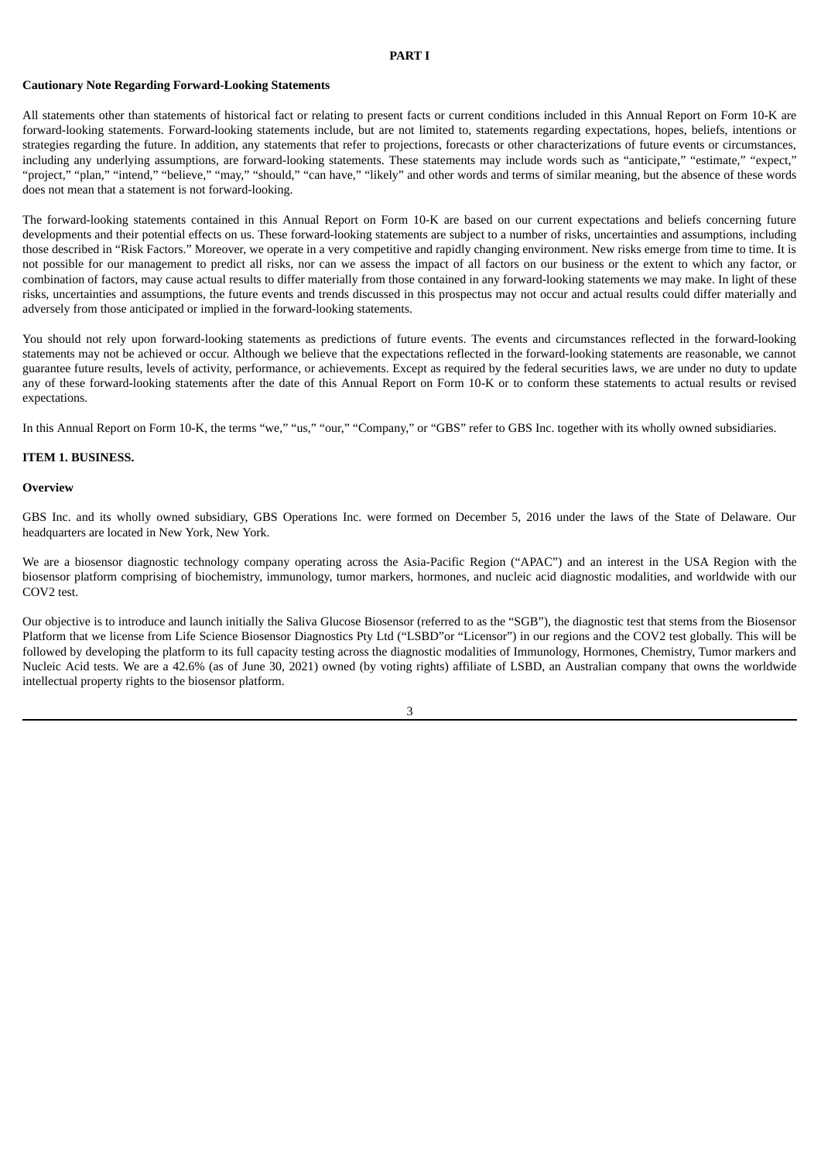#### **PART I**

#### <span id="page-3-0"></span>**Cautionary Note Regarding Forward-Looking Statements**

All statements other than statements of historical fact or relating to present facts or current conditions included in this Annual Report on Form 10-K are forward-looking statements. Forward-looking statements include, but are not limited to, statements regarding expectations, hopes, beliefs, intentions or strategies regarding the future. In addition, any statements that refer to projections, forecasts or other characterizations of future events or circumstances, including any underlying assumptions, are forward-looking statements. These statements may include words such as "anticipate," "estimate," "expect," "project," "plan," "intend," "believe," "may," "should," "can have," "likely" and other words and terms of similar meaning, but the absence of these words does not mean that a statement is not forward-looking.

The forward-looking statements contained in this Annual Report on Form 10-K are based on our current expectations and beliefs concerning future developments and their potential effects on us. These forward-looking statements are subject to a number of risks, uncertainties and assumptions, including those described in "Risk Factors." Moreover, we operate in a very competitive and rapidly changing environment. New risks emerge from time to time. It is not possible for our management to predict all risks, nor can we assess the impact of all factors on our business or the extent to which any factor, or combination of factors, may cause actual results to differ materially from those contained in any forward-looking statements we may make. In light of these risks, uncertainties and assumptions, the future events and trends discussed in this prospectus may not occur and actual results could differ materially and adversely from those anticipated or implied in the forward-looking statements.

You should not rely upon forward-looking statements as predictions of future events. The events and circumstances reflected in the forward-looking statements may not be achieved or occur. Although we believe that the expectations reflected in the forward-looking statements are reasonable, we cannot guarantee future results, levels of activity, performance, or achievements. Except as required by the federal securities laws, we are under no duty to update any of these forward-looking statements after the date of this Annual Report on Form 10-K or to conform these statements to actual results or revised expectations.

In this Annual Report on Form 10-K, the terms "we," "us," "our," "Company," or "GBS" refer to GBS Inc. together with its wholly owned subsidiaries.

#### <span id="page-3-1"></span>**ITEM 1. BUSINESS.**

## **Overview**

GBS Inc. and its wholly owned subsidiary, GBS Operations Inc. were formed on December 5, 2016 under the laws of the State of Delaware. Our headquarters are located in New York, New York.

We are a biosensor diagnostic technology company operating across the Asia-Pacific Region ("APAC") and an interest in the USA Region with the biosensor platform comprising of biochemistry, immunology, tumor markers, hormones, and nucleic acid diagnostic modalities, and worldwide with our COV2 test.

Our objective is to introduce and launch initially the Saliva Glucose Biosensor (referred to as the "SGB"), the diagnostic test that stems from the Biosensor Platform that we license from Life Science Biosensor Diagnostics Pty Ltd ("LSBD"or "Licensor") in our regions and the COV2 test globally. This will be followed by developing the platform to its full capacity testing across the diagnostic modalities of Immunology, Hormones, Chemistry, Tumor markers and Nucleic Acid tests. We are a 42.6% (as of June 30, 2021) owned (by voting rights) affiliate of LSBD, an Australian company that owns the worldwide intellectual property rights to the biosensor platform.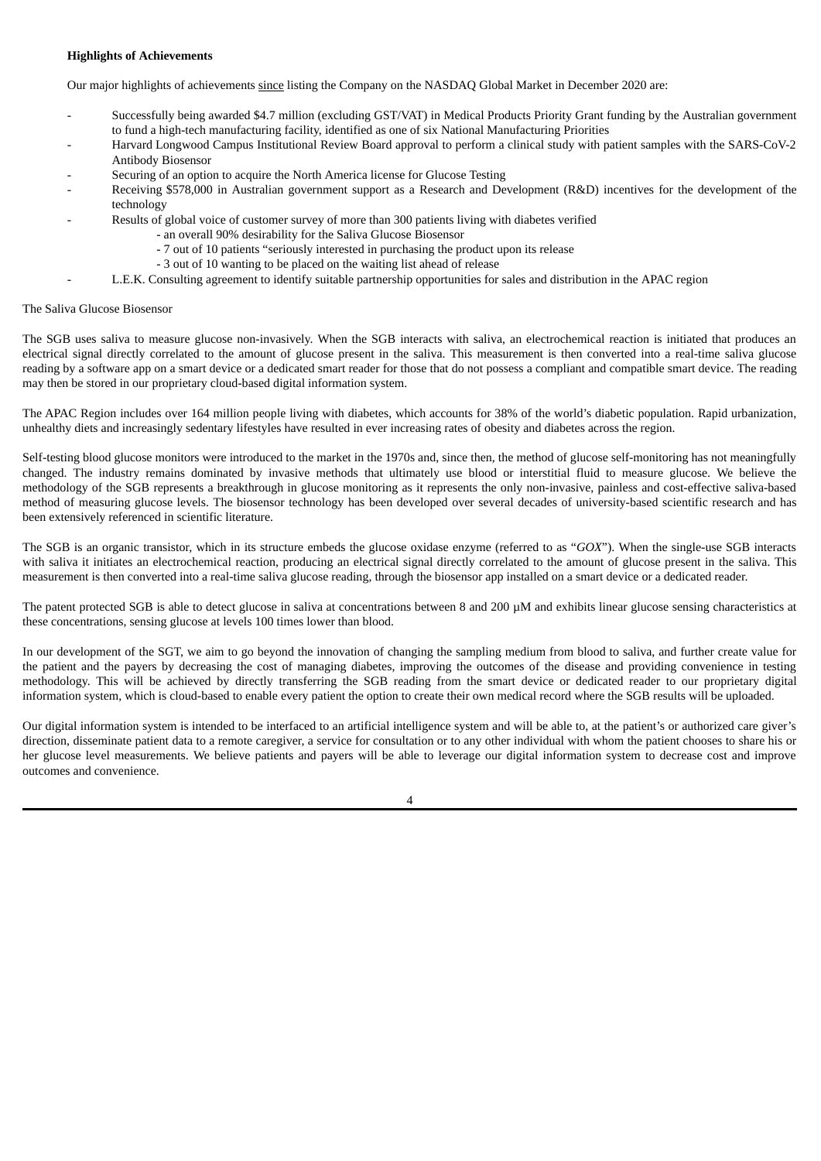# **Highlights of Achievements**

Our major highlights of achievements since listing the Company on the NASDAQ Global Market in December 2020 are:

- Successfully being awarded \$4.7 million (excluding GST/VAT) in Medical Products Priority Grant funding by the Australian government to fund a high-tech manufacturing facility, identified as one of six National Manufacturing Priorities
- Harvard Longwood Campus Institutional Review Board approval to perform a clinical study with patient samples with the SARS-CoV-2 Antibody Biosensor
- Securing of an option to acquire the North America license for Glucose Testing
- Receiving \$578,000 in Australian government support as a Research and Development (R&D) incentives for the development of the technology
	- Results of global voice of customer survey of more than 300 patients living with diabetes verified
		- an overall 90% desirability for the Saliva Glucose Biosensor
			- 7 out of 10 patients "seriously interested in purchasing the product upon its release
			- 3 out of 10 wanting to be placed on the waiting list ahead of release
	- L.E.K. Consulting agreement to identify suitable partnership opportunities for sales and distribution in the APAC region

#### The Saliva Glucose Biosensor

The SGB uses saliva to measure glucose non-invasively. When the SGB interacts with saliva, an electrochemical reaction is initiated that produces an electrical signal directly correlated to the amount of glucose present in the saliva. This measurement is then converted into a real-time saliva glucose reading by a software app on a smart device or a dedicated smart reader for those that do not possess a compliant and compatible smart device. The reading may then be stored in our proprietary cloud-based digital information system.

The APAC Region includes over 164 million people living with diabetes, which accounts for 38% of the world's diabetic population. Rapid urbanization, unhealthy diets and increasingly sedentary lifestyles have resulted in ever increasing rates of obesity and diabetes across the region.

Self-testing blood glucose monitors were introduced to the market in the 1970s and, since then, the method of glucose self-monitoring has not meaningfully changed. The industry remains dominated by invasive methods that ultimately use blood or interstitial fluid to measure glucose. We believe the methodology of the SGB represents a breakthrough in glucose monitoring as it represents the only non-invasive, painless and cost-effective saliva-based method of measuring glucose levels. The biosensor technology has been developed over several decades of university-based scientific research and has been extensively referenced in scientific literature.

The SGB is an organic transistor, which in its structure embeds the glucose oxidase enzyme (referred to as "*GOX*"). When the single-use SGB interacts with saliva it initiates an electrochemical reaction, producing an electrical signal directly correlated to the amount of glucose present in the saliva. This measurement is then converted into a real-time saliva glucose reading, through the biosensor app installed on a smart device or a dedicated reader.

The patent protected SGB is able to detect glucose in saliva at concentrations between 8 and 200  $\mu$ M and exhibits linear glucose sensing characteristics at these concentrations, sensing glucose at levels 100 times lower than blood.

In our development of the SGT, we aim to go beyond the innovation of changing the sampling medium from blood to saliva, and further create value for the patient and the payers by decreasing the cost of managing diabetes, improving the outcomes of the disease and providing convenience in testing methodology. This will be achieved by directly transferring the SGB reading from the smart device or dedicated reader to our proprietary digital information system, which is cloud-based to enable every patient the option to create their own medical record where the SGB results will be uploaded.

Our digital information system is intended to be interfaced to an artificial intelligence system and will be able to, at the patient's or authorized care giver's direction, disseminate patient data to a remote caregiver, a service for consultation or to any other individual with whom the patient chooses to share his or her glucose level measurements. We believe patients and payers will be able to leverage our digital information system to decrease cost and improve outcomes and convenience.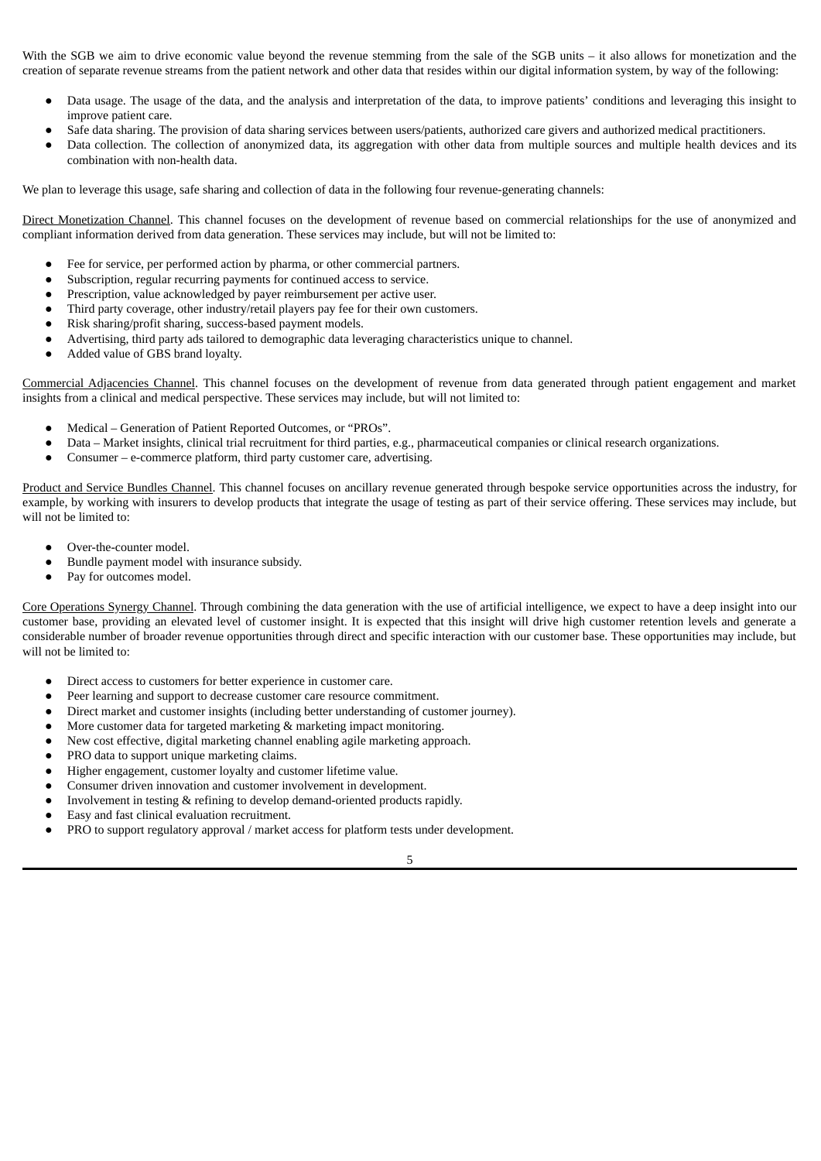With the SGB we aim to drive economic value beyond the revenue stemming from the sale of the SGB units – it also allows for monetization and the creation of separate revenue streams from the patient network and other data that resides within our digital information system, by way of the following:

- Data usage. The usage of the data, and the analysis and interpretation of the data, to improve patients' conditions and leveraging this insight to improve patient care.
- Safe data sharing. The provision of data sharing services between users/patients, authorized care givers and authorized medical practitioners.
- Data collection. The collection of anonymized data, its aggregation with other data from multiple sources and multiple health devices and its combination with non-health data.

We plan to leverage this usage, safe sharing and collection of data in the following four revenue-generating channels:

Direct Monetization Channel. This channel focuses on the development of revenue based on commercial relationships for the use of anonymized and compliant information derived from data generation. These services may include, but will not be limited to:

- Fee for service, per performed action by pharma, or other commercial partners.
- Subscription, regular recurring payments for continued access to service.
- Prescription, value acknowledged by payer reimbursement per active user.
- Third party coverage, other industry/retail players pay fee for their own customers.
- Risk sharing/profit sharing, success-based payment models.
- Advertising, third party ads tailored to demographic data leveraging characteristics unique to channel.
- Added value of GBS brand loyalty.

Commercial Adjacencies Channel. This channel focuses on the development of revenue from data generated through patient engagement and market insights from a clinical and medical perspective. These services may include, but will not limited to:

- Medical Generation of Patient Reported Outcomes, or "PROs".
- Data Market insights, clinical trial recruitment for third parties, e.g., pharmaceutical companies or clinical research organizations.
- Consumer e-commerce platform, third party customer care, advertising.

Product and Service Bundles Channel. This channel focuses on ancillary revenue generated through bespoke service opportunities across the industry, for example, by working with insurers to develop products that integrate the usage of testing as part of their service offering. These services may include, but will not be limited to:

- Over-the-counter model.
- Bundle payment model with insurance subsidy.
- Pay for outcomes model.

Core Operations Synergy Channel. Through combining the data generation with the use of artificial intelligence, we expect to have a deep insight into our customer base, providing an elevated level of customer insight. It is expected that this insight will drive high customer retention levels and generate a considerable number of broader revenue opportunities through direct and specific interaction with our customer base. These opportunities may include, but will not be limited to:

- Direct access to customers for better experience in customer care.
- Peer learning and support to decrease customer care resource commitment.
- Direct market and customer insights (including better understanding of customer journey).
- More customer data for targeted marketing & marketing impact monitoring.
- New cost effective, digital marketing channel enabling agile marketing approach.
- PRO data to support unique marketing claims.
- Higher engagement, customer loyalty and customer lifetime value.
- Consumer driven innovation and customer involvement in development.
- Involvement in testing & refining to develop demand-oriented products rapidly.
- Easy and fast clinical evaluation recruitment.
- PRO to support regulatory approval / market access for platform tests under development.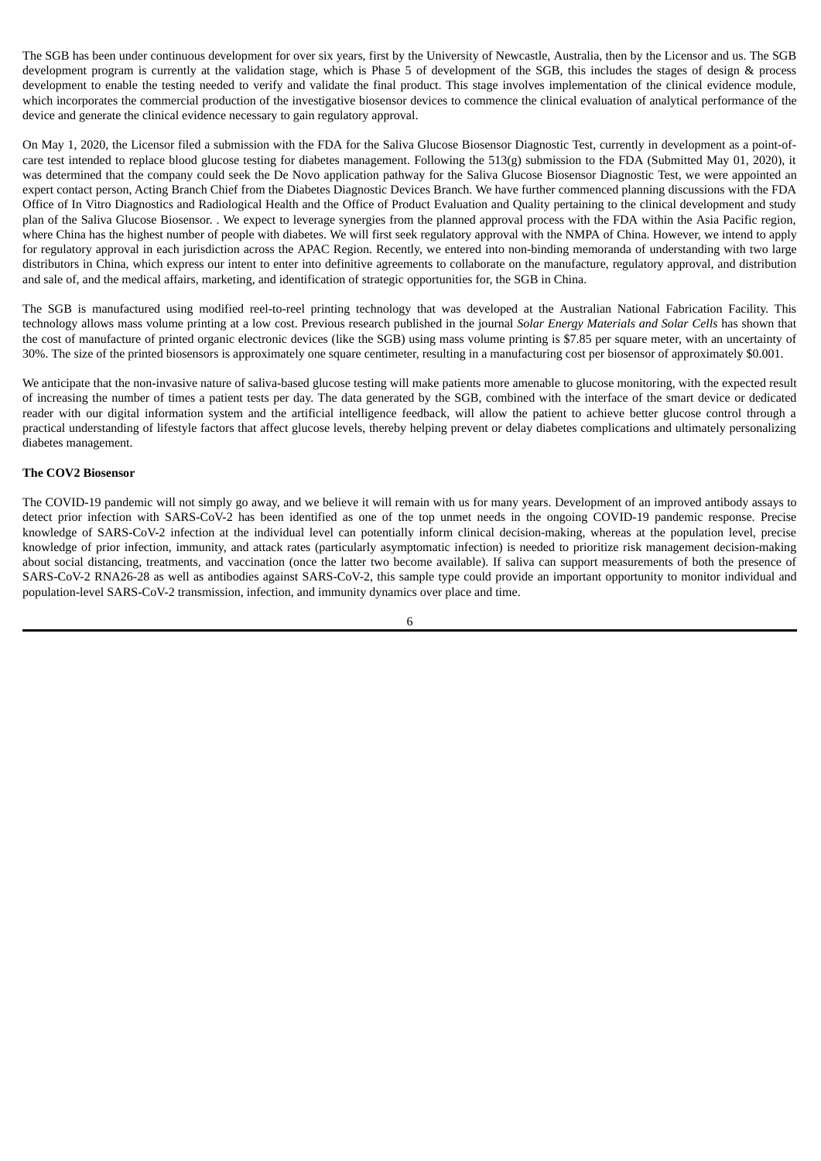The SGB has been under continuous development for over six years, first by the University of Newcastle, Australia, then by the Licensor and us. The SGB development program is currently at the validation stage, which is Phase 5 of development of the SGB, this includes the stages of design & process development to enable the testing needed to verify and validate the final product. This stage involves implementation of the clinical evidence module, which incorporates the commercial production of the investigative biosensor devices to commence the clinical evaluation of analytical performance of the device and generate the clinical evidence necessary to gain regulatory approval.

On May 1, 2020, the Licensor filed a submission with the FDA for the Saliva Glucose Biosensor Diagnostic Test, currently in development as a point-ofcare test intended to replace blood glucose testing for diabetes management. Following the 513(g) submission to the FDA (Submitted May 01, 2020), it was determined that the company could seek the De Novo application pathway for the Saliva Glucose Biosensor Diagnostic Test, we were appointed an expert contact person, Acting Branch Chief from the Diabetes Diagnostic Devices Branch. We have further commenced planning discussions with the FDA Office of In Vitro Diagnostics and Radiological Health and the Office of Product Evaluation and Quality pertaining to the clinical development and study plan of the Saliva Glucose Biosensor. . We expect to leverage synergies from the planned approval process with the FDA within the Asia Pacific region, where China has the highest number of people with diabetes. We will first seek regulatory approval with the NMPA of China. However, we intend to apply for regulatory approval in each jurisdiction across the APAC Region. Recently, we entered into non-binding memoranda of understanding with two large distributors in China, which express our intent to enter into definitive agreements to collaborate on the manufacture, regulatory approval, and distribution and sale of, and the medical affairs, marketing, and identification of strategic opportunities for, the SGB in China.

The SGB is manufactured using modified reel-to-reel printing technology that was developed at the Australian National Fabrication Facility. This technology allows mass volume printing at a low cost. Previous research published in the journal *Solar Energy Materials and Solar Cells* has shown that the cost of manufacture of printed organic electronic devices (like the SGB) using mass volume printing is \$7.85 per square meter, with an uncertainty of 30%. The size of the printed biosensors is approximately one square centimeter, resulting in a manufacturing cost per biosensor of approximately \$0.001.

We anticipate that the non-invasive nature of saliva-based glucose testing will make patients more amenable to glucose monitoring, with the expected result of increasing the number of times a patient tests per day. The data generated by the SGB, combined with the interface of the smart device or dedicated reader with our digital information system and the artificial intelligence feedback, will allow the patient to achieve better glucose control through a practical understanding of lifestyle factors that affect glucose levels, thereby helping prevent or delay diabetes complications and ultimately personalizing diabetes management.

#### **The COV2 Biosensor**

The COVID-19 pandemic will not simply go away, and we believe it will remain with us for many years. Development of an improved antibody assays to detect prior infection with SARS-CoV-2 has been identified as one of the top unmet needs in the ongoing COVID-19 pandemic response. Precise knowledge of SARS-CoV-2 infection at the individual level can potentially inform clinical decision-making, whereas at the population level, precise knowledge of prior infection, immunity, and attack rates (particularly asymptomatic infection) is needed to prioritize risk management decision-making about social distancing, treatments, and vaccination (once the latter two become available). If saliva can support measurements of both the presence of SARS-CoV-2 RNA26-28 as well as antibodies against SARS-CoV-2, this sample type could provide an important opportunity to monitor individual and population-level SARS-CoV-2 transmission, infection, and immunity dynamics over place and time.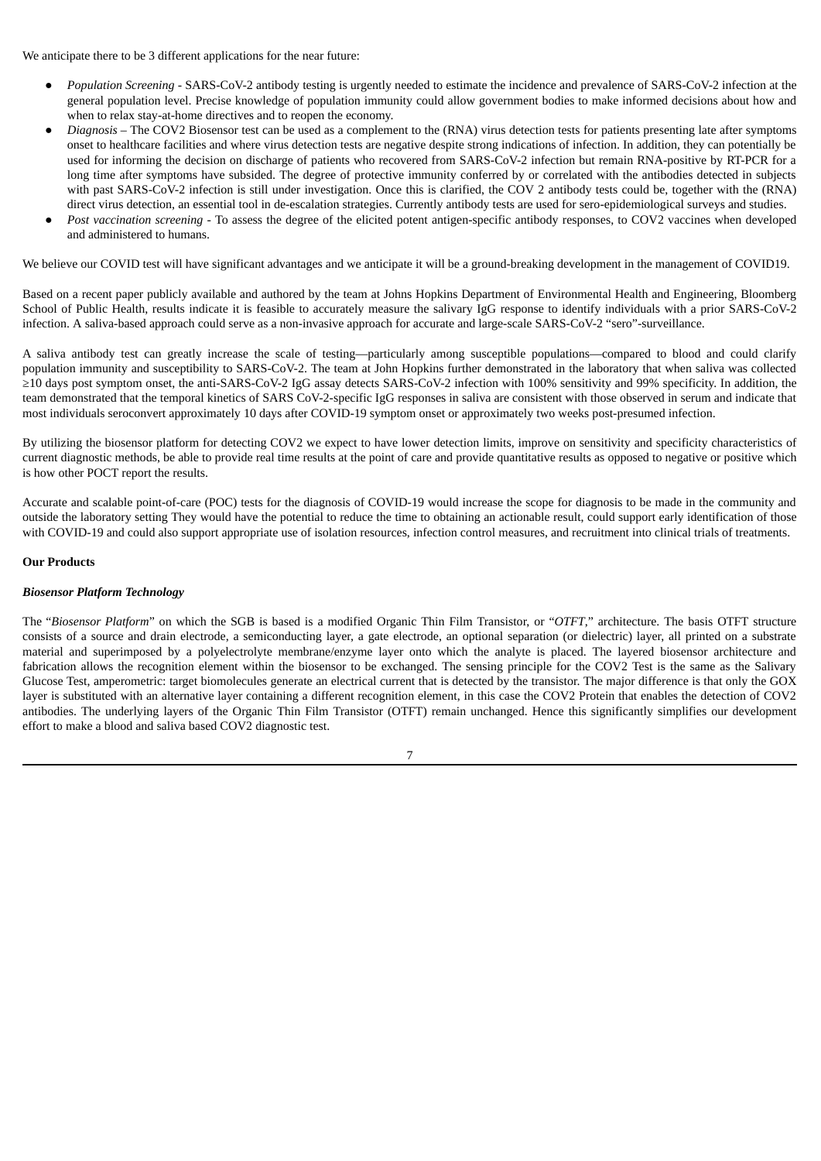We anticipate there to be 3 different applications for the near future:

- *Population Screening* SARS-CoV-2 antibody testing is urgently needed to estimate the incidence and prevalence of SARS-CoV-2 infection at the general population level. Precise knowledge of population immunity could allow government bodies to make informed decisions about how and when to relax stay-at-home directives and to reopen the economy.
- *Diagnosis* The COV2 Biosensor test can be used as a complement to the (RNA) virus detection tests for patients presenting late after symptoms onset to healthcare facilities and where virus detection tests are negative despite strong indications of infection. In addition, they can potentially be used for informing the decision on discharge of patients who recovered from SARS-CoV-2 infection but remain RNA-positive by RT-PCR for a long time after symptoms have subsided. The degree of protective immunity conferred by or correlated with the antibodies detected in subjects with past SARS-CoV-2 infection is still under investigation. Once this is clarified, the COV 2 antibody tests could be, together with the (RNA) direct virus detection, an essential tool in de-escalation strategies. Currently antibody tests are used for sero-epidemiological surveys and studies.
- *Post vaccination screening* To assess the degree of the elicited potent antigen-specific antibody responses, to COV2 vaccines when developed and administered to humans.

We believe our COVID test will have significant advantages and we anticipate it will be a ground-breaking development in the management of COVID19.

Based on a recent paper publicly available and authored by the team at Johns Hopkins Department of Environmental Health and Engineering, Bloomberg School of Public Health, results indicate it is feasible to accurately measure the salivary IgG response to identify individuals with a prior SARS-CoV-2 infection. A saliva-based approach could serve as a non-invasive approach for accurate and large-scale SARS-CoV-2 "sero"-surveillance.

A saliva antibody test can greatly increase the scale of testing—particularly among susceptible populations—compared to blood and could clarify population immunity and susceptibility to SARS-CoV-2. The team at John Hopkins further demonstrated in the laboratory that when saliva was collected ≥10 days post symptom onset, the anti-SARS-CoV-2 IgG assay detects SARS-CoV-2 infection with 100% sensitivity and 99% specificity. In addition, the team demonstrated that the temporal kinetics of SARS CoV-2-specific IgG responses in saliva are consistent with those observed in serum and indicate that most individuals seroconvert approximately 10 days after COVID-19 symptom onset or approximately two weeks post-presumed infection.

By utilizing the biosensor platform for detecting COV2 we expect to have lower detection limits, improve on sensitivity and specificity characteristics of current diagnostic methods, be able to provide real time results at the point of care and provide quantitative results as opposed to negative or positive which is how other POCT report the results.

Accurate and scalable point-of-care (POC) tests for the diagnosis of COVID-19 would increase the scope for diagnosis to be made in the community and outside the laboratory setting They would have the potential to reduce the time to obtaining an actionable result, could support early identification of those with COVID-19 and could also support appropriate use of isolation resources, infection control measures, and recruitment into clinical trials of treatments.

## **Our Products**

## *Biosensor Platform Technology*

The "*Biosensor Platform*" on which the SGB is based is a modified Organic Thin Film Transistor, or "*OTFT*," architecture. The basis OTFT structure consists of a source and drain electrode, a semiconducting layer, a gate electrode, an optional separation (or dielectric) layer, all printed on a substrate material and superimposed by a polyelectrolyte membrane/enzyme layer onto which the analyte is placed. The layered biosensor architecture and fabrication allows the recognition element within the biosensor to be exchanged. The sensing principle for the COV2 Test is the same as the Salivary Glucose Test, amperometric: target biomolecules generate an electrical current that is detected by the transistor. The major difference is that only the GOX layer is substituted with an alternative layer containing a different recognition element, in this case the COV2 Protein that enables the detection of COV2 antibodies. The underlying layers of the Organic Thin Film Transistor (OTFT) remain unchanged. Hence this significantly simplifies our development effort to make a blood and saliva based COV2 diagnostic test.

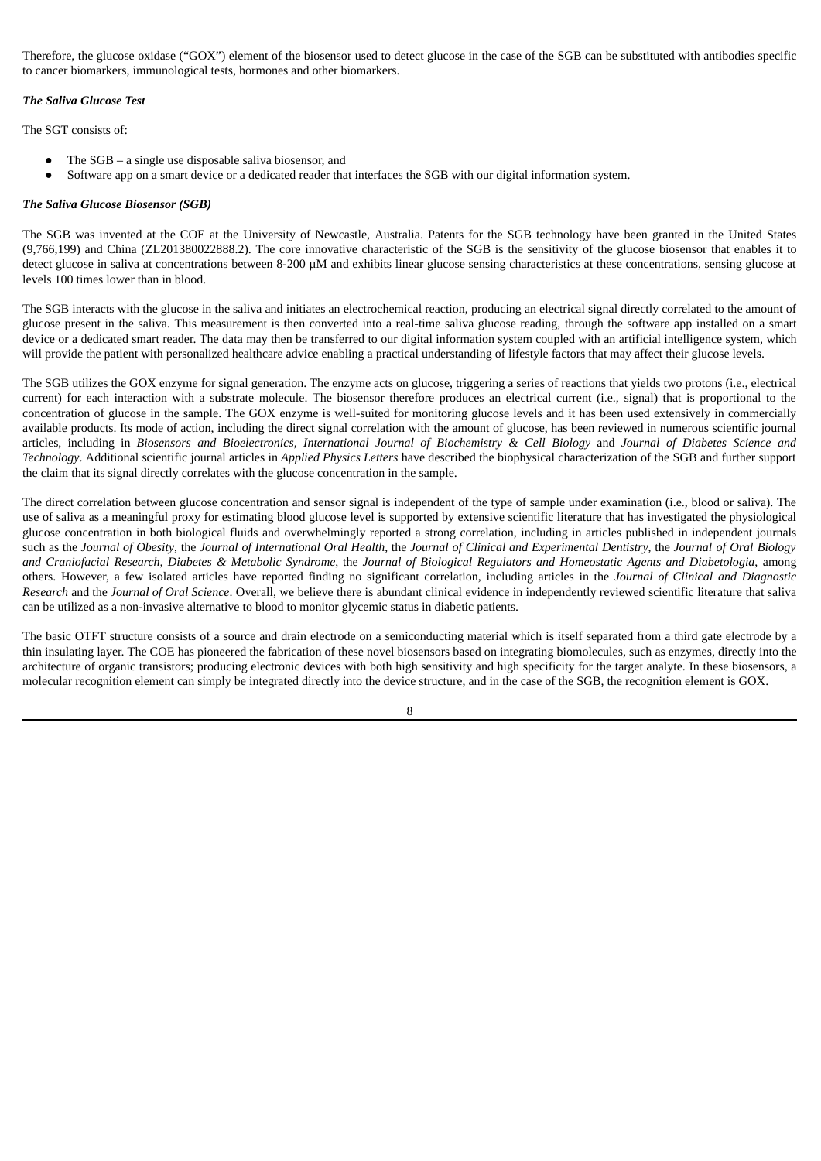Therefore, the glucose oxidase ("GOX") element of the biosensor used to detect glucose in the case of the SGB can be substituted with antibodies specific to cancer biomarkers, immunological tests, hormones and other biomarkers.

## *The Saliva Glucose Test*

The SGT consists of:

- The  $SGB a$  single use disposable saliva biosensor, and
- Software app on a smart device or a dedicated reader that interfaces the SGB with our digital information system.

#### *The Saliva Glucose Biosensor (SGB)*

The SGB was invented at the COE at the University of Newcastle, Australia. Patents for the SGB technology have been granted in the United States (9,766,199) and China (ZL201380022888.2). The core innovative characteristic of the SGB is the sensitivity of the glucose biosensor that enables it to detect glucose in saliva at concentrations between 8-200 µM and exhibits linear glucose sensing characteristics at these concentrations, sensing glucose at levels 100 times lower than in blood.

The SGB interacts with the glucose in the saliva and initiates an electrochemical reaction, producing an electrical signal directly correlated to the amount of glucose present in the saliva. This measurement is then converted into a real-time saliva glucose reading, through the software app installed on a smart device or a dedicated smart reader. The data may then be transferred to our digital information system coupled with an artificial intelligence system, which will provide the patient with personalized healthcare advice enabling a practical understanding of lifestyle factors that may affect their glucose levels.

The SGB utilizes the GOX enzyme for signal generation. The enzyme acts on glucose, triggering a series of reactions that yields two protons (i.e., electrical current) for each interaction with a substrate molecule. The biosensor therefore produces an electrical current (i.e., signal) that is proportional to the concentration of glucose in the sample. The GOX enzyme is well-suited for monitoring glucose levels and it has been used extensively in commercially available products. Its mode of action, including the direct signal correlation with the amount of glucose, has been reviewed in numerous scientific journal articles, including in Biosensors and Bioelectronics, International Journal of Biochemistry & Cell Biology and Journal of Diabetes Science and *Technology*. Additional scientific journal articles in *Applied Physics Letters* have described the biophysical characterization of the SGB and further support the claim that its signal directly correlates with the glucose concentration in the sample.

The direct correlation between glucose concentration and sensor signal is independent of the type of sample under examination (i.e., blood or saliva). The use of saliva as a meaningful proxy for estimating blood glucose level is supported by extensive scientific literature that has investigated the physiological glucose concentration in both biological fluids and overwhelmingly reported a strong correlation, including in articles published in independent journals such as the Journal of Obesity, the Journal of International Oral Health, the Journal of Clinical and Experimental Dentistry, the Journal of Oral Biology and Craniofacial Research, Diabetes & Metabolic Syndrome, the Journal of Biological Regulators and Homeostatic Agents and Diabetologia, among others. However, a few isolated articles have reported finding no significant correlation, including articles in the *Journal of Clinical and Diagnostic Research* and the *Journal of Oral Science*. Overall, we believe there is abundant clinical evidence in independently reviewed scientific literature that saliva can be utilized as a non-invasive alternative to blood to monitor glycemic status in diabetic patients.

The basic OTFT structure consists of a source and drain electrode on a semiconducting material which is itself separated from a third gate electrode by a thin insulating layer. The COE has pioneered the fabrication of these novel biosensors based on integrating biomolecules, such as enzymes, directly into the architecture of organic transistors; producing electronic devices with both high sensitivity and high specificity for the target analyte. In these biosensors, a molecular recognition element can simply be integrated directly into the device structure, and in the case of the SGB, the recognition element is GOX.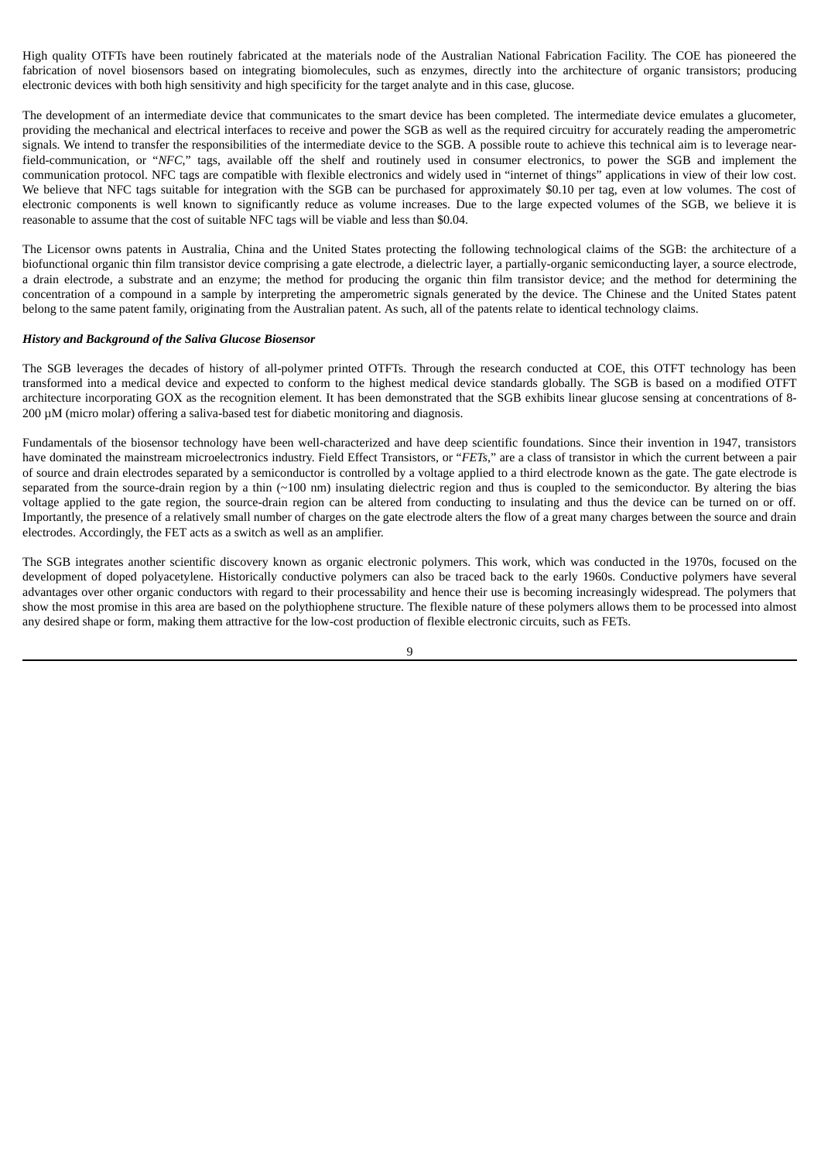High quality OTFTs have been routinely fabricated at the materials node of the Australian National Fabrication Facility. The COE has pioneered the fabrication of novel biosensors based on integrating biomolecules, such as enzymes, directly into the architecture of organic transistors; producing electronic devices with both high sensitivity and high specificity for the target analyte and in this case, glucose.

The development of an intermediate device that communicates to the smart device has been completed. The intermediate device emulates a glucometer, providing the mechanical and electrical interfaces to receive and power the SGB as well as the required circuitry for accurately reading the amperometric signals. We intend to transfer the responsibilities of the intermediate device to the SGB. A possible route to achieve this technical aim is to leverage nearfield-communication, or "*NFC*," tags, available off the shelf and routinely used in consumer electronics, to power the SGB and implement the communication protocol. NFC tags are compatible with flexible electronics and widely used in "internet of things" applications in view of their low cost. We believe that NFC tags suitable for integration with the SGB can be purchased for approximately \$0.10 per tag, even at low volumes. The cost of electronic components is well known to significantly reduce as volume increases. Due to the large expected volumes of the SGB, we believe it is reasonable to assume that the cost of suitable NFC tags will be viable and less than \$0.04.

The Licensor owns patents in Australia, China and the United States protecting the following technological claims of the SGB: the architecture of a biofunctional organic thin film transistor device comprising a gate electrode, a dielectric layer, a partially-organic semiconducting layer, a source electrode, a drain electrode, a substrate and an enzyme; the method for producing the organic thin film transistor device; and the method for determining the concentration of a compound in a sample by interpreting the amperometric signals generated by the device. The Chinese and the United States patent belong to the same patent family, originating from the Australian patent. As such, all of the patents relate to identical technology claims.

#### *History and Background of the Saliva Glucose Biosensor*

The SGB leverages the decades of history of all-polymer printed OTFTs. Through the research conducted at COE, this OTFT technology has been transformed into a medical device and expected to conform to the highest medical device standards globally. The SGB is based on a modified OTFT architecture incorporating GOX as the recognition element. It has been demonstrated that the SGB exhibits linear glucose sensing at concentrations of 8- 200 µM (micro molar) offering a saliva-based test for diabetic monitoring and diagnosis.

Fundamentals of the biosensor technology have been well-characterized and have deep scientific foundations. Since their invention in 1947, transistors have dominated the mainstream microelectronics industry. Field Effect Transistors, or "*FETs*," are a class of transistor in which the current between a pair of source and drain electrodes separated by a semiconductor is controlled by a voltage applied to a third electrode known as the gate. The gate electrode is separated from the source-drain region by a thin  $(\sim 100 \text{ nm})$  insulating dielectric region and thus is coupled to the semiconductor. By altering the bias voltage applied to the gate region, the source-drain region can be altered from conducting to insulating and thus the device can be turned on or off. Importantly, the presence of a relatively small number of charges on the gate electrode alters the flow of a great many charges between the source and drain electrodes. Accordingly, the FET acts as a switch as well as an amplifier.

The SGB integrates another scientific discovery known as organic electronic polymers. This work, which was conducted in the 1970s, focused on the development of doped polyacetylene. Historically conductive polymers can also be traced back to the early 1960s. Conductive polymers have several advantages over other organic conductors with regard to their processability and hence their use is becoming increasingly widespread. The polymers that show the most promise in this area are based on the polythiophene structure. The flexible nature of these polymers allows them to be processed into almost any desired shape or form, making them attractive for the low-cost production of flexible electronic circuits, such as FETs.

<sup>9</sup>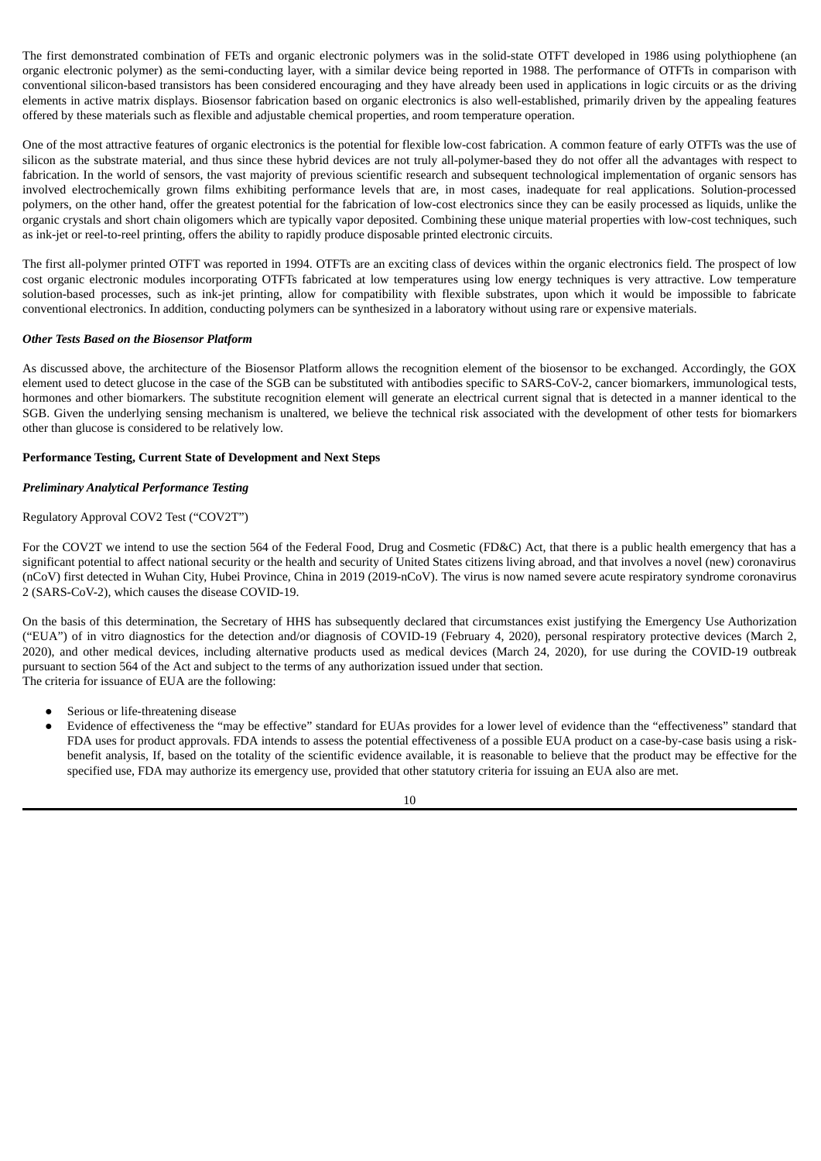The first demonstrated combination of FETs and organic electronic polymers was in the solid-state OTFT developed in 1986 using polythiophene (an organic electronic polymer) as the semi-conducting layer, with a similar device being reported in 1988. The performance of OTFTs in comparison with conventional silicon-based transistors has been considered encouraging and they have already been used in applications in logic circuits or as the driving elements in active matrix displays. Biosensor fabrication based on organic electronics is also well-established, primarily driven by the appealing features offered by these materials such as flexible and adjustable chemical properties, and room temperature operation.

One of the most attractive features of organic electronics is the potential for flexible low-cost fabrication. A common feature of early OTFTs was the use of silicon as the substrate material, and thus since these hybrid devices are not truly all-polymer-based they do not offer all the advantages with respect to fabrication. In the world of sensors, the vast majority of previous scientific research and subsequent technological implementation of organic sensors has involved electrochemically grown films exhibiting performance levels that are, in most cases, inadequate for real applications. Solution-processed polymers, on the other hand, offer the greatest potential for the fabrication of low-cost electronics since they can be easily processed as liquids, unlike the organic crystals and short chain oligomers which are typically vapor deposited. Combining these unique material properties with low-cost techniques, such as ink-jet or reel-to-reel printing, offers the ability to rapidly produce disposable printed electronic circuits.

The first all-polymer printed OTFT was reported in 1994. OTFTs are an exciting class of devices within the organic electronics field. The prospect of low cost organic electronic modules incorporating OTFTs fabricated at low temperatures using low energy techniques is very attractive. Low temperature solution-based processes, such as ink-jet printing, allow for compatibility with flexible substrates, upon which it would be impossible to fabricate conventional electronics. In addition, conducting polymers can be synthesized in a laboratory without using rare or expensive materials.

## *Other Tests Based on the Biosensor Platform*

As discussed above, the architecture of the Biosensor Platform allows the recognition element of the biosensor to be exchanged. Accordingly, the GOX element used to detect glucose in the case of the SGB can be substituted with antibodies specific to SARS-CoV-2, cancer biomarkers, immunological tests, hormones and other biomarkers. The substitute recognition element will generate an electrical current signal that is detected in a manner identical to the SGB. Given the underlying sensing mechanism is unaltered, we believe the technical risk associated with the development of other tests for biomarkers other than glucose is considered to be relatively low.

# **Performance Testing, Current State of Development and Next Steps**

# *Preliminary Analytical Performance Testing*

# Regulatory Approval COV2 Test ("COV2T")

For the COV2T we intend to use the section 564 of the Federal Food, Drug and Cosmetic (FD&C) Act, that there is a public health emergency that has a significant potential to affect national security or the health and security of United States citizens living abroad, and that involves a novel (new) coronavirus (nCoV) first detected in Wuhan City, Hubei Province, China in 2019 (2019-nCoV). The virus is now named severe acute respiratory syndrome coronavirus 2 (SARS-CoV-2), which causes the disease COVID-19.

On the basis of this determination, the Secretary of HHS has subsequently declared that circumstances exist justifying the Emergency Use Authorization ("EUA") of in vitro diagnostics for the detection and/or diagnosis of COVID-19 (February 4, 2020), personal respiratory protective devices (March 2, 2020), and other medical devices, including alternative products used as medical devices (March 24, 2020), for use during the COVID-19 outbreak pursuant to section 564 of the Act and subject to the terms of any authorization issued under that section. The criteria for issuance of EUA are the following:

- Serious or life-threatening disease
- Evidence of effectiveness the "may be effective" standard for EUAs provides for a lower level of evidence than the "effectiveness" standard that FDA uses for product approvals. FDA intends to assess the potential effectiveness of a possible EUA product on a case-by-case basis using a riskbenefit analysis, If, based on the totality of the scientific evidence available, it is reasonable to believe that the product may be effective for the specified use, FDA may authorize its emergency use, provided that other statutory criteria for issuing an EUA also are met.

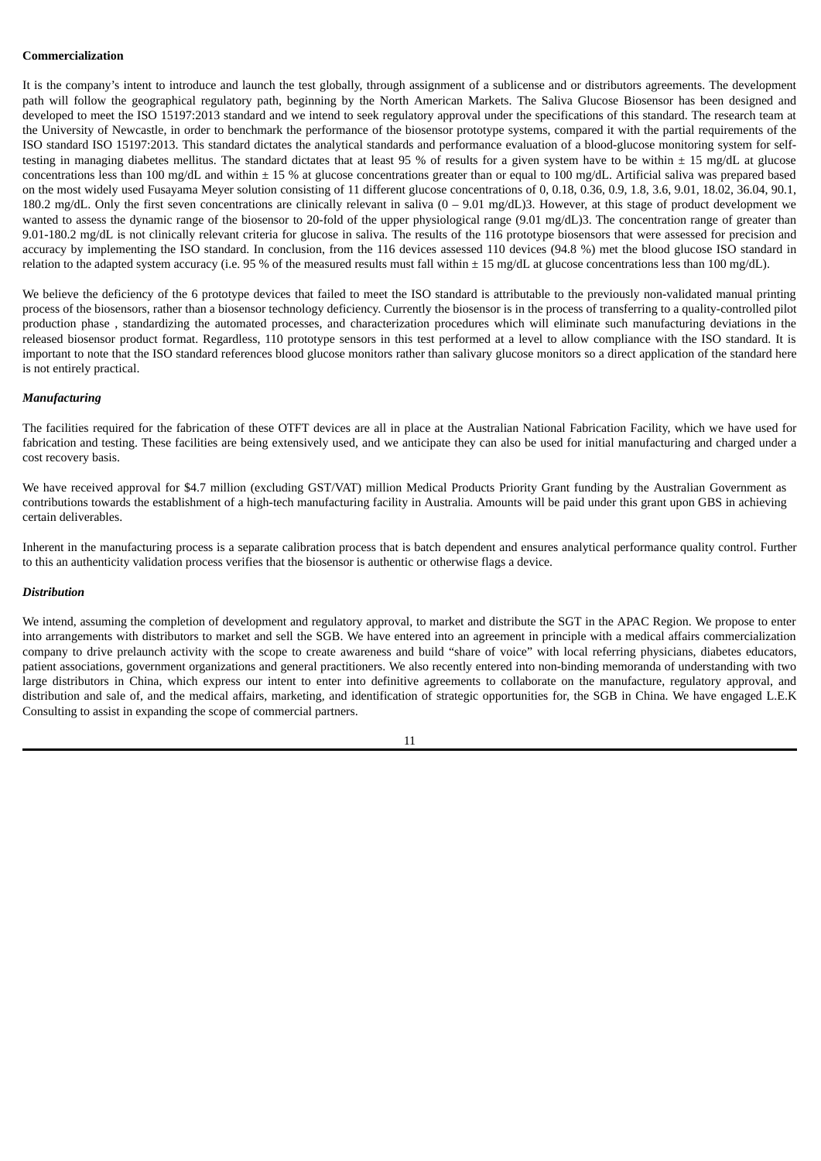## **Commercialization**

It is the company's intent to introduce and launch the test globally, through assignment of a sublicense and or distributors agreements. The development path will follow the geographical regulatory path, beginning by the North American Markets. The Saliva Glucose Biosensor has been designed and developed to meet the ISO 15197:2013 standard and we intend to seek regulatory approval under the specifications of this standard. The research team at the University of Newcastle, in order to benchmark the performance of the biosensor prototype systems, compared it with the partial requirements of the ISO standard ISO 15197:2013. This standard dictates the analytical standards and performance evaluation of a blood-glucose monitoring system for selftesting in managing diabetes mellitus. The standard dictates that at least 95 % of results for a given system have to be within  $\pm$  15 mg/dL at glucose concentrations less than 100 mg/dL and within ± 15 % at glucose concentrations greater than or equal to 100 mg/dL. Artificial saliva was prepared based on the most widely used Fusayama Meyer solution consisting of 11 different glucose concentrations of 0, 0.18, 0.36, 0.9, 1.8, 3.6, 9.01, 18.02, 36.04, 90.1, 180.2 mg/dL. Only the first seven concentrations are clinically relevant in saliva  $(0 - 9.01 \text{ mg/dL})$ 3. However, at this stage of product development we wanted to assess the dynamic range of the biosensor to 20-fold of the upper physiological range (9.01 mg/dL)3. The concentration range of greater than 9.01-180.2 mg/dL is not clinically relevant criteria for glucose in saliva. The results of the 116 prototype biosensors that were assessed for precision and accuracy by implementing the ISO standard. In conclusion, from the 116 devices assessed 110 devices (94.8 %) met the blood glucose ISO standard in relation to the adapted system accuracy (i.e. 95 % of the measured results must fall within  $\pm$  15 mg/dL at glucose concentrations less than 100 mg/dL).

We believe the deficiency of the 6 prototype devices that failed to meet the ISO standard is attributable to the previously non-validated manual printing process of the biosensors, rather than a biosensor technology deficiency. Currently the biosensor is in the process of transferring to a quality-controlled pilot production phase , standardizing the automated processes, and characterization procedures which will eliminate such manufacturing deviations in the released biosensor product format. Regardless, 110 prototype sensors in this test performed at a level to allow compliance with the ISO standard. It is important to note that the ISO standard references blood glucose monitors rather than salivary glucose monitors so a direct application of the standard here is not entirely practical.

#### *Manufacturing*

The facilities required for the fabrication of these OTFT devices are all in place at the Australian National Fabrication Facility, which we have used for fabrication and testing. These facilities are being extensively used, and we anticipate they can also be used for initial manufacturing and charged under a cost recovery basis.

We have received approval for \$4.7 million (excluding GST/VAT) million Medical Products Priority Grant funding by the Australian Government as contributions towards the establishment of a high-tech manufacturing facility in Australia. Amounts will be paid under this grant upon GBS in achieving certain deliverables.

Inherent in the manufacturing process is a separate calibration process that is batch dependent and ensures analytical performance quality control. Further to this an authenticity validation process verifies that the biosensor is authentic or otherwise flags a device.

#### *Distribution*

We intend, assuming the completion of development and regulatory approval, to market and distribute the SGT in the APAC Region. We propose to enter into arrangements with distributors to market and sell the SGB. We have entered into an agreement in principle with a medical affairs commercialization company to drive prelaunch activity with the scope to create awareness and build "share of voice" with local referring physicians, diabetes educators, patient associations, government organizations and general practitioners. We also recently entered into non-binding memoranda of understanding with two large distributors in China, which express our intent to enter into definitive agreements to collaborate on the manufacture, regulatory approval, and distribution and sale of, and the medical affairs, marketing, and identification of strategic opportunities for, the SGB in China. We have engaged L.E.K Consulting to assist in expanding the scope of commercial partners.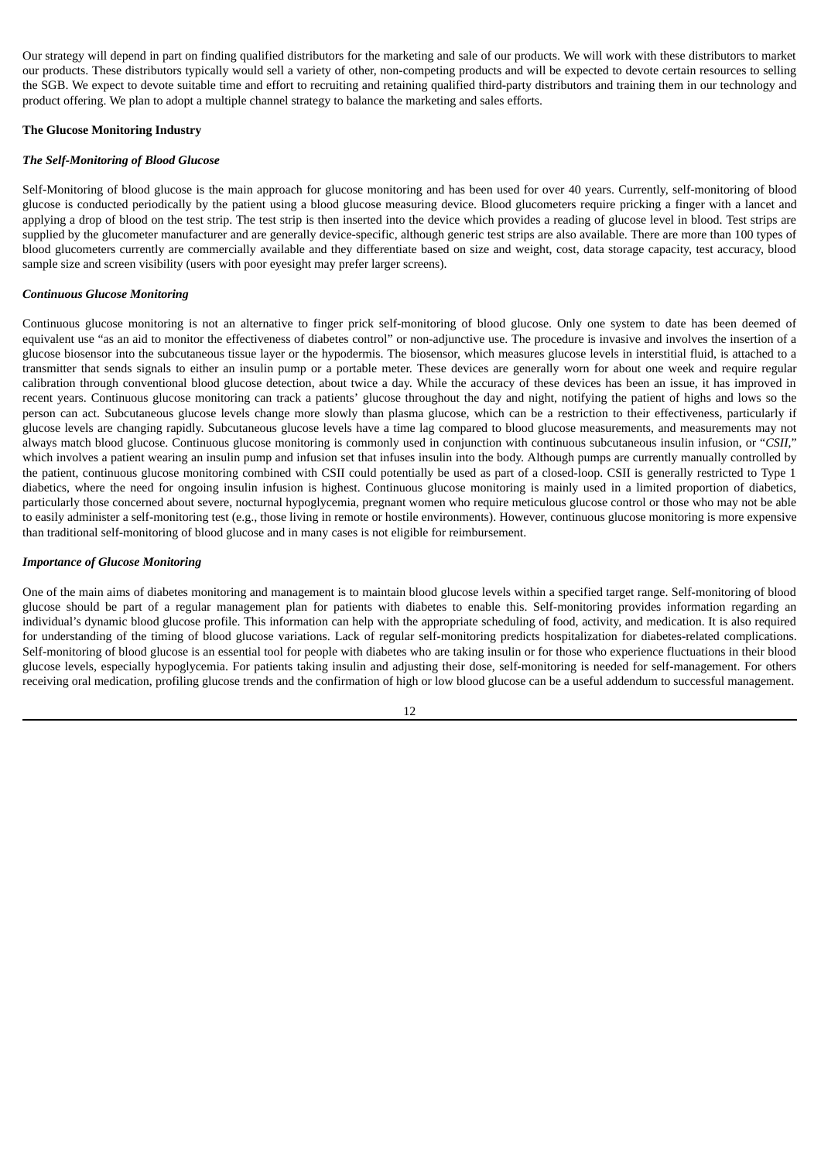Our strategy will depend in part on finding qualified distributors for the marketing and sale of our products. We will work with these distributors to market our products. These distributors typically would sell a variety of other, non-competing products and will be expected to devote certain resources to selling the SGB. We expect to devote suitable time and effort to recruiting and retaining qualified third-party distributors and training them in our technology and product offering. We plan to adopt a multiple channel strategy to balance the marketing and sales efforts.

## **The Glucose Monitoring Industry**

#### *The Self-Monitoring of Blood Glucose*

Self-Monitoring of blood glucose is the main approach for glucose monitoring and has been used for over 40 years. Currently, self-monitoring of blood glucose is conducted periodically by the patient using a blood glucose measuring device. Blood glucometers require pricking a finger with a lancet and applying a drop of blood on the test strip. The test strip is then inserted into the device which provides a reading of glucose level in blood. Test strips are supplied by the glucometer manufacturer and are generally device-specific, although generic test strips are also available. There are more than 100 types of blood glucometers currently are commercially available and they differentiate based on size and weight, cost, data storage capacity, test accuracy, blood sample size and screen visibility (users with poor eyesight may prefer larger screens).

## *Continuous Glucose Monitoring*

Continuous glucose monitoring is not an alternative to finger prick self-monitoring of blood glucose. Only one system to date has been deemed of equivalent use "as an aid to monitor the effectiveness of diabetes control" or non-adjunctive use. The procedure is invasive and involves the insertion of a glucose biosensor into the subcutaneous tissue layer or the hypodermis. The biosensor, which measures glucose levels in interstitial fluid, is attached to a transmitter that sends signals to either an insulin pump or a portable meter. These devices are generally worn for about one week and require regular calibration through conventional blood glucose detection, about twice a day. While the accuracy of these devices has been an issue, it has improved in recent years. Continuous glucose monitoring can track a patients' glucose throughout the day and night, notifying the patient of highs and lows so the person can act. Subcutaneous glucose levels change more slowly than plasma glucose, which can be a restriction to their effectiveness, particularly if glucose levels are changing rapidly. Subcutaneous glucose levels have a time lag compared to blood glucose measurements, and measurements may not always match blood glucose. Continuous glucose monitoring is commonly used in conjunction with continuous subcutaneous insulin infusion, or "*CSII*," which involves a patient wearing an insulin pump and infusion set that infuses insulin into the body. Although pumps are currently manually controlled by the patient, continuous glucose monitoring combined with CSII could potentially be used as part of a closed-loop. CSII is generally restricted to Type 1 diabetics, where the need for ongoing insulin infusion is highest. Continuous glucose monitoring is mainly used in a limited proportion of diabetics, particularly those concerned about severe, nocturnal hypoglycemia, pregnant women who require meticulous glucose control or those who may not be able to easily administer a self-monitoring test (e.g., those living in remote or hostile environments). However, continuous glucose monitoring is more expensive than traditional self-monitoring of blood glucose and in many cases is not eligible for reimbursement.

#### *Importance of Glucose Monitoring*

One of the main aims of diabetes monitoring and management is to maintain blood glucose levels within a specified target range. Self-monitoring of blood glucose should be part of a regular management plan for patients with diabetes to enable this. Self-monitoring provides information regarding an individual's dynamic blood glucose profile. This information can help with the appropriate scheduling of food, activity, and medication. It is also required for understanding of the timing of blood glucose variations. Lack of regular self-monitoring predicts hospitalization for diabetes-related complications. Self-monitoring of blood glucose is an essential tool for people with diabetes who are taking insulin or for those who experience fluctuations in their blood glucose levels, especially hypoglycemia. For patients taking insulin and adjusting their dose, self-monitoring is needed for self-management. For others receiving oral medication, profiling glucose trends and the confirmation of high or low blood glucose can be a useful addendum to successful management.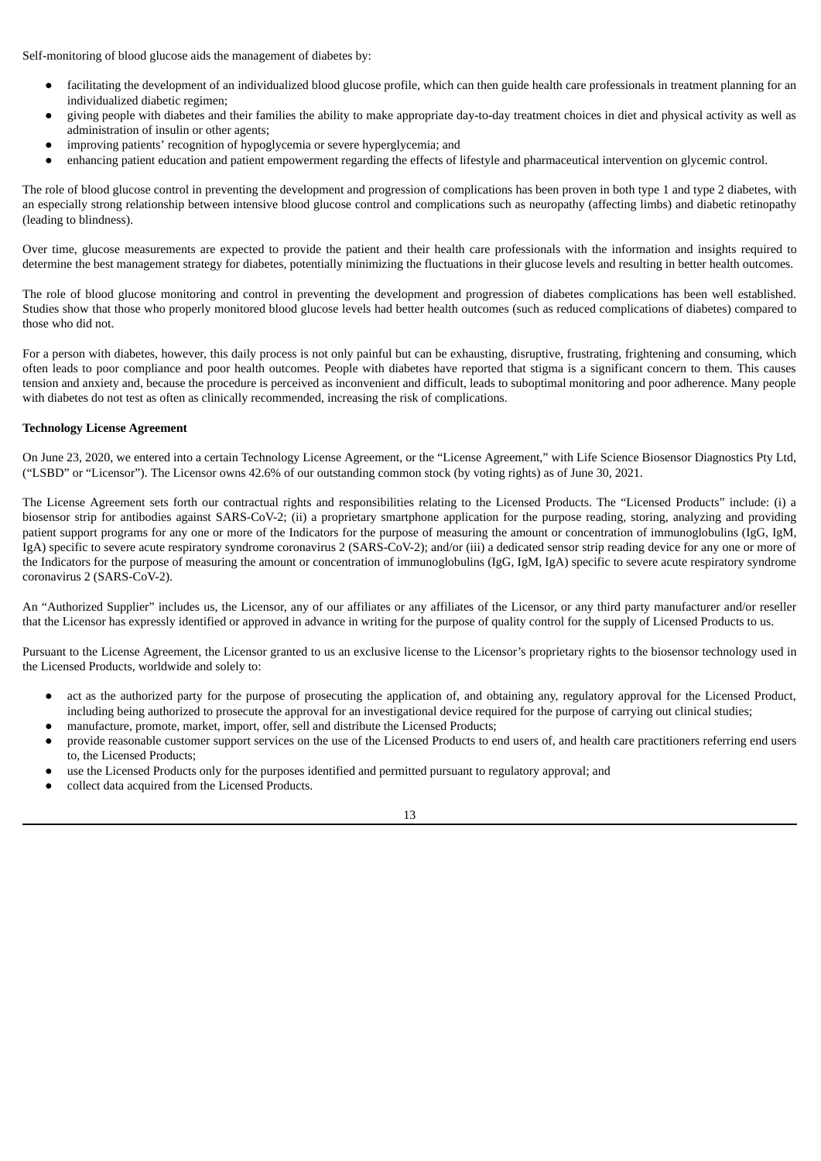Self-monitoring of blood glucose aids the management of diabetes by:

- facilitating the development of an individualized blood glucose profile, which can then guide health care professionals in treatment planning for an individualized diabetic regimen;
- giving people with diabetes and their families the ability to make appropriate day-to-day treatment choices in diet and physical activity as well as administration of insulin or other agents;
- improving patients' recognition of hypoglycemia or severe hyperglycemia; and
- enhancing patient education and patient empowerment regarding the effects of lifestyle and pharmaceutical intervention on glycemic control.

The role of blood glucose control in preventing the development and progression of complications has been proven in both type 1 and type 2 diabetes, with an especially strong relationship between intensive blood glucose control and complications such as neuropathy (affecting limbs) and diabetic retinopathy (leading to blindness).

Over time, glucose measurements are expected to provide the patient and their health care professionals with the information and insights required to determine the best management strategy for diabetes, potentially minimizing the fluctuations in their glucose levels and resulting in better health outcomes.

The role of blood glucose monitoring and control in preventing the development and progression of diabetes complications has been well established. Studies show that those who properly monitored blood glucose levels had better health outcomes (such as reduced complications of diabetes) compared to those who did not.

For a person with diabetes, however, this daily process is not only painful but can be exhausting, disruptive, frustrating, frightening and consuming, which often leads to poor compliance and poor health outcomes. People with diabetes have reported that stigma is a significant concern to them. This causes tension and anxiety and, because the procedure is perceived as inconvenient and difficult, leads to suboptimal monitoring and poor adherence. Many people with diabetes do not test as often as clinically recommended, increasing the risk of complications.

## **Technology License Agreement**

On June 23, 2020, we entered into a certain Technology License Agreement, or the "License Agreement," with Life Science Biosensor Diagnostics Pty Ltd, ("LSBD" or "Licensor"). The Licensor owns 42.6% of our outstanding common stock (by voting rights) as of June 30, 2021.

The License Agreement sets forth our contractual rights and responsibilities relating to the Licensed Products. The "Licensed Products" include: (i) a biosensor strip for antibodies against SARS-CoV-2; (ii) a proprietary smartphone application for the purpose reading, storing, analyzing and providing patient support programs for any one or more of the Indicators for the purpose of measuring the amount or concentration of immunoglobulins (IgG, IgM, IgA) specific to severe acute respiratory syndrome coronavirus 2 (SARS-CoV-2); and/or (iii) a dedicated sensor strip reading device for any one or more of the Indicators for the purpose of measuring the amount or concentration of immunoglobulins (IgG, IgM, IgA) specific to severe acute respiratory syndrome coronavirus 2 (SARS-CoV-2).

An "Authorized Supplier" includes us, the Licensor, any of our affiliates or any affiliates of the Licensor, or any third party manufacturer and/or reseller that the Licensor has expressly identified or approved in advance in writing for the purpose of quality control for the supply of Licensed Products to us.

Pursuant to the License Agreement, the Licensor granted to us an exclusive license to the Licensor's proprietary rights to the biosensor technology used in the Licensed Products, worldwide and solely to:

- act as the authorized party for the purpose of prosecuting the application of, and obtaining any, regulatory approval for the Licensed Product, including being authorized to prosecute the approval for an investigational device required for the purpose of carrying out clinical studies;
- manufacture, promote, market, import, offer, sell and distribute the Licensed Products;
- provide reasonable customer support services on the use of the Licensed Products to end users of, and health care practitioners referring end users to, the Licensed Products;
- use the Licensed Products only for the purposes identified and permitted pursuant to regulatory approval; and
- collect data acquired from the Licensed Products.

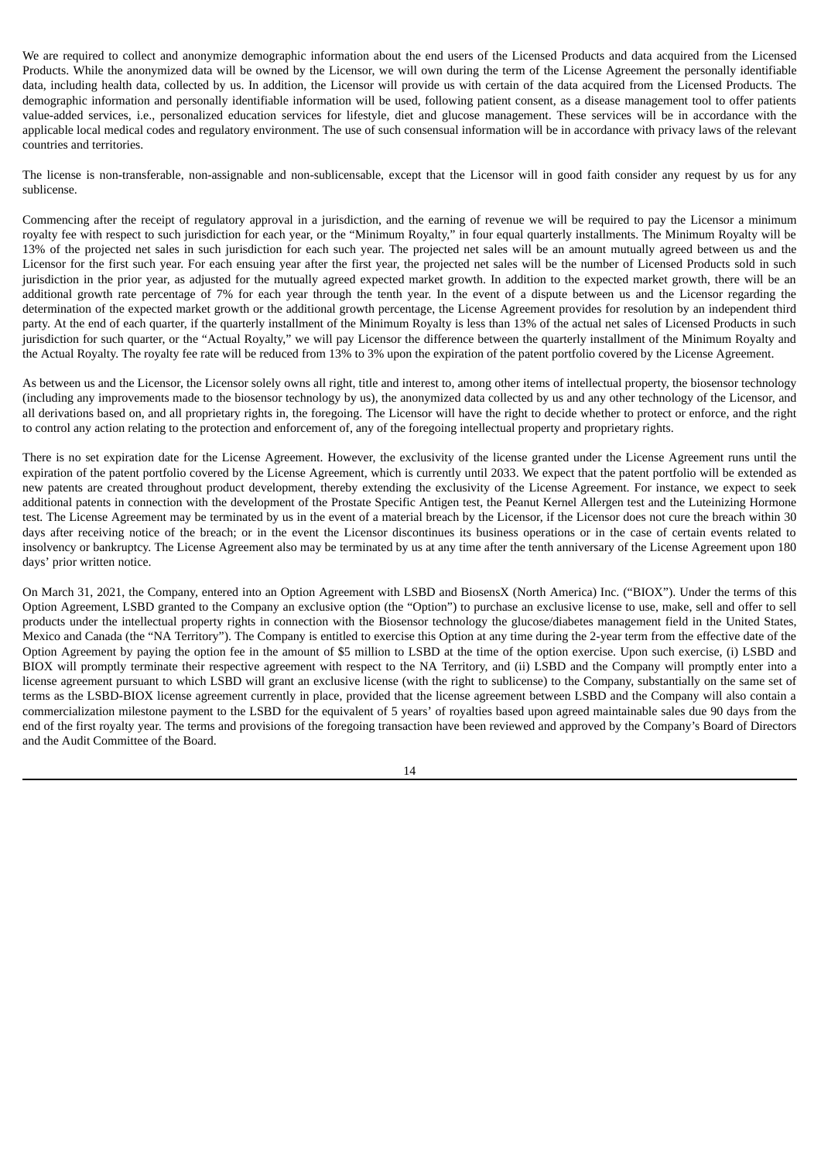We are required to collect and anonymize demographic information about the end users of the Licensed Products and data acquired from the Licensed Products. While the anonymized data will be owned by the Licensor, we will own during the term of the License Agreement the personally identifiable data, including health data, collected by us. In addition, the Licensor will provide us with certain of the data acquired from the Licensed Products. The demographic information and personally identifiable information will be used, following patient consent, as a disease management tool to offer patients value-added services, i.e., personalized education services for lifestyle, diet and glucose management. These services will be in accordance with the applicable local medical codes and regulatory environment. The use of such consensual information will be in accordance with privacy laws of the relevant countries and territories.

The license is non-transferable, non-assignable and non-sublicensable, except that the Licensor will in good faith consider any request by us for any sublicense.

Commencing after the receipt of regulatory approval in a jurisdiction, and the earning of revenue we will be required to pay the Licensor a minimum royalty fee with respect to such jurisdiction for each year, or the "Minimum Royalty," in four equal quarterly installments. The Minimum Royalty will be 13% of the projected net sales in such jurisdiction for each such year. The projected net sales will be an amount mutually agreed between us and the Licensor for the first such year. For each ensuing year after the first year, the projected net sales will be the number of Licensed Products sold in such jurisdiction in the prior year, as adjusted for the mutually agreed expected market growth. In addition to the expected market growth, there will be an additional growth rate percentage of 7% for each year through the tenth year. In the event of a dispute between us and the Licensor regarding the determination of the expected market growth or the additional growth percentage, the License Agreement provides for resolution by an independent third party. At the end of each quarter, if the quarterly installment of the Minimum Royalty is less than 13% of the actual net sales of Licensed Products in such jurisdiction for such quarter, or the "Actual Royalty," we will pay Licensor the difference between the quarterly installment of the Minimum Royalty and the Actual Royalty. The royalty fee rate will be reduced from 13% to 3% upon the expiration of the patent portfolio covered by the License Agreement.

As between us and the Licensor, the Licensor solely owns all right, title and interest to, among other items of intellectual property, the biosensor technology (including any improvements made to the biosensor technology by us), the anonymized data collected by us and any other technology of the Licensor, and all derivations based on, and all proprietary rights in, the foregoing. The Licensor will have the right to decide whether to protect or enforce, and the right to control any action relating to the protection and enforcement of, any of the foregoing intellectual property and proprietary rights.

There is no set expiration date for the License Agreement. However, the exclusivity of the license granted under the License Agreement runs until the expiration of the patent portfolio covered by the License Agreement, which is currently until 2033. We expect that the patent portfolio will be extended as new patents are created throughout product development, thereby extending the exclusivity of the License Agreement. For instance, we expect to seek additional patents in connection with the development of the Prostate Specific Antigen test, the Peanut Kernel Allergen test and the Luteinizing Hormone test. The License Agreement may be terminated by us in the event of a material breach by the Licensor, if the Licensor does not cure the breach within 30 days after receiving notice of the breach; or in the event the Licensor discontinues its business operations or in the case of certain events related to insolvency or bankruptcy. The License Agreement also may be terminated by us at any time after the tenth anniversary of the License Agreement upon 180 days' prior written notice.

On March 31, 2021, the Company, entered into an Option Agreement with LSBD and BiosensX (North America) Inc. ("BIOX"). Under the terms of this Option Agreement, LSBD granted to the Company an exclusive option (the "Option") to purchase an exclusive license to use, make, sell and offer to sell products under the intellectual property rights in connection with the Biosensor technology the glucose/diabetes management field in the United States, Mexico and Canada (the "NA Territory"). The Company is entitled to exercise this Option at any time during the 2-year term from the effective date of the Option Agreement by paying the option fee in the amount of \$5 million to LSBD at the time of the option exercise. Upon such exercise, (i) LSBD and BIOX will promptly terminate their respective agreement with respect to the NA Territory, and (ii) LSBD and the Company will promptly enter into a license agreement pursuant to which LSBD will grant an exclusive license (with the right to sublicense) to the Company, substantially on the same set of terms as the LSBD-BIOX license agreement currently in place, provided that the license agreement between LSBD and the Company will also contain a commercialization milestone payment to the LSBD for the equivalent of 5 years' of royalties based upon agreed maintainable sales due 90 days from the end of the first royalty year. The terms and provisions of the foregoing transaction have been reviewed and approved by the Company's Board of Directors and the Audit Committee of the Board.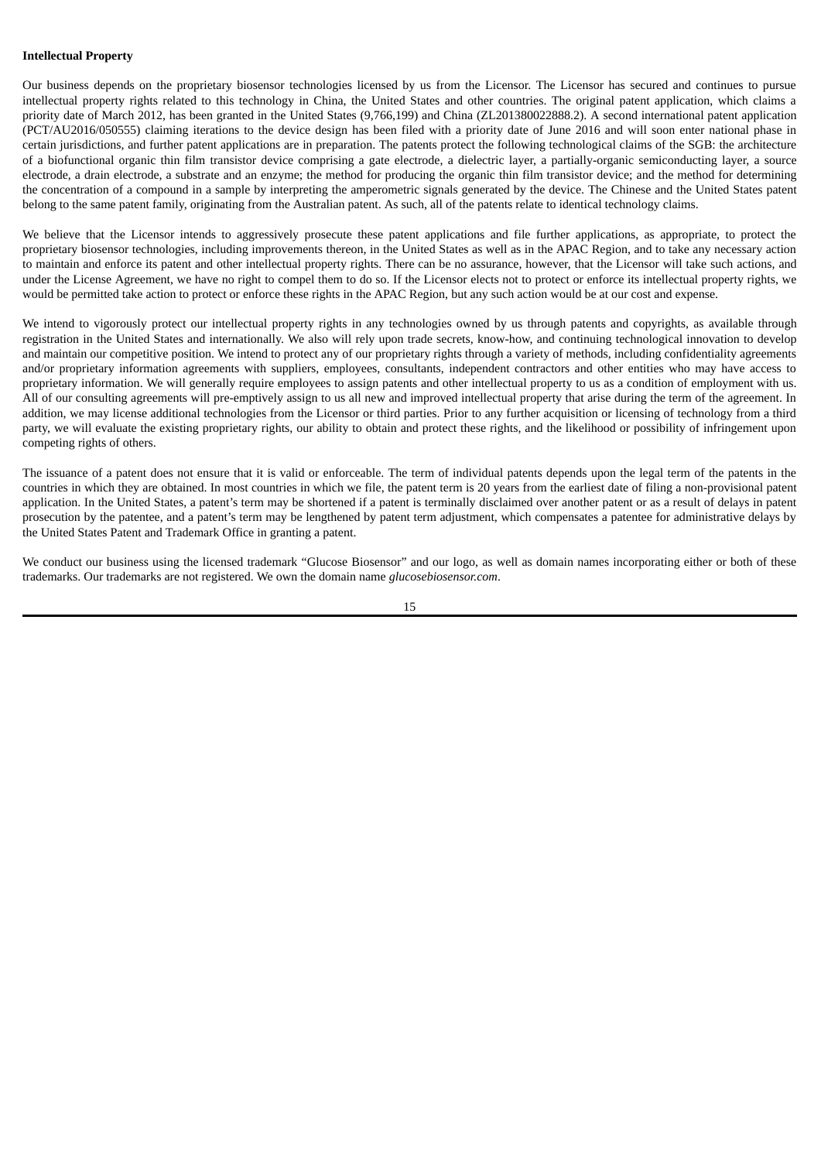## **Intellectual Property**

Our business depends on the proprietary biosensor technologies licensed by us from the Licensor. The Licensor has secured and continues to pursue intellectual property rights related to this technology in China, the United States and other countries. The original patent application, which claims a priority date of March 2012, has been granted in the United States (9,766,199) and China (ZL201380022888.2). A second international patent application (PCT/AU2016/050555) claiming iterations to the device design has been filed with a priority date of June 2016 and will soon enter national phase in certain jurisdictions, and further patent applications are in preparation. The patents protect the following technological claims of the SGB: the architecture of a biofunctional organic thin film transistor device comprising a gate electrode, a dielectric layer, a partially-organic semiconducting layer, a source electrode, a drain electrode, a substrate and an enzyme; the method for producing the organic thin film transistor device; and the method for determining the concentration of a compound in a sample by interpreting the amperometric signals generated by the device. The Chinese and the United States patent belong to the same patent family, originating from the Australian patent. As such, all of the patents relate to identical technology claims.

We believe that the Licensor intends to aggressively prosecute these patent applications and file further applications, as appropriate, to protect the proprietary biosensor technologies, including improvements thereon, in the United States as well as in the APAC Region, and to take any necessary action to maintain and enforce its patent and other intellectual property rights. There can be no assurance, however, that the Licensor will take such actions, and under the License Agreement, we have no right to compel them to do so. If the Licensor elects not to protect or enforce its intellectual property rights, we would be permitted take action to protect or enforce these rights in the APAC Region, but any such action would be at our cost and expense.

We intend to vigorously protect our intellectual property rights in any technologies owned by us through patents and copyrights, as available through registration in the United States and internationally. We also will rely upon trade secrets, know-how, and continuing technological innovation to develop and maintain our competitive position. We intend to protect any of our proprietary rights through a variety of methods, including confidentiality agreements and/or proprietary information agreements with suppliers, employees, consultants, independent contractors and other entities who may have access to proprietary information. We will generally require employees to assign patents and other intellectual property to us as a condition of employment with us. All of our consulting agreements will pre-emptively assign to us all new and improved intellectual property that arise during the term of the agreement. In addition, we may license additional technologies from the Licensor or third parties. Prior to any further acquisition or licensing of technology from a third party, we will evaluate the existing proprietary rights, our ability to obtain and protect these rights, and the likelihood or possibility of infringement upon competing rights of others.

The issuance of a patent does not ensure that it is valid or enforceable. The term of individual patents depends upon the legal term of the patents in the countries in which they are obtained. In most countries in which we file, the patent term is 20 years from the earliest date of filing a non-provisional patent application. In the United States, a patent's term may be shortened if a patent is terminally disclaimed over another patent or as a result of delays in patent prosecution by the patentee, and a patent's term may be lengthened by patent term adjustment, which compensates a patentee for administrative delays by the United States Patent and Trademark Office in granting a patent.

We conduct our business using the licensed trademark "Glucose Biosensor" and our logo, as well as domain names incorporating either or both of these trademarks. Our trademarks are not registered. We own the domain name *glucosebiosensor.com*.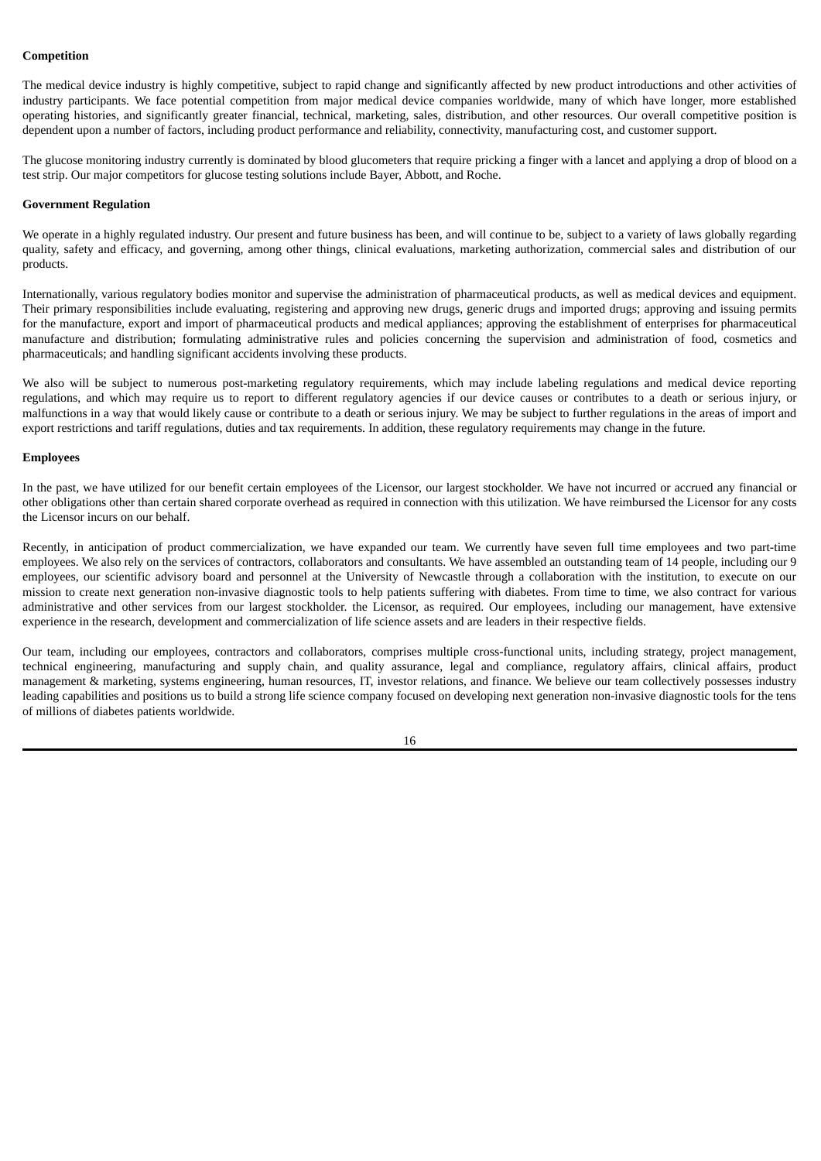## **Competition**

The medical device industry is highly competitive, subject to rapid change and significantly affected by new product introductions and other activities of industry participants. We face potential competition from major medical device companies worldwide, many of which have longer, more established operating histories, and significantly greater financial, technical, marketing, sales, distribution, and other resources. Our overall competitive position is dependent upon a number of factors, including product performance and reliability, connectivity, manufacturing cost, and customer support.

The glucose monitoring industry currently is dominated by blood glucometers that require pricking a finger with a lancet and applying a drop of blood on a test strip. Our major competitors for glucose testing solutions include Bayer, Abbott, and Roche.

#### **Government Regulation**

We operate in a highly regulated industry. Our present and future business has been, and will continue to be, subject to a variety of laws globally regarding quality, safety and efficacy, and governing, among other things, clinical evaluations, marketing authorization, commercial sales and distribution of our products.

Internationally, various regulatory bodies monitor and supervise the administration of pharmaceutical products, as well as medical devices and equipment. Their primary responsibilities include evaluating, registering and approving new drugs, generic drugs and imported drugs; approving and issuing permits for the manufacture, export and import of pharmaceutical products and medical appliances; approving the establishment of enterprises for pharmaceutical manufacture and distribution; formulating administrative rules and policies concerning the supervision and administration of food, cosmetics and pharmaceuticals; and handling significant accidents involving these products.

We also will be subject to numerous post-marketing regulatory requirements, which may include labeling regulations and medical device reporting regulations, and which may require us to report to different regulatory agencies if our device causes or contributes to a death or serious injury, or malfunctions in a way that would likely cause or contribute to a death or serious injury. We may be subject to further regulations in the areas of import and export restrictions and tariff regulations, duties and tax requirements. In addition, these regulatory requirements may change in the future.

### **Employees**

In the past, we have utilized for our benefit certain employees of the Licensor, our largest stockholder. We have not incurred or accrued any financial or other obligations other than certain shared corporate overhead as required in connection with this utilization. We have reimbursed the Licensor for any costs the Licensor incurs on our behalf.

Recently, in anticipation of product commercialization, we have expanded our team. We currently have seven full time employees and two part-time employees. We also rely on the services of contractors, collaborators and consultants. We have assembled an outstanding team of 14 people, including our 9 employees, our scientific advisory board and personnel at the University of Newcastle through a collaboration with the institution, to execute on our mission to create next generation non-invasive diagnostic tools to help patients suffering with diabetes. From time to time, we also contract for various administrative and other services from our largest stockholder. the Licensor, as required. Our employees, including our management, have extensive experience in the research, development and commercialization of life science assets and are leaders in their respective fields.

Our team, including our employees, contractors and collaborators, comprises multiple cross-functional units, including strategy, project management, technical engineering, manufacturing and supply chain, and quality assurance, legal and compliance, regulatory affairs, clinical affairs, product management & marketing, systems engineering, human resources, IT, investor relations, and finance. We believe our team collectively possesses industry leading capabilities and positions us to build a strong life science company focused on developing next generation non-invasive diagnostic tools for the tens of millions of diabetes patients worldwide.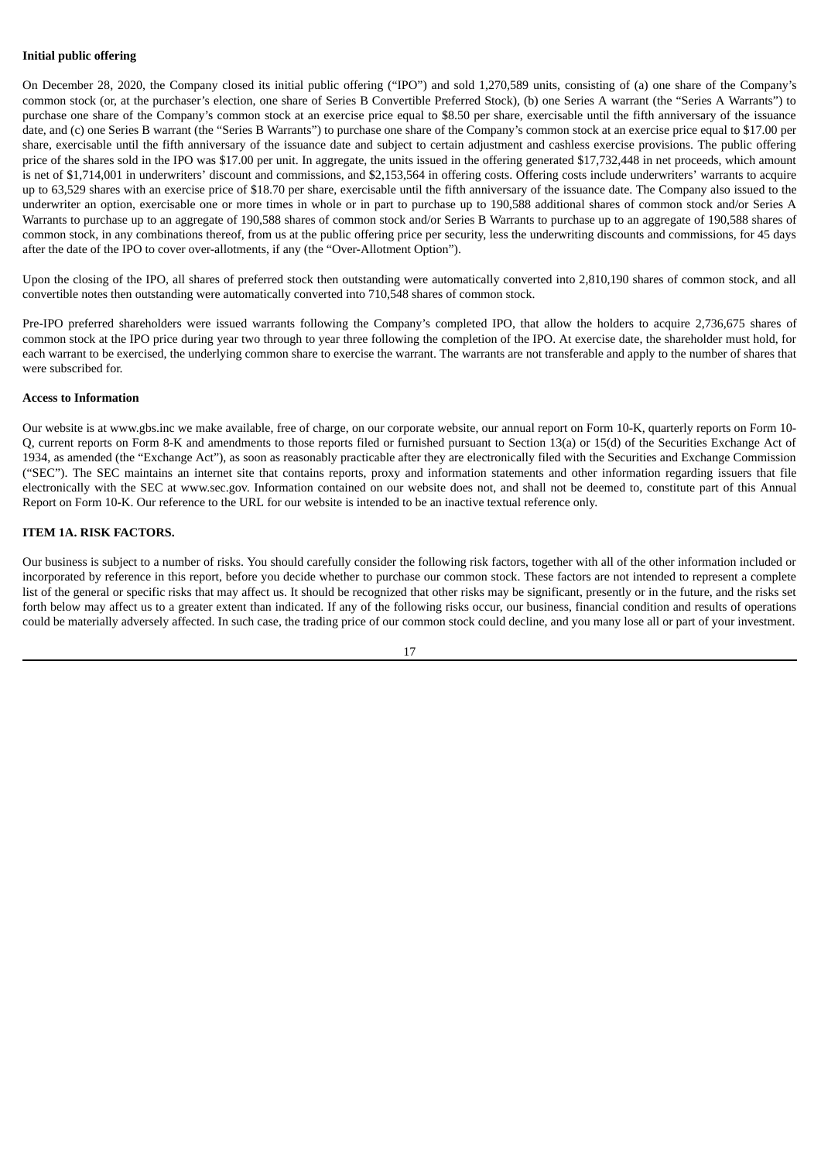# **Initial public offering**

On December 28, 2020, the Company closed its initial public offering ("IPO") and sold 1,270,589 units, consisting of (a) one share of the Company's common stock (or, at the purchaser's election, one share of Series B Convertible Preferred Stock), (b) one Series A warrant (the "Series A Warrants") to purchase one share of the Company's common stock at an exercise price equal to \$8.50 per share, exercisable until the fifth anniversary of the issuance date, and (c) one Series B warrant (the "Series B Warrants") to purchase one share of the Company's common stock at an exercise price equal to \$17.00 per share, exercisable until the fifth anniversary of the issuance date and subject to certain adjustment and cashless exercise provisions. The public offering price of the shares sold in the IPO was \$17.00 per unit. In aggregate, the units issued in the offering generated \$17,732,448 in net proceeds, which amount is net of \$1,714,001 in underwriters' discount and commissions, and \$2,153,564 in offering costs. Offering costs include underwriters' warrants to acquire up to 63,529 shares with an exercise price of \$18.70 per share, exercisable until the fifth anniversary of the issuance date. The Company also issued to the underwriter an option, exercisable one or more times in whole or in part to purchase up to 190,588 additional shares of common stock and/or Series A Warrants to purchase up to an aggregate of 190,588 shares of common stock and/or Series B Warrants to purchase up to an aggregate of 190,588 shares of common stock, in any combinations thereof, from us at the public offering price per security, less the underwriting discounts and commissions, for 45 days after the date of the IPO to cover over-allotments, if any (the "Over-Allotment Option").

Upon the closing of the IPO, all shares of preferred stock then outstanding were automatically converted into 2,810,190 shares of common stock, and all convertible notes then outstanding were automatically converted into 710,548 shares of common stock.

Pre-IPO preferred shareholders were issued warrants following the Company's completed IPO, that allow the holders to acquire 2,736,675 shares of common stock at the IPO price during year two through to year three following the completion of the IPO. At exercise date, the shareholder must hold, for each warrant to be exercised, the underlying common share to exercise the warrant. The warrants are not transferable and apply to the number of shares that were subscribed for.

#### **Access to Information**

Our website is at www.gbs.inc we make available, free of charge, on our corporate website, our annual report on Form 10-K, quarterly reports on Form 10- Q, current reports on Form 8-K and amendments to those reports filed or furnished pursuant to Section 13(a) or 15(d) of the Securities Exchange Act of 1934, as amended (the "Exchange Act"), as soon as reasonably practicable after they are electronically filed with the Securities and Exchange Commission ("SEC"). The SEC maintains an internet site that contains reports, proxy and information statements and other information regarding issuers that file electronically with the SEC at www.sec.gov. Information contained on our website does not, and shall not be deemed to, constitute part of this Annual Report on Form 10-K. Our reference to the URL for our website is intended to be an inactive textual reference only.

## <span id="page-17-0"></span>**ITEM 1A. RISK FACTORS.**

Our business is subject to a number of risks. You should carefully consider the following risk factors, together with all of the other information included or incorporated by reference in this report, before you decide whether to purchase our common stock. These factors are not intended to represent a complete list of the general or specific risks that may affect us. It should be recognized that other risks may be significant, presently or in the future, and the risks set forth below may affect us to a greater extent than indicated. If any of the following risks occur, our business, financial condition and results of operations could be materially adversely affected. In such case, the trading price of our common stock could decline, and you many lose all or part of your investment.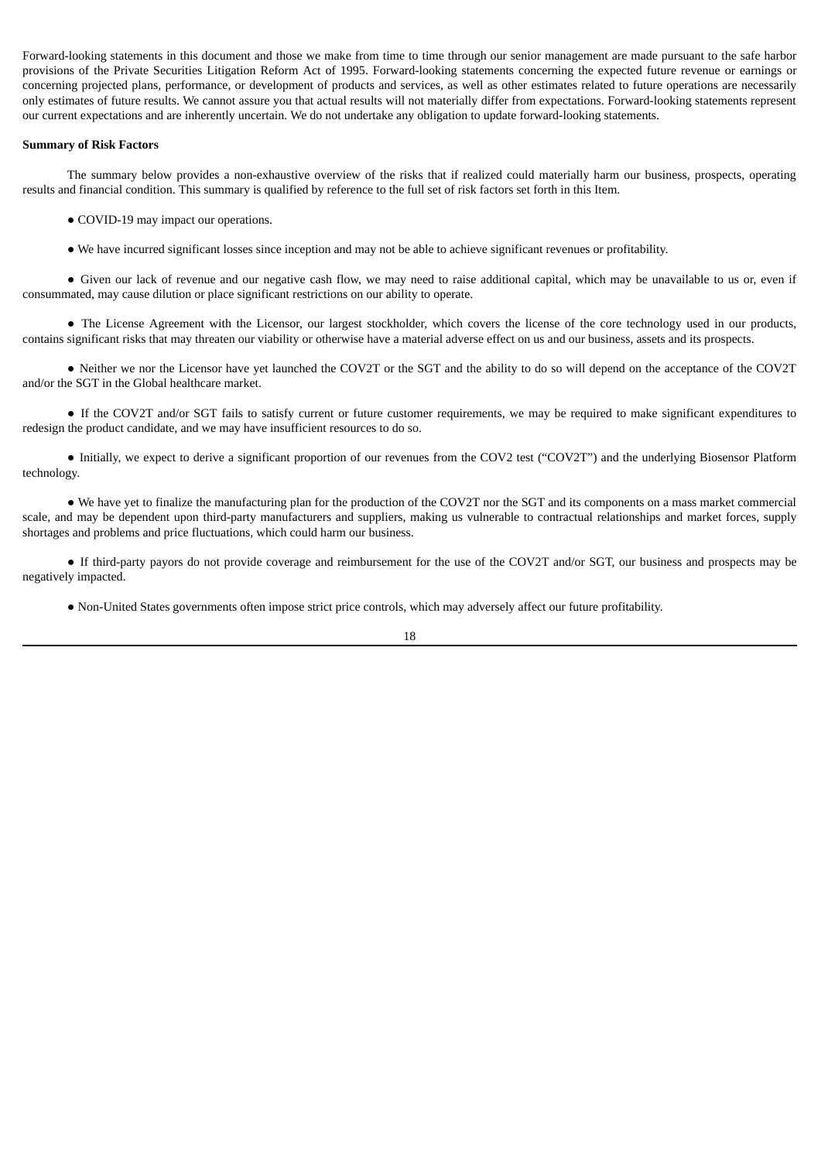Forward-looking statements in this document and those we make from time to time through our senior management are made pursuant to the safe harbor provisions of the Private Securities Litigation Reform Act of 1995. Forward-looking statements concerning the expected future revenue or earnings or concerning projected plans, performance, or development of products and services, as well as other estimates related to future operations are necessarily only estimates of future results. We cannot assure you that actual results will not materially differ from expectations. Forward-looking statements represent our current expectations and are inherently uncertain. We do not undertake any obligation to update forward-looking statements.

#### **Summary of Risk Factors**

The summary below provides a non-exhaustive overview of the risks that if realized could materially harm our business, prospects, operating results and financial condition. This summary is qualified by reference to the full set of risk factors set forth in this Item.

● COVID-19 may impact our operations.

● We have incurred significant losses since inception and may not be able to achieve significant revenues or profitability.

● Given our lack of revenue and our negative cash flow, we may need to raise additional capital, which may be unavailable to us or, even if consummated, may cause dilution or place significant restrictions on our ability to operate.

● The License Agreement with the Licensor, our largest stockholder, which covers the license of the core technology used in our products, contains significant risks that may threaten our viability or otherwise have a material adverse effect on us and our business, assets and its prospects.

● Neither we nor the Licensor have yet launched the COV2T or the SGT and the ability to do so will depend on the acceptance of the COV2T and/or the SGT in the Global healthcare market.

● If the COV2T and/or SGT fails to satisfy current or future customer requirements, we may be required to make significant expenditures to redesign the product candidate, and we may have insufficient resources to do so.

● Initially, we expect to derive a significant proportion of our revenues from the COV2 test ("COV2T") and the underlying Biosensor Platform technology.

● We have yet to finalize the manufacturing plan for the production of the COV2T nor the SGT and its components on a mass market commercial scale, and may be dependent upon third-party manufacturers and suppliers, making us vulnerable to contractual relationships and market forces, supply shortages and problems and price fluctuations, which could harm our business.

● If third-party payors do not provide coverage and reimbursement for the use of the COV2T and/or SGT, our business and prospects may be negatively impacted.

● Non-United States governments often impose strict price controls, which may adversely affect our future profitability.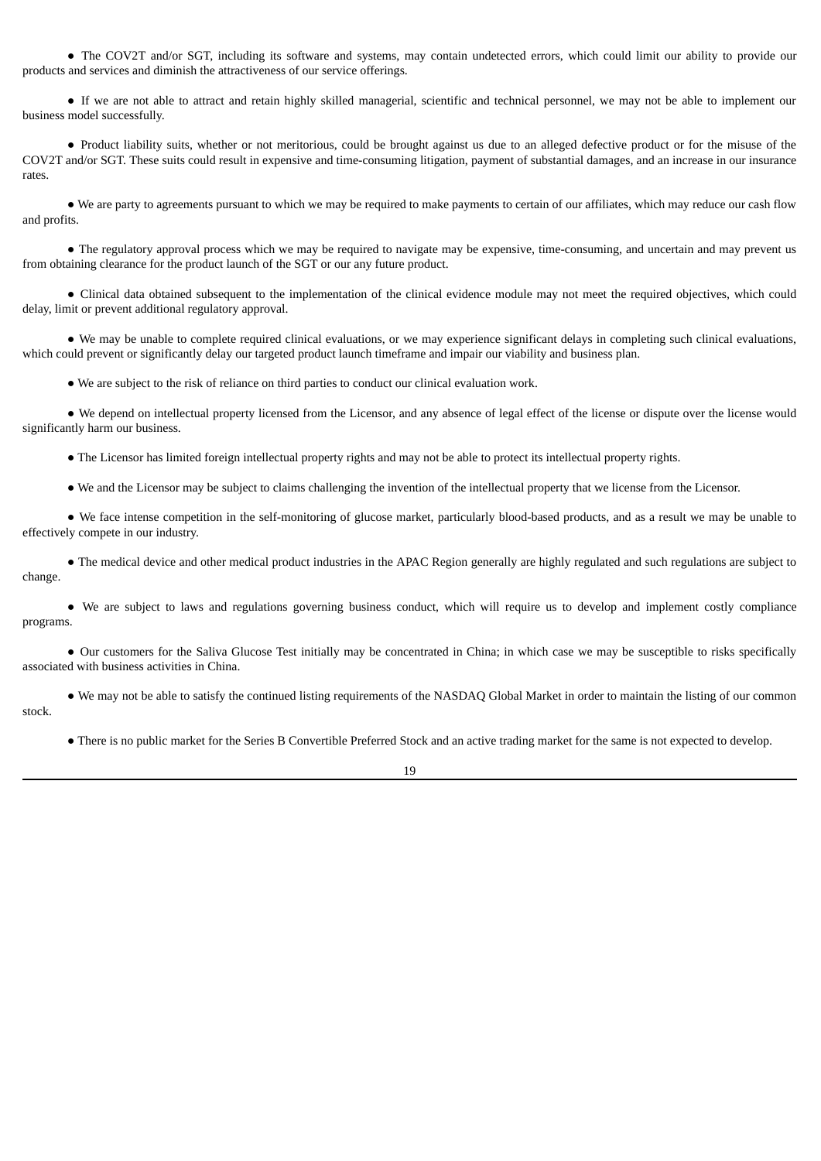● The COV2T and/or SGT, including its software and systems, may contain undetected errors, which could limit our ability to provide our products and services and diminish the attractiveness of our service offerings.

● If we are not able to attract and retain highly skilled managerial, scientific and technical personnel, we may not be able to implement our business model successfully.

● Product liability suits, whether or not meritorious, could be brought against us due to an alleged defective product or for the misuse of the COV2T and/or SGT. These suits could result in expensive and time-consuming litigation, payment of substantial damages, and an increase in our insurance rates.

● We are party to agreements pursuant to which we may be required to make payments to certain of our affiliates, which may reduce our cash flow and profits.

• The regulatory approval process which we may be required to navigate may be expensive, time-consuming, and uncertain and may prevent us from obtaining clearance for the product launch of the SGT or our any future product.

● Clinical data obtained subsequent to the implementation of the clinical evidence module may not meet the required objectives, which could delay, limit or prevent additional regulatory approval.

● We may be unable to complete required clinical evaluations, or we may experience significant delays in completing such clinical evaluations, which could prevent or significantly delay our targeted product launch timeframe and impair our viability and business plan.

● We are subject to the risk of reliance on third parties to conduct our clinical evaluation work.

● We depend on intellectual property licensed from the Licensor, and any absence of legal effect of the license or dispute over the license would significantly harm our business.

- The Licensor has limited foreign intellectual property rights and may not be able to protect its intellectual property rights.
- We and the Licensor may be subject to claims challenging the invention of the intellectual property that we license from the Licensor.

● We face intense competition in the self-monitoring of glucose market, particularly blood-based products, and as a result we may be unable to effectively compete in our industry.

● The medical device and other medical product industries in the APAC Region generally are highly regulated and such regulations are subject to change.

● We are subject to laws and regulations governing business conduct, which will require us to develop and implement costly compliance programs.

● Our customers for the Saliva Glucose Test initially may be concentrated in China; in which case we may be susceptible to risks specifically associated with business activities in China.

● We may not be able to satisfy the continued listing requirements of the NASDAQ Global Market in order to maintain the listing of our common stock.

19

● There is no public market for the Series B Convertible Preferred Stock and an active trading market for the same is not expected to develop.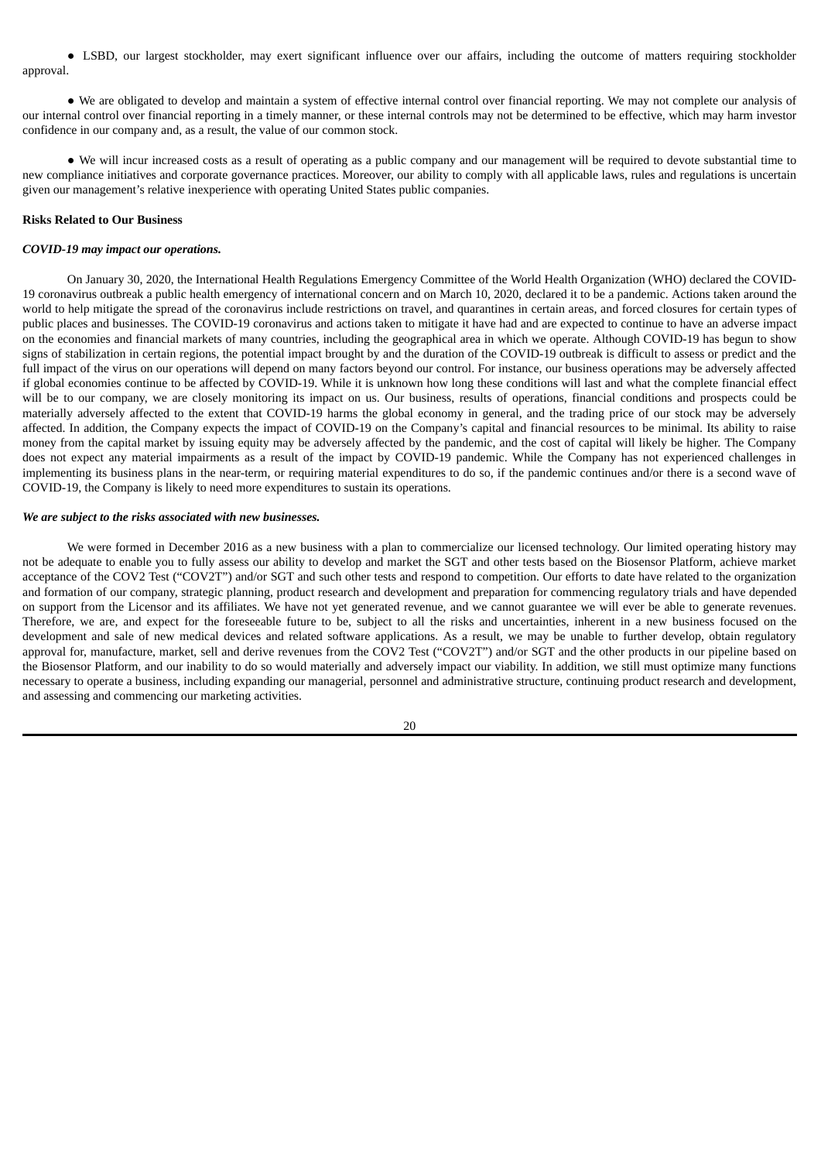● LSBD, our largest stockholder, may exert significant influence over our affairs, including the outcome of matters requiring stockholder approval.

● We are obligated to develop and maintain a system of effective internal control over financial reporting. We may not complete our analysis of our internal control over financial reporting in a timely manner, or these internal controls may not be determined to be effective, which may harm investor confidence in our company and, as a result, the value of our common stock.

● We will incur increased costs as a result of operating as a public company and our management will be required to devote substantial time to new compliance initiatives and corporate governance practices. Moreover, our ability to comply with all applicable laws, rules and regulations is uncertain given our management's relative inexperience with operating United States public companies.

## **Risks Related to Our Business**

#### *COVID-19 may impact our operations.*

On January 30, 2020, the International Health Regulations Emergency Committee of the World Health Organization (WHO) declared the COVID-19 coronavirus outbreak a public health emergency of international concern and on March 10, 2020, declared it to be a pandemic. Actions taken around the world to help mitigate the spread of the coronavirus include restrictions on travel, and quarantines in certain areas, and forced closures for certain types of public places and businesses. The COVID-19 coronavirus and actions taken to mitigate it have had and are expected to continue to have an adverse impact on the economies and financial markets of many countries, including the geographical area in which we operate. Although COVID-19 has begun to show signs of stabilization in certain regions, the potential impact brought by and the duration of the COVID-19 outbreak is difficult to assess or predict and the full impact of the virus on our operations will depend on many factors beyond our control. For instance, our business operations may be adversely affected if global economies continue to be affected by COVID-19. While it is unknown how long these conditions will last and what the complete financial effect will be to our company, we are closely monitoring its impact on us. Our business, results of operations, financial conditions and prospects could be materially adversely affected to the extent that COVID-19 harms the global economy in general, and the trading price of our stock may be adversely affected. In addition, the Company expects the impact of COVID-19 on the Company's capital and financial resources to be minimal. Its ability to raise money from the capital market by issuing equity may be adversely affected by the pandemic, and the cost of capital will likely be higher. The Company does not expect any material impairments as a result of the impact by COVID-19 pandemic. While the Company has not experienced challenges in implementing its business plans in the near-term, or requiring material expenditures to do so, if the pandemic continues and/or there is a second wave of COVID-19, the Company is likely to need more expenditures to sustain its operations.

#### *We are subject to the risks associated with new businesses.*

We were formed in December 2016 as a new business with a plan to commercialize our licensed technology. Our limited operating history may not be adequate to enable you to fully assess our ability to develop and market the SGT and other tests based on the Biosensor Platform, achieve market acceptance of the COV2 Test ("COV2T") and/or SGT and such other tests and respond to competition. Our efforts to date have related to the organization and formation of our company, strategic planning, product research and development and preparation for commencing regulatory trials and have depended on support from the Licensor and its affiliates. We have not yet generated revenue, and we cannot guarantee we will ever be able to generate revenues. Therefore, we are, and expect for the foreseeable future to be, subject to all the risks and uncertainties, inherent in a new business focused on the development and sale of new medical devices and related software applications. As a result, we may be unable to further develop, obtain regulatory approval for, manufacture, market, sell and derive revenues from the COV2 Test ("COV2T") and/or SGT and the other products in our pipeline based on the Biosensor Platform, and our inability to do so would materially and adversely impact our viability. In addition, we still must optimize many functions necessary to operate a business, including expanding our managerial, personnel and administrative structure, continuing product research and development, and assessing and commencing our marketing activities.

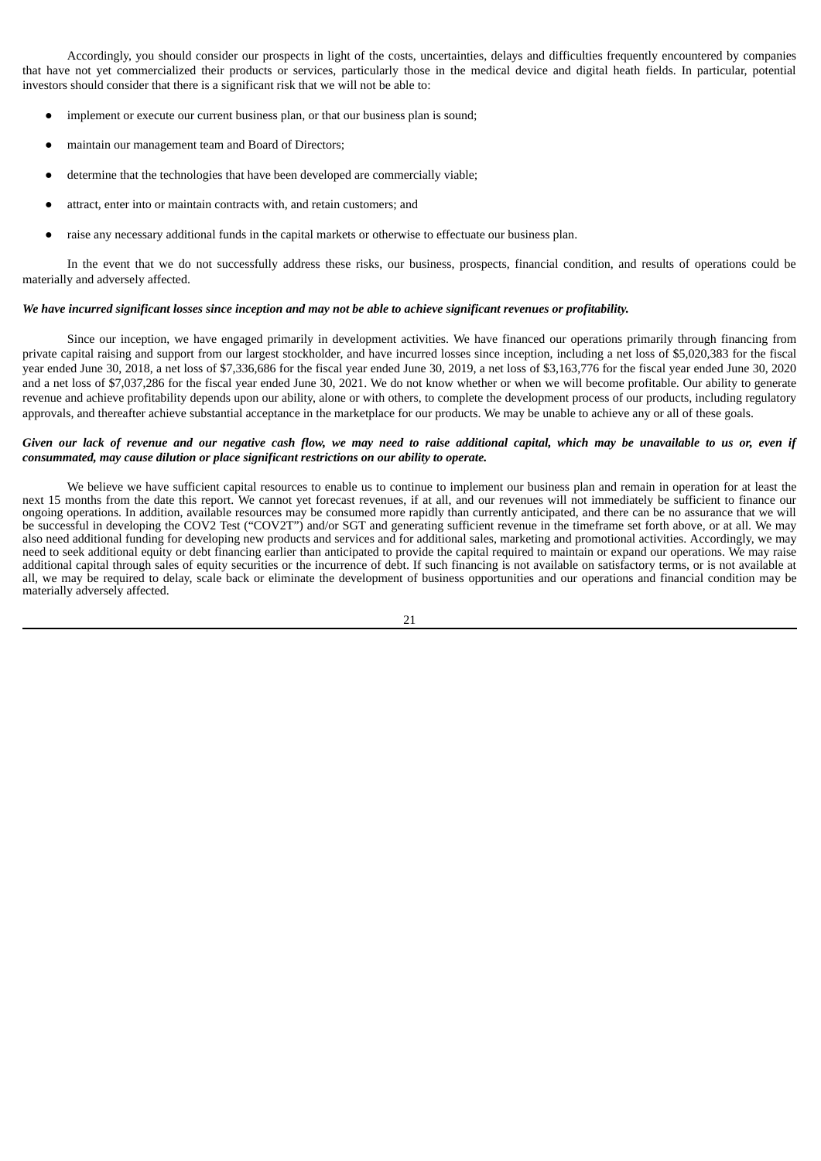Accordingly, you should consider our prospects in light of the costs, uncertainties, delays and difficulties frequently encountered by companies that have not yet commercialized their products or services, particularly those in the medical device and digital heath fields. In particular, potential investors should consider that there is a significant risk that we will not be able to:

- implement or execute our current business plan, or that our business plan is sound;
- maintain our management team and Board of Directors;
- determine that the technologies that have been developed are commercially viable;
- attract, enter into or maintain contracts with, and retain customers; and
- raise any necessary additional funds in the capital markets or otherwise to effectuate our business plan.

In the event that we do not successfully address these risks, our business, prospects, financial condition, and results of operations could be materially and adversely affected.

#### We have incurred significant losses since inception and may not be able to achieve significant revenues or profitability.

Since our inception, we have engaged primarily in development activities. We have financed our operations primarily through financing from private capital raising and support from our largest stockholder, and have incurred losses since inception, including a net loss of \$5,020,383 for the fiscal year ended June 30, 2018, a net loss of \$7,336,686 for the fiscal year ended June 30, 2019, a net loss of \$3,163,776 for the fiscal year ended June 30, 2020 and a net loss of \$7,037,286 for the fiscal year ended June 30, 2021. We do not know whether or when we will become profitable. Our ability to generate revenue and achieve profitability depends upon our ability, alone or with others, to complete the development process of our products, including regulatory approvals, and thereafter achieve substantial acceptance in the marketplace for our products. We may be unable to achieve any or all of these goals.

## Given our lack of revenue and our negative cash flow, we may need to raise additional capital, which may be unavailable to us or, even if *consummated, may cause dilution or place significant restrictions on our ability to operate.*

We believe we have sufficient capital resources to enable us to continue to implement our business plan and remain in operation for at least the next 15 months from the date this report. We cannot yet forecast revenues, if at all, and our revenues will not immediately be sufficient to finance our ongoing operations. In addition, available resources may be consumed more rapidly than currently anticipated, and there can be no assurance that we will be successful in developing the COV2 Test ("COV2T") and/or SGT and generating sufficient revenue in the timeframe set forth above, or at all. We may also need additional funding for developing new products and services and for additional sales, marketing and promotional activities. Accordingly, we may need to seek additional equity or debt financing earlier than anticipated to provide the capital required to maintain or expand our operations. We may raise additional capital through sales of equity securities or the incurrence of debt. If such financing is not available on satisfactory terms, or is not available at all, we may be required to delay, scale back or eliminate the development of business opportunities and our operations and financial condition may be materially adversely affected.

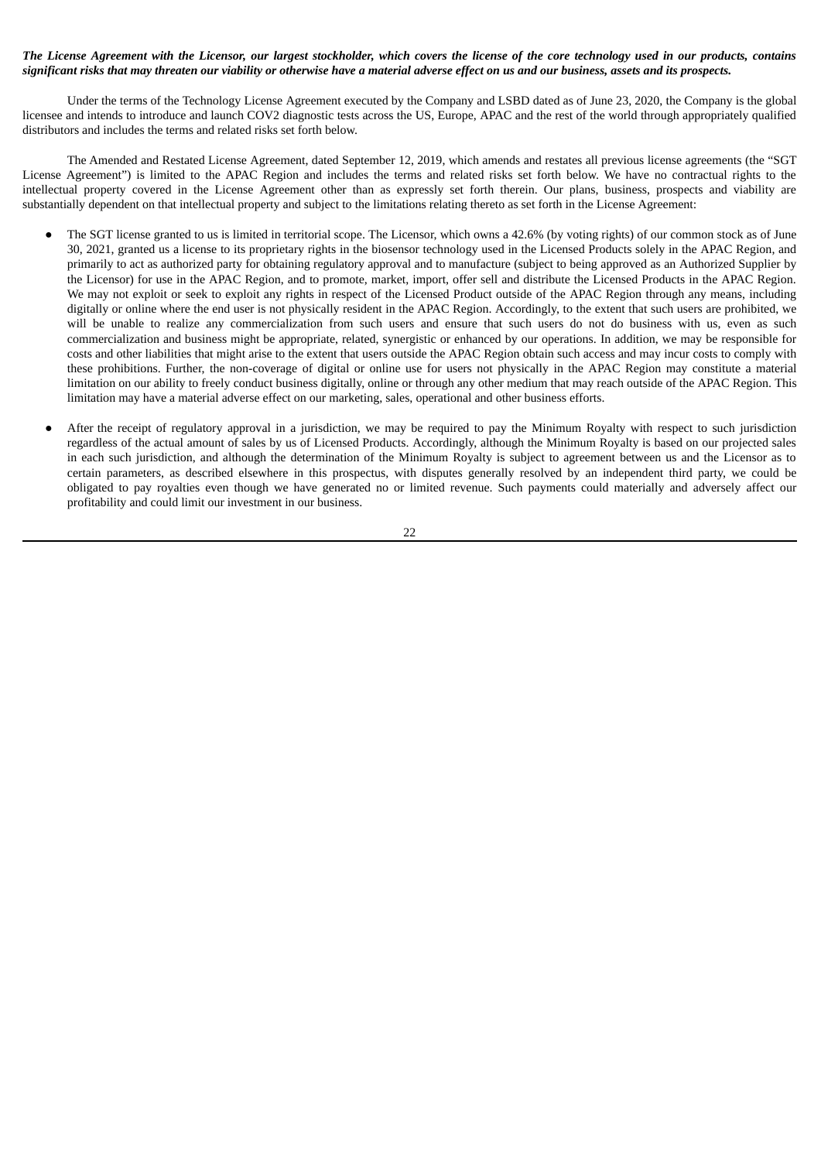#### The License Agreement with the Licensor, our largest stockholder, which covers the license of the core technology used in our products, contains significant risks that may threaten our viability or otherwise have a material adverse effect on us and our business, assets and its prospects,

Under the terms of the Technology License Agreement executed by the Company and LSBD dated as of June 23, 2020, the Company is the global licensee and intends to introduce and launch COV2 diagnostic tests across the US, Europe, APAC and the rest of the world through appropriately qualified distributors and includes the terms and related risks set forth below.

The Amended and Restated License Agreement, dated September 12, 2019, which amends and restates all previous license agreements (the "SGT License Agreement") is limited to the APAC Region and includes the terms and related risks set forth below. We have no contractual rights to the intellectual property covered in the License Agreement other than as expressly set forth therein. Our plans, business, prospects and viability are substantially dependent on that intellectual property and subject to the limitations relating thereto as set forth in the License Agreement:

- The SGT license granted to us is limited in territorial scope. The Licensor, which owns a 42.6% (by voting rights) of our common stock as of June 30, 2021, granted us a license to its proprietary rights in the biosensor technology used in the Licensed Products solely in the APAC Region, and primarily to act as authorized party for obtaining regulatory approval and to manufacture (subject to being approved as an Authorized Supplier by the Licensor) for use in the APAC Region, and to promote, market, import, offer sell and distribute the Licensed Products in the APAC Region. We may not exploit or seek to exploit any rights in respect of the Licensed Product outside of the APAC Region through any means, including digitally or online where the end user is not physically resident in the APAC Region. Accordingly, to the extent that such users are prohibited, we will be unable to realize any commercialization from such users and ensure that such users do not do business with us, even as such commercialization and business might be appropriate, related, synergistic or enhanced by our operations. In addition, we may be responsible for costs and other liabilities that might arise to the extent that users outside the APAC Region obtain such access and may incur costs to comply with these prohibitions. Further, the non-coverage of digital or online use for users not physically in the APAC Region may constitute a material limitation on our ability to freely conduct business digitally, online or through any other medium that may reach outside of the APAC Region. This limitation may have a material adverse effect on our marketing, sales, operational and other business efforts.
- After the receipt of regulatory approval in a jurisdiction, we may be required to pay the Minimum Royalty with respect to such jurisdiction regardless of the actual amount of sales by us of Licensed Products. Accordingly, although the Minimum Royalty is based on our projected sales in each such jurisdiction, and although the determination of the Minimum Royalty is subject to agreement between us and the Licensor as to certain parameters, as described elsewhere in this prospectus, with disputes generally resolved by an independent third party, we could be obligated to pay royalties even though we have generated no or limited revenue. Such payments could materially and adversely affect our profitability and could limit our investment in our business.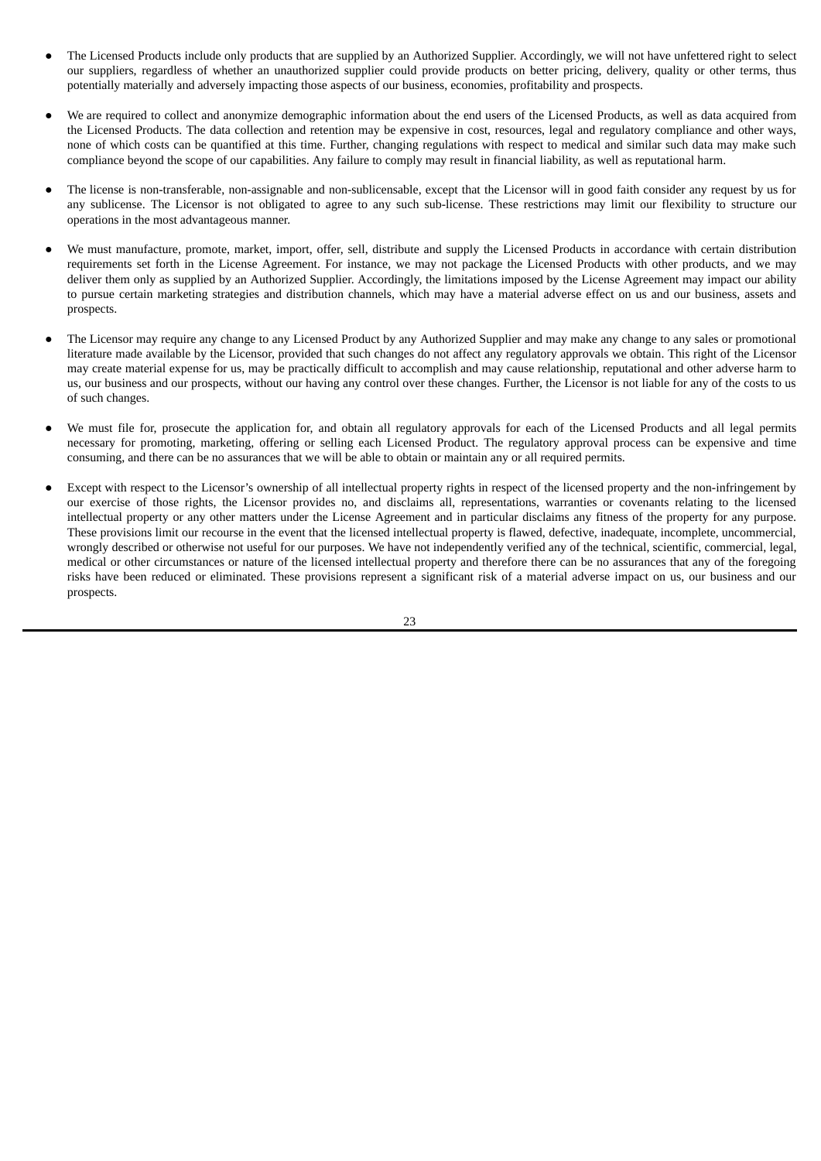- The Licensed Products include only products that are supplied by an Authorized Supplier. Accordingly, we will not have unfettered right to select our suppliers, regardless of whether an unauthorized supplier could provide products on better pricing, delivery, quality or other terms, thus potentially materially and adversely impacting those aspects of our business, economies, profitability and prospects.
- We are required to collect and anonymize demographic information about the end users of the Licensed Products, as well as data acquired from the Licensed Products. The data collection and retention may be expensive in cost, resources, legal and regulatory compliance and other ways, none of which costs can be quantified at this time. Further, changing regulations with respect to medical and similar such data may make such compliance beyond the scope of our capabilities. Any failure to comply may result in financial liability, as well as reputational harm.
- The license is non-transferable, non-assignable and non-sublicensable, except that the Licensor will in good faith consider any request by us for any sublicense. The Licensor is not obligated to agree to any such sub-license. These restrictions may limit our flexibility to structure our operations in the most advantageous manner.
- We must manufacture, promote, market, import, offer, sell, distribute and supply the Licensed Products in accordance with certain distribution requirements set forth in the License Agreement. For instance, we may not package the Licensed Products with other products, and we may deliver them only as supplied by an Authorized Supplier. Accordingly, the limitations imposed by the License Agreement may impact our ability to pursue certain marketing strategies and distribution channels, which may have a material adverse effect on us and our business, assets and prospects.
- The Licensor may require any change to any Licensed Product by any Authorized Supplier and may make any change to any sales or promotional literature made available by the Licensor, provided that such changes do not affect any regulatory approvals we obtain. This right of the Licensor may create material expense for us, may be practically difficult to accomplish and may cause relationship, reputational and other adverse harm to us, our business and our prospects, without our having any control over these changes. Further, the Licensor is not liable for any of the costs to us of such changes.
- We must file for, prosecute the application for, and obtain all regulatory approvals for each of the Licensed Products and all legal permits necessary for promoting, marketing, offering or selling each Licensed Product. The regulatory approval process can be expensive and time consuming, and there can be no assurances that we will be able to obtain or maintain any or all required permits.
- Except with respect to the Licensor's ownership of all intellectual property rights in respect of the licensed property and the non-infringement by our exercise of those rights, the Licensor provides no, and disclaims all, representations, warranties or covenants relating to the licensed intellectual property or any other matters under the License Agreement and in particular disclaims any fitness of the property for any purpose. These provisions limit our recourse in the event that the licensed intellectual property is flawed, defective, inadequate, incomplete, uncommercial, wrongly described or otherwise not useful for our purposes. We have not independently verified any of the technical, scientific, commercial, legal, medical or other circumstances or nature of the licensed intellectual property and therefore there can be no assurances that any of the foregoing risks have been reduced or eliminated. These provisions represent a significant risk of a material adverse impact on us, our business and our prospects.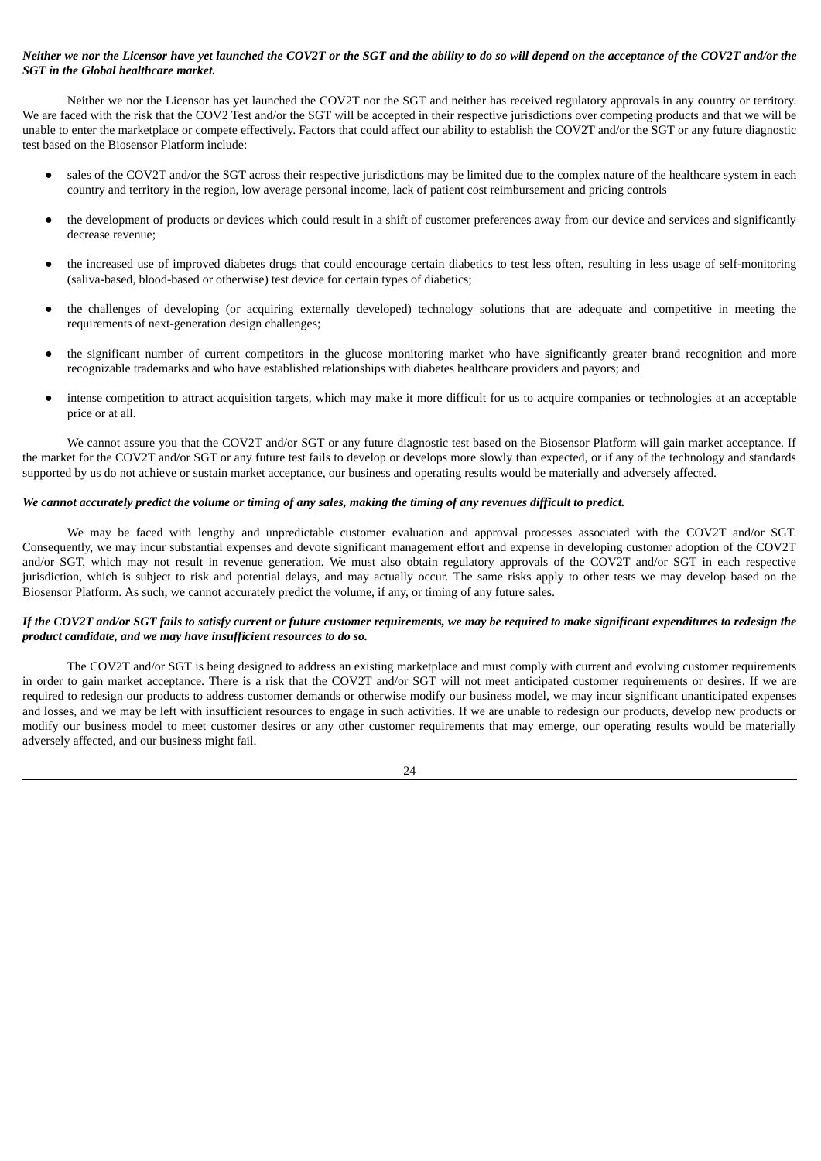# Neither we nor the Licensor have yet launched the COV2T or the SGT and the ability to do so will depend on the acceptance of the COV2T and/or the *SGT in the Global healthcare market.*

Neither we nor the Licensor has yet launched the COV2T nor the SGT and neither has received regulatory approvals in any country or territory. We are faced with the risk that the COV2 Test and/or the SGT will be accepted in their respective jurisdictions over competing products and that we will be unable to enter the marketplace or compete effectively. Factors that could affect our ability to establish the COV2T and/or the SGT or any future diagnostic test based on the Biosensor Platform include:

- sales of the COV2T and/or the SGT across their respective jurisdictions may be limited due to the complex nature of the healthcare system in each country and territory in the region, low average personal income, lack of patient cost reimbursement and pricing controls
- the development of products or devices which could result in a shift of customer preferences away from our device and services and significantly decrease revenue;
- the increased use of improved diabetes drugs that could encourage certain diabetics to test less often, resulting in less usage of self-monitoring (saliva-based, blood-based or otherwise) test device for certain types of diabetics;
- the challenges of developing (or acquiring externally developed) technology solutions that are adequate and competitive in meeting the requirements of next-generation design challenges;
- the significant number of current competitors in the glucose monitoring market who have significantly greater brand recognition and more recognizable trademarks and who have established relationships with diabetes healthcare providers and payors; and
- intense competition to attract acquisition targets, which may make it more difficult for us to acquire companies or technologies at an acceptable price or at all.

We cannot assure you that the COV2T and/or SGT or any future diagnostic test based on the Biosensor Platform will gain market acceptance. If the market for the COV2T and/or SGT or any future test fails to develop or develops more slowly than expected, or if any of the technology and standards supported by us do not achieve or sustain market acceptance, our business and operating results would be materially and adversely affected.

#### We cannot accurately predict the volume or timing of any sales, making the timing of any revenues difficult to predict.

We may be faced with lengthy and unpredictable customer evaluation and approval processes associated with the COV2T and/or SGT. Consequently, we may incur substantial expenses and devote significant management effort and expense in developing customer adoption of the COV2T and/or SGT, which may not result in revenue generation. We must also obtain regulatory approvals of the COV2T and/or SGT in each respective jurisdiction, which is subject to risk and potential delays, and may actually occur. The same risks apply to other tests we may develop based on the Biosensor Platform. As such, we cannot accurately predict the volume, if any, or timing of any future sales.

## If the COV2T and/or SGT fails to satisfy current or future customer requirements, we may be required to make significant expenditures to redesign the *product candidate, and we may have insufficient resources to do so.*

The COV2T and/or SGT is being designed to address an existing marketplace and must comply with current and evolving customer requirements in order to gain market acceptance. There is a risk that the COV2T and/or SGT will not meet anticipated customer requirements or desires. If we are required to redesign our products to address customer demands or otherwise modify our business model, we may incur significant unanticipated expenses and losses, and we may be left with insufficient resources to engage in such activities. If we are unable to redesign our products, develop new products or modify our business model to meet customer desires or any other customer requirements that may emerge, our operating results would be materially adversely affected, and our business might fail.

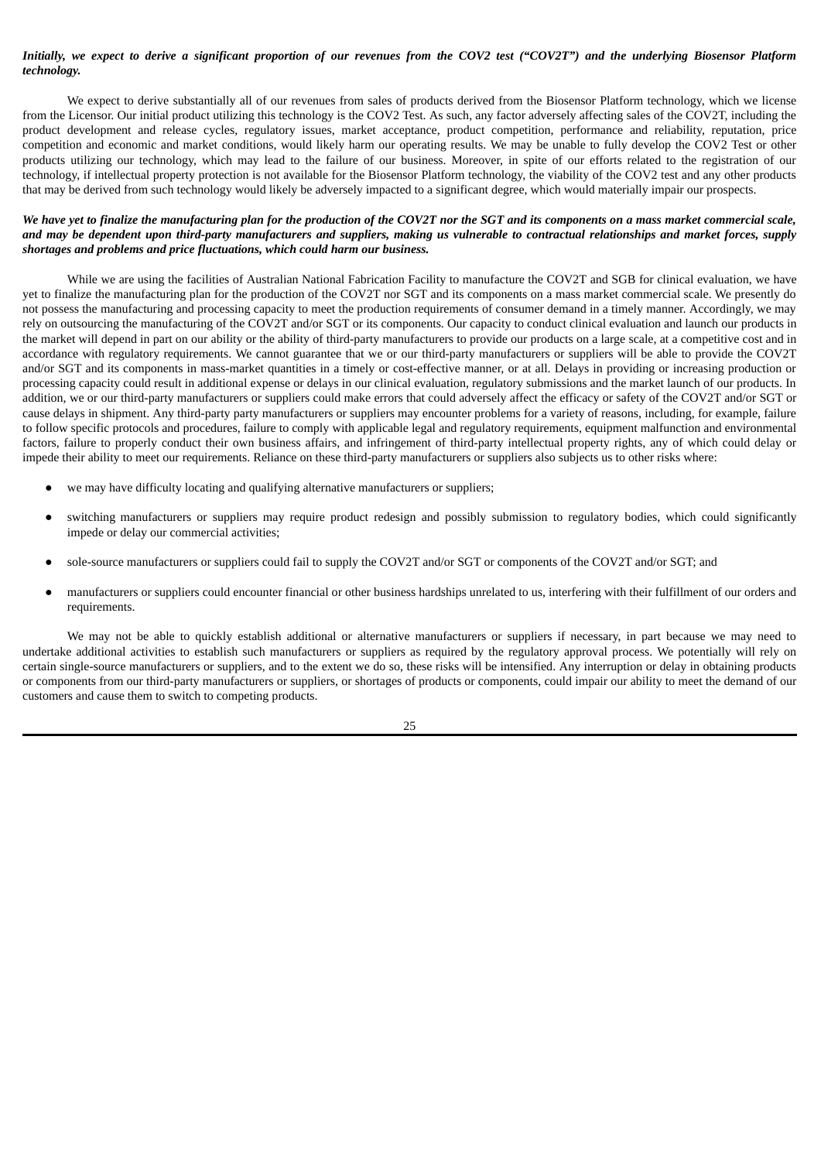# Initially, we expect to derive a significant proportion of our revenues from the COV2 test ("COV2T") and the underlying Biosensor Platform *technology.*

We expect to derive substantially all of our revenues from sales of products derived from the Biosensor Platform technology, which we license from the Licensor. Our initial product utilizing this technology is the COV2 Test. As such, any factor adversely affecting sales of the COV2T, including the product development and release cycles, regulatory issues, market acceptance, product competition, performance and reliability, reputation, price competition and economic and market conditions, would likely harm our operating results. We may be unable to fully develop the COV2 Test or other products utilizing our technology, which may lead to the failure of our business. Moreover, in spite of our efforts related to the registration of our technology, if intellectual property protection is not available for the Biosensor Platform technology, the viability of the COV2 test and any other products that may be derived from such technology would likely be adversely impacted to a significant degree, which would materially impair our prospects.

# We have yet to finalize the manufacturing plan for the production of the COV2T nor the SGT and its components on a mass market commercial scale, and may be dependent upon third-party manufacturers and suppliers, making us vulnerable to contractual relationships and market forces, supply *shortages and problems and price fluctuations, which could harm our business.*

While we are using the facilities of Australian National Fabrication Facility to manufacture the COV2T and SGB for clinical evaluation, we have yet to finalize the manufacturing plan for the production of the COV2T nor SGT and its components on a mass market commercial scale. We presently do not possess the manufacturing and processing capacity to meet the production requirements of consumer demand in a timely manner. Accordingly, we may rely on outsourcing the manufacturing of the COV2T and/or SGT or its components. Our capacity to conduct clinical evaluation and launch our products in the market will depend in part on our ability or the ability of third-party manufacturers to provide our products on a large scale, at a competitive cost and in accordance with regulatory requirements. We cannot guarantee that we or our third-party manufacturers or suppliers will be able to provide the COV2T and/or SGT and its components in mass-market quantities in a timely or cost-effective manner, or at all. Delays in providing or increasing production or processing capacity could result in additional expense or delays in our clinical evaluation, regulatory submissions and the market launch of our products. In addition, we or our third-party manufacturers or suppliers could make errors that could adversely affect the efficacy or safety of the COV2T and/or SGT or cause delays in shipment. Any third-party party manufacturers or suppliers may encounter problems for a variety of reasons, including, for example, failure to follow specific protocols and procedures, failure to comply with applicable legal and regulatory requirements, equipment malfunction and environmental factors, failure to properly conduct their own business affairs, and infringement of third-party intellectual property rights, any of which could delay or impede their ability to meet our requirements. Reliance on these third-party manufacturers or suppliers also subjects us to other risks where:

- we may have difficulty locating and qualifying alternative manufacturers or suppliers;
- switching manufacturers or suppliers may require product redesign and possibly submission to regulatory bodies, which could significantly impede or delay our commercial activities;
- sole-source manufacturers or suppliers could fail to supply the COV2T and/or SGT or components of the COV2T and/or SGT; and
- manufacturers or suppliers could encounter financial or other business hardships unrelated to us, interfering with their fulfillment of our orders and requirements.

We may not be able to quickly establish additional or alternative manufacturers or suppliers if necessary, in part because we may need to undertake additional activities to establish such manufacturers or suppliers as required by the regulatory approval process. We potentially will rely on certain single-source manufacturers or suppliers, and to the extent we do so, these risks will be intensified. Any interruption or delay in obtaining products or components from our third-party manufacturers or suppliers, or shortages of products or components, could impair our ability to meet the demand of our customers and cause them to switch to competing products.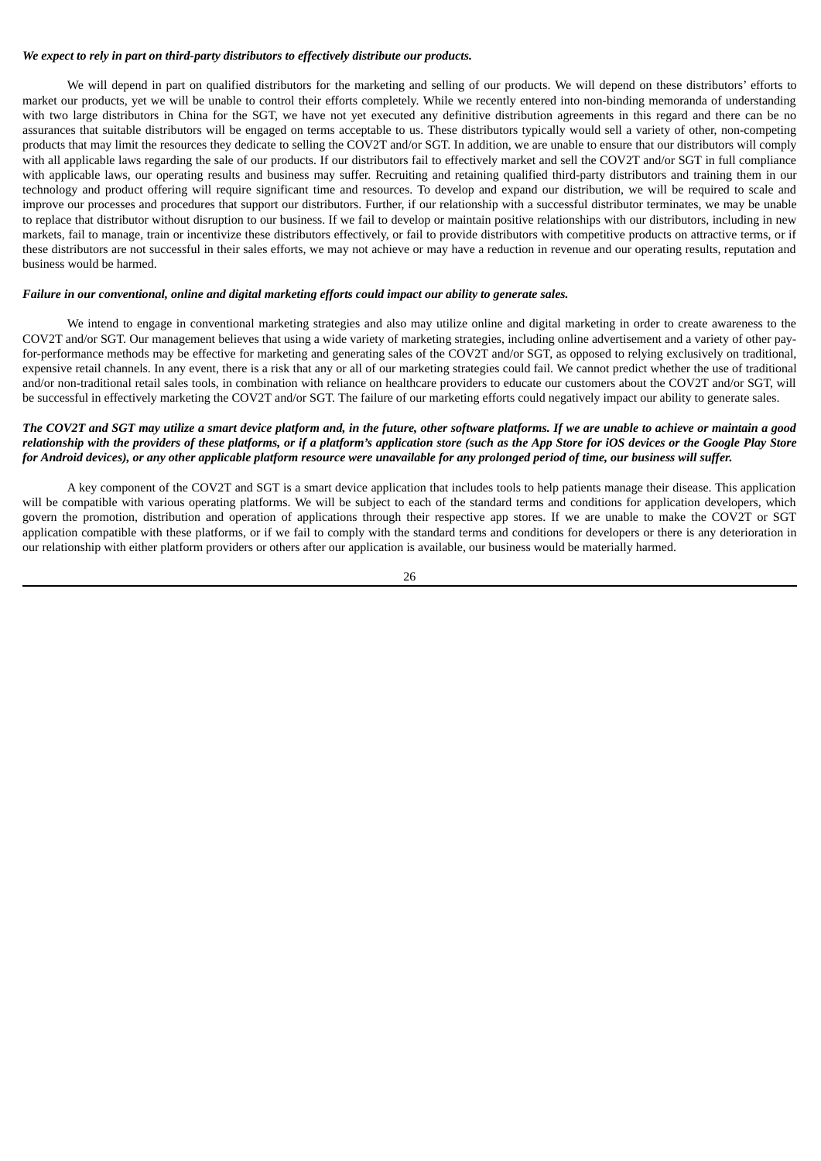## *We expect to rely in part on third-party distributors to effectively distribute our products.*

We will depend in part on qualified distributors for the marketing and selling of our products. We will depend on these distributors' efforts to market our products, yet we will be unable to control their efforts completely. While we recently entered into non-binding memoranda of understanding with two large distributors in China for the SGT, we have not yet executed any definitive distribution agreements in this regard and there can be no assurances that suitable distributors will be engaged on terms acceptable to us. These distributors typically would sell a variety of other, non-competing products that may limit the resources they dedicate to selling the COV2T and/or SGT. In addition, we are unable to ensure that our distributors will comply with all applicable laws regarding the sale of our products. If our distributors fail to effectively market and sell the COV2T and/or SGT in full compliance with applicable laws, our operating results and business may suffer. Recruiting and retaining qualified third-party distributors and training them in our technology and product offering will require significant time and resources. To develop and expand our distribution, we will be required to scale and improve our processes and procedures that support our distributors. Further, if our relationship with a successful distributor terminates, we may be unable to replace that distributor without disruption to our business. If we fail to develop or maintain positive relationships with our distributors, including in new markets, fail to manage, train or incentivize these distributors effectively, or fail to provide distributors with competitive products on attractive terms, or if these distributors are not successful in their sales efforts, we may not achieve or may have a reduction in revenue and our operating results, reputation and business would be harmed.

## *Failure in our conventional, online and digital marketing efforts could impact our ability to generate sales.*

We intend to engage in conventional marketing strategies and also may utilize online and digital marketing in order to create awareness to the COV2T and/or SGT. Our management believes that using a wide variety of marketing strategies, including online advertisement and a variety of other payfor-performance methods may be effective for marketing and generating sales of the COV2T and/or SGT, as opposed to relying exclusively on traditional, expensive retail channels. In any event, there is a risk that any or all of our marketing strategies could fail. We cannot predict whether the use of traditional and/or non-traditional retail sales tools, in combination with reliance on healthcare providers to educate our customers about the COV2T and/or SGT, will be successful in effectively marketing the COV2T and/or SGT. The failure of our marketing efforts could negatively impact our ability to generate sales.

# The COV2T and SGT may utilize a smart device platform and, in the future, other software platforms. If we are unable to achieve or maintain a good relationship with the providers of these platforms, or if a platform's application store (such as the App Store for iOS devices or the Google Play Store for Android devices), or any other applicable platform resource were unavailable for any prolonged period of time, our business will suffer.

A key component of the COV2T and SGT is a smart device application that includes tools to help patients manage their disease. This application will be compatible with various operating platforms. We will be subject to each of the standard terms and conditions for application developers, which govern the promotion, distribution and operation of applications through their respective app stores. If we are unable to make the COV2T or SGT application compatible with these platforms, or if we fail to comply with the standard terms and conditions for developers or there is any deterioration in our relationship with either platform providers or others after our application is available, our business would be materially harmed.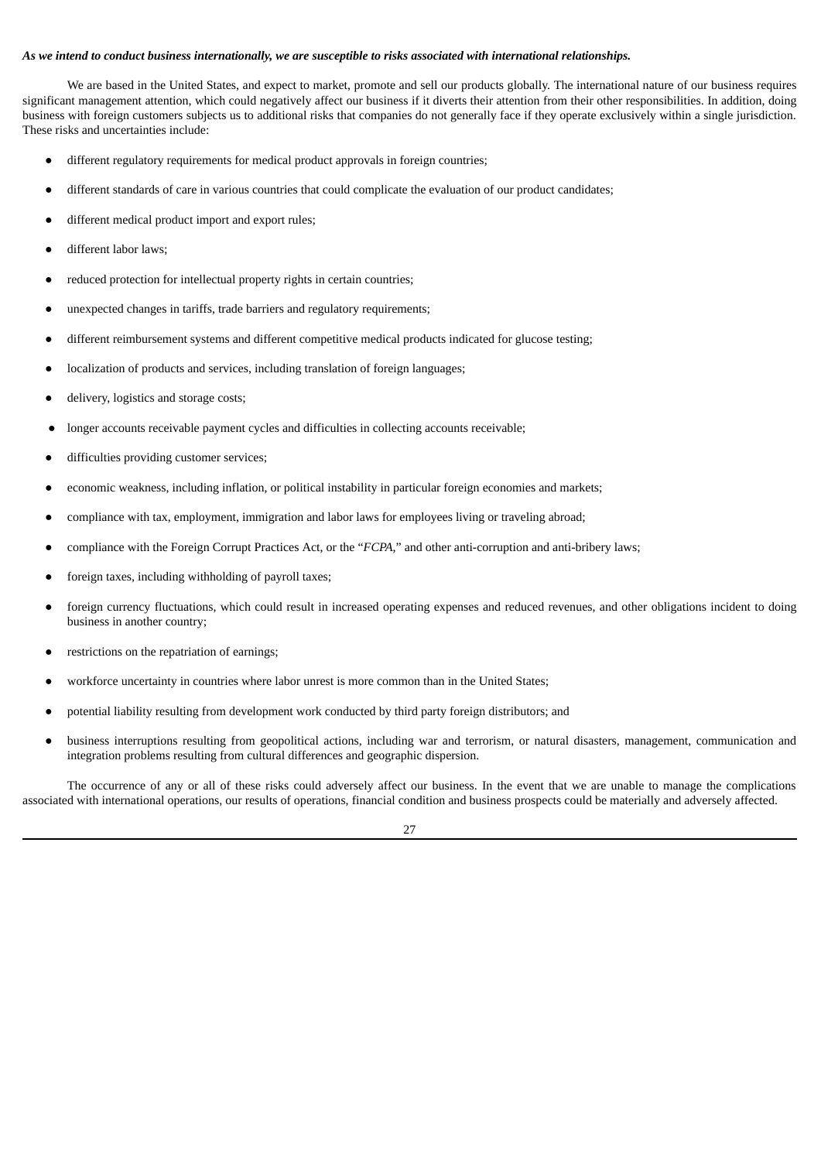#### As we intend to conduct business internationally, we are susceptible to risks associated with international relationships.

We are based in the United States, and expect to market, promote and sell our products globally. The international nature of our business requires significant management attention, which could negatively affect our business if it diverts their attention from their other responsibilities. In addition, doing business with foreign customers subjects us to additional risks that companies do not generally face if they operate exclusively within a single jurisdiction. These risks and uncertainties include:

- different regulatory requirements for medical product approvals in foreign countries;
- different standards of care in various countries that could complicate the evaluation of our product candidates;
- different medical product import and export rules;
- different labor laws;
- reduced protection for intellectual property rights in certain countries;
- unexpected changes in tariffs, trade barriers and regulatory requirements;
- different reimbursement systems and different competitive medical products indicated for glucose testing;
- localization of products and services, including translation of foreign languages;
- delivery, logistics and storage costs;
- longer accounts receivable payment cycles and difficulties in collecting accounts receivable;
- difficulties providing customer services;
- economic weakness, including inflation, or political instability in particular foreign economies and markets;
- compliance with tax, employment, immigration and labor laws for employees living or traveling abroad;
- compliance with the Foreign Corrupt Practices Act, or the "*FCPA*," and other anti-corruption and anti-bribery laws;
- foreign taxes, including withholding of payroll taxes;
- foreign currency fluctuations, which could result in increased operating expenses and reduced revenues, and other obligations incident to doing business in another country;
- restrictions on the repatriation of earnings;
- workforce uncertainty in countries where labor unrest is more common than in the United States;
- potential liability resulting from development work conducted by third party foreign distributors; and
- business interruptions resulting from geopolitical actions, including war and terrorism, or natural disasters, management, communication and integration problems resulting from cultural differences and geographic dispersion.

The occurrence of any or all of these risks could adversely affect our business. In the event that we are unable to manage the complications associated with international operations, our results of operations, financial condition and business prospects could be materially and adversely affected.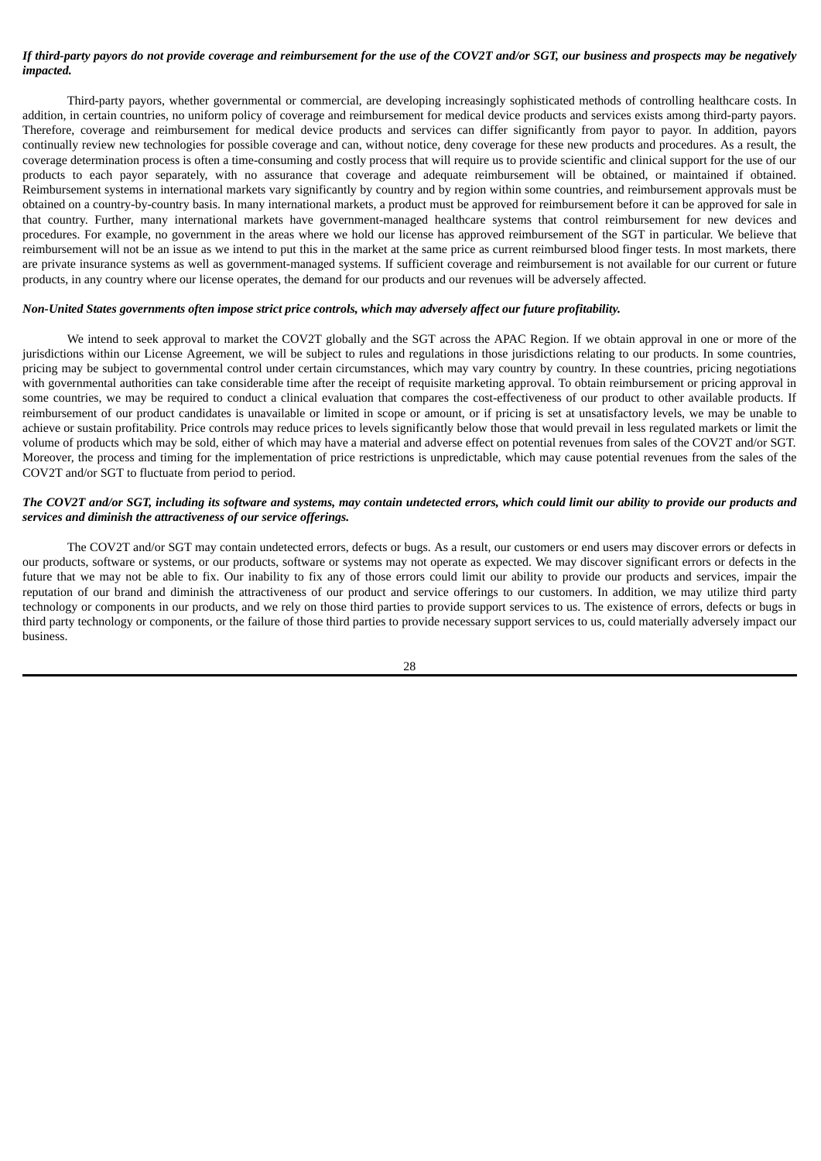## If third-party payors do not provide coverage and reimbursement for the use of the COV2T and/or SGT, our business and prospects may be negatively *impacted.*

Third-party payors, whether governmental or commercial, are developing increasingly sophisticated methods of controlling healthcare costs. In addition, in certain countries, no uniform policy of coverage and reimbursement for medical device products and services exists among third-party payors. Therefore, coverage and reimbursement for medical device products and services can differ significantly from payor to payor. In addition, payors continually review new technologies for possible coverage and can, without notice, deny coverage for these new products and procedures. As a result, the coverage determination process is often a time-consuming and costly process that will require us to provide scientific and clinical support for the use of our products to each payor separately, with no assurance that coverage and adequate reimbursement will be obtained, or maintained if obtained. Reimbursement systems in international markets vary significantly by country and by region within some countries, and reimbursement approvals must be obtained on a country-by-country basis. In many international markets, a product must be approved for reimbursement before it can be approved for sale in that country. Further, many international markets have government-managed healthcare systems that control reimbursement for new devices and procedures. For example, no government in the areas where we hold our license has approved reimbursement of the SGT in particular. We believe that reimbursement will not be an issue as we intend to put this in the market at the same price as current reimbursed blood finger tests. In most markets, there are private insurance systems as well as government-managed systems. If sufficient coverage and reimbursement is not available for our current or future products, in any country where our license operates, the demand for our products and our revenues will be adversely affected.

#### *Non-United States governments often impose strict price controls, which may adversely affect our future profitability.*

We intend to seek approval to market the COV2T globally and the SGT across the APAC Region. If we obtain approval in one or more of the jurisdictions within our License Agreement, we will be subject to rules and regulations in those jurisdictions relating to our products. In some countries, pricing may be subject to governmental control under certain circumstances, which may vary country by country. In these countries, pricing negotiations with governmental authorities can take considerable time after the receipt of requisite marketing approval. To obtain reimbursement or pricing approval in some countries, we may be required to conduct a clinical evaluation that compares the cost-effectiveness of our product to other available products. If reimbursement of our product candidates is unavailable or limited in scope or amount, or if pricing is set at unsatisfactory levels, we may be unable to achieve or sustain profitability. Price controls may reduce prices to levels significantly below those that would prevail in less regulated markets or limit the volume of products which may be sold, either of which may have a material and adverse effect on potential revenues from sales of the COV2T and/or SGT. Moreover, the process and timing for the implementation of price restrictions is unpredictable, which may cause potential revenues from the sales of the COV2T and/or SGT to fluctuate from period to period.

### The COV2T and/or SGT, including its software and systems, may contain undetected errors, which could limit our ability to provide our products and *services and diminish the attractiveness of our service offerings.*

The COV2T and/or SGT may contain undetected errors, defects or bugs. As a result, our customers or end users may discover errors or defects in our products, software or systems, or our products, software or systems may not operate as expected. We may discover significant errors or defects in the future that we may not be able to fix. Our inability to fix any of those errors could limit our ability to provide our products and services, impair the reputation of our brand and diminish the attractiveness of our product and service offerings to our customers. In addition, we may utilize third party technology or components in our products, and we rely on those third parties to provide support services to us. The existence of errors, defects or bugs in third party technology or components, or the failure of those third parties to provide necessary support services to us, could materially adversely impact our business.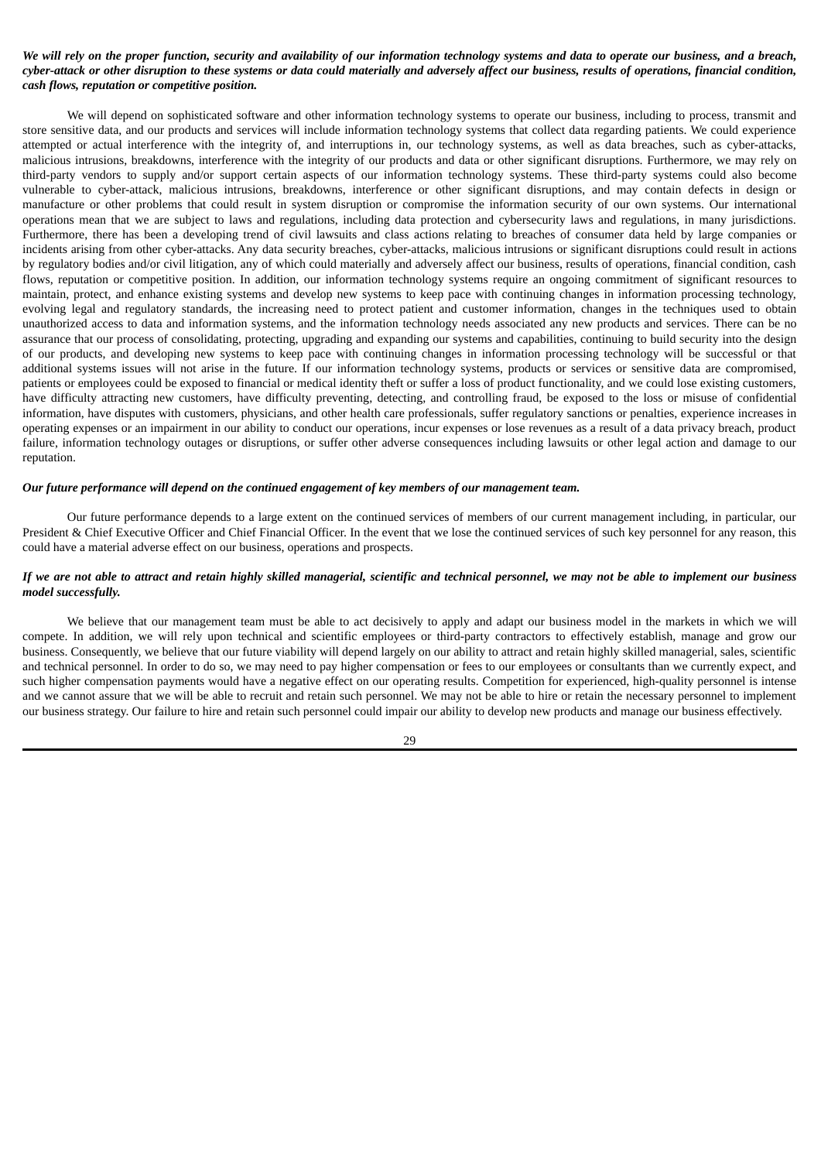## We will rely on the proper function, security and availability of our information technology systems and data to operate our business, and a breach, cyber-attack or other disruption to these systems or data could materially and adversely affect our business, results of operations, financial condition, *cash flows, reputation or competitive position.*

We will depend on sophisticated software and other information technology systems to operate our business, including to process, transmit and store sensitive data, and our products and services will include information technology systems that collect data regarding patients. We could experience attempted or actual interference with the integrity of, and interruptions in, our technology systems, as well as data breaches, such as cyber-attacks, malicious intrusions, breakdowns, interference with the integrity of our products and data or other significant disruptions. Furthermore, we may rely on third-party vendors to supply and/or support certain aspects of our information technology systems. These third-party systems could also become vulnerable to cyber-attack, malicious intrusions, breakdowns, interference or other significant disruptions, and may contain defects in design or manufacture or other problems that could result in system disruption or compromise the information security of our own systems. Our international operations mean that we are subject to laws and regulations, including data protection and cybersecurity laws and regulations, in many jurisdictions. Furthermore, there has been a developing trend of civil lawsuits and class actions relating to breaches of consumer data held by large companies or incidents arising from other cyber-attacks. Any data security breaches, cyber-attacks, malicious intrusions or significant disruptions could result in actions by regulatory bodies and/or civil litigation, any of which could materially and adversely affect our business, results of operations, financial condition, cash flows, reputation or competitive position. In addition, our information technology systems require an ongoing commitment of significant resources to maintain, protect, and enhance existing systems and develop new systems to keep pace with continuing changes in information processing technology, evolving legal and regulatory standards, the increasing need to protect patient and customer information, changes in the techniques used to obtain unauthorized access to data and information systems, and the information technology needs associated any new products and services. There can be no assurance that our process of consolidating, protecting, upgrading and expanding our systems and capabilities, continuing to build security into the design of our products, and developing new systems to keep pace with continuing changes in information processing technology will be successful or that additional systems issues will not arise in the future. If our information technology systems, products or services or sensitive data are compromised, patients or employees could be exposed to financial or medical identity theft or suffer a loss of product functionality, and we could lose existing customers, have difficulty attracting new customers, have difficulty preventing, detecting, and controlling fraud, be exposed to the loss or misuse of confidential information, have disputes with customers, physicians, and other health care professionals, suffer regulatory sanctions or penalties, experience increases in operating expenses or an impairment in our ability to conduct our operations, incur expenses or lose revenues as a result of a data privacy breach, product failure, information technology outages or disruptions, or suffer other adverse consequences including lawsuits or other legal action and damage to our reputation.

## *Our future performance will depend on the continued engagement of key members of our management team.*

Our future performance depends to a large extent on the continued services of members of our current management including, in particular, our President & Chief Executive Officer and Chief Financial Officer. In the event that we lose the continued services of such key personnel for any reason, this could have a material adverse effect on our business, operations and prospects.

## If we are not able to attract and retain highly skilled managerial, scientific and technical personnel, we may not be able to implement our business *model successfully.*

We believe that our management team must be able to act decisively to apply and adapt our business model in the markets in which we will compete. In addition, we will rely upon technical and scientific employees or third-party contractors to effectively establish, manage and grow our business. Consequently, we believe that our future viability will depend largely on our ability to attract and retain highly skilled managerial, sales, scientific and technical personnel. In order to do so, we may need to pay higher compensation or fees to our employees or consultants than we currently expect, and such higher compensation payments would have a negative effect on our operating results. Competition for experienced, high-quality personnel is intense and we cannot assure that we will be able to recruit and retain such personnel. We may not be able to hire or retain the necessary personnel to implement our business strategy. Our failure to hire and retain such personnel could impair our ability to develop new products and manage our business effectively.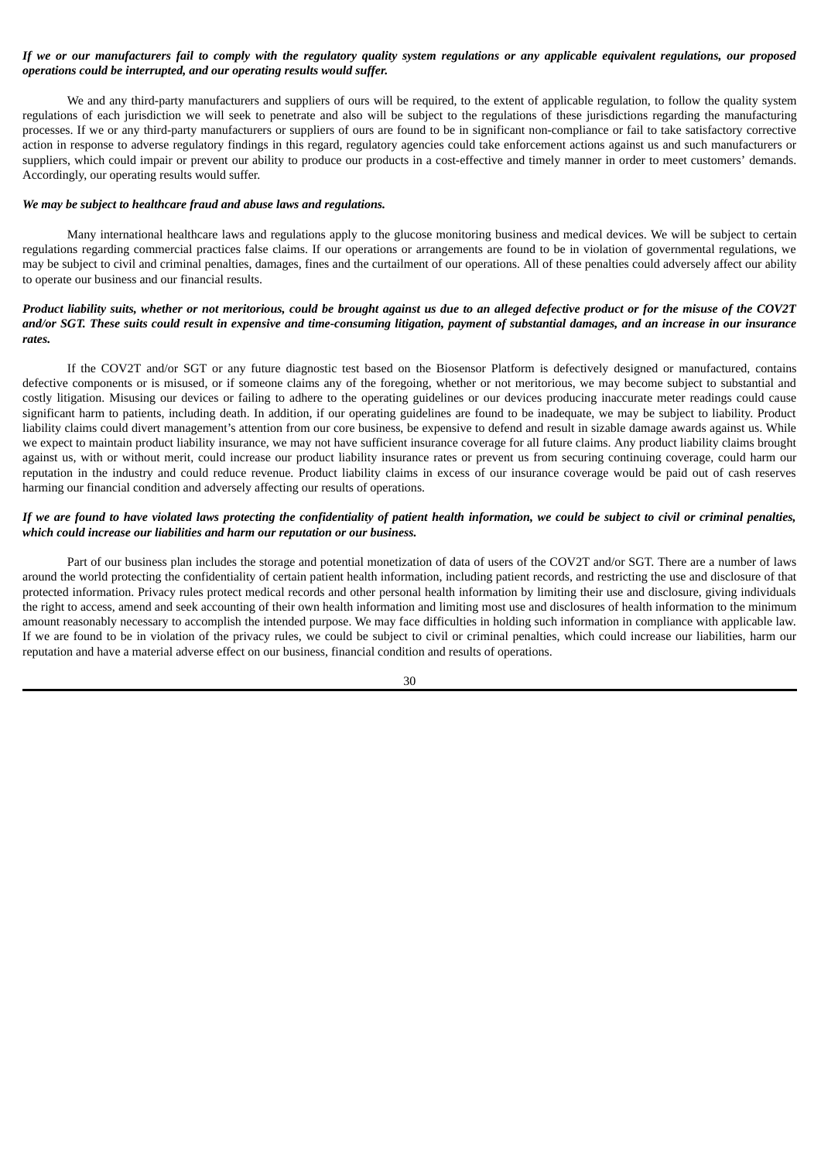## If we or our manufacturers fail to comply with the regulatory quality system regulations or any applicable equivalent regulations, our proposed *operations could be interrupted, and our operating results would suffer.*

We and any third-party manufacturers and suppliers of ours will be required, to the extent of applicable regulation, to follow the quality system regulations of each jurisdiction we will seek to penetrate and also will be subject to the regulations of these jurisdictions regarding the manufacturing processes. If we or any third-party manufacturers or suppliers of ours are found to be in significant non-compliance or fail to take satisfactory corrective action in response to adverse regulatory findings in this regard, regulatory agencies could take enforcement actions against us and such manufacturers or suppliers, which could impair or prevent our ability to produce our products in a cost-effective and timely manner in order to meet customers' demands. Accordingly, our operating results would suffer.

#### *We may be subject to healthcare fraud and abuse laws and regulations.*

Many international healthcare laws and regulations apply to the glucose monitoring business and medical devices. We will be subject to certain regulations regarding commercial practices false claims. If our operations or arrangements are found to be in violation of governmental regulations, we may be subject to civil and criminal penalties, damages, fines and the curtailment of our operations. All of these penalties could adversely affect our ability to operate our business and our financial results.

#### Product liability suits, whether or not meritorious, could be brought against us due to an alleged defective product or for the misuse of the COV2T and/or SGT. These suits could result in expensive and time-consuming litigation, payment of substantial damages, and an increase in our insurance *rates.*

If the COV2T and/or SGT or any future diagnostic test based on the Biosensor Platform is defectively designed or manufactured, contains defective components or is misused, or if someone claims any of the foregoing, whether or not meritorious, we may become subject to substantial and costly litigation. Misusing our devices or failing to adhere to the operating guidelines or our devices producing inaccurate meter readings could cause significant harm to patients, including death. In addition, if our operating guidelines are found to be inadequate, we may be subject to liability. Product liability claims could divert management's attention from our core business, be expensive to defend and result in sizable damage awards against us. While we expect to maintain product liability insurance, we may not have sufficient insurance coverage for all future claims. Any product liability claims brought against us, with or without merit, could increase our product liability insurance rates or prevent us from securing continuing coverage, could harm our reputation in the industry and could reduce revenue. Product liability claims in excess of our insurance coverage would be paid out of cash reserves harming our financial condition and adversely affecting our results of operations.

## If we are found to have violated laws protecting the confidentiality of patient health information, we could be subject to civil or criminal penalties, *which could increase our liabilities and harm our reputation or our business.*

Part of our business plan includes the storage and potential monetization of data of users of the COV2T and/or SGT. There are a number of laws around the world protecting the confidentiality of certain patient health information, including patient records, and restricting the use and disclosure of that protected information. Privacy rules protect medical records and other personal health information by limiting their use and disclosure, giving individuals the right to access, amend and seek accounting of their own health information and limiting most use and disclosures of health information to the minimum amount reasonably necessary to accomplish the intended purpose. We may face difficulties in holding such information in compliance with applicable law. If we are found to be in violation of the privacy rules, we could be subject to civil or criminal penalties, which could increase our liabilities, harm our reputation and have a material adverse effect on our business, financial condition and results of operations.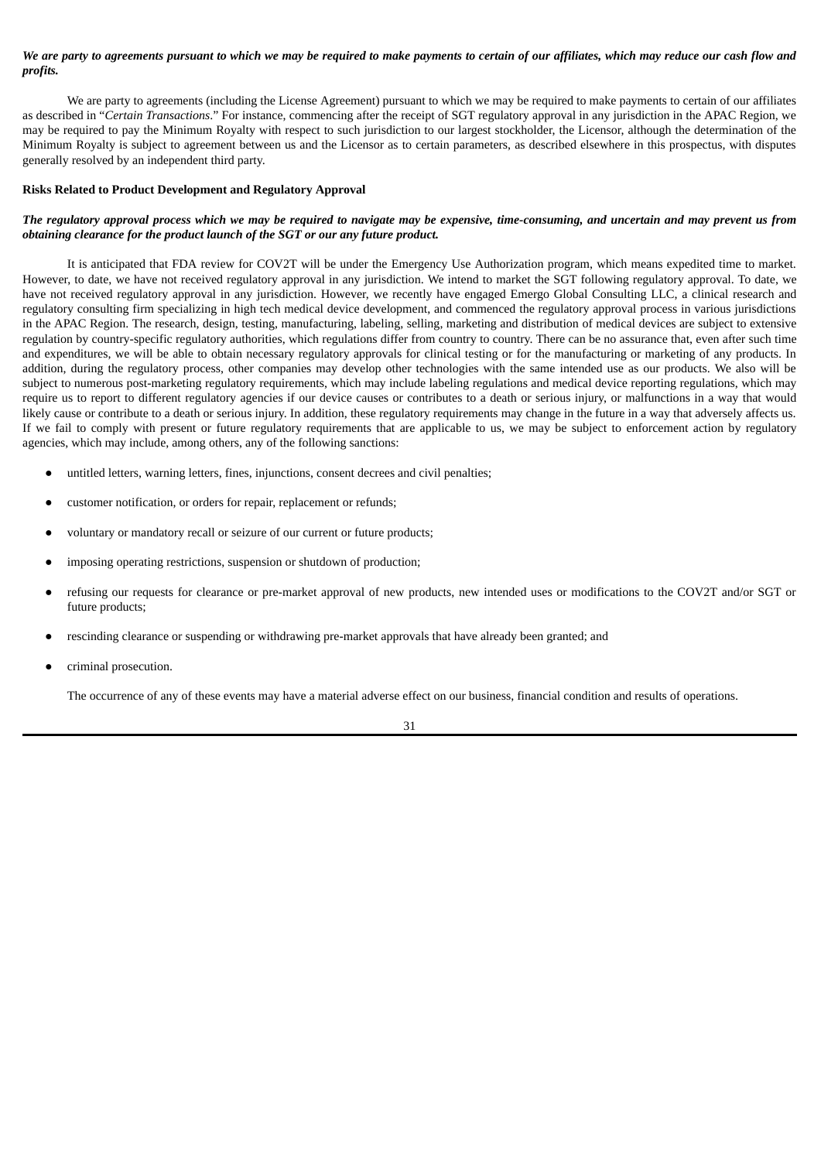# We are party to agreements pursuant to which we may be required to make payments to certain of our affiliates, which may reduce our cash flow and *profits.*

We are party to agreements (including the License Agreement) pursuant to which we may be required to make payments to certain of our affiliates as described in "*Certain Transactions*." For instance, commencing after the receipt of SGT regulatory approval in any jurisdiction in the APAC Region, we may be required to pay the Minimum Royalty with respect to such jurisdiction to our largest stockholder, the Licensor, although the determination of the Minimum Royalty is subject to agreement between us and the Licensor as to certain parameters, as described elsewhere in this prospectus, with disputes generally resolved by an independent third party.

# **Risks Related to Product Development and Regulatory Approval**

# The regulatory approval process which we may be required to navigate may be expensive, time-consuming, and uncertain and may prevent us from *obtaining clearance for the product launch of the SGT or our any future product.*

It is anticipated that FDA review for COV2T will be under the Emergency Use Authorization program, which means expedited time to market. However, to date, we have not received regulatory approval in any jurisdiction. We intend to market the SGT following regulatory approval. To date, we have not received regulatory approval in any jurisdiction. However, we recently have engaged Emergo Global Consulting LLC, a clinical research and regulatory consulting firm specializing in high tech medical device development, and commenced the regulatory approval process in various jurisdictions in the APAC Region. The research, design, testing, manufacturing, labeling, selling, marketing and distribution of medical devices are subject to extensive regulation by country-specific regulatory authorities, which regulations differ from country to country. There can be no assurance that, even after such time and expenditures, we will be able to obtain necessary regulatory approvals for clinical testing or for the manufacturing or marketing of any products. In addition, during the regulatory process, other companies may develop other technologies with the same intended use as our products. We also will be subject to numerous post-marketing regulatory requirements, which may include labeling regulations and medical device reporting regulations, which may require us to report to different regulatory agencies if our device causes or contributes to a death or serious injury, or malfunctions in a way that would likely cause or contribute to a death or serious injury. In addition, these regulatory requirements may change in the future in a way that adversely affects us. If we fail to comply with present or future regulatory requirements that are applicable to us, we may be subject to enforcement action by regulatory agencies, which may include, among others, any of the following sanctions:

- untitled letters, warning letters, fines, injunctions, consent decrees and civil penalties;
- customer notification, or orders for repair, replacement or refunds;
- voluntary or mandatory recall or seizure of our current or future products;
- imposing operating restrictions, suspension or shutdown of production;
- refusing our requests for clearance or pre-market approval of new products, new intended uses or modifications to the COV2T and/or SGT or future products:
- rescinding clearance or suspending or withdrawing pre-market approvals that have already been granted; and
- criminal prosecution.

The occurrence of any of these events may have a material adverse effect on our business, financial condition and results of operations.

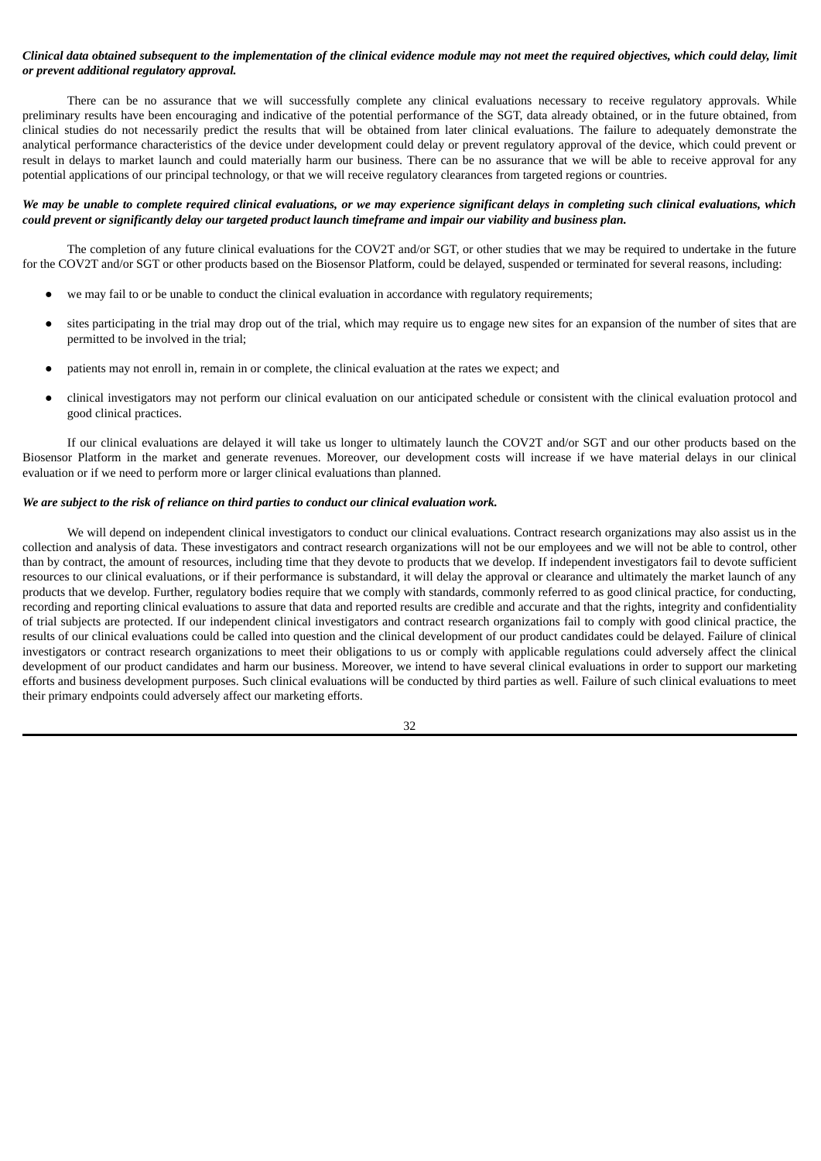## Clinical data obtained subsequent to the implementation of the clinical evidence module may not meet the required objectives, which could delay, limit *or prevent additional regulatory approval.*

There can be no assurance that we will successfully complete any clinical evaluations necessary to receive regulatory approvals. While preliminary results have been encouraging and indicative of the potential performance of the SGT, data already obtained, or in the future obtained, from clinical studies do not necessarily predict the results that will be obtained from later clinical evaluations. The failure to adequately demonstrate the analytical performance characteristics of the device under development could delay or prevent regulatory approval of the device, which could prevent or result in delays to market launch and could materially harm our business. There can be no assurance that we will be able to receive approval for any potential applications of our principal technology, or that we will receive regulatory clearances from targeted regions or countries.

# We may be unable to complete required clinical evaluations, or we may experience significant delays in completing such clinical evaluations, which could prevent or significantly delay our targeted product launch timeframe and impair our viability and business plan.

The completion of any future clinical evaluations for the COV2T and/or SGT, or other studies that we may be required to undertake in the future for the COV2T and/or SGT or other products based on the Biosensor Platform, could be delayed, suspended or terminated for several reasons, including:

- we may fail to or be unable to conduct the clinical evaluation in accordance with regulatory requirements;
- sites participating in the trial may drop out of the trial, which may require us to engage new sites for an expansion of the number of sites that are permitted to be involved in the trial;
- patients may not enroll in, remain in or complete, the clinical evaluation at the rates we expect; and
- clinical investigators may not perform our clinical evaluation on our anticipated schedule or consistent with the clinical evaluation protocol and good clinical practices.

If our clinical evaluations are delayed it will take us longer to ultimately launch the COV2T and/or SGT and our other products based on the Biosensor Platform in the market and generate revenues. Moreover, our development costs will increase if we have material delays in our clinical evaluation or if we need to perform more or larger clinical evaluations than planned.

#### *We are subject to the risk of reliance on third parties to conduct our clinical evaluation work.*

We will depend on independent clinical investigators to conduct our clinical evaluations. Contract research organizations may also assist us in the collection and analysis of data. These investigators and contract research organizations will not be our employees and we will not be able to control, other than by contract, the amount of resources, including time that they devote to products that we develop. If independent investigators fail to devote sufficient resources to our clinical evaluations, or if their performance is substandard, it will delay the approval or clearance and ultimately the market launch of any products that we develop. Further, regulatory bodies require that we comply with standards, commonly referred to as good clinical practice, for conducting, recording and reporting clinical evaluations to assure that data and reported results are credible and accurate and that the rights, integrity and confidentiality of trial subjects are protected. If our independent clinical investigators and contract research organizations fail to comply with good clinical practice, the results of our clinical evaluations could be called into question and the clinical development of our product candidates could be delayed. Failure of clinical investigators or contract research organizations to meet their obligations to us or comply with applicable regulations could adversely affect the clinical development of our product candidates and harm our business. Moreover, we intend to have several clinical evaluations in order to support our marketing efforts and business development purposes. Such clinical evaluations will be conducted by third parties as well. Failure of such clinical evaluations to meet their primary endpoints could adversely affect our marketing efforts.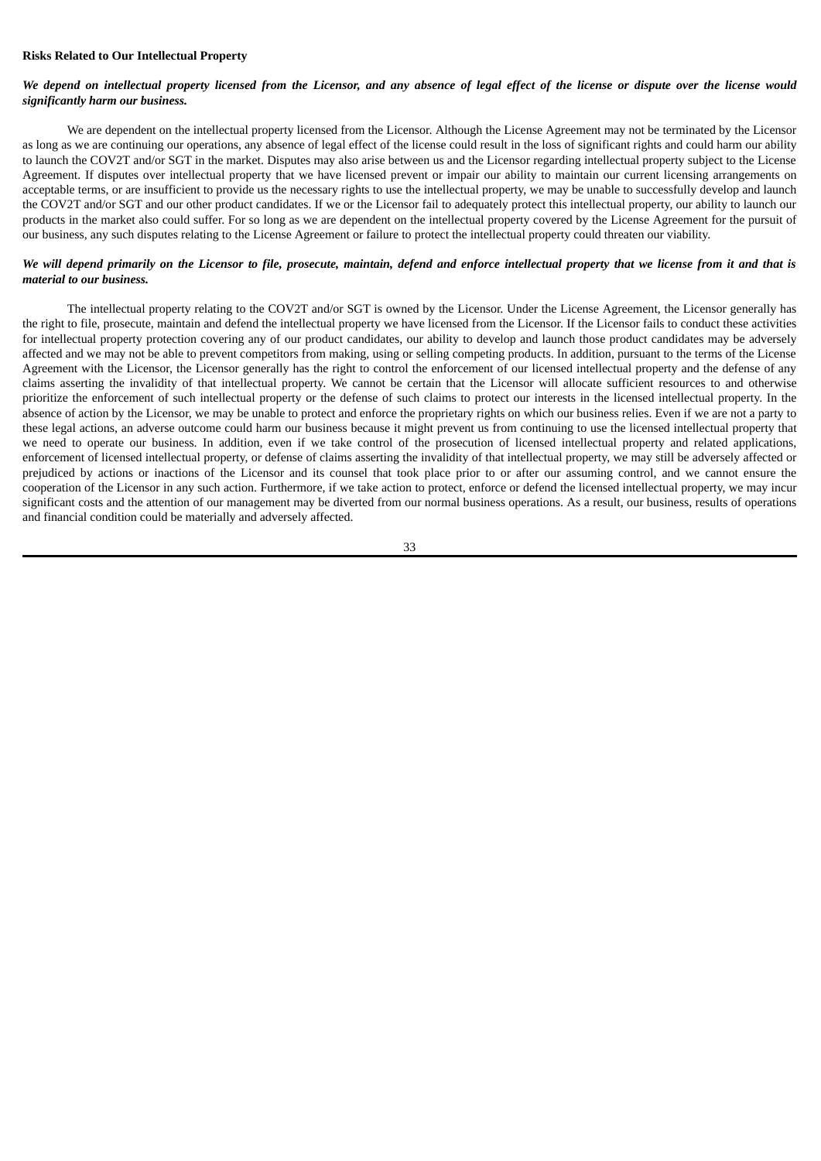#### **Risks Related to Our Intellectual Property**

## We depend on intellectual property licensed from the Licensor, and any absence of legal effect of the license or dispute over the license would *significantly harm our business.*

We are dependent on the intellectual property licensed from the Licensor. Although the License Agreement may not be terminated by the Licensor as long as we are continuing our operations, any absence of legal effect of the license could result in the loss of significant rights and could harm our ability to launch the COV2T and/or SGT in the market. Disputes may also arise between us and the Licensor regarding intellectual property subject to the License Agreement. If disputes over intellectual property that we have licensed prevent or impair our ability to maintain our current licensing arrangements on acceptable terms, or are insufficient to provide us the necessary rights to use the intellectual property, we may be unable to successfully develop and launch the COV2T and/or SGT and our other product candidates. If we or the Licensor fail to adequately protect this intellectual property, our ability to launch our products in the market also could suffer. For so long as we are dependent on the intellectual property covered by the License Agreement for the pursuit of our business, any such disputes relating to the License Agreement or failure to protect the intellectual property could threaten our viability.

## We will depend primarily on the Licensor to file, prosecute, maintain, defend and enforce intellectual property that we license from it and that is *material to our business.*

The intellectual property relating to the COV2T and/or SGT is owned by the Licensor. Under the License Agreement, the Licensor generally has the right to file, prosecute, maintain and defend the intellectual property we have licensed from the Licensor. If the Licensor fails to conduct these activities for intellectual property protection covering any of our product candidates, our ability to develop and launch those product candidates may be adversely affected and we may not be able to prevent competitors from making, using or selling competing products. In addition, pursuant to the terms of the License Agreement with the Licensor, the Licensor generally has the right to control the enforcement of our licensed intellectual property and the defense of any claims asserting the invalidity of that intellectual property. We cannot be certain that the Licensor will allocate sufficient resources to and otherwise prioritize the enforcement of such intellectual property or the defense of such claims to protect our interests in the licensed intellectual property. In the absence of action by the Licensor, we may be unable to protect and enforce the proprietary rights on which our business relies. Even if we are not a party to these legal actions, an adverse outcome could harm our business because it might prevent us from continuing to use the licensed intellectual property that we need to operate our business. In addition, even if we take control of the prosecution of licensed intellectual property and related applications, enforcement of licensed intellectual property, or defense of claims asserting the invalidity of that intellectual property, we may still be adversely affected or prejudiced by actions or inactions of the Licensor and its counsel that took place prior to or after our assuming control, and we cannot ensure the cooperation of the Licensor in any such action. Furthermore, if we take action to protect, enforce or defend the licensed intellectual property, we may incur significant costs and the attention of our management may be diverted from our normal business operations. As a result, our business, results of operations and financial condition could be materially and adversely affected.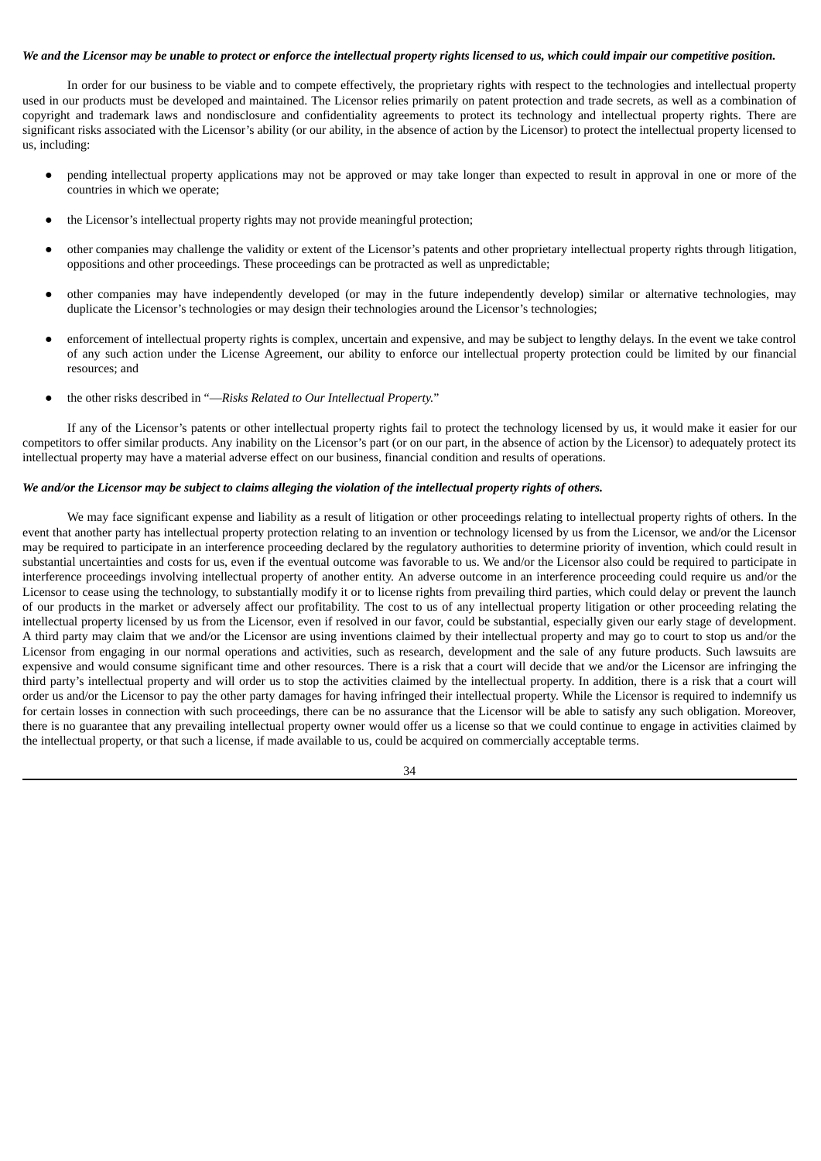### We and the Licensor may be unable to protect or enforce the intellectual property rights licensed to us, which could impair our competitive position.

In order for our business to be viable and to compete effectively, the proprietary rights with respect to the technologies and intellectual property used in our products must be developed and maintained. The Licensor relies primarily on patent protection and trade secrets, as well as a combination of copyright and trademark laws and nondisclosure and confidentiality agreements to protect its technology and intellectual property rights. There are significant risks associated with the Licensor's ability (or our ability, in the absence of action by the Licensor) to protect the intellectual property licensed to us, including:

- pending intellectual property applications may not be approved or may take longer than expected to result in approval in one or more of the countries in which we operate;
- the Licensor's intellectual property rights may not provide meaningful protection;
- other companies may challenge the validity or extent of the Licensor's patents and other proprietary intellectual property rights through litigation, oppositions and other proceedings. These proceedings can be protracted as well as unpredictable;
- other companies may have independently developed (or may in the future independently develop) similar or alternative technologies, may duplicate the Licensor's technologies or may design their technologies around the Licensor's technologies;
- enforcement of intellectual property rights is complex, uncertain and expensive, and may be subject to lengthy delays. In the event we take control of any such action under the License Agreement, our ability to enforce our intellectual property protection could be limited by our financial resources; and
- the other risks described in "—*Risks Related to Our Intellectual Property.*"

If any of the Licensor's patents or other intellectual property rights fail to protect the technology licensed by us, it would make it easier for our competitors to offer similar products. Any inability on the Licensor's part (or on our part, in the absence of action by the Licensor) to adequately protect its intellectual property may have a material adverse effect on our business, financial condition and results of operations.

#### We and/or the Licensor may be subject to claims alleging the violation of the intellectual property rights of others.

We may face significant expense and liability as a result of litigation or other proceedings relating to intellectual property rights of others. In the event that another party has intellectual property protection relating to an invention or technology licensed by us from the Licensor, we and/or the Licensor may be required to participate in an interference proceeding declared by the regulatory authorities to determine priority of invention, which could result in substantial uncertainties and costs for us, even if the eventual outcome was favorable to us. We and/or the Licensor also could be required to participate in interference proceedings involving intellectual property of another entity. An adverse outcome in an interference proceeding could require us and/or the Licensor to cease using the technology, to substantially modify it or to license rights from prevailing third parties, which could delay or prevent the launch of our products in the market or adversely affect our profitability. The cost to us of any intellectual property litigation or other proceeding relating the intellectual property licensed by us from the Licensor, even if resolved in our favor, could be substantial, especially given our early stage of development. A third party may claim that we and/or the Licensor are using inventions claimed by their intellectual property and may go to court to stop us and/or the Licensor from engaging in our normal operations and activities, such as research, development and the sale of any future products. Such lawsuits are expensive and would consume significant time and other resources. There is a risk that a court will decide that we and/or the Licensor are infringing the third party's intellectual property and will order us to stop the activities claimed by the intellectual property. In addition, there is a risk that a court will order us and/or the Licensor to pay the other party damages for having infringed their intellectual property. While the Licensor is required to indemnify us for certain losses in connection with such proceedings, there can be no assurance that the Licensor will be able to satisfy any such obligation. Moreover, there is no guarantee that any prevailing intellectual property owner would offer us a license so that we could continue to engage in activities claimed by the intellectual property, or that such a license, if made available to us, could be acquired on commercially acceptable terms.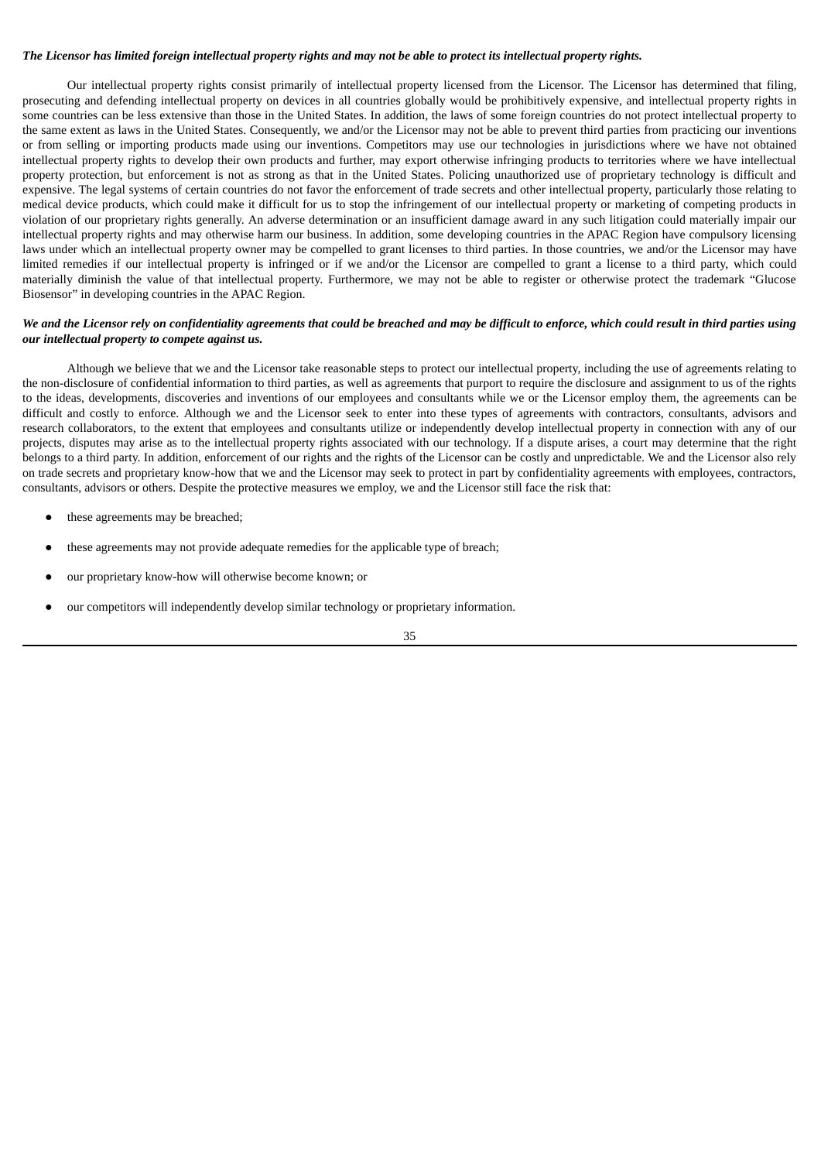## The Licensor has limited foreign intellectual property rights and may not be able to protect its intellectual property rights.

Our intellectual property rights consist primarily of intellectual property licensed from the Licensor. The Licensor has determined that filing, prosecuting and defending intellectual property on devices in all countries globally would be prohibitively expensive, and intellectual property rights in some countries can be less extensive than those in the United States. In addition, the laws of some foreign countries do not protect intellectual property to the same extent as laws in the United States. Consequently, we and/or the Licensor may not be able to prevent third parties from practicing our inventions or from selling or importing products made using our inventions. Competitors may use our technologies in jurisdictions where we have not obtained intellectual property rights to develop their own products and further, may export otherwise infringing products to territories where we have intellectual property protection, but enforcement is not as strong as that in the United States. Policing unauthorized use of proprietary technology is difficult and expensive. The legal systems of certain countries do not favor the enforcement of trade secrets and other intellectual property, particularly those relating to medical device products, which could make it difficult for us to stop the infringement of our intellectual property or marketing of competing products in violation of our proprietary rights generally. An adverse determination or an insufficient damage award in any such litigation could materially impair our intellectual property rights and may otherwise harm our business. In addition, some developing countries in the APAC Region have compulsory licensing laws under which an intellectual property owner may be compelled to grant licenses to third parties. In those countries, we and/or the Licensor may have limited remedies if our intellectual property is infringed or if we and/or the Licensor are compelled to grant a license to a third party, which could materially diminish the value of that intellectual property. Furthermore, we may not be able to register or otherwise protect the trademark "Glucose Biosensor" in developing countries in the APAC Region.

## We and the Licensor rely on confidentiality agreements that could be breached and may be difficult to enforce, which could result in third parties using *our intellectual property to compete against us.*

Although we believe that we and the Licensor take reasonable steps to protect our intellectual property, including the use of agreements relating to the non-disclosure of confidential information to third parties, as well as agreements that purport to require the disclosure and assignment to us of the rights to the ideas, developments, discoveries and inventions of our employees and consultants while we or the Licensor employ them, the agreements can be difficult and costly to enforce. Although we and the Licensor seek to enter into these types of agreements with contractors, consultants, advisors and research collaborators, to the extent that employees and consultants utilize or independently develop intellectual property in connection with any of our projects, disputes may arise as to the intellectual property rights associated with our technology. If a dispute arises, a court may determine that the right belongs to a third party. In addition, enforcement of our rights and the rights of the Licensor can be costly and unpredictable. We and the Licensor also rely on trade secrets and proprietary know-how that we and the Licensor may seek to protect in part by confidentiality agreements with employees, contractors, consultants, advisors or others. Despite the protective measures we employ, we and the Licensor still face the risk that:

- these agreements may be breached;
- these agreements may not provide adequate remedies for the applicable type of breach;
- our proprietary know-how will otherwise become known; or
- our competitors will independently develop similar technology or proprietary information.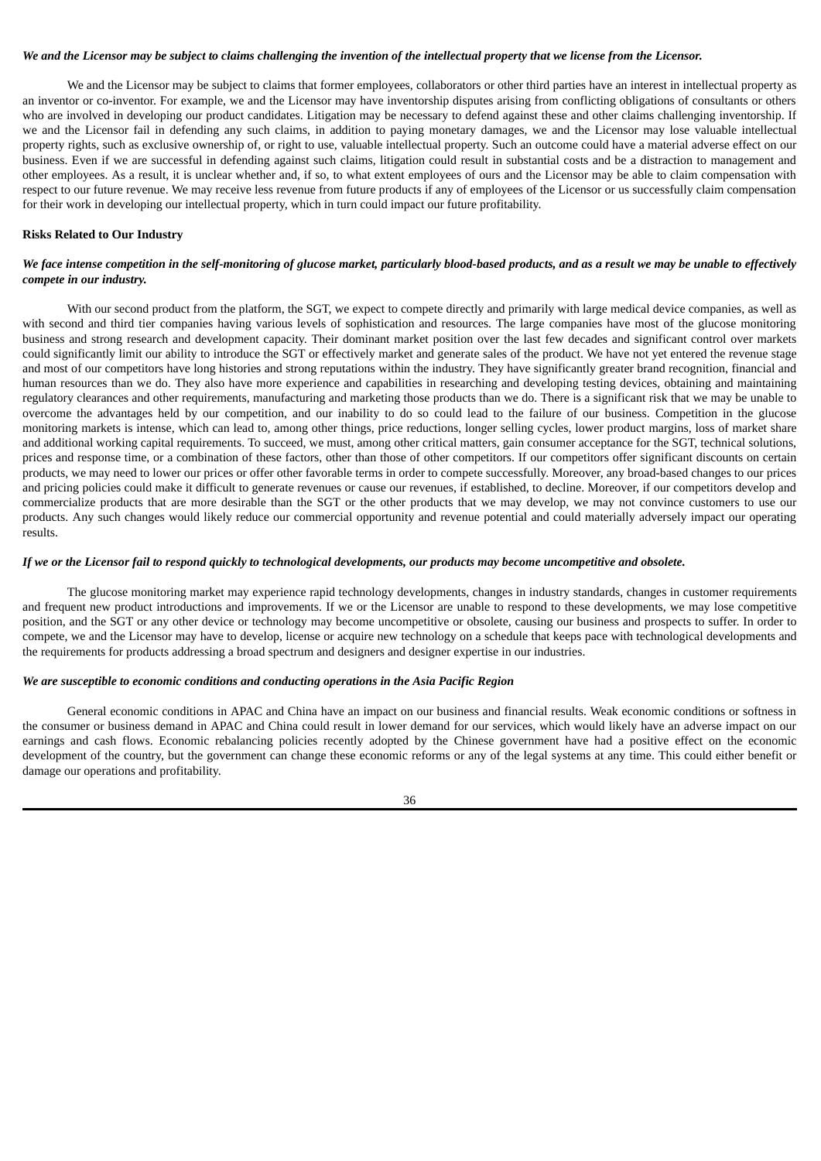#### We and the Licensor may be subject to claims challenging the invention of the intellectual property that we license from the Licensor.

We and the Licensor may be subject to claims that former employees, collaborators or other third parties have an interest in intellectual property as an inventor or co-inventor. For example, we and the Licensor may have inventorship disputes arising from conflicting obligations of consultants or others who are involved in developing our product candidates. Litigation may be necessary to defend against these and other claims challenging inventorship. If we and the Licensor fail in defending any such claims, in addition to paying monetary damages, we and the Licensor may lose valuable intellectual property rights, such as exclusive ownership of, or right to use, valuable intellectual property. Such an outcome could have a material adverse effect on our business. Even if we are successful in defending against such claims, litigation could result in substantial costs and be a distraction to management and other employees. As a result, it is unclear whether and, if so, to what extent employees of ours and the Licensor may be able to claim compensation with respect to our future revenue. We may receive less revenue from future products if any of employees of the Licensor or us successfully claim compensation for their work in developing our intellectual property, which in turn could impact our future profitability.

#### **Risks Related to Our Industry**

### We face intense competition in the self-monitoring of glucose market, particularly blood-based products, and as a result we may be unable to effectively *compete in our industry.*

With our second product from the platform, the SGT, we expect to compete directly and primarily with large medical device companies, as well as with second and third tier companies having various levels of sophistication and resources. The large companies have most of the glucose monitoring business and strong research and development capacity. Their dominant market position over the last few decades and significant control over markets could significantly limit our ability to introduce the SGT or effectively market and generate sales of the product. We have not yet entered the revenue stage and most of our competitors have long histories and strong reputations within the industry. They have significantly greater brand recognition, financial and human resources than we do. They also have more experience and capabilities in researching and developing testing devices, obtaining and maintaining regulatory clearances and other requirements, manufacturing and marketing those products than we do. There is a significant risk that we may be unable to overcome the advantages held by our competition, and our inability to do so could lead to the failure of our business. Competition in the glucose monitoring markets is intense, which can lead to, among other things, price reductions, longer selling cycles, lower product margins, loss of market share and additional working capital requirements. To succeed, we must, among other critical matters, gain consumer acceptance for the SGT, technical solutions, prices and response time, or a combination of these factors, other than those of other competitors. If our competitors offer significant discounts on certain products, we may need to lower our prices or offer other favorable terms in order to compete successfully. Moreover, any broad-based changes to our prices and pricing policies could make it difficult to generate revenues or cause our revenues, if established, to decline. Moreover, if our competitors develop and commercialize products that are more desirable than the SGT or the other products that we may develop, we may not convince customers to use our products. Any such changes would likely reduce our commercial opportunity and revenue potential and could materially adversely impact our operating results.

#### If we or the Licensor fail to respond quickly to technological developments, our products may become uncompetitive and obsolete.

The glucose monitoring market may experience rapid technology developments, changes in industry standards, changes in customer requirements and frequent new product introductions and improvements. If we or the Licensor are unable to respond to these developments, we may lose competitive position, and the SGT or any other device or technology may become uncompetitive or obsolete, causing our business and prospects to suffer. In order to compete, we and the Licensor may have to develop, license or acquire new technology on a schedule that keeps pace with technological developments and the requirements for products addressing a broad spectrum and designers and designer expertise in our industries.

#### *We are susceptible to economic conditions and conducting operations in the Asia Pacific Region*

General economic conditions in APAC and China have an impact on our business and financial results. Weak economic conditions or softness in the consumer or business demand in APAC and China could result in lower demand for our services, which would likely have an adverse impact on our earnings and cash flows. Economic rebalancing policies recently adopted by the Chinese government have had a positive effect on the economic development of the country, but the government can change these economic reforms or any of the legal systems at any time. This could either benefit or damage our operations and profitability.

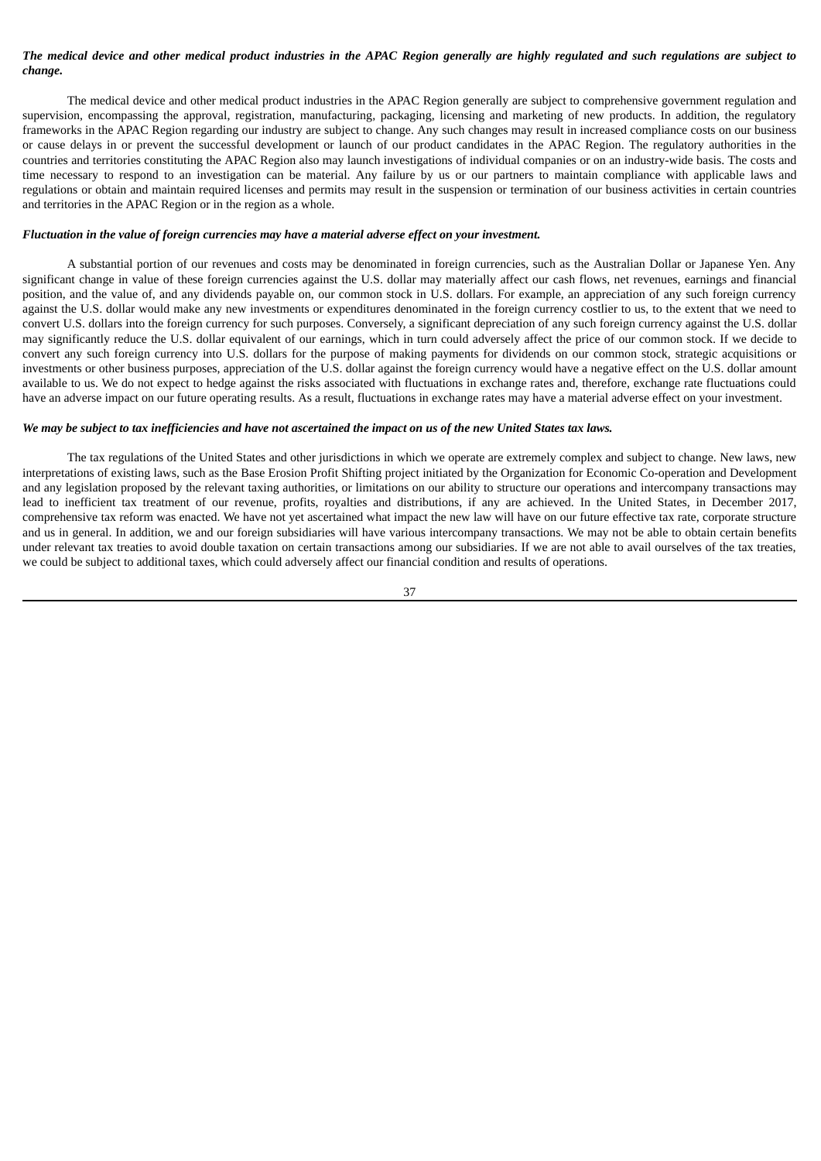# The medical device and other medical product industries in the APAC Region generally are highly regulated and such regulations are subject to *change.*

The medical device and other medical product industries in the APAC Region generally are subject to comprehensive government regulation and supervision, encompassing the approval, registration, manufacturing, packaging, licensing and marketing of new products. In addition, the regulatory frameworks in the APAC Region regarding our industry are subject to change. Any such changes may result in increased compliance costs on our business or cause delays in or prevent the successful development or launch of our product candidates in the APAC Region. The regulatory authorities in the countries and territories constituting the APAC Region also may launch investigations of individual companies or on an industry-wide basis. The costs and time necessary to respond to an investigation can be material. Any failure by us or our partners to maintain compliance with applicable laws and regulations or obtain and maintain required licenses and permits may result in the suspension or termination of our business activities in certain countries and territories in the APAC Region or in the region as a whole.

#### *Fluctuation in the value of foreign currencies may have a material adverse effect on your investment.*

A substantial portion of our revenues and costs may be denominated in foreign currencies, such as the Australian Dollar or Japanese Yen. Any significant change in value of these foreign currencies against the U.S. dollar may materially affect our cash flows, net revenues, earnings and financial position, and the value of, and any dividends payable on, our common stock in U.S. dollars. For example, an appreciation of any such foreign currency against the U.S. dollar would make any new investments or expenditures denominated in the foreign currency costlier to us, to the extent that we need to convert U.S. dollars into the foreign currency for such purposes. Conversely, a significant depreciation of any such foreign currency against the U.S. dollar may significantly reduce the U.S. dollar equivalent of our earnings, which in turn could adversely affect the price of our common stock. If we decide to convert any such foreign currency into U.S. dollars for the purpose of making payments for dividends on our common stock, strategic acquisitions or investments or other business purposes, appreciation of the U.S. dollar against the foreign currency would have a negative effect on the U.S. dollar amount available to us. We do not expect to hedge against the risks associated with fluctuations in exchange rates and, therefore, exchange rate fluctuations could have an adverse impact on our future operating results. As a result, fluctuations in exchange rates may have a material adverse effect on your investment.

#### We may be subject to tax inefficiencies and have not ascertained the impact on us of the new United States tax laws.

The tax regulations of the United States and other jurisdictions in which we operate are extremely complex and subject to change. New laws, new interpretations of existing laws, such as the Base Erosion Profit Shifting project initiated by the Organization for Economic Co-operation and Development and any legislation proposed by the relevant taxing authorities, or limitations on our ability to structure our operations and intercompany transactions may lead to inefficient tax treatment of our revenue, profits, royalties and distributions, if any are achieved. In the United States, in December 2017, comprehensive tax reform was enacted. We have not yet ascertained what impact the new law will have on our future effective tax rate, corporate structure and us in general. In addition, we and our foreign subsidiaries will have various intercompany transactions. We may not be able to obtain certain benefits under relevant tax treaties to avoid double taxation on certain transactions among our subsidiaries. If we are not able to avail ourselves of the tax treaties, we could be subject to additional taxes, which could adversely affect our financial condition and results of operations.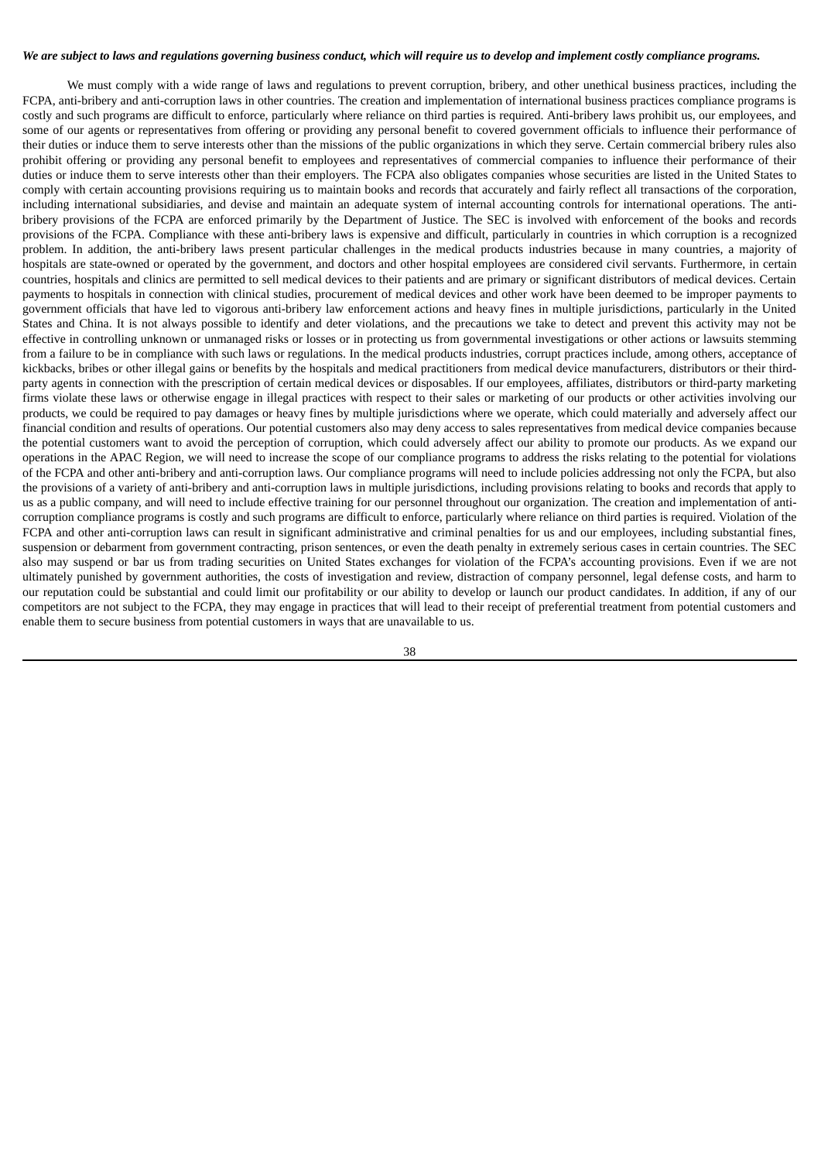# We are subject to laws and regulations governing business conduct, which will require us to develop and implement costly compliance programs.

We must comply with a wide range of laws and regulations to prevent corruption, bribery, and other unethical business practices, including the FCPA, anti-bribery and anti-corruption laws in other countries. The creation and implementation of international business practices compliance programs is costly and such programs are difficult to enforce, particularly where reliance on third parties is required. Anti-bribery laws prohibit us, our employees, and some of our agents or representatives from offering or providing any personal benefit to covered government officials to influence their performance of their duties or induce them to serve interests other than the missions of the public organizations in which they serve. Certain commercial bribery rules also prohibit offering or providing any personal benefit to employees and representatives of commercial companies to influence their performance of their duties or induce them to serve interests other than their employers. The FCPA also obligates companies whose securities are listed in the United States to comply with certain accounting provisions requiring us to maintain books and records that accurately and fairly reflect all transactions of the corporation, including international subsidiaries, and devise and maintain an adequate system of internal accounting controls for international operations. The antibribery provisions of the FCPA are enforced primarily by the Department of Justice. The SEC is involved with enforcement of the books and records provisions of the FCPA. Compliance with these anti-bribery laws is expensive and difficult, particularly in countries in which corruption is a recognized problem. In addition, the anti-bribery laws present particular challenges in the medical products industries because in many countries, a majority of hospitals are state-owned or operated by the government, and doctors and other hospital employees are considered civil servants. Furthermore, in certain countries, hospitals and clinics are permitted to sell medical devices to their patients and are primary or significant distributors of medical devices. Certain payments to hospitals in connection with clinical studies, procurement of medical devices and other work have been deemed to be improper payments to government officials that have led to vigorous anti-bribery law enforcement actions and heavy fines in multiple jurisdictions, particularly in the United States and China. It is not always possible to identify and deter violations, and the precautions we take to detect and prevent this activity may not be effective in controlling unknown or unmanaged risks or losses or in protecting us from governmental investigations or other actions or lawsuits stemming from a failure to be in compliance with such laws or regulations. In the medical products industries, corrupt practices include, among others, acceptance of kickbacks, bribes or other illegal gains or benefits by the hospitals and medical practitioners from medical device manufacturers, distributors or their thirdparty agents in connection with the prescription of certain medical devices or disposables. If our employees, affiliates, distributors or third-party marketing firms violate these laws or otherwise engage in illegal practices with respect to their sales or marketing of our products or other activities involving our products, we could be required to pay damages or heavy fines by multiple jurisdictions where we operate, which could materially and adversely affect our financial condition and results of operations. Our potential customers also may deny access to sales representatives from medical device companies because the potential customers want to avoid the perception of corruption, which could adversely affect our ability to promote our products. As we expand our operations in the APAC Region, we will need to increase the scope of our compliance programs to address the risks relating to the potential for violations of the FCPA and other anti-bribery and anti-corruption laws. Our compliance programs will need to include policies addressing not only the FCPA, but also the provisions of a variety of anti-bribery and anti-corruption laws in multiple jurisdictions, including provisions relating to books and records that apply to us as a public company, and will need to include effective training for our personnel throughout our organization. The creation and implementation of anticorruption compliance programs is costly and such programs are difficult to enforce, particularly where reliance on third parties is required. Violation of the FCPA and other anti-corruption laws can result in significant administrative and criminal penalties for us and our employees, including substantial fines, suspension or debarment from government contracting, prison sentences, or even the death penalty in extremely serious cases in certain countries. The SEC also may suspend or bar us from trading securities on United States exchanges for violation of the FCPA's accounting provisions. Even if we are not ultimately punished by government authorities, the costs of investigation and review, distraction of company personnel, legal defense costs, and harm to our reputation could be substantial and could limit our profitability or our ability to develop or launch our product candidates. In addition, if any of our competitors are not subject to the FCPA, they may engage in practices that will lead to their receipt of preferential treatment from potential customers and enable them to secure business from potential customers in ways that are unavailable to us.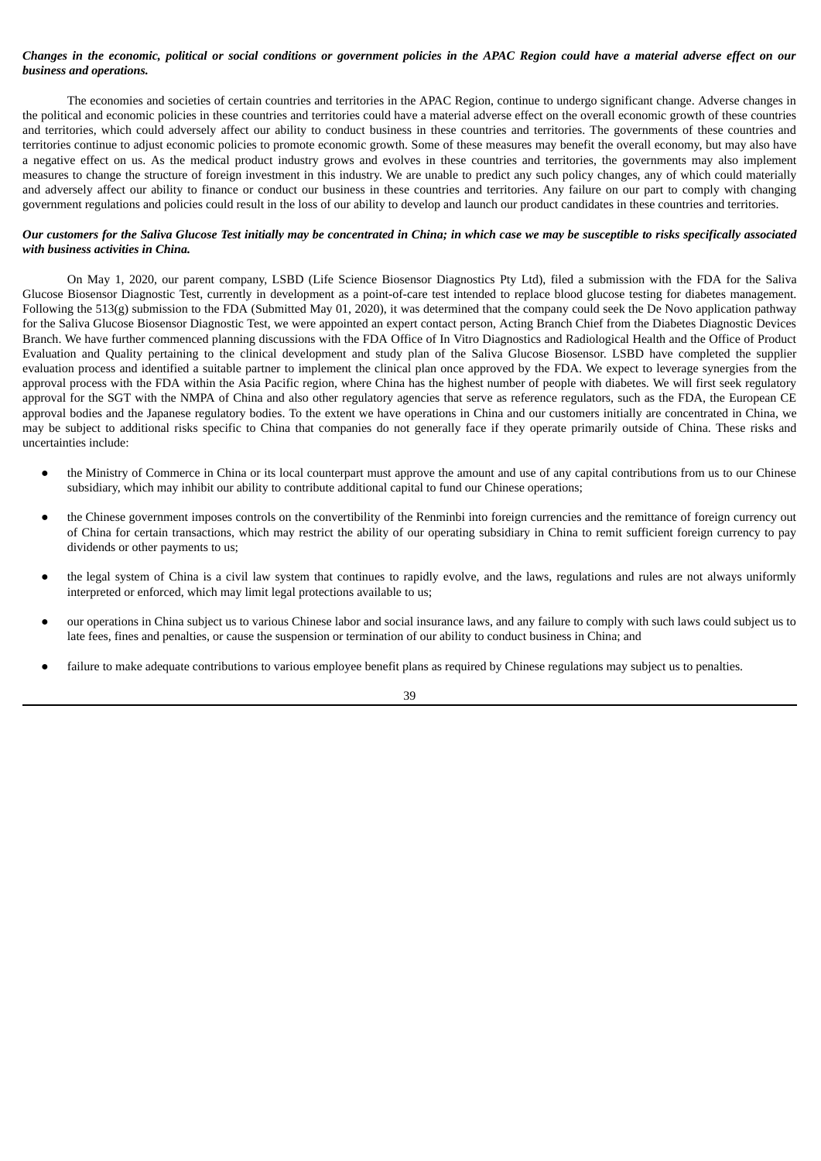# Changes in the economic, political or social conditions or government policies in the APAC Region could have a material adverse effect on our *business and operations.*

The economies and societies of certain countries and territories in the APAC Region, continue to undergo significant change. Adverse changes in the political and economic policies in these countries and territories could have a material adverse effect on the overall economic growth of these countries and territories, which could adversely affect our ability to conduct business in these countries and territories. The governments of these countries and territories continue to adjust economic policies to promote economic growth. Some of these measures may benefit the overall economy, but may also have a negative effect on us. As the medical product industry grows and evolves in these countries and territories, the governments may also implement measures to change the structure of foreign investment in this industry. We are unable to predict any such policy changes, any of which could materially and adversely affect our ability to finance or conduct our business in these countries and territories. Any failure on our part to comply with changing government regulations and policies could result in the loss of our ability to develop and launch our product candidates in these countries and territories.

# Our customers for the Saliva Glucose Test initially may be concentrated in China; in which case we may be susceptible to risks specifically associated *with business activities in China.*

On May 1, 2020, our parent company, LSBD (Life Science Biosensor Diagnostics Pty Ltd), filed a submission with the FDA for the Saliva Glucose Biosensor Diagnostic Test, currently in development as a point-of-care test intended to replace blood glucose testing for diabetes management. Following the 513(g) submission to the FDA (Submitted May 01, 2020), it was determined that the company could seek the De Novo application pathway for the Saliva Glucose Biosensor Diagnostic Test, we were appointed an expert contact person, Acting Branch Chief from the Diabetes Diagnostic Devices Branch. We have further commenced planning discussions with the FDA Office of In Vitro Diagnostics and Radiological Health and the Office of Product Evaluation and Quality pertaining to the clinical development and study plan of the Saliva Glucose Biosensor. LSBD have completed the supplier evaluation process and identified a suitable partner to implement the clinical plan once approved by the FDA. We expect to leverage synergies from the approval process with the FDA within the Asia Pacific region, where China has the highest number of people with diabetes. We will first seek regulatory approval for the SGT with the NMPA of China and also other regulatory agencies that serve as reference regulators, such as the FDA, the European CE approval bodies and the Japanese regulatory bodies. To the extent we have operations in China and our customers initially are concentrated in China, we may be subject to additional risks specific to China that companies do not generally face if they operate primarily outside of China. These risks and uncertainties include:

- the Ministry of Commerce in China or its local counterpart must approve the amount and use of any capital contributions from us to our Chinese subsidiary, which may inhibit our ability to contribute additional capital to fund our Chinese operations;
- the Chinese government imposes controls on the convertibility of the Renminbi into foreign currencies and the remittance of foreign currency out of China for certain transactions, which may restrict the ability of our operating subsidiary in China to remit sufficient foreign currency to pay dividends or other payments to us;
- the legal system of China is a civil law system that continues to rapidly evolve, and the laws, regulations and rules are not always uniformly interpreted or enforced, which may limit legal protections available to us;
- our operations in China subject us to various Chinese labor and social insurance laws, and any failure to comply with such laws could subject us to late fees, fines and penalties, or cause the suspension or termination of our ability to conduct business in China; and
- failure to make adequate contributions to various employee benefit plans as required by Chinese regulations may subject us to penalties.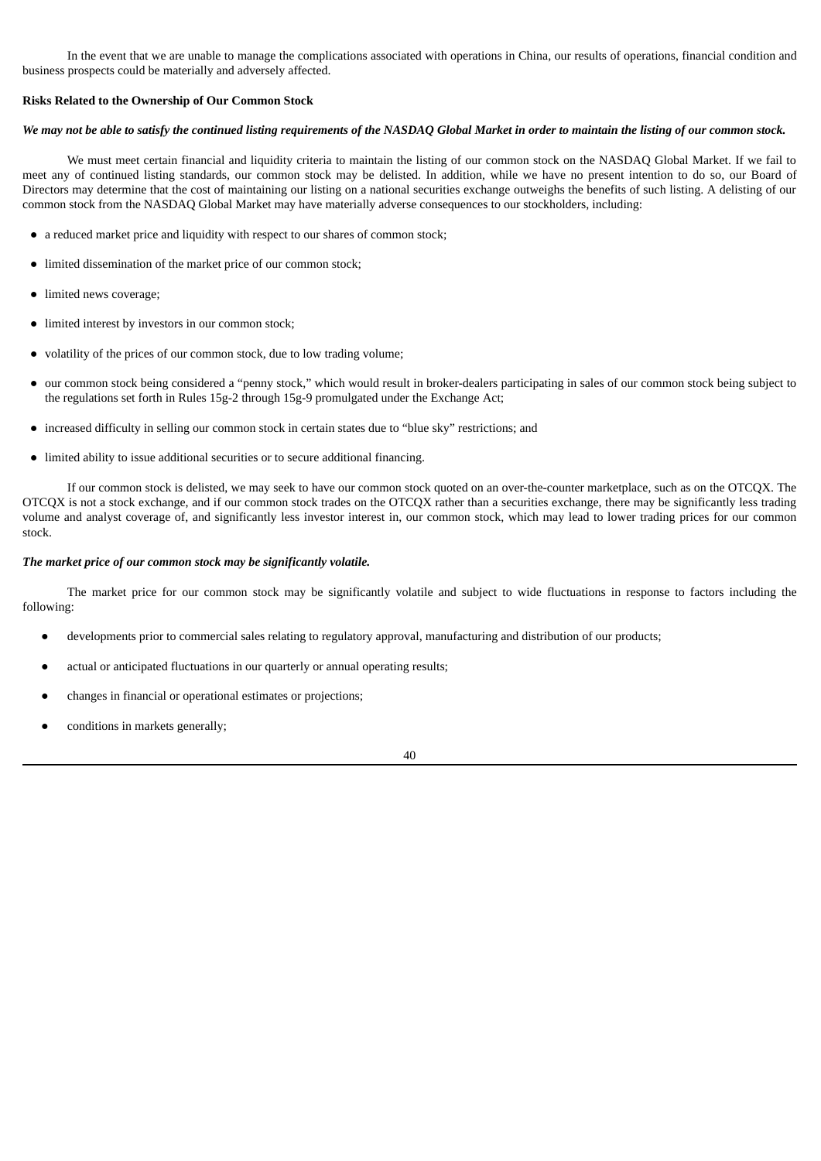In the event that we are unable to manage the complications associated with operations in China, our results of operations, financial condition and business prospects could be materially and adversely affected.

### **Risks Related to the Ownership of Our Common Stock**

#### We may not be able to satisfy the continued listing requirements of the NASDAQ Global Market in order to maintain the listing of our common stock.

We must meet certain financial and liquidity criteria to maintain the listing of our common stock on the NASDAQ Global Market. If we fail to meet any of continued listing standards, our common stock may be delisted. In addition, while we have no present intention to do so, our Board of Directors may determine that the cost of maintaining our listing on a national securities exchange outweighs the benefits of such listing. A delisting of our common stock from the NASDAQ Global Market may have materially adverse consequences to our stockholders, including:

- a reduced market price and liquidity with respect to our shares of common stock;
- limited dissemination of the market price of our common stock;
- limited news coverage;
- limited interest by investors in our common stock;
- volatility of the prices of our common stock, due to low trading volume;
- our common stock being considered a "penny stock," which would result in broker-dealers participating in sales of our common stock being subject to the regulations set forth in Rules 15g-2 through 15g-9 promulgated under the Exchange Act;
- increased difficulty in selling our common stock in certain states due to "blue sky" restrictions; and
- limited ability to issue additional securities or to secure additional financing.

If our common stock is delisted, we may seek to have our common stock quoted on an over-the-counter marketplace, such as on the OTCQX. The OTCQX is not a stock exchange, and if our common stock trades on the OTCQX rather than a securities exchange, there may be significantly less trading volume and analyst coverage of, and significantly less investor interest in, our common stock, which may lead to lower trading prices for our common stock.

#### *The market price of our common stock may be significantly volatile.*

The market price for our common stock may be significantly volatile and subject to wide fluctuations in response to factors including the following:

- developments prior to commercial sales relating to regulatory approval, manufacturing and distribution of our products;
- actual or anticipated fluctuations in our quarterly or annual operating results;
- changes in financial or operational estimates or projections;
- conditions in markets generally;

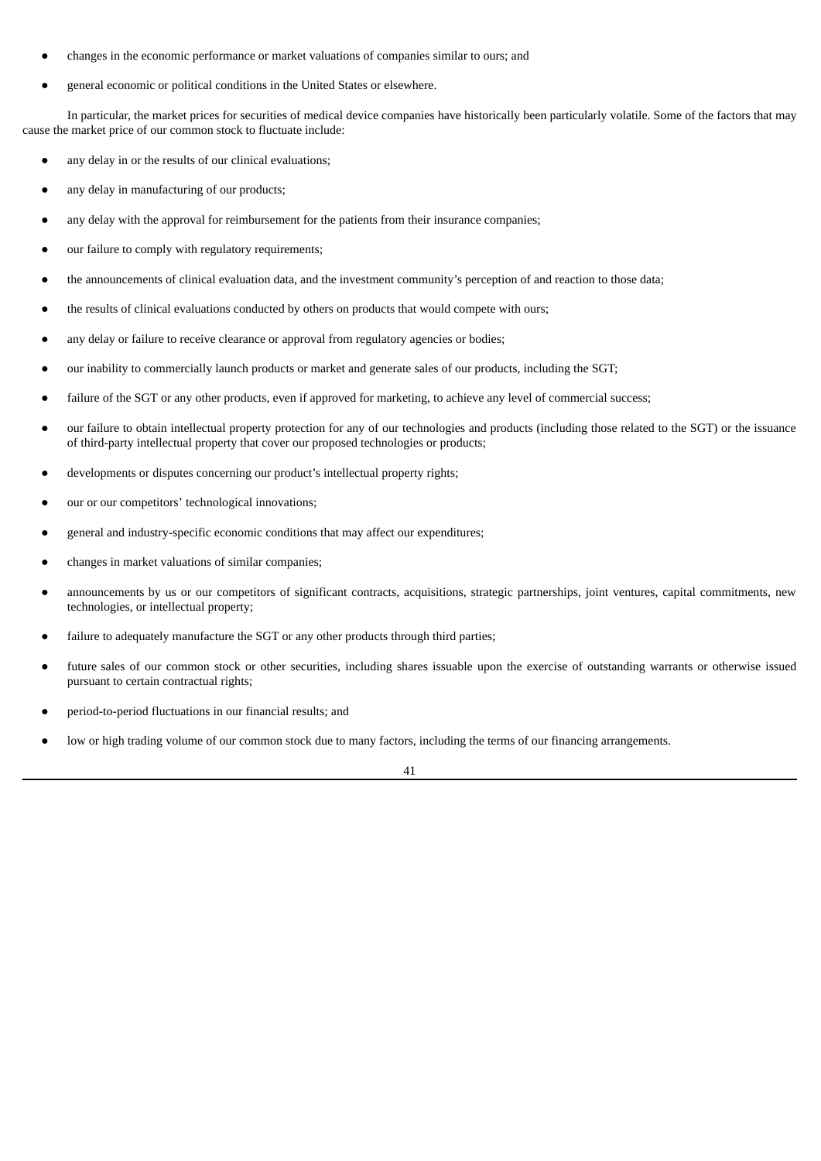- changes in the economic performance or market valuations of companies similar to ours; and
- general economic or political conditions in the United States or elsewhere.

In particular, the market prices for securities of medical device companies have historically been particularly volatile. Some of the factors that may cause the market price of our common stock to fluctuate include:

- any delay in or the results of our clinical evaluations;
- any delay in manufacturing of our products;
- any delay with the approval for reimbursement for the patients from their insurance companies;
- our failure to comply with regulatory requirements;
- the announcements of clinical evaluation data, and the investment community's perception of and reaction to those data;
- the results of clinical evaluations conducted by others on products that would compete with ours;
- any delay or failure to receive clearance or approval from regulatory agencies or bodies;
- our inability to commercially launch products or market and generate sales of our products, including the SGT;
- failure of the SGT or any other products, even if approved for marketing, to achieve any level of commercial success;
- our failure to obtain intellectual property protection for any of our technologies and products (including those related to the SGT) or the issuance of third-party intellectual property that cover our proposed technologies or products;
- developments or disputes concerning our product's intellectual property rights;
- our or our competitors' technological innovations;
- general and industry-specific economic conditions that may affect our expenditures;
- changes in market valuations of similar companies;
- announcements by us or our competitors of significant contracts, acquisitions, strategic partnerships, joint ventures, capital commitments, new technologies, or intellectual property;
- failure to adequately manufacture the SGT or any other products through third parties;
- future sales of our common stock or other securities, including shares issuable upon the exercise of outstanding warrants or otherwise issued pursuant to certain contractual rights;
- period-to-period fluctuations in our financial results; and
- low or high trading volume of our common stock due to many factors, including the terms of our financing arrangements.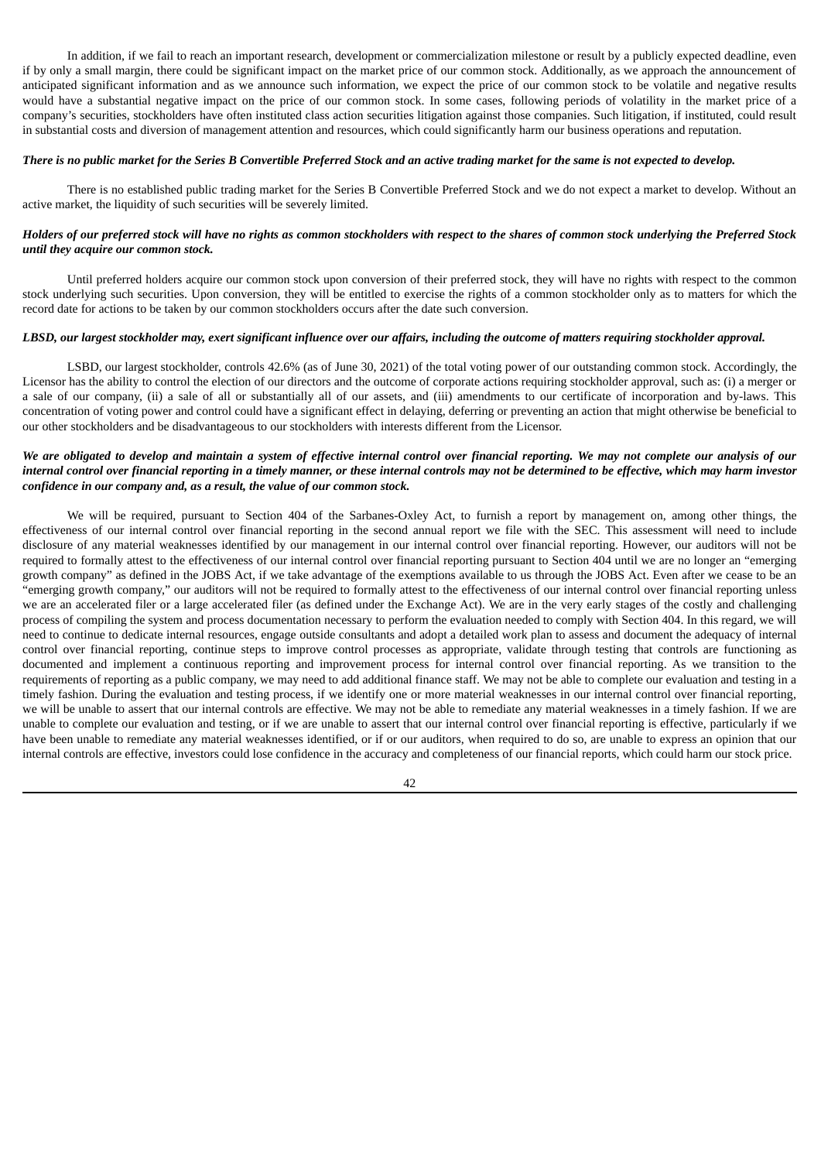In addition, if we fail to reach an important research, development or commercialization milestone or result by a publicly expected deadline, even if by only a small margin, there could be significant impact on the market price of our common stock. Additionally, as we approach the announcement of anticipated significant information and as we announce such information, we expect the price of our common stock to be volatile and negative results would have a substantial negative impact on the price of our common stock. In some cases, following periods of volatility in the market price of a company's securities, stockholders have often instituted class action securities litigation against those companies. Such litigation, if instituted, could result in substantial costs and diversion of management attention and resources, which could significantly harm our business operations and reputation.

#### There is no public market for the Series B Convertible Preferred Stock and an active trading market for the same is not expected to develop.

There is no established public trading market for the Series B Convertible Preferred Stock and we do not expect a market to develop. Without an active market, the liquidity of such securities will be severely limited.

### Holders of our preferred stock will have no rights as common stockholders with respect to the shares of common stock underlying the Preferred Stock *until they acquire our common stock.*

Until preferred holders acquire our common stock upon conversion of their preferred stock, they will have no rights with respect to the common stock underlying such securities. Upon conversion, they will be entitled to exercise the rights of a common stockholder only as to matters for which the record date for actions to be taken by our common stockholders occurs after the date such conversion.

#### LBSD, our largest stockholder may, exert significant influence over our affairs, including the outcome of matters requiring stockholder approval.

LSBD, our largest stockholder, controls 42.6% (as of June 30, 2021) of the total voting power of our outstanding common stock. Accordingly, the Licensor has the ability to control the election of our directors and the outcome of corporate actions requiring stockholder approval, such as: (i) a merger or a sale of our company, (ii) a sale of all or substantially all of our assets, and (iii) amendments to our certificate of incorporation and by-laws. This concentration of voting power and control could have a significant effect in delaying, deferring or preventing an action that might otherwise be beneficial to our other stockholders and be disadvantageous to our stockholders with interests different from the Licensor.

### We are obligated to develop and maintain a system of effective internal control over financial reporting. We may not complete our analysis of our internal control over financial reporting in a timely manner, or these internal controls may not be determined to be effective, which may harm investor *confidence in our company and, as a result, the value of our common stock.*

We will be required, pursuant to Section 404 of the Sarbanes-Oxley Act, to furnish a report by management on, among other things, the effectiveness of our internal control over financial reporting in the second annual report we file with the SEC. This assessment will need to include disclosure of any material weaknesses identified by our management in our internal control over financial reporting. However, our auditors will not be required to formally attest to the effectiveness of our internal control over financial reporting pursuant to Section 404 until we are no longer an "emerging growth company" as defined in the JOBS Act, if we take advantage of the exemptions available to us through the JOBS Act. Even after we cease to be an "emerging growth company," our auditors will not be required to formally attest to the effectiveness of our internal control over financial reporting unless we are an accelerated filer or a large accelerated filer (as defined under the Exchange Act). We are in the very early stages of the costly and challenging process of compiling the system and process documentation necessary to perform the evaluation needed to comply with Section 404. In this regard, we will need to continue to dedicate internal resources, engage outside consultants and adopt a detailed work plan to assess and document the adequacy of internal control over financial reporting, continue steps to improve control processes as appropriate, validate through testing that controls are functioning as documented and implement a continuous reporting and improvement process for internal control over financial reporting. As we transition to the requirements of reporting as a public company, we may need to add additional finance staff. We may not be able to complete our evaluation and testing in a timely fashion. During the evaluation and testing process, if we identify one or more material weaknesses in our internal control over financial reporting, we will be unable to assert that our internal controls are effective. We may not be able to remediate any material weaknesses in a timely fashion. If we are unable to complete our evaluation and testing, or if we are unable to assert that our internal control over financial reporting is effective, particularly if we have been unable to remediate any material weaknesses identified, or if or our auditors, when required to do so, are unable to express an opinion that our internal controls are effective, investors could lose confidence in the accuracy and completeness of our financial reports, which could harm our stock price.

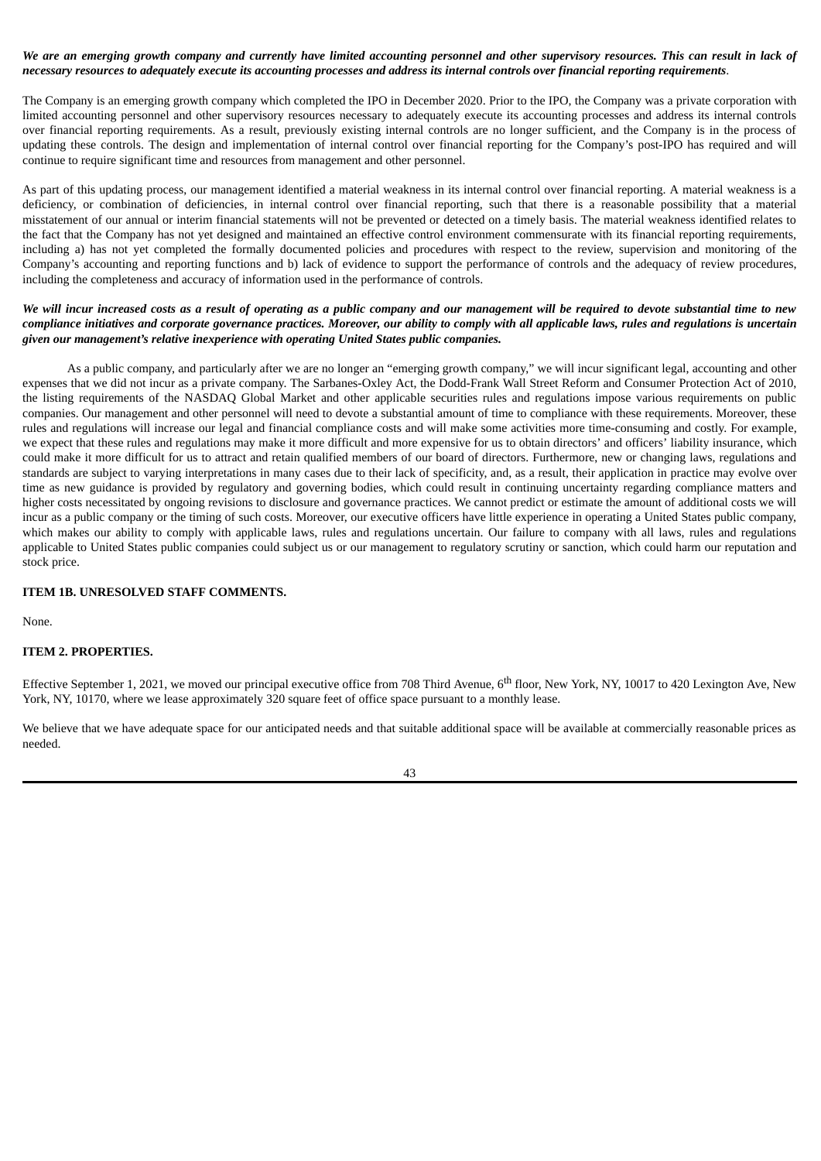#### We are an emerging growth company and currently have limited accounting personnel and other supervisory resources. This can result in lack of necessary resources to adeauately execute its accountina processes and address its internal controls over financial reportina reauirements.

The Company is an emerging growth company which completed the IPO in December 2020. Prior to the IPO, the Company was a private corporation with limited accounting personnel and other supervisory resources necessary to adequately execute its accounting processes and address its internal controls over financial reporting requirements. As a result, previously existing internal controls are no longer sufficient, and the Company is in the process of updating these controls. The design and implementation of internal control over financial reporting for the Company's post-IPO has required and will continue to require significant time and resources from management and other personnel.

As part of this updating process, our management identified a material weakness in its internal control over financial reporting. A material weakness is a deficiency, or combination of deficiencies, in internal control over financial reporting, such that there is a reasonable possibility that a material misstatement of our annual or interim financial statements will not be prevented or detected on a timely basis. The material weakness identified relates to the fact that the Company has not yet designed and maintained an effective control environment commensurate with its financial reporting requirements, including a) has not yet completed the formally documented policies and procedures with respect to the review, supervision and monitoring of the Company's accounting and reporting functions and b) lack of evidence to support the performance of controls and the adequacy of review procedures, including the completeness and accuracy of information used in the performance of controls.

# We will incur increased costs as a result of operating as a public company and our management will be required to devote substantial time to new compliance initiatives and corporate governance practices. Moreover, our ability to comply with all applicable laws, rules and regulations is uncertain *given our management's relative inexperience with operating United States public companies.*

As a public company, and particularly after we are no longer an "emerging growth company," we will incur significant legal, accounting and other expenses that we did not incur as a private company. The Sarbanes-Oxley Act, the Dodd-Frank Wall Street Reform and Consumer Protection Act of 2010, the listing requirements of the NASDAQ Global Market and other applicable securities rules and regulations impose various requirements on public companies. Our management and other personnel will need to devote a substantial amount of time to compliance with these requirements. Moreover, these rules and regulations will increase our legal and financial compliance costs and will make some activities more time-consuming and costly. For example, we expect that these rules and regulations may make it more difficult and more expensive for us to obtain directors' and officers' liability insurance, which could make it more difficult for us to attract and retain qualified members of our board of directors. Furthermore, new or changing laws, regulations and standards are subject to varying interpretations in many cases due to their lack of specificity, and, as a result, their application in practice may evolve over time as new guidance is provided by regulatory and governing bodies, which could result in continuing uncertainty regarding compliance matters and higher costs necessitated by ongoing revisions to disclosure and governance practices. We cannot predict or estimate the amount of additional costs we will incur as a public company or the timing of such costs. Moreover, our executive officers have little experience in operating a United States public company, which makes our ability to comply with applicable laws, rules and regulations uncertain. Our failure to company with all laws, rules and regulations applicable to United States public companies could subject us or our management to regulatory scrutiny or sanction, which could harm our reputation and stock price.

# **ITEM 1B. UNRESOLVED STAFF COMMENTS.**

None.

# **ITEM 2. PROPERTIES.**

Effective September 1, 2021, we moved our principal executive office from 708 Third Avenue, 6<sup>th</sup> floor, New York, NY, 10017 to 420 Lexington Ave, New York, NY, 10170, where we lease approximately 320 square feet of office space pursuant to a monthly lease.

We believe that we have adequate space for our anticipated needs and that suitable additional space will be available at commercially reasonable prices as needed.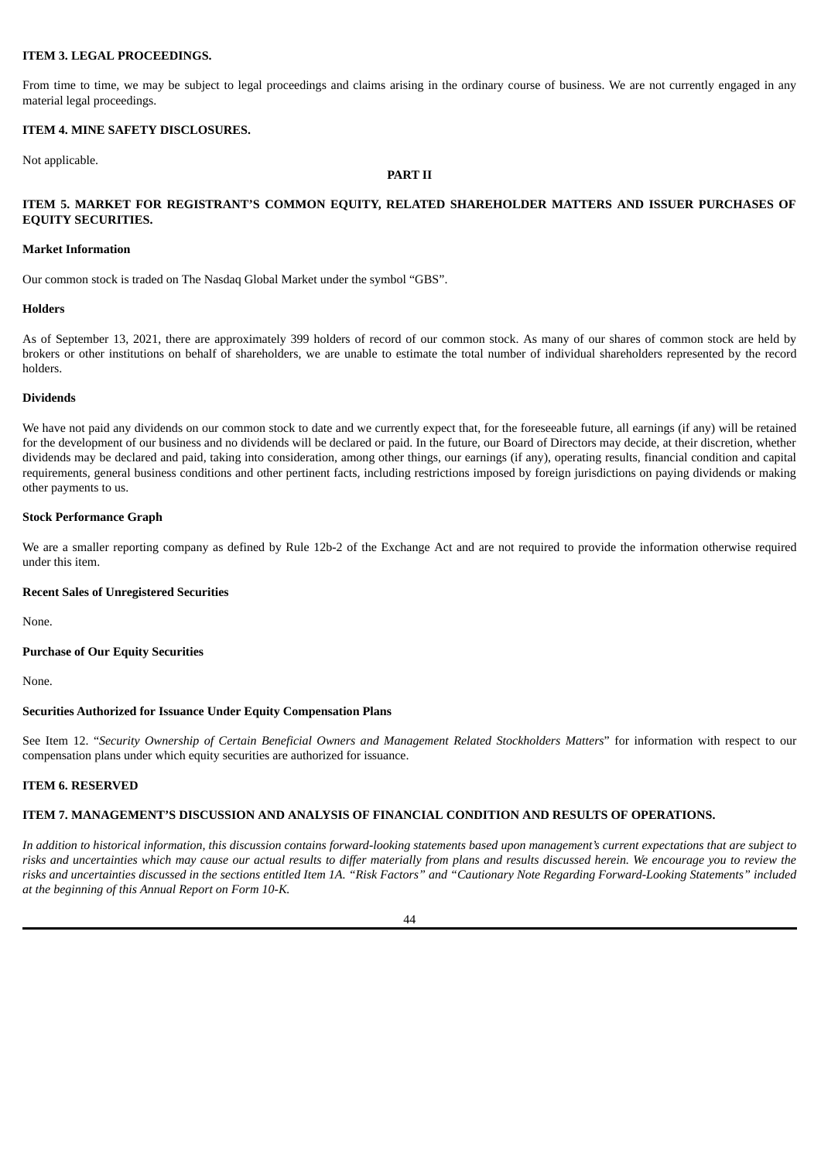# **ITEM 3. LEGAL PROCEEDINGS.**

From time to time, we may be subject to legal proceedings and claims arising in the ordinary course of business. We are not currently engaged in any material legal proceedings.

# **ITEM 4. MINE SAFETY DISCLOSURES.**

Not applicable.

#### **PART II**

# **ITEM 5. MARKET FOR REGISTRANT'S COMMON EQUITY, RELATED SHAREHOLDER MATTERS AND ISSUER PURCHASES OF EQUITY SECURITIES.**

#### **Market Information**

Our common stock is traded on The Nasdaq Global Market under the symbol "GBS".

#### **Holders**

As of September 13, 2021, there are approximately 399 holders of record of our common stock. As many of our shares of common stock are held by brokers or other institutions on behalf of shareholders, we are unable to estimate the total number of individual shareholders represented by the record holders.

#### **Dividends**

We have not paid any dividends on our common stock to date and we currently expect that, for the foreseeable future, all earnings (if any) will be retained for the development of our business and no dividends will be declared or paid. In the future, our Board of Directors may decide, at their discretion, whether dividends may be declared and paid, taking into consideration, among other things, our earnings (if any), operating results, financial condition and capital requirements, general business conditions and other pertinent facts, including restrictions imposed by foreign jurisdictions on paying dividends or making other payments to us.

### **Stock Performance Graph**

We are a smaller reporting company as defined by Rule 12b-2 of the Exchange Act and are not required to provide the information otherwise required under this item.

# **Recent Sales of Unregistered Securities**

None.

# **Purchase of Our Equity Securities**

None.

# **Securities Authorized for Issuance Under Equity Compensation Plans**

See Item 12. "*Security Ownership of Certain Beneficial Owners and Management Related Stockholders Matters*" for information with respect to our compensation plans under which equity securities are authorized for issuance.

# **ITEM 6. RESERVED**

# **ITEM 7. MANAGEMENT'S DISCUSSION AND ANALYSIS OF FINANCIAL CONDITION AND RESULTS OF OPERATIONS.**

In addition to historical information, this discussion contains forward-looking statements based upon management's current expectations that are subject to risks and uncertainties which may cause our actual results to differ materially from plans and results discussed herein. We encourage you to review the risks and uncertainties discussed in the sections entitled Item 1A. "Risk Factors" and "Cautionary Note Regarding Forward-Looking Statements" included *at the beginning of this Annual Report on Form 10-K.*

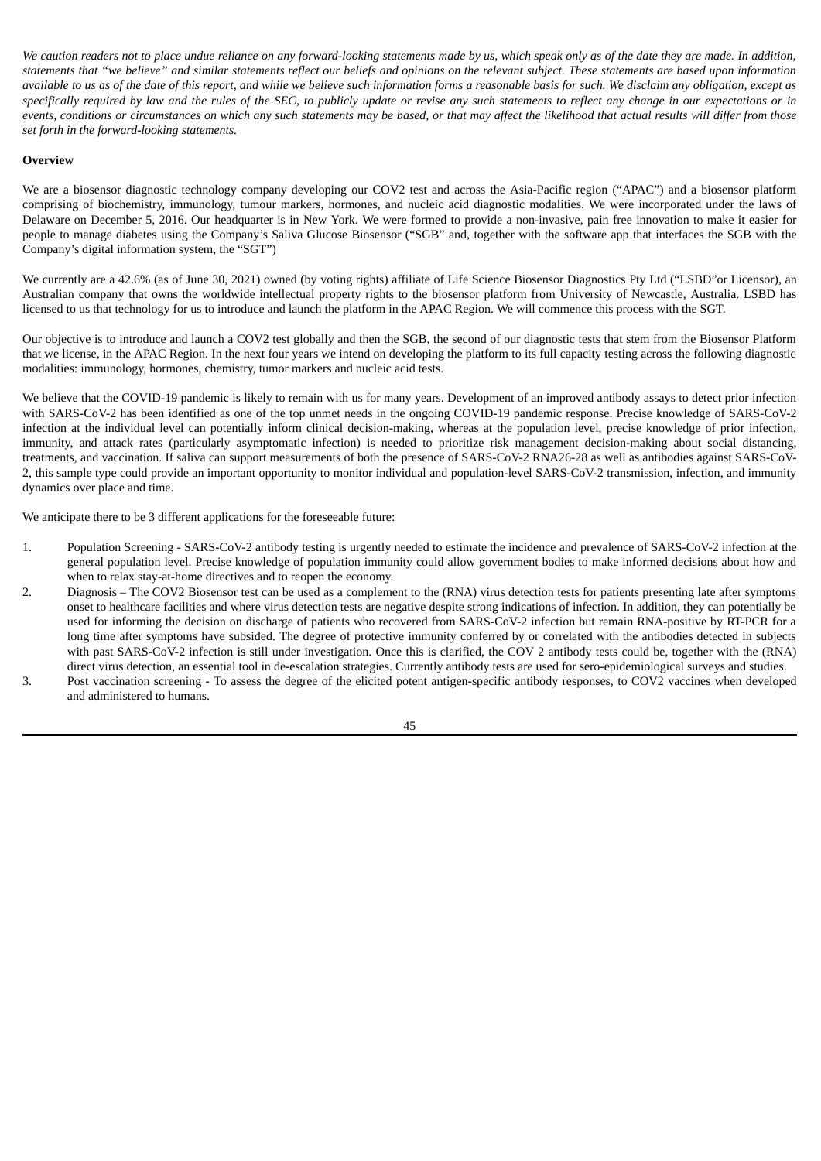We caution readers not to place undue reliance on any forward-looking statements made by us, which speak only as of the date they are made. In addition, statements that "we believe" and similar statements reflect our beliefs and opinions on the relevant subject. These statements are based upon information available to us as of the date of this report, and while we believe such information forms a reasonable basis for such. We disclaim any obligation, except as specifically required by law and the rules of the SEC, to publicly update or revise any such statements to reflect any change in our expectations or in events, conditions or circumstances on which any such statements may be based, or that may affect the likelihood that actual results will differ from those *set forth in the forward-looking statements.*

# **Overview**

We are a biosensor diagnostic technology company developing our COV2 test and across the Asia-Pacific region ("APAC") and a biosensor platform comprising of biochemistry, immunology, tumour markers, hormones, and nucleic acid diagnostic modalities. We were incorporated under the laws of Delaware on December 5, 2016. Our headquarter is in New York. We were formed to provide a non-invasive, pain free innovation to make it easier for people to manage diabetes using the Company's Saliva Glucose Biosensor ("SGB" and, together with the software app that interfaces the SGB with the Company's digital information system, the "SGT")

We currently are a 42.6% (as of June 30, 2021) owned (by voting rights) affiliate of Life Science Biosensor Diagnostics Pty Ltd ("LSBD"or Licensor), an Australian company that owns the worldwide intellectual property rights to the biosensor platform from University of Newcastle, Australia. LSBD has licensed to us that technology for us to introduce and launch the platform in the APAC Region. We will commence this process with the SGT.

Our objective is to introduce and launch a COV2 test globally and then the SGB, the second of our diagnostic tests that stem from the Biosensor Platform that we license, in the APAC Region. In the next four years we intend on developing the platform to its full capacity testing across the following diagnostic modalities: immunology, hormones, chemistry, tumor markers and nucleic acid tests.

We believe that the COVID-19 pandemic is likely to remain with us for many years. Development of an improved antibody assays to detect prior infection with SARS-CoV-2 has been identified as one of the top unmet needs in the ongoing COVID-19 pandemic response. Precise knowledge of SARS-CoV-2 infection at the individual level can potentially inform clinical decision-making, whereas at the population level, precise knowledge of prior infection, immunity, and attack rates (particularly asymptomatic infection) is needed to prioritize risk management decision-making about social distancing, treatments, and vaccination. If saliva can support measurements of both the presence of SARS-CoV-2 RNA26-28 as well as antibodies against SARS-CoV-2, this sample type could provide an important opportunity to monitor individual and population-level SARS-CoV-2 transmission, infection, and immunity dynamics over place and time.

We anticipate there to be 3 different applications for the foreseeable future:

- 1. Population Screening SARS-CoV-2 antibody testing is urgently needed to estimate the incidence and prevalence of SARS-CoV-2 infection at the general population level. Precise knowledge of population immunity could allow government bodies to make informed decisions about how and when to relax stay-at-home directives and to reopen the economy.
- 2. Diagnosis The COV2 Biosensor test can be used as a complement to the (RNA) virus detection tests for patients presenting late after symptoms onset to healthcare facilities and where virus detection tests are negative despite strong indications of infection. In addition, they can potentially be used for informing the decision on discharge of patients who recovered from SARS-CoV-2 infection but remain RNA-positive by RT-PCR for a long time after symptoms have subsided. The degree of protective immunity conferred by or correlated with the antibodies detected in subjects with past SARS-CoV-2 infection is still under investigation. Once this is clarified, the COV 2 antibody tests could be, together with the (RNA) direct virus detection, an essential tool in de-escalation strategies. Currently antibody tests are used for sero-epidemiological surveys and studies.
- 3. Post vaccination screening To assess the degree of the elicited potent antigen-specific antibody responses, to COV2 vaccines when developed and administered to humans.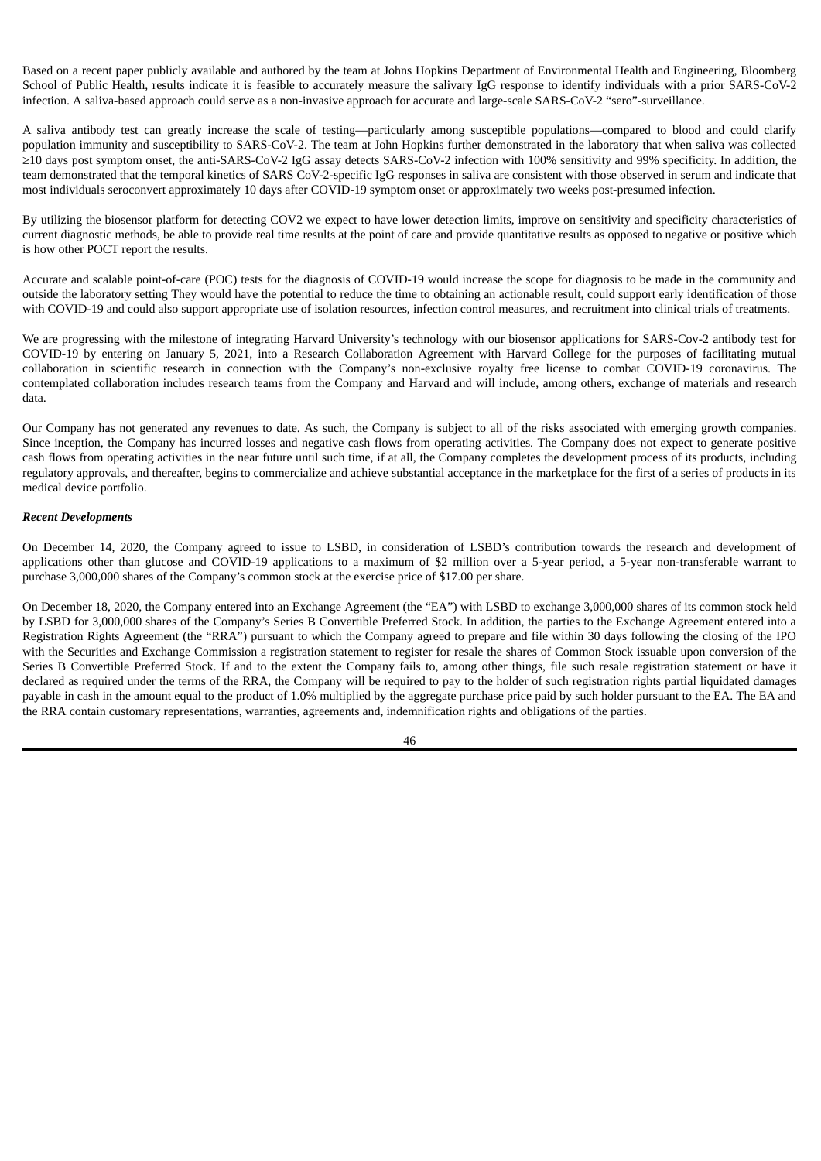Based on a recent paper publicly available and authored by the team at Johns Hopkins Department of Environmental Health and Engineering, Bloomberg School of Public Health, results indicate it is feasible to accurately measure the salivary IgG response to identify individuals with a prior SARS-CoV-2 infection. A saliva-based approach could serve as a non-invasive approach for accurate and large-scale SARS-CoV-2 "sero"-surveillance.

A saliva antibody test can greatly increase the scale of testing—particularly among susceptible populations—compared to blood and could clarify population immunity and susceptibility to SARS-CoV-2. The team at John Hopkins further demonstrated in the laboratory that when saliva was collected ≥10 days post symptom onset, the anti-SARS-CoV-2 IgG assay detects SARS-CoV-2 infection with 100% sensitivity and 99% specificity. In addition, the team demonstrated that the temporal kinetics of SARS CoV-2-specific IgG responses in saliva are consistent with those observed in serum and indicate that most individuals seroconvert approximately 10 days after COVID-19 symptom onset or approximately two weeks post-presumed infection.

By utilizing the biosensor platform for detecting COV2 we expect to have lower detection limits, improve on sensitivity and specificity characteristics of current diagnostic methods, be able to provide real time results at the point of care and provide quantitative results as opposed to negative or positive which is how other POCT report the results.

Accurate and scalable point-of-care (POC) tests for the diagnosis of COVID-19 would increase the scope for diagnosis to be made in the community and outside the laboratory setting They would have the potential to reduce the time to obtaining an actionable result, could support early identification of those with COVID-19 and could also support appropriate use of isolation resources, infection control measures, and recruitment into clinical trials of treatments.

We are progressing with the milestone of integrating Harvard University's technology with our biosensor applications for SARS-Cov-2 antibody test for COVID-19 by entering on January 5, 2021, into a Research Collaboration Agreement with Harvard College for the purposes of facilitating mutual collaboration in scientific research in connection with the Company's non-exclusive royalty free license to combat COVID-19 coronavirus. The contemplated collaboration includes research teams from the Company and Harvard and will include, among others, exchange of materials and research data.

Our Company has not generated any revenues to date. As such, the Company is subject to all of the risks associated with emerging growth companies. Since inception, the Company has incurred losses and negative cash flows from operating activities. The Company does not expect to generate positive cash flows from operating activities in the near future until such time, if at all, the Company completes the development process of its products, including regulatory approvals, and thereafter, begins to commercialize and achieve substantial acceptance in the marketplace for the first of a series of products in its medical device portfolio.

# *Recent Developments*

On December 14, 2020, the Company agreed to issue to LSBD, in consideration of LSBD's contribution towards the research and development of applications other than glucose and COVID-19 applications to a maximum of \$2 million over a 5-year period, a 5-year non-transferable warrant to purchase 3,000,000 shares of the Company's common stock at the exercise price of \$17.00 per share.

On December 18, 2020, the Company entered into an Exchange Agreement (the "EA") with LSBD to exchange 3,000,000 shares of its common stock held by LSBD for 3,000,000 shares of the Company's Series B Convertible Preferred Stock. In addition, the parties to the Exchange Agreement entered into a Registration Rights Agreement (the "RRA") pursuant to which the Company agreed to prepare and file within 30 days following the closing of the IPO with the Securities and Exchange Commission a registration statement to register for resale the shares of Common Stock issuable upon conversion of the Series B Convertible Preferred Stock. If and to the extent the Company fails to, among other things, file such resale registration statement or have it declared as required under the terms of the RRA, the Company will be required to pay to the holder of such registration rights partial liquidated damages payable in cash in the amount equal to the product of 1.0% multiplied by the aggregate purchase price paid by such holder pursuant to the EA. The EA and the RRA contain customary representations, warranties, agreements and, indemnification rights and obligations of the parties.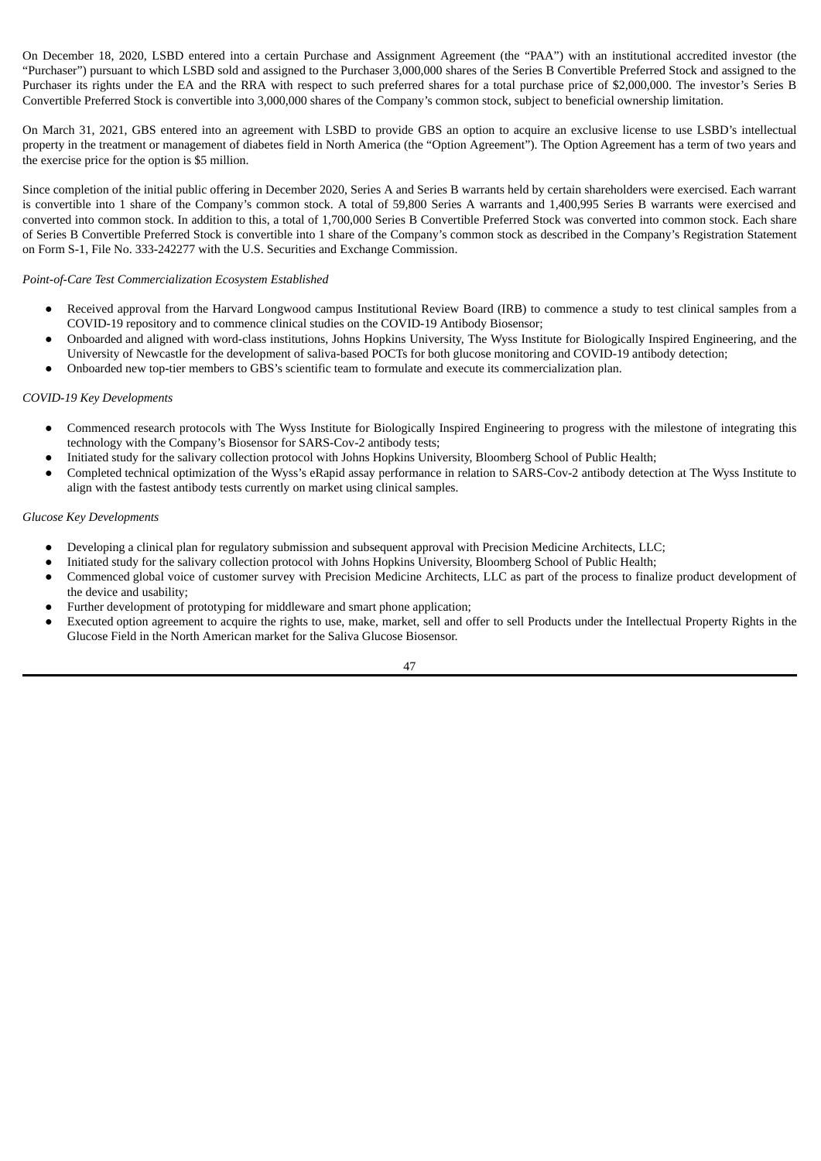On December 18, 2020, LSBD entered into a certain Purchase and Assignment Agreement (the "PAA") with an institutional accredited investor (the "Purchaser") pursuant to which LSBD sold and assigned to the Purchaser 3,000,000 shares of the Series B Convertible Preferred Stock and assigned to the Purchaser its rights under the EA and the RRA with respect to such preferred shares for a total purchase price of \$2,000,000. The investor's Series B Convertible Preferred Stock is convertible into 3,000,000 shares of the Company's common stock, subject to beneficial ownership limitation.

On March 31, 2021, GBS entered into an agreement with LSBD to provide GBS an option to acquire an exclusive license to use LSBD's intellectual property in the treatment or management of diabetes field in North America (the "Option Agreement"). The Option Agreement has a term of two years and the exercise price for the option is \$5 million.

Since completion of the initial public offering in December 2020, Series A and Series B warrants held by certain shareholders were exercised. Each warrant is convertible into 1 share of the Company's common stock. A total of 59,800 Series A warrants and 1,400,995 Series B warrants were exercised and converted into common stock. In addition to this, a total of 1,700,000 Series B Convertible Preferred Stock was converted into common stock. Each share of Series B Convertible Preferred Stock is convertible into 1 share of the Company's common stock as described in the Company's Registration Statement on Form S-1, File No. 333-242277 with the U.S. Securities and Exchange Commission.

### *Point-of-Care Test Commercialization Ecosystem Established*

- Received approval from the Harvard Longwood campus Institutional Review Board (IRB) to commence a study to test clinical samples from a COVID-19 repository and to commence clinical studies on the COVID-19 Antibody Biosensor;
- Onboarded and aligned with word-class institutions, Johns Hopkins University, The Wyss Institute for Biologically Inspired Engineering, and the University of Newcastle for the development of saliva-based POCTs for both glucose monitoring and COVID-19 antibody detection;
- Onboarded new top-tier members to GBS's scientific team to formulate and execute its commercialization plan.

#### *COVID-19 Key Developments*

- Commenced research protocols with The Wyss Institute for Biologically Inspired Engineering to progress with the milestone of integrating this technology with the Company's Biosensor for SARS-Cov-2 antibody tests;
- Initiated study for the salivary collection protocol with Johns Hopkins University, Bloomberg School of Public Health;
- Completed technical optimization of the Wyss's eRapid assay performance in relation to SARS-Cov-2 antibody detection at The Wyss Institute to align with the fastest antibody tests currently on market using clinical samples.

#### *Glucose Key Developments*

- Developing a clinical plan for regulatory submission and subsequent approval with Precision Medicine Architects, LLC;
- Initiated study for the salivary collection protocol with Johns Hopkins University, Bloomberg School of Public Health;
- Commenced global voice of customer survey with Precision Medicine Architects, LLC as part of the process to finalize product development of the device and usability;
- Further development of prototyping for middleware and smart phone application;
- Executed option agreement to acquire the rights to use, make, market, sell and offer to sell Products under the Intellectual Property Rights in the Glucose Field in the North American market for the Saliva Glucose Biosensor.

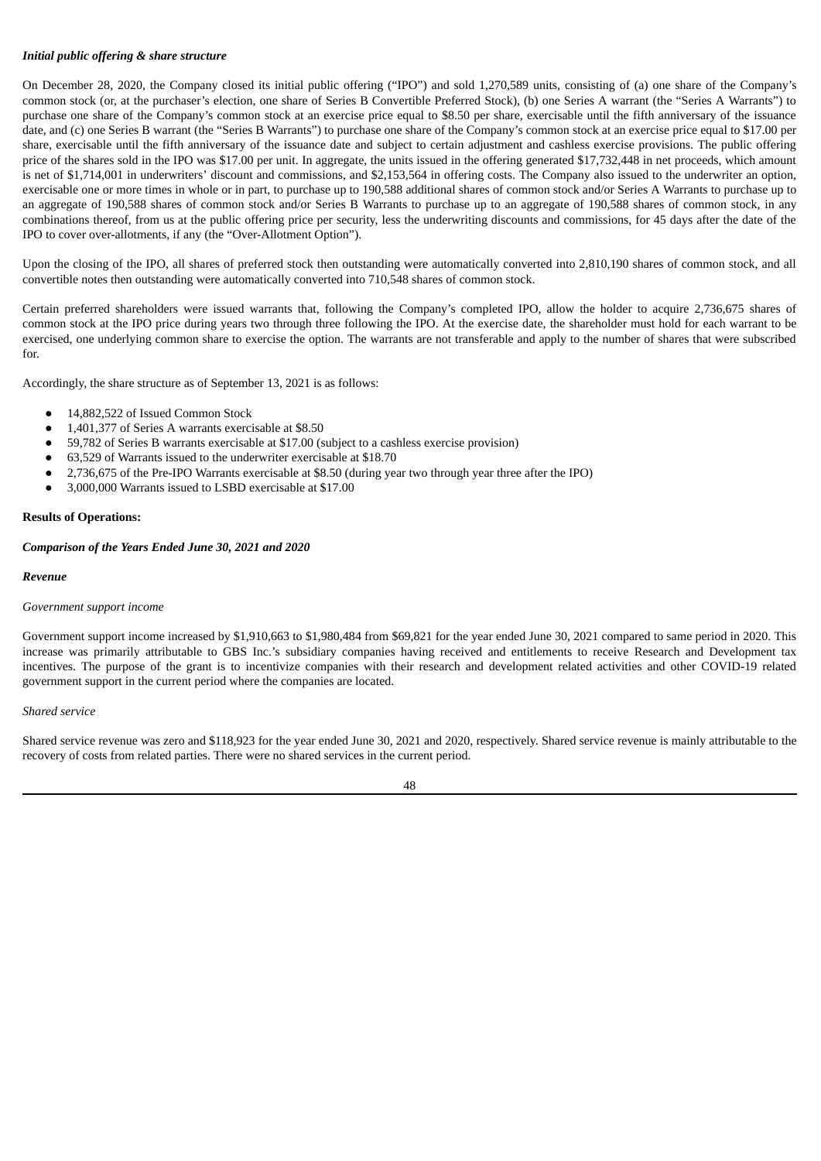# *Initial public offering & share structure*

On December 28, 2020, the Company closed its initial public offering ("IPO") and sold 1,270,589 units, consisting of (a) one share of the Company's common stock (or, at the purchaser's election, one share of Series B Convertible Preferred Stock), (b) one Series A warrant (the "Series A Warrants") to purchase one share of the Company's common stock at an exercise price equal to \$8.50 per share, exercisable until the fifth anniversary of the issuance date, and (c) one Series B warrant (the "Series B Warrants") to purchase one share of the Company's common stock at an exercise price equal to \$17.00 per share, exercisable until the fifth anniversary of the issuance date and subject to certain adjustment and cashless exercise provisions. The public offering price of the shares sold in the IPO was \$17.00 per unit. In aggregate, the units issued in the offering generated \$17,732,448 in net proceeds, which amount is net of \$1,714,001 in underwriters' discount and commissions, and \$2,153,564 in offering costs. The Company also issued to the underwriter an option, exercisable one or more times in whole or in part, to purchase up to 190,588 additional shares of common stock and/or Series A Warrants to purchase up to an aggregate of 190,588 shares of common stock and/or Series B Warrants to purchase up to an aggregate of 190,588 shares of common stock, in any combinations thereof, from us at the public offering price per security, less the underwriting discounts and commissions, for 45 days after the date of the IPO to cover over-allotments, if any (the "Over-Allotment Option").

Upon the closing of the IPO, all shares of preferred stock then outstanding were automatically converted into 2,810,190 shares of common stock, and all convertible notes then outstanding were automatically converted into 710,548 shares of common stock.

Certain preferred shareholders were issued warrants that, following the Company's completed IPO, allow the holder to acquire 2,736,675 shares of common stock at the IPO price during years two through three following the IPO. At the exercise date, the shareholder must hold for each warrant to be exercised, one underlying common share to exercise the option. The warrants are not transferable and apply to the number of shares that were subscribed for.

Accordingly, the share structure as of September 13, 2021 is as follows:

- 14,882,522 of Issued Common Stock
- 1,401,377 of Series A warrants exercisable at \$8.50
- 59,782 of Series B warrants exercisable at \$17.00 (subject to a cashless exercise provision)
- 63,529 of Warrants issued to the underwriter exercisable at \$18.70
- 2,736,675 of the Pre-IPO Warrants exercisable at \$8.50 (during year two through year three after the IPO)
- 3,000,000 Warrants issued to LSBD exercisable at \$17.00

#### **Results of Operations:**

#### *Comparison of the Years Ended June 30, 2021 and 2020*

#### *Revenue*

#### *Government support income*

Government support income increased by \$1,910,663 to \$1,980,484 from \$69,821 for the year ended June 30, 2021 compared to same period in 2020. This increase was primarily attributable to GBS Inc.'s subsidiary companies having received and entitlements to receive Research and Development tax incentives. The purpose of the grant is to incentivize companies with their research and development related activities and other COVID-19 related government support in the current period where the companies are located.

#### *Shared service*

Shared service revenue was zero and \$118,923 for the year ended June 30, 2021 and 2020, respectively. Shared service revenue is mainly attributable to the recovery of costs from related parties. There were no shared services in the current period.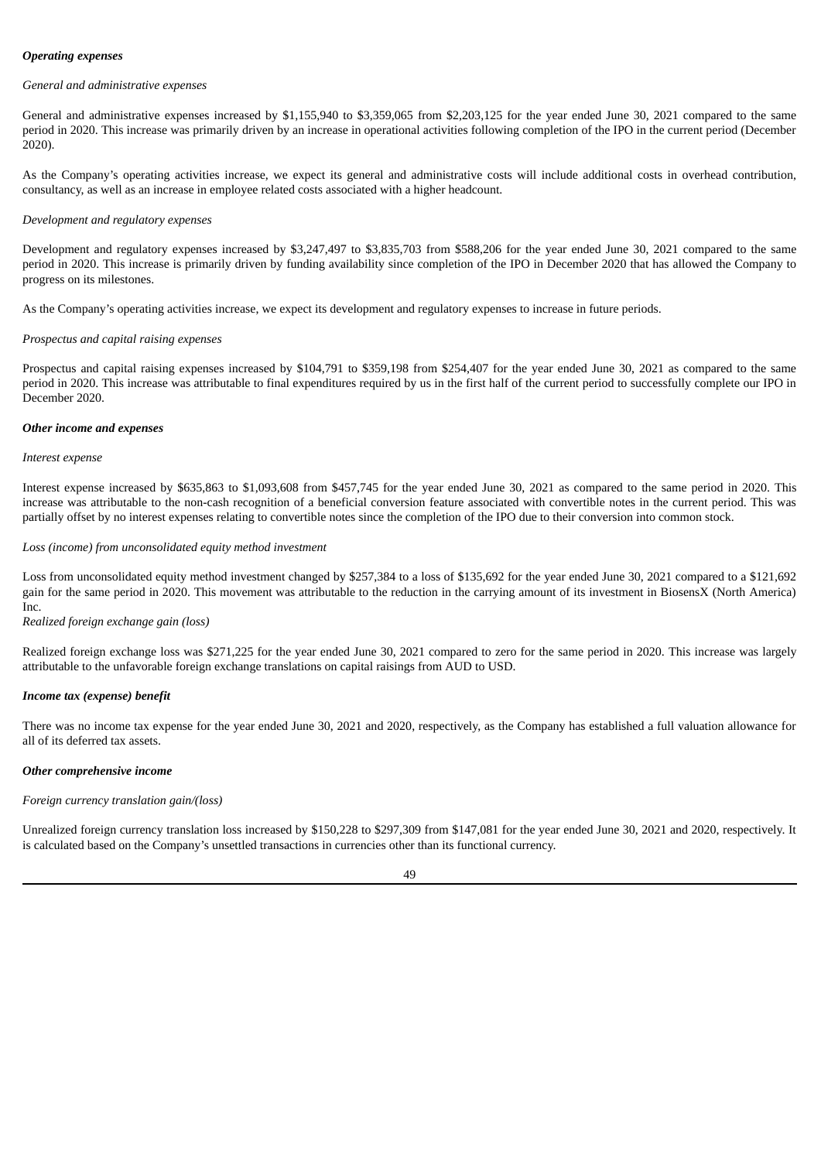# *Operating expenses*

#### *General and administrative expenses*

General and administrative expenses increased by \$1,155,940 to \$3,359,065 from \$2,203,125 for the year ended June 30, 2021 compared to the same period in 2020. This increase was primarily driven by an increase in operational activities following completion of the IPO in the current period (December 2020).

As the Company's operating activities increase, we expect its general and administrative costs will include additional costs in overhead contribution, consultancy, as well as an increase in employee related costs associated with a higher headcount.

#### *Development and regulatory expenses*

Development and regulatory expenses increased by \$3,247,497 to \$3,835,703 from \$588,206 for the year ended June 30, 2021 compared to the same period in 2020. This increase is primarily driven by funding availability since completion of the IPO in December 2020 that has allowed the Company to progress on its milestones.

As the Company's operating activities increase, we expect its development and regulatory expenses to increase in future periods.

#### *Prospectus and capital raising expenses*

Prospectus and capital raising expenses increased by \$104,791 to \$359,198 from \$254,407 for the year ended June 30, 2021 as compared to the same period in 2020. This increase was attributable to final expenditures required by us in the first half of the current period to successfully complete our IPO in December 2020.

#### *Other income and expenses*

#### *Interest expense*

Interest expense increased by \$635,863 to \$1,093,608 from \$457,745 for the year ended June 30, 2021 as compared to the same period in 2020. This increase was attributable to the non-cash recognition of a beneficial conversion feature associated with convertible notes in the current period. This was partially offset by no interest expenses relating to convertible notes since the completion of the IPO due to their conversion into common stock.

#### *Loss (income) from unconsolidated equity method investment*

Loss from unconsolidated equity method investment changed by \$257,384 to a loss of \$135,692 for the year ended June 30, 2021 compared to a \$121,692 gain for the same period in 2020. This movement was attributable to the reduction in the carrying amount of its investment in BiosensX (North America) Inc.

# *Realized foreign exchange gain (loss)*

Realized foreign exchange loss was \$271,225 for the year ended June 30, 2021 compared to zero for the same period in 2020. This increase was largely attributable to the unfavorable foreign exchange translations on capital raisings from AUD to USD.

#### *Income tax (expense) benefit*

There was no income tax expense for the year ended June 30, 2021 and 2020, respectively, as the Company has established a full valuation allowance for all of its deferred tax assets.

#### *Other comprehensive income*

# *Foreign currency translation gain/(loss)*

Unrealized foreign currency translation loss increased by \$150,228 to \$297,309 from \$147,081 for the year ended June 30, 2021 and 2020, respectively. It is calculated based on the Company's unsettled transactions in currencies other than its functional currency.

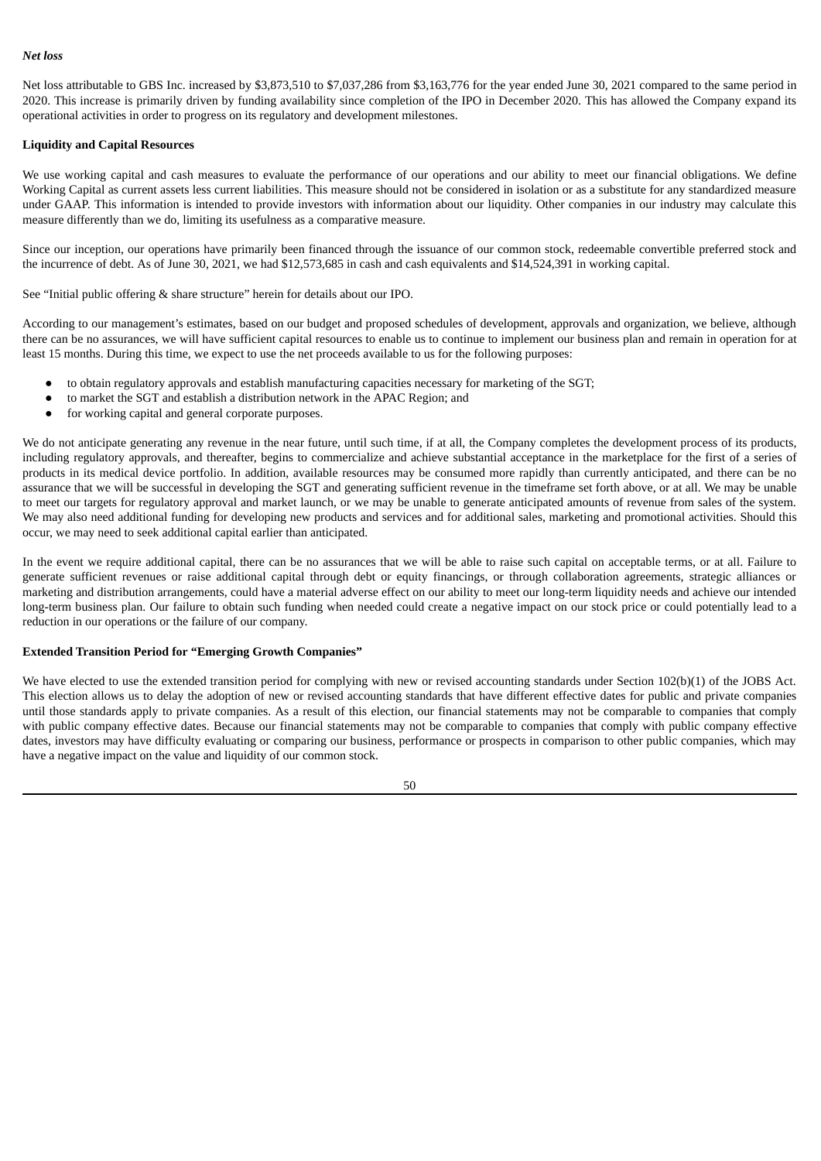### *Net loss*

Net loss attributable to GBS Inc. increased by \$3,873,510 to \$7,037,286 from \$3,163,776 for the year ended June 30, 2021 compared to the same period in 2020. This increase is primarily driven by funding availability since completion of the IPO in December 2020. This has allowed the Company expand its operational activities in order to progress on its regulatory and development milestones.

### **Liquidity and Capital Resources**

We use working capital and cash measures to evaluate the performance of our operations and our ability to meet our financial obligations. We define Working Capital as current assets less current liabilities. This measure should not be considered in isolation or as a substitute for any standardized measure under GAAP. This information is intended to provide investors with information about our liquidity. Other companies in our industry may calculate this measure differently than we do, limiting its usefulness as a comparative measure.

Since our inception, our operations have primarily been financed through the issuance of our common stock, redeemable convertible preferred stock and the incurrence of debt. As of June 30, 2021, we had \$12,573,685 in cash and cash equivalents and \$14,524,391 in working capital.

See "Initial public offering & share structure" herein for details about our IPO.

According to our management's estimates, based on our budget and proposed schedules of development, approvals and organization, we believe, although there can be no assurances, we will have sufficient capital resources to enable us to continue to implement our business plan and remain in operation for at least 15 months. During this time, we expect to use the net proceeds available to us for the following purposes:

- to obtain regulatory approvals and establish manufacturing capacities necessary for marketing of the SGT;
- to market the SGT and establish a distribution network in the APAC Region; and
- for working capital and general corporate purposes.

We do not anticipate generating any revenue in the near future, until such time, if at all, the Company completes the development process of its products, including regulatory approvals, and thereafter, begins to commercialize and achieve substantial acceptance in the marketplace for the first of a series of products in its medical device portfolio. In addition, available resources may be consumed more rapidly than currently anticipated, and there can be no assurance that we will be successful in developing the SGT and generating sufficient revenue in the timeframe set forth above, or at all. We may be unable to meet our targets for regulatory approval and market launch, or we may be unable to generate anticipated amounts of revenue from sales of the system. We may also need additional funding for developing new products and services and for additional sales, marketing and promotional activities. Should this occur, we may need to seek additional capital earlier than anticipated.

In the event we require additional capital, there can be no assurances that we will be able to raise such capital on acceptable terms, or at all. Failure to generate sufficient revenues or raise additional capital through debt or equity financings, or through collaboration agreements, strategic alliances or marketing and distribution arrangements, could have a material adverse effect on our ability to meet our long-term liquidity needs and achieve our intended long-term business plan. Our failure to obtain such funding when needed could create a negative impact on our stock price or could potentially lead to a reduction in our operations or the failure of our company.

#### **Extended Transition Period for "Emerging Growth Companies"**

We have elected to use the extended transition period for complying with new or revised accounting standards under Section 102(b)(1) of the JOBS Act. This election allows us to delay the adoption of new or revised accounting standards that have different effective dates for public and private companies until those standards apply to private companies. As a result of this election, our financial statements may not be comparable to companies that comply with public company effective dates. Because our financial statements may not be comparable to companies that comply with public company effective dates, investors may have difficulty evaluating or comparing our business, performance or prospects in comparison to other public companies, which may have a negative impact on the value and liquidity of our common stock.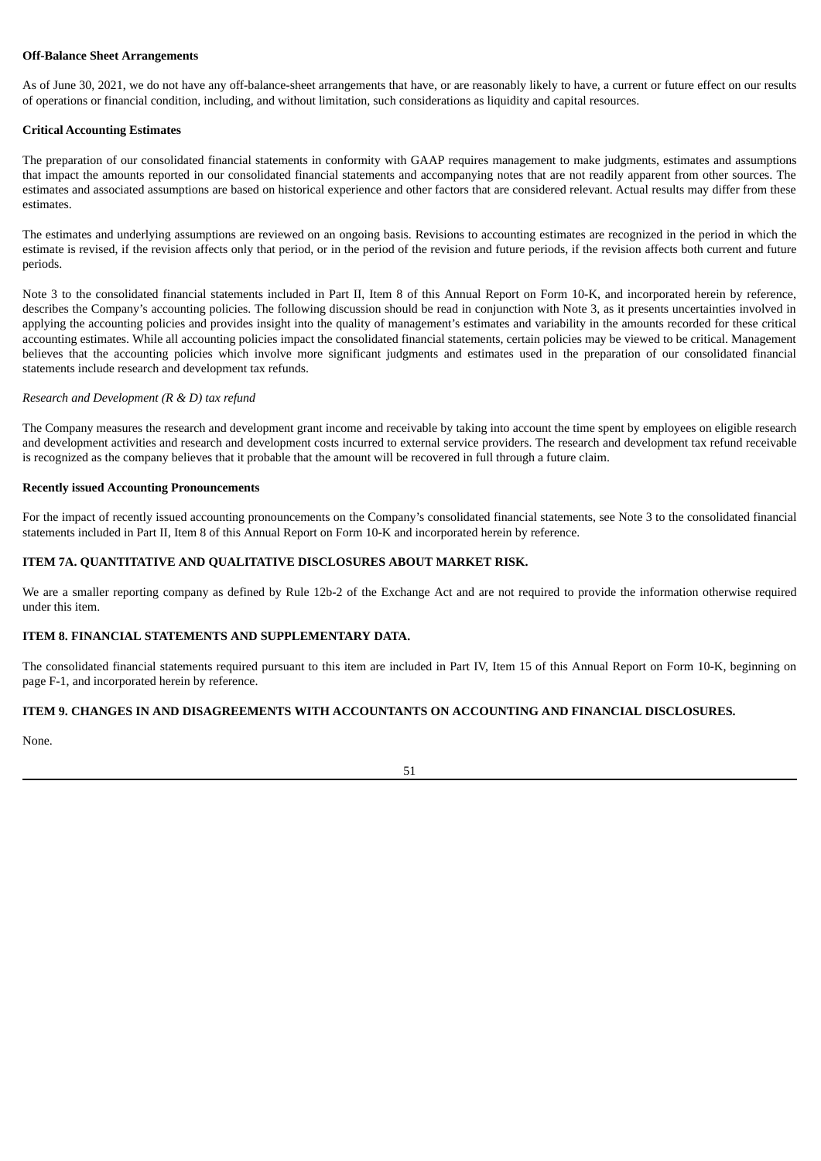#### **Off-Balance Sheet Arrangements**

As of June 30, 2021, we do not have any off-balance-sheet arrangements that have, or are reasonably likely to have, a current or future effect on our results of operations or financial condition, including, and without limitation, such considerations as liquidity and capital resources.

### **Critical Accounting Estimates**

The preparation of our consolidated financial statements in conformity with GAAP requires management to make judgments, estimates and assumptions that impact the amounts reported in our consolidated financial statements and accompanying notes that are not readily apparent from other sources. The estimates and associated assumptions are based on historical experience and other factors that are considered relevant. Actual results may differ from these estimates.

The estimates and underlying assumptions are reviewed on an ongoing basis. Revisions to accounting estimates are recognized in the period in which the estimate is revised, if the revision affects only that period, or in the period of the revision and future periods, if the revision affects both current and future periods.

Note 3 to the consolidated financial statements included in Part II, Item 8 of this Annual Report on Form 10-K, and incorporated herein by reference, describes the Company's accounting policies. The following discussion should be read in conjunction with Note 3, as it presents uncertainties involved in applying the accounting policies and provides insight into the quality of management's estimates and variability in the amounts recorded for these critical accounting estimates. While all accounting policies impact the consolidated financial statements, certain policies may be viewed to be critical. Management believes that the accounting policies which involve more significant judgments and estimates used in the preparation of our consolidated financial statements include research and development tax refunds.

#### *Research and Development (R & D) tax refund*

The Company measures the research and development grant income and receivable by taking into account the time spent by employees on eligible research and development activities and research and development costs incurred to external service providers. The research and development tax refund receivable is recognized as the company believes that it probable that the amount will be recovered in full through a future claim.

#### **Recently issued Accounting Pronouncements**

For the impact of recently issued accounting pronouncements on the Company's consolidated financial statements, see Note 3 to the consolidated financial statements included in Part II, Item 8 of this Annual Report on Form 10-K and incorporated herein by reference.

# **ITEM 7A. QUANTITATIVE AND QUALITATIVE DISCLOSURES ABOUT MARKET RISK.**

We are a smaller reporting company as defined by Rule 12b-2 of the Exchange Act and are not required to provide the information otherwise required under this item.

# **ITEM 8. FINANCIAL STATEMENTS AND SUPPLEMENTARY DATA.**

The consolidated financial statements required pursuant to this item are included in Part IV, Item 15 of this Annual Report on Form 10-K, beginning on page F-1, and incorporated herein by reference.

# **ITEM 9. CHANGES IN AND DISAGREEMENTS WITH ACCOUNTANTS ON ACCOUNTING AND FINANCIAL DISCLOSURES.**

None.

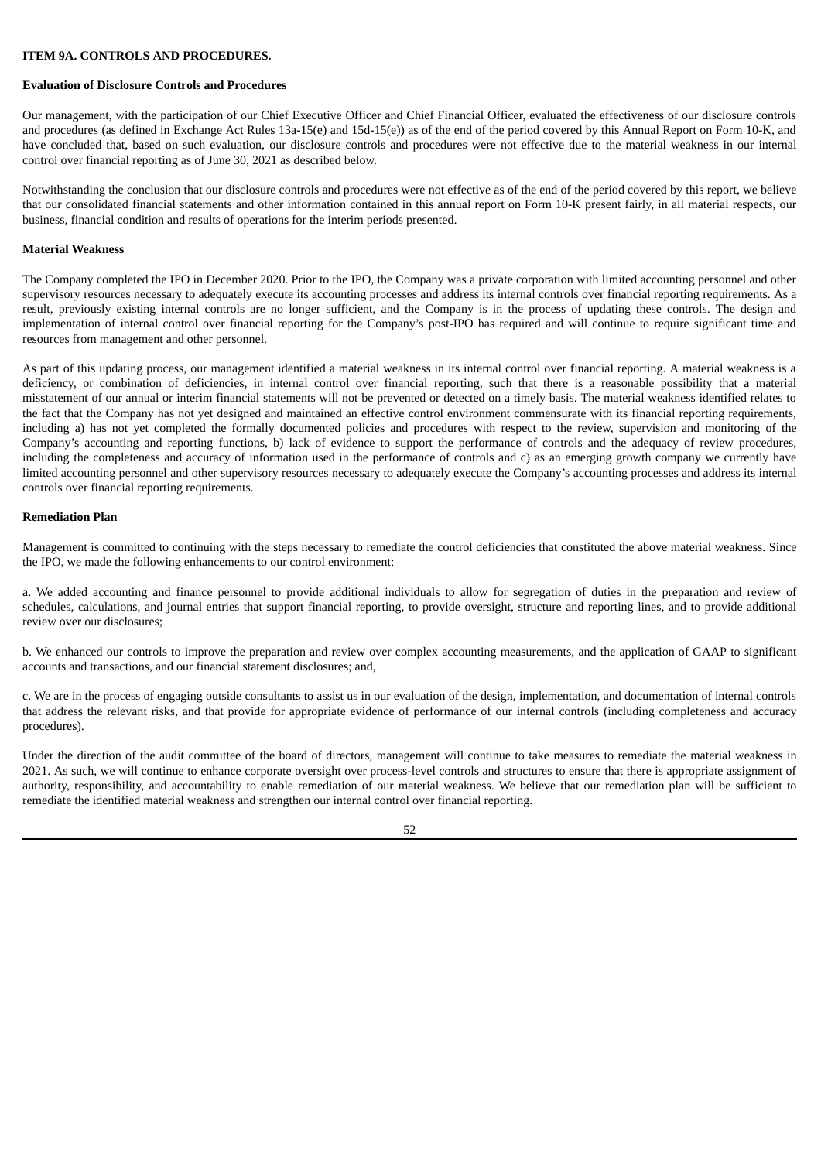# **ITEM 9A. CONTROLS AND PROCEDURES.**

# **Evaluation of Disclosure Controls and Procedures**

Our management, with the participation of our Chief Executive Officer and Chief Financial Officer, evaluated the effectiveness of our disclosure controls and procedures (as defined in Exchange Act Rules 13a-15(e) and 15d-15(e)) as of the end of the period covered by this Annual Report on Form 10-K, and have concluded that, based on such evaluation, our disclosure controls and procedures were not effective due to the material weakness in our internal control over financial reporting as of June 30, 2021 as described below.

Notwithstanding the conclusion that our disclosure controls and procedures were not effective as of the end of the period covered by this report, we believe that our consolidated financial statements and other information contained in this annual report on Form 10-K present fairly, in all material respects, our business, financial condition and results of operations for the interim periods presented.

# **Material Weakness**

The Company completed the IPO in December 2020. Prior to the IPO, the Company was a private corporation with limited accounting personnel and other supervisory resources necessary to adequately execute its accounting processes and address its internal controls over financial reporting requirements. As a result, previously existing internal controls are no longer sufficient, and the Company is in the process of updating these controls. The design and implementation of internal control over financial reporting for the Company's post-IPO has required and will continue to require significant time and resources from management and other personnel.

As part of this updating process, our management identified a material weakness in its internal control over financial reporting. A material weakness is a deficiency, or combination of deficiencies, in internal control over financial reporting, such that there is a reasonable possibility that a material misstatement of our annual or interim financial statements will not be prevented or detected on a timely basis. The material weakness identified relates to the fact that the Company has not yet designed and maintained an effective control environment commensurate with its financial reporting requirements, including a) has not yet completed the formally documented policies and procedures with respect to the review, supervision and monitoring of the Company's accounting and reporting functions, b) lack of evidence to support the performance of controls and the adequacy of review procedures, including the completeness and accuracy of information used in the performance of controls and c) as an emerging growth company we currently have limited accounting personnel and other supervisory resources necessary to adequately execute the Company's accounting processes and address its internal controls over financial reporting requirements.

#### **Remediation Plan**

Management is committed to continuing with the steps necessary to remediate the control deficiencies that constituted the above material weakness. Since the IPO, we made the following enhancements to our control environment:

a. We added accounting and finance personnel to provide additional individuals to allow for segregation of duties in the preparation and review of schedules, calculations, and journal entries that support financial reporting, to provide oversight, structure and reporting lines, and to provide additional review over our disclosures;

b. We enhanced our controls to improve the preparation and review over complex accounting measurements, and the application of GAAP to significant accounts and transactions, and our financial statement disclosures; and,

c. We are in the process of engaging outside consultants to assist us in our evaluation of the design, implementation, and documentation of internal controls that address the relevant risks, and that provide for appropriate evidence of performance of our internal controls (including completeness and accuracy procedures).

Under the direction of the audit committee of the board of directors, management will continue to take measures to remediate the material weakness in 2021. As such, we will continue to enhance corporate oversight over process-level controls and structures to ensure that there is appropriate assignment of authority, responsibility, and accountability to enable remediation of our material weakness. We believe that our remediation plan will be sufficient to remediate the identified material weakness and strengthen our internal control over financial reporting.

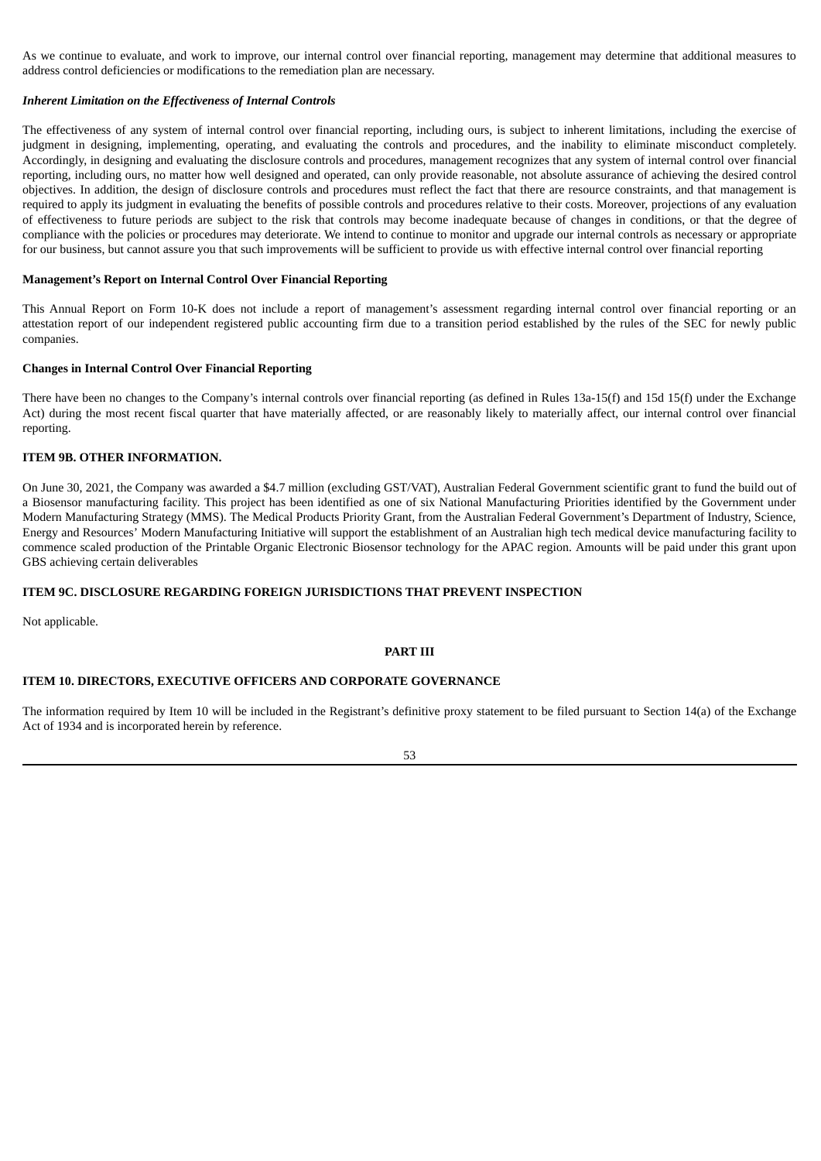As we continue to evaluate, and work to improve, our internal control over financial reporting, management may determine that additional measures to address control deficiencies or modifications to the remediation plan are necessary.

#### *Inherent Limitation on the Effectiveness of Internal Controls*

The effectiveness of any system of internal control over financial reporting, including ours, is subject to inherent limitations, including the exercise of judgment in designing, implementing, operating, and evaluating the controls and procedures, and the inability to eliminate misconduct completely. Accordingly, in designing and evaluating the disclosure controls and procedures, management recognizes that any system of internal control over financial reporting, including ours, no matter how well designed and operated, can only provide reasonable, not absolute assurance of achieving the desired control objectives. In addition, the design of disclosure controls and procedures must reflect the fact that there are resource constraints, and that management is required to apply its judgment in evaluating the benefits of possible controls and procedures relative to their costs. Moreover, projections of any evaluation of effectiveness to future periods are subject to the risk that controls may become inadequate because of changes in conditions, or that the degree of compliance with the policies or procedures may deteriorate. We intend to continue to monitor and upgrade our internal controls as necessary or appropriate for our business, but cannot assure you that such improvements will be sufficient to provide us with effective internal control over financial reporting

#### **Management's Report on Internal Control Over Financial Reporting**

This Annual Report on Form 10-K does not include a report of management's assessment regarding internal control over financial reporting or an attestation report of our independent registered public accounting firm due to a transition period established by the rules of the SEC for newly public companies.

### **Changes in Internal Control Over Financial Reporting**

There have been no changes to the Company's internal controls over financial reporting (as defined in Rules 13a-15(f) and 15d 15(f) under the Exchange Act) during the most recent fiscal quarter that have materially affected, or are reasonably likely to materially affect, our internal control over financial reporting.

#### **ITEM 9B. OTHER INFORMATION.**

On June 30, 2021, the Company was awarded a \$4.7 million (excluding GST/VAT), Australian Federal Government scientific grant to fund the build out of a Biosensor manufacturing facility. This project has been identified as one of six National Manufacturing Priorities identified by the Government under Modern Manufacturing Strategy (MMS). The Medical Products Priority Grant, from the Australian Federal Government's Department of Industry, Science, Energy and Resources' Modern Manufacturing Initiative will support the establishment of an Australian high tech medical device manufacturing facility to commence scaled production of the Printable Organic Electronic Biosensor technology for the APAC region. Amounts will be paid under this grant upon GBS achieving certain deliverables

# **ITEM 9C. DISCLOSURE REGARDING FOREIGN JURISDICTIONS THAT PREVENT INSPECTION**

Not applicable.

# **PART III**

#### **ITEM 10. DIRECTORS, EXECUTIVE OFFICERS AND CORPORATE GOVERNANCE**

The information required by Item 10 will be included in the Registrant's definitive proxy statement to be filed pursuant to Section 14(a) of the Exchange Act of 1934 and is incorporated herein by reference.

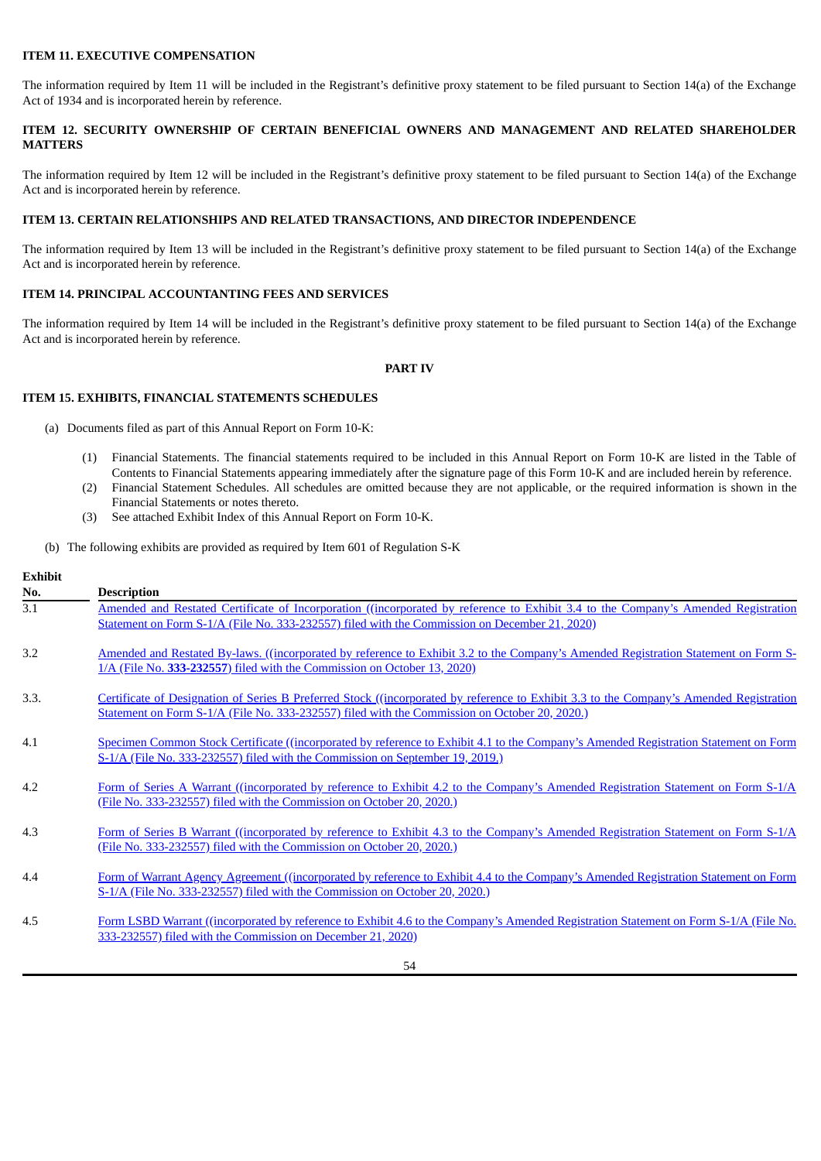# **ITEM 11. EXECUTIVE COMPENSATION**

The information required by Item 11 will be included in the Registrant's definitive proxy statement to be filed pursuant to Section 14(a) of the Exchange Act of 1934 and is incorporated herein by reference.

# **ITEM 12. SECURITY OWNERSHIP OF CERTAIN BENEFICIAL OWNERS AND MANAGEMENT AND RELATED SHAREHOLDER MATTERS**

The information required by Item 12 will be included in the Registrant's definitive proxy statement to be filed pursuant to Section 14(a) of the Exchange Act and is incorporated herein by reference.

# **ITEM 13. CERTAIN RELATIONSHIPS AND RELATED TRANSACTIONS, AND DIRECTOR INDEPENDENCE**

The information required by Item 13 will be included in the Registrant's definitive proxy statement to be filed pursuant to Section 14(a) of the Exchange Act and is incorporated herein by reference.

#### **ITEM 14. PRINCIPAL ACCOUNTANTING FEES AND SERVICES**

The information required by Item 14 will be included in the Registrant's definitive proxy statement to be filed pursuant to Section 14(a) of the Exchange Act and is incorporated herein by reference.

#### **PART IV**

#### **ITEM 15. EXHIBITS, FINANCIAL STATEMENTS SCHEDULES**

**Exhibit**

- (a) Documents filed as part of this Annual Report on Form 10-K:
	- (1) Financial Statements. The financial statements required to be included in this Annual Report on Form 10-K are listed in the Table of Contents to Financial Statements appearing immediately after the signature page of this Form 10-K and are included herein by reference.
	- (2) Financial Statement Schedules. All schedules are omitted because they are not applicable, or the required information is shown in the Financial Statements or notes thereto.
	- (3) See attached Exhibit Index of this Annual Report on Form 10-K.
- (b) The following exhibits are provided as required by Item 601 of Regulation S-K

| EXIMDIU |                                                                                                                                                                                                                                          |
|---------|------------------------------------------------------------------------------------------------------------------------------------------------------------------------------------------------------------------------------------------|
| No.     | <b>Description</b>                                                                                                                                                                                                                       |
| 3.1     | Amended and Restated Certificate of Incorporation ((incorporated by reference to Exhibit 3.4 to the Company's Amended Registration<br>Statement on Form S-1/A (File No. 333-232557) filed with the Commission on December 21, 2020)      |
| 3.2     | Amended and Restated By-laws. ((incorporated by reference to Exhibit 3.2 to the Company's Amended Registration Statement on Form S-<br>1/A (File No. 333-232557) filed with the Commission on October 13, 2020)                          |
| 3.3.    | Certificate of Designation of Series B Preferred Stock ((incorporated by reference to Exhibit 3.3 to the Company's Amended Registration<br>Statement on Form S-1/A (File No. 333-232557) filed with the Commission on October 20, 2020.) |
| 4.1     | Specimen Common Stock Certificate ((incorporated by reference to Exhibit 4.1 to the Company's Amended Registration Statement on Form<br>S-1/A (File No. 333-232557) filed with the Commission on September 19, 2019.)                    |
| 4.2     | Form of Series A Warrant ((incorporated by reference to Exhibit 4.2 to the Company's Amended Registration Statement on Form S-1/A<br>(File No. 333-232557) filed with the Commission on October 20, 2020.)                               |
| 4.3     | Form of Series B Warrant ((incorporated by reference to Exhibit 4.3 to the Company's Amended Registration Statement on Form S-1/A<br>(File No. 333-232557) filed with the Commission on October 20, 2020.)                               |
| 4.4     | Form of Warrant Agency Agreement ((incorporated by reference to Exhibit 4.4 to the Company's Amended Registration Statement on Form<br>S-1/A (File No. 333-232557) filed with the Commission on October 20, 2020.)                       |
| 4.5     | Form LSBD Warrant ((incorporated by reference to Exhibit 4.6 to the Company's Amended Registration Statement on Form S-1/A (File No.<br>333-232557) filed with the Commission on December 21, 2020)                                      |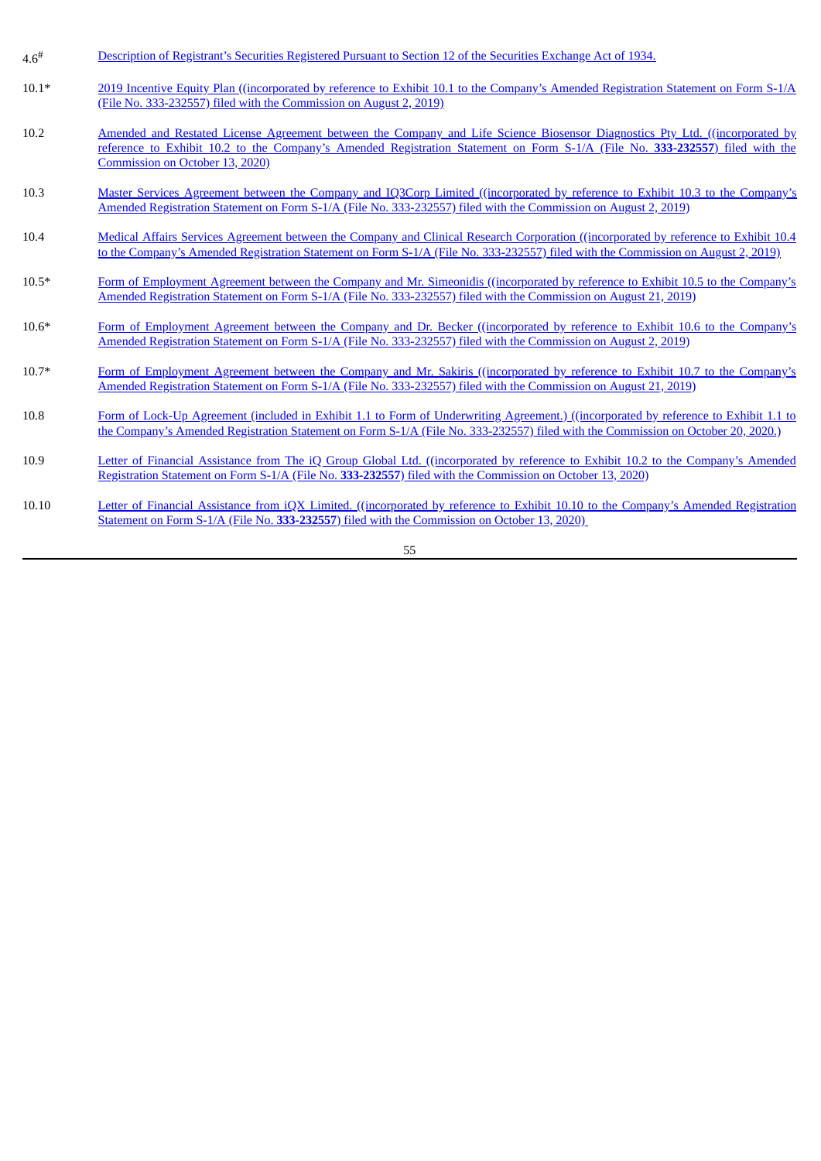| Description of Registrant's Securities Registered Pursuant to Section 12 of the Securities Exchange Act of 1934.<br>$4.6^{\#}$ |  |
|--------------------------------------------------------------------------------------------------------------------------------|--|
|--------------------------------------------------------------------------------------------------------------------------------|--|

- 10.1\* 2019 Incentive Equity Plan [\(\(incorporated](https://www.sec.gov/Archives/edgar/data/1725430/000149315219011559/ex10-1.htm) by reference to Exhibit 10.1 to the Company's Amended Registration Statement on Form S-1/A (File No. 333-232557) filed with the Commission on August 2, 2019)
- 10.2 Amended and Restated License Agreement between the Company and Life Science Biosensor Diagnostics Pty Ltd. [\(\(incorporated](https://www.sec.gov/Archives/edgar/data/1725430/000149315220019265/ex10-2.htm) by reference to Exhibit 10.2 to the Company's Amended Registration Statement on Form S-1/A (File No. **333-232557**) filed with the Commission on October 13, 2020)
- 10.3 Master Services Agreement between the Company and IQ3Corp Limited [\(\(incorporated](https://www.sec.gov/Archives/edgar/data/1725430/000149315219011559/ex10-3.htm) by reference to Exhibit 10.3 to the Company's Amended Registration Statement on Form S-1/A (File No. 333-232557) filed with the Commission on August 2, 2019)
- 10.4 Medical Affairs Services Agreement between the Company and Clinical Research Corporation [\(\(incorporated](https://www.sec.gov/Archives/edgar/data/1725430/000149315219011559/ex10-4.htm) by reference to Exhibit 10.4 to the Company's Amended Registration Statement on Form S-1/A (File No. 333-232557) filed with the Commission on August 2, 2019)
- 10.5\* Form of Employment Agreement between the Company and Mr. Simeonidis [\(\(incorporated](https://www.sec.gov/Archives/edgar/data/1725430/000149315219013224/ex10-5.htm) by reference to Exhibit 10.5 to the Company's Amended Registration Statement on Form S-1/A (File No. 333-232557) filed with the Commission on August 21, 2019)
- 10.6\* Form of Employment Agreement between the Company and Dr. Becker [\(\(incorporated](https://www.sec.gov/Archives/edgar/data/1725430/000149315219011559/ex10-6.htm) by reference to Exhibit 10.6 to the Company's Amended Registration Statement on Form S-1/A (File No. 333-232557) filed with the Commission on August 2, 2019)
- 10.7\* Form of Employment Agreement between the Company and Mr. Sakiris [\(\(incorporated](https://www.sec.gov/Archives/edgar/data/1725430/000149315219013224/ex10-7.htm) by reference to Exhibit 10.7 to the Company's Amended Registration Statement on Form S-1/A (File No. 333-232557) filed with the Commission on August 21, 2019)
- 10.8 Form of Lock-Up Agreement (included in Exhibit 1.1 to Form of Underwriting Agreement.) [\(\(incorporated](https://www.sec.gov/Archives/edgar/data/1725430/000149315220019661/ex1-1.htm) by reference to Exhibit 1.1 to the Company's Amended Registration Statement on Form S-1/A (File No. 333-232557) filed with the Commission on October 20, 2020.)
- 10.9 Letter of Financial Assistance from The iQ Group Global Ltd. [\(\(incorporated](https://www.sec.gov/Archives/edgar/data/1725430/000149315220019265/ex10-9.htm) by reference to Exhibit 10.2 to the Company's Amended Registration Statement on Form S-1/A (File No. **333-232557**) filed with the Commission on October 13, 2020)
- 10.10 Letter of Financial Assistance from iQX Limited. [\(\(incorporated](https://www.sec.gov/Archives/edgar/data/1725430/000149315220019265/ex10-10.htm) by reference to Exhibit 10.10 to the Company's Amended Registration Statement on Form S-1/A (File No. **333-232557**) filed with the Commission on October 13, 2020)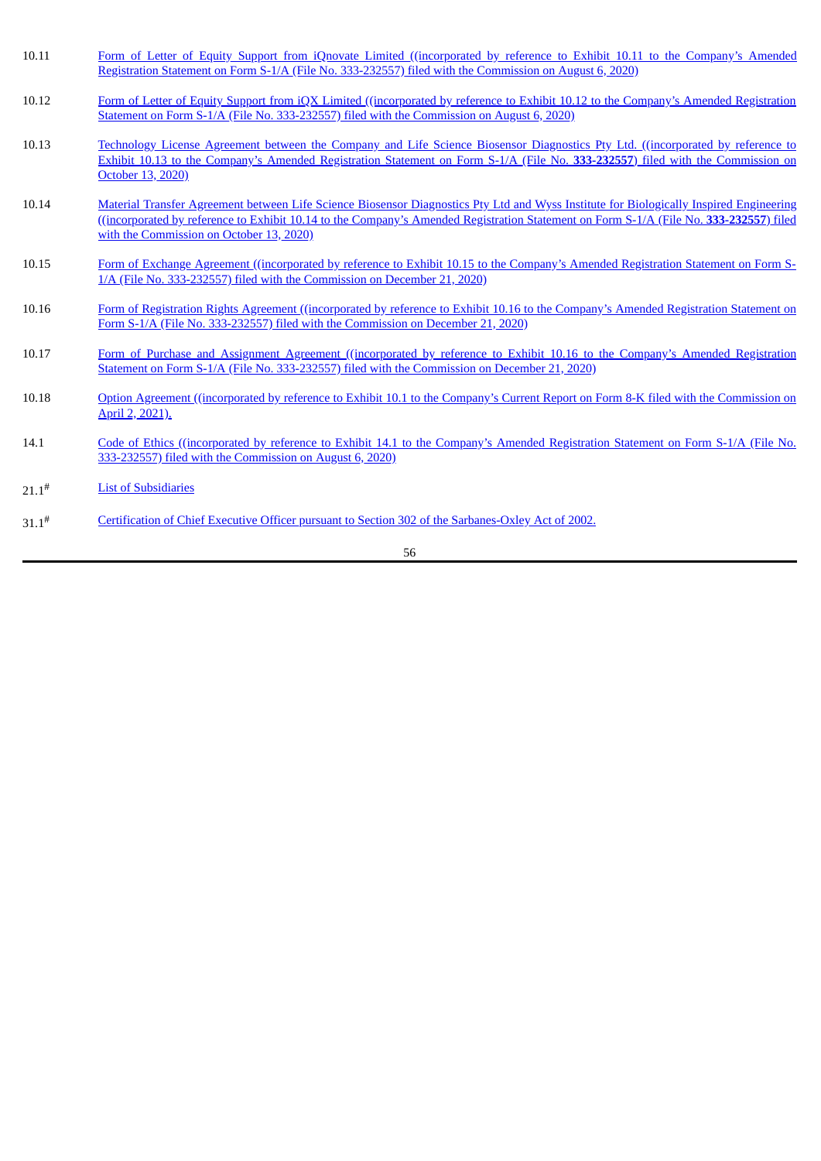| 10.11 | Form of Letter of Equity Support from iQnovate Limited ((incorporated by reference to Exhibit 10.11 to the Company's Amended |
|-------|------------------------------------------------------------------------------------------------------------------------------|
|       | Registration Statement on Form S-1/A (File No. 333-232557) filed with the Commission on August 6, 2020)                      |

- 10.12 Form of Letter of Equity Support from iOX Limited [\(\(incorporated](https://www.sec.gov/Archives/edgar/data/1725430/000149315220014782/ex10-12.htm) by reference to Exhibit 10.12 to the Company's Amended Registration Statement on Form S-1/A (File No. 333-232557) filed with the Commission on August 6, 2020)
- 10.13 Technology License Agreement between the Company and Life Science Biosensor Diagnostics Pty Ltd. [\(\(incorporated](https://www.sec.gov/Archives/edgar/data/1725430/000149315220019265/ex10-13.htm) by reference to Exhibit 10.13 to the Company's Amended Registration Statement on Form S-1/A (File No. **333-232557**) filed with the Commission on October 13, 2020)
- 10.14 Material Transfer Agreement between Life Science Biosensor Diagnostics Pty Ltd and Wyss Institute for Biologically Inspired Engineering [\(\(incorporated](https://www.sec.gov/Archives/edgar/data/1725430/000149315220019265/ex10-14.htm) by reference to Exhibit 10.14 to the Company's Amended Registration Statement on Form S-1/A (File No. **333-232557**) filed with the Commission on October 13, 2020)
- 10.15 Form of Exchange Agreement [\(\(incorporated](https://www.sec.gov/Archives/edgar/data/1725430/000149315220023971/ex10-15.htm) by reference to Exhibit 10.15 to the Company's Amended Registration Statement on Form S-1/A (File No. 333-232557) filed with the Commission on December 21, 2020)
- 10.16 Form of Registration Rights Agreement [\(\(incorporated](https://www.sec.gov/Archives/edgar/data/1725430/000149315220023971/ex10-16.htm) by reference to Exhibit 10.16 to the Company's Amended Registration Statement on Form S-1/A (File No. 333-232557) filed with the Commission on December 21, 2020)
- 10.17 Form of Purchase and Assignment Agreement [\(\(incorporated](https://www.sec.gov/Archives/edgar/data/1725430/000149315220023971/ex10-17.htm) by reference to Exhibit 10.16 to the Company's Amended Registration Statement on Form S-1/A (File No. 333-232557) filed with the Commission on December 21, 2020)
- 10.18 Option Agreement [\(\(incorporated](https://www.sec.gov/Archives/edgar/data/1725430/000149315221007887/ex10-1.htm) by reference to Exhibit 10.1 to the Company's Current Report on Form 8-K filed with the Commission on April 2, 2021).
- 14.1 Code of Ethics [\(\(incorporated](https://www.sec.gov/Archives/edgar/data/1725430/000149315220014782/ex14-1.htm) by reference to Exhibit 14.1 to the Company's Amended Registration Statement on Form S-1/A (File No. 333-232557) filed with the Commission on August 6, 2020)
- $21.1$ <sup>#</sup> **List of [Subsidiaries](#page-78-0)**
- $31.1^{#}$ # Certification of Chief Executive Officer pursuant to Section 302 of the [Sarbanes-Oxley](#page-79-0) Act of 2002.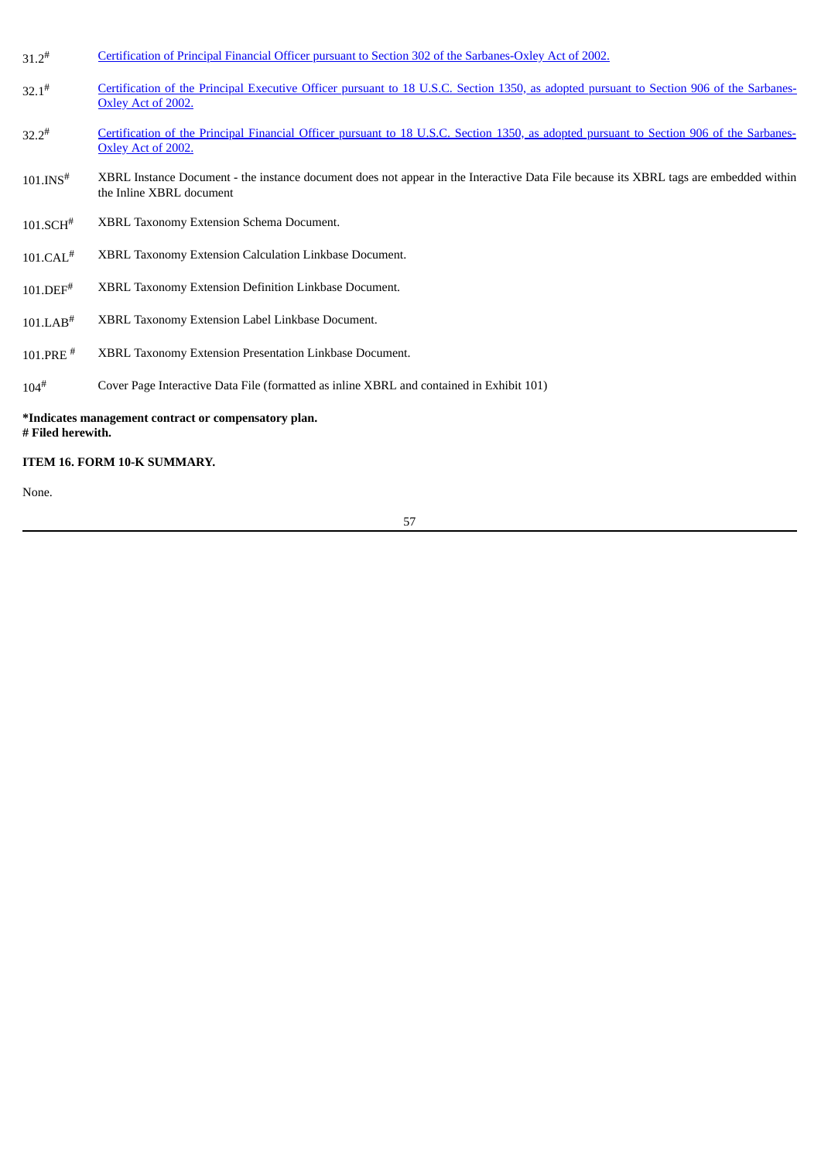- $31.2$ <sup>#</sup> Certification of Principal Financial Officer pursuant to Section 302 of the [Sarbanes-Oxley](#page-80-0) Act of 2002.
- $32.1$ <sup>#</sup> [Certification](#page-81-0) of the Principal Executive Officer pursuant to 18 U.S.C. Section 1350, as adopted pursuant to Section 906 of the Sarbanes-Oxley Act of 2002.
- 32.2 [Certification](#page-82-0) of the Principal Financial Officer pursuant to 18 U.S.C. Section 1350, as adopted pursuant to Section 906 of the Sarbanes-Oxley Act of 2002.
- 101.INS XBRL Instance Document - the instance document does not appear in the Interactive Data File because its XBRL tags are embedded within the Inline XBRL document
- 101.SCH XBRL Taxonomy Extension Schema Document.
- 101.CAL XBRL Taxonomy Extension Calculation Linkbase Document.
- 101.DEF XBRL Taxonomy Extension Definition Linkbase Document.
- $101.LAB$ <sup>#</sup> XBRL Taxonomy Extension Label Linkbase Document.
- $101.\mathrm{PRE}$   $^{\#}$ XBRL Taxonomy Extension Presentation Linkbase Document.
- $104$ <sup>#</sup> Cover Page Interactive Data File (formatted as inline XBRL and contained in Exhibit 101)

**\*Indicates management contract or compensatory plan. # Filed herewith.**

# **ITEM 16. FORM 10-K SUMMARY.**

None.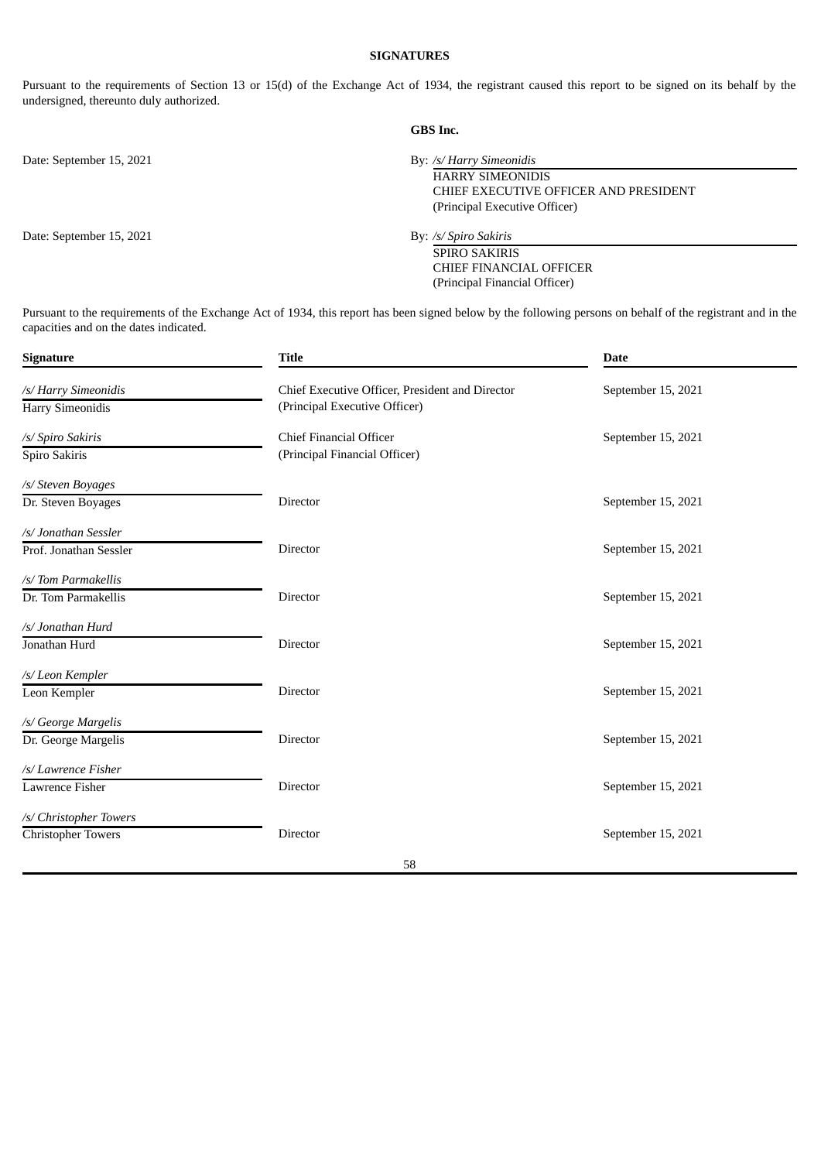# **SIGNATURES**

Pursuant to the requirements of Section 13 or 15(d) of the Exchange Act of 1934, the registrant caused this report to be signed on its behalf by the undersigned, thereunto duly authorized.

|                          | GBS Inc.                                            |
|--------------------------|-----------------------------------------------------|
| Date: September 15, 2021 | By: /s/ Harry Simeonidis<br><b>HARRY SIMEONIDIS</b> |
|                          | CHIEF EXECUTIVE OFFICER AND PRESIDENT               |
|                          | (Principal Executive Officer)                       |
| Date: September 15, 2021 | By: /s/ Spiro Sakiris                               |
|                          | <b>SPIRO SAKIRIS</b>                                |
|                          | CHIEF FINANCIAL OFFICER                             |

Pursuant to the requirements of the Exchange Act of 1934, this report has been signed below by the following persons on behalf of the registrant and in the capacities and on the dates indicated.

(Principal Financial Officer)

| <b>Signature</b>          | <b>Title</b>                                    | <b>Date</b>        |
|---------------------------|-------------------------------------------------|--------------------|
| /s/ Harry Simeonidis      | Chief Executive Officer, President and Director | September 15, 2021 |
| <b>Harry Simeonidis</b>   | (Principal Executive Officer)                   |                    |
| /s/ Spiro Sakiris         | <b>Chief Financial Officer</b>                  | September 15, 2021 |
| Spiro Sakiris             | (Principal Financial Officer)                   |                    |
| /s/ Steven Boyages        |                                                 |                    |
| Dr. Steven Boyages        | Director                                        | September 15, 2021 |
| /s/ Jonathan Sessler      |                                                 |                    |
| Prof. Jonathan Sessler    | Director                                        | September 15, 2021 |
| /s/ Tom Parmakellis       |                                                 |                    |
| Dr. Tom Parmakellis       | Director                                        | September 15, 2021 |
| /s/ Jonathan Hurd         |                                                 |                    |
| Jonathan Hurd             | Director                                        | September 15, 2021 |
| /s/ Leon Kempler          |                                                 |                    |
| Leon Kempler              | Director                                        | September 15, 2021 |
| /s/ George Margelis       |                                                 |                    |
| Dr. George Margelis       | Director                                        | September 15, 2021 |
| /s/ Lawrence Fisher       |                                                 |                    |
| Lawrence Fisher           | Director                                        | September 15, 2021 |
| /s/ Christopher Towers    |                                                 |                    |
| <b>Christopher Towers</b> | Director                                        | September 15, 2021 |
|                           | 58                                              |                    |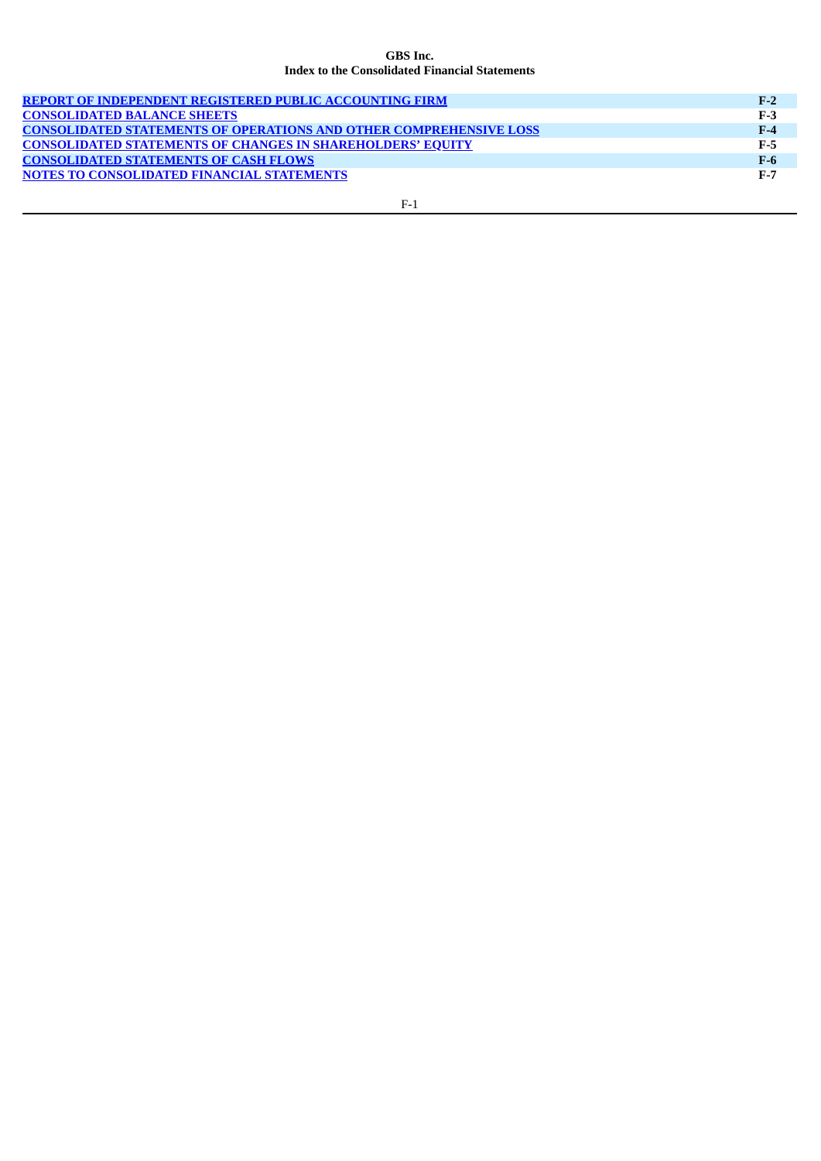# **GBS Inc. Index to the Consolidated Financial Statements**

| <b>REPORT OF INDEPENDENT REGISTERED PUBLIC ACCOUNTING FIRM</b>            | $F-2$ |
|---------------------------------------------------------------------------|-------|
| <b>CONSOLIDATED BALANCE SHEETS</b>                                        | $F-3$ |
| <b>CONSOLIDATED STATEMENTS OF OPERATIONS AND OTHER COMPREHENSIVE LOSS</b> | $F-4$ |
| <b>CONSOLIDATED STATEMENTS OF CHANGES IN SHAREHOLDERS' EQUITY</b>         | $F-5$ |
| <b>CONSOLIDATED STATEMENTS OF CASH FLOWS</b>                              | $F-6$ |
| <b>NOTES TO CONSOLIDATED FINANCIAL STATEMENTS</b>                         | $F-7$ |
|                                                                           |       |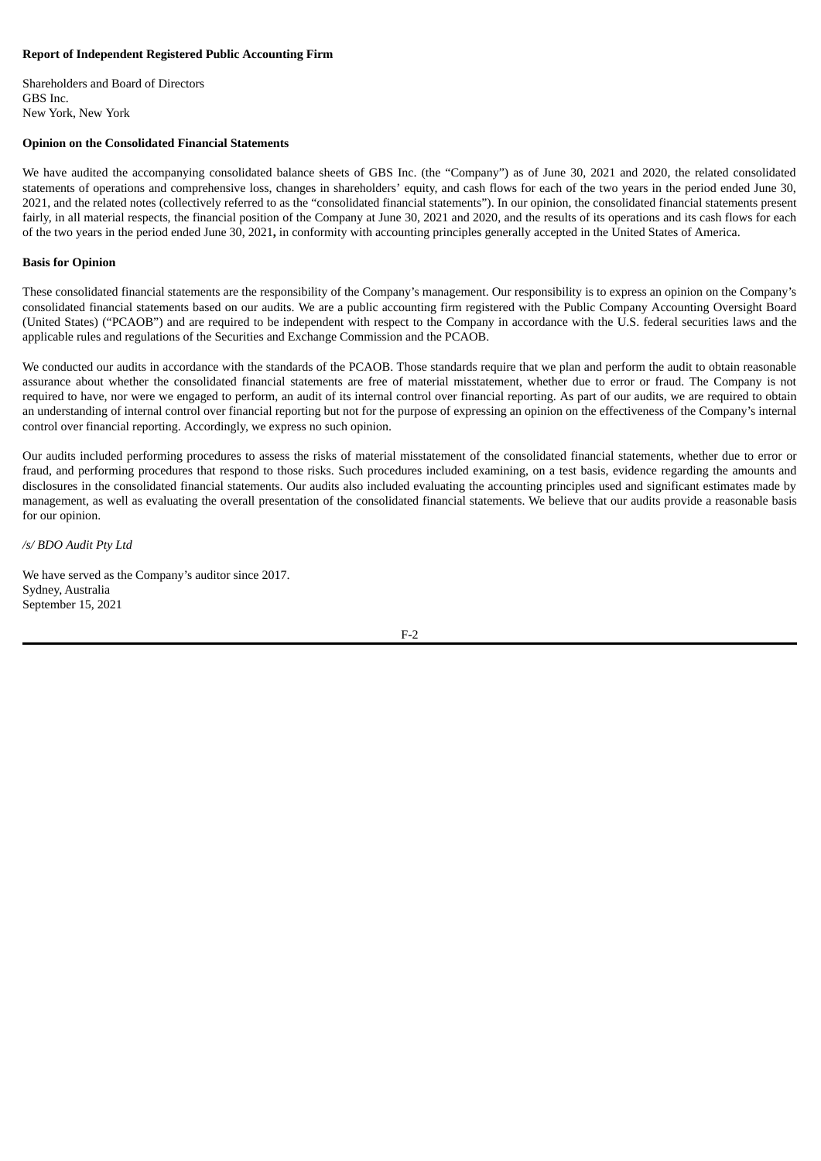# <span id="page-60-0"></span>**Report of Independent Registered Public Accounting Firm**

Shareholders and Board of Directors GBS Inc. New York, New York

# **Opinion on the Consolidated Financial Statements**

We have audited the accompanying consolidated balance sheets of GBS Inc. (the "Company") as of June 30, 2021 and 2020, the related consolidated statements of operations and comprehensive loss, changes in shareholders' equity, and cash flows for each of the two years in the period ended June 30, 2021, and the related notes (collectively referred to as the "consolidated financial statements"). In our opinion, the consolidated financial statements present fairly, in all material respects, the financial position of the Company at June 30, 2021 and 2020, and the results of its operations and its cash flows for each of the two years in the period ended June 30, 2021**,** in conformity with accounting principles generally accepted in the United States of America.

#### **Basis for Opinion**

These consolidated financial statements are the responsibility of the Company's management. Our responsibility is to express an opinion on the Company's consolidated financial statements based on our audits. We are a public accounting firm registered with the Public Company Accounting Oversight Board (United States) ("PCAOB") and are required to be independent with respect to the Company in accordance with the U.S. federal securities laws and the applicable rules and regulations of the Securities and Exchange Commission and the PCAOB.

We conducted our audits in accordance with the standards of the PCAOB. Those standards require that we plan and perform the audit to obtain reasonable assurance about whether the consolidated financial statements are free of material misstatement, whether due to error or fraud. The Company is not required to have, nor were we engaged to perform, an audit of its internal control over financial reporting. As part of our audits, we are required to obtain an understanding of internal control over financial reporting but not for the purpose of expressing an opinion on the effectiveness of the Company's internal control over financial reporting. Accordingly, we express no such opinion.

Our audits included performing procedures to assess the risks of material misstatement of the consolidated financial statements, whether due to error or fraud, and performing procedures that respond to those risks. Such procedures included examining, on a test basis, evidence regarding the amounts and disclosures in the consolidated financial statements. Our audits also included evaluating the accounting principles used and significant estimates made by management, as well as evaluating the overall presentation of the consolidated financial statements. We believe that our audits provide a reasonable basis for our opinion.

*/s/ BDO Audit Pty Ltd*

We have served as the Company's auditor since 2017. Sydney, Australia September 15, 2021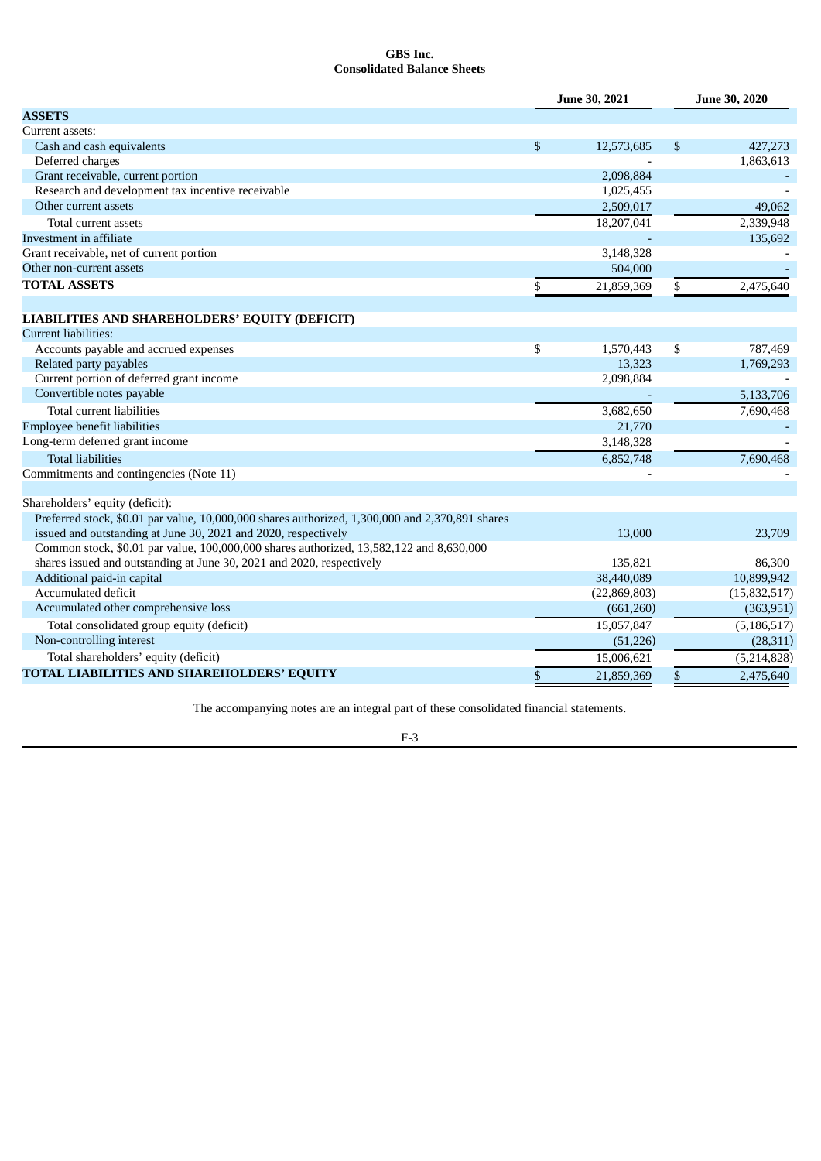# **GBS Inc. Consolidated Balance Sheets**

<span id="page-61-0"></span>

|                                                                                                 | June 30, 2021 |                | June 30, 2020 |                |
|-------------------------------------------------------------------------------------------------|---------------|----------------|---------------|----------------|
| <b>ASSETS</b>                                                                                   |               |                |               |                |
| Current assets:                                                                                 |               |                |               |                |
| Cash and cash equivalents                                                                       | \$            | 12,573,685     | \$            | 427,273        |
| Deferred charges                                                                                |               |                |               | 1,863,613      |
| Grant receivable, current portion                                                               |               | 2,098,884      |               |                |
| Research and development tax incentive receivable                                               |               | 1,025,455      |               |                |
| Other current assets                                                                            |               | 2,509,017      |               | 49,062         |
| Total current assets                                                                            |               | 18,207,041     |               | 2,339,948      |
| Investment in affiliate                                                                         |               |                |               | 135,692        |
| Grant receivable, net of current portion                                                        |               | 3,148,328      |               |                |
| Other non-current assets                                                                        |               | 504,000        |               |                |
| <b>TOTAL ASSETS</b>                                                                             | \$            | 21,859,369     | \$            | 2,475,640      |
|                                                                                                 |               |                |               |                |
| <b>LIABILITIES AND SHAREHOLDERS' EQUITY (DEFICIT)</b>                                           |               |                |               |                |
| <b>Current liabilities:</b>                                                                     |               |                |               |                |
| Accounts payable and accrued expenses                                                           | \$            | 1,570,443      | \$            | 787,469        |
| Related party payables                                                                          |               | 13,323         |               | 1,769,293      |
| Current portion of deferred grant income                                                        |               | 2,098,884      |               |                |
| Convertible notes payable                                                                       |               |                |               | 5,133,706      |
| Total current liabilities                                                                       |               | 3,682,650      |               | 7,690,468      |
| Employee benefit liabilities                                                                    |               | 21,770         |               |                |
| Long-term deferred grant income                                                                 |               | 3,148,328      |               |                |
| <b>Total liabilities</b>                                                                        |               | 6,852,748      |               | 7,690,468      |
| Commitments and contingencies (Note 11)                                                         |               |                |               |                |
|                                                                                                 |               |                |               |                |
| Shareholders' equity (deficit):                                                                 |               |                |               |                |
| Preferred stock, \$0.01 par value, 10,000,000 shares authorized, 1,300,000 and 2,370,891 shares |               |                |               |                |
| issued and outstanding at June 30, 2021 and 2020, respectively                                  |               | 13,000         |               | 23,709         |
| Common stock, \$0.01 par value, 100,000,000 shares authorized, 13,582,122 and 8,630,000         |               |                |               |                |
| shares issued and outstanding at June 30, 2021 and 2020, respectively                           |               | 135,821        |               | 86,300         |
| Additional paid-in capital                                                                      |               | 38,440,089     |               | 10,899,942     |
| Accumulated deficit                                                                             |               | (22, 869, 803) |               | (15, 832, 517) |
| Accumulated other comprehensive loss                                                            |               | (661,260)      |               | (363, 951)     |
| Total consolidated group equity (deficit)                                                       |               | 15,057,847     |               | (5, 186, 517)  |
| Non-controlling interest                                                                        |               | (51,226)       |               | (28, 311)      |
| Total shareholders' equity (deficit)                                                            |               | 15,006,621     |               | (5,214,828)    |
| TOTAL LIABILITIES AND SHAREHOLDERS' EQUITY                                                      | \$            | 21,859,369     | \$            | 2,475,640      |
|                                                                                                 |               |                |               |                |

The accompanying notes are an integral part of these consolidated financial statements.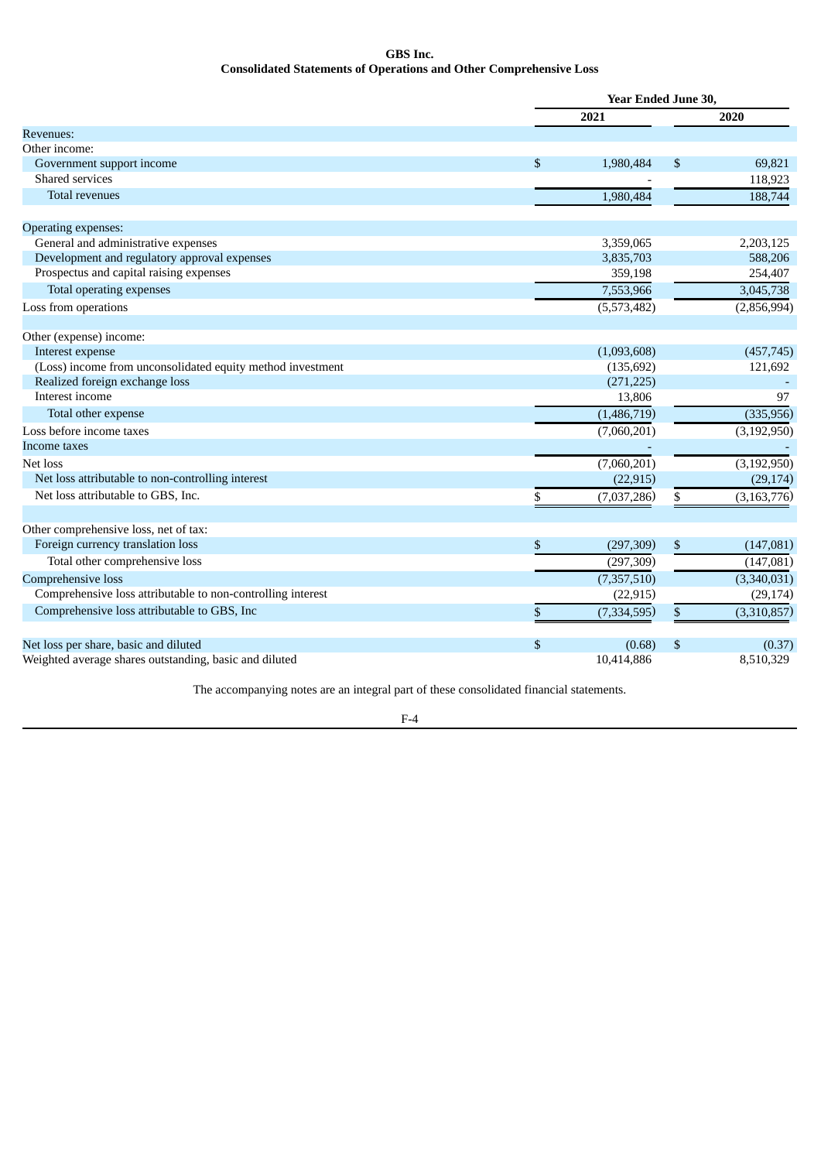# **GBS Inc. Consolidated Statements of Operations and Other Comprehensive Loss**

<span id="page-62-0"></span>

|                                                                                                 | <b>Year Ended June 30,</b> |    |               |  |
|-------------------------------------------------------------------------------------------------|----------------------------|----|---------------|--|
|                                                                                                 | 2021                       |    | 2020          |  |
| Revenues:                                                                                       |                            |    |               |  |
| Other income:                                                                                   |                            |    |               |  |
| Government support income                                                                       | \$<br>1,980,484            | \$ | 69,821        |  |
| <b>Shared services</b>                                                                          |                            |    | 118,923       |  |
| <b>Total revenues</b>                                                                           | 1,980,484                  |    | 188,744       |  |
| <b>Operating expenses:</b>                                                                      |                            |    |               |  |
| General and administrative expenses                                                             | 3,359,065                  |    | 2,203,125     |  |
| Development and regulatory approval expenses                                                    | 3,835,703                  |    | 588,206       |  |
| Prospectus and capital raising expenses                                                         | 359,198                    |    | 254,407       |  |
| <b>Total operating expenses</b>                                                                 | 7,553,966                  |    | 3,045,738     |  |
| Loss from operations                                                                            | (5,573,482)                |    | (2,856,994)   |  |
| Other (expense) income:                                                                         |                            |    |               |  |
| Interest expense                                                                                | (1,093,608)                |    | (457, 745)    |  |
| (Loss) income from unconsolidated equity method investment                                      | (135, 692)                 |    | 121,692       |  |
| Realized foreign exchange loss                                                                  | (271, 225)                 |    |               |  |
| Interest income                                                                                 | 13,806                     |    | 97            |  |
| Total other expense                                                                             | (1,486,719)                |    | (335, 956)    |  |
| Loss before income taxes                                                                        | (7,060,201)                |    | (3, 192, 950) |  |
| Income taxes                                                                                    |                            |    |               |  |
| Net loss                                                                                        | (7,060,201)                |    | (3, 192, 950) |  |
| Net loss attributable to non-controlling interest                                               | (22, 915)                  |    | (29, 174)     |  |
| Net loss attributable to GBS, Inc.                                                              | \$<br>(7,037,286)          | \$ | (3, 163, 776) |  |
| Other comprehensive loss, net of tax:                                                           |                            |    |               |  |
| Foreign currency translation loss                                                               | \$<br>(297, 309)           | \$ | (147,081)     |  |
| Total other comprehensive loss                                                                  | (297, 309)                 |    | (147, 081)    |  |
| Comprehensive loss                                                                              | (7,357,510)                |    | (3,340,031)   |  |
| Comprehensive loss attributable to non-controlling interest                                     | (22, 915)                  |    | (29, 174)     |  |
| Comprehensive loss attributable to GBS, Inc.                                                    | \$<br>(7, 334, 595)        | \$ | (3,310,857)   |  |
|                                                                                                 | \$                         |    |               |  |
| Net loss per share, basic and diluted<br>Weighted average shares outstanding, basic and diluted | (0.68)<br>10,414,886       | \$ | (0.37)        |  |
|                                                                                                 |                            |    | 8,510,329     |  |

The accompanying notes are an integral part of these consolidated financial statements.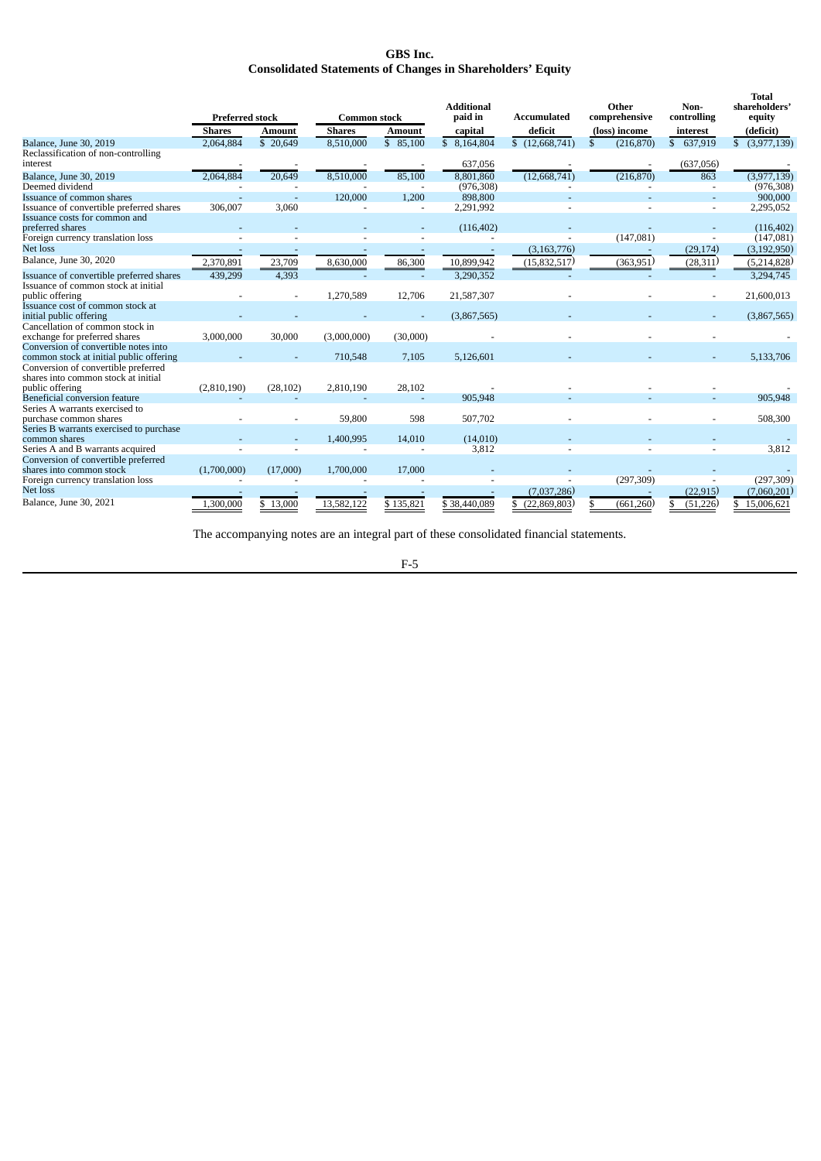# **GBS Inc. Consolidated Statements of Changes in Shareholders' Equity**

<span id="page-63-0"></span>

|                                                                         | <b>Preferred stock</b> |                | <b>Common stock</b> |               | <b>Additional</b><br>paid in | <b>Accumulated</b>                | Other<br>comprehensive | Non-<br>controlling | <b>Total</b><br>shareholders'<br>equity |
|-------------------------------------------------------------------------|------------------------|----------------|---------------------|---------------|------------------------------|-----------------------------------|------------------------|---------------------|-----------------------------------------|
|                                                                         | <b>Shares</b>          | <b>Amount</b>  | <b>Shares</b>       | <b>Amount</b> | capital                      | deficit                           | (loss) income          | interest            | (deficit)                               |
| Balance, June 30, 2019                                                  | 2,064,884              | \$20,649       | 8,510,000           | \$85,100      | \$8,164,804                  | $\overline{3 \quad (12,668,741)}$ | (216, 870)<br>\$       | \$637,919           | $\overline{3,977,139}$                  |
| Reclassification of non-controlling                                     |                        |                |                     |               |                              |                                   |                        |                     |                                         |
| interest                                                                |                        |                |                     |               | 637,056                      |                                   |                        | (637,056)           |                                         |
| Balance, June 30, 2019                                                  | 2,064,884              | 20,649         | 8,510,000           | 85,100        | 8,801,860                    | (12,668,741)                      | (216, 870)             | 863                 | (3,977,139)                             |
| Deemed dividend                                                         |                        |                |                     |               | (976, 308)                   |                                   |                        |                     | (976, 308)                              |
| Issuance of common shares                                               |                        |                | 120,000             | 1,200         | 898,800                      |                                   |                        |                     | 900,000                                 |
| Issuance of convertible preferred shares                                | 306,007                | 3,060          |                     |               | 2,291,992                    |                                   |                        |                     | 2,295,052                               |
| Issuance costs for common and                                           |                        |                |                     |               |                              |                                   |                        |                     |                                         |
| preferred shares                                                        |                        |                |                     |               | (116, 402)                   |                                   |                        |                     | (116, 402)                              |
| Foreign currency translation loss                                       |                        |                |                     |               |                              |                                   | (147,081)              |                     | (147,081)                               |
| Net loss                                                                |                        |                |                     |               |                              | (3, 163, 776)                     |                        | (29, 174)           | (3, 192, 950)                           |
| Balance, June 30, 2020                                                  | 2,370,891              | 23,709         | 8,630,000           | 86,300        | 10,899,942                   | (15, 832, 517)                    | (363, 951)             | (28, 311)           | (5,214,828)                             |
| Issuance of convertible preferred shares                                | 439.299                | 4.393          |                     |               | 3,290,352                    |                                   |                        |                     | 3,294,745                               |
| Issuance of common stock at initial                                     |                        |                |                     |               |                              |                                   |                        |                     |                                         |
| public offering                                                         |                        |                | 1,270,589           | 12,706        | 21,587,307                   |                                   |                        |                     | 21,600,013                              |
| Issuance cost of common stock at                                        |                        |                |                     |               |                              |                                   |                        |                     |                                         |
| initial public offering                                                 |                        |                |                     |               | (3,867,565)                  |                                   |                        |                     | (3,867,565)                             |
| Cancellation of common stock in                                         |                        |                |                     |               |                              |                                   |                        |                     |                                         |
| exchange for preferred shares                                           | 3,000,000              | 30,000         | (3,000,000)         | (30,000)      |                              |                                   |                        |                     |                                         |
| Conversion of convertible notes into                                    |                        |                |                     |               |                              |                                   |                        |                     |                                         |
| common stock at initial public offering                                 |                        |                | 710,548             | 7,105         | 5,126,601                    |                                   |                        |                     | 5,133,706                               |
| Conversion of convertible preferred                                     |                        |                |                     |               |                              |                                   |                        |                     |                                         |
| shares into common stock at initial                                     |                        |                |                     |               |                              |                                   |                        |                     |                                         |
| public offering                                                         | (2,810,190)            | (28, 102)      | 2,810,190           | 28,102        |                              |                                   |                        |                     |                                         |
| Beneficial conversion feature                                           |                        | $\overline{a}$ |                     |               | 905,948                      |                                   |                        |                     | 905,948                                 |
| Series A warrants exercised to                                          |                        |                |                     |               |                              |                                   |                        |                     |                                         |
| purchase common shares                                                  |                        |                | 59,800              | 598           | 507,702                      |                                   |                        |                     | 508,300                                 |
| Series B warrants exercised to purchase<br>common shares                |                        |                |                     |               |                              |                                   |                        |                     |                                         |
|                                                                         |                        |                | 1,400,995           | 14,010        | (14, 010)                    |                                   |                        |                     | 3,812                                   |
| Series A and B warrants acquired<br>Conversion of convertible preferred |                        |                |                     |               | 3,812                        |                                   |                        |                     |                                         |
| shares into common stock                                                | (1,700,000)            | (17,000)       | 1,700,000           | 17,000        |                              |                                   |                        |                     |                                         |
| Foreign currency translation loss                                       |                        |                |                     |               |                              |                                   | (297, 309)             |                     | (297, 309)                              |
| <b>Net loss</b>                                                         |                        |                |                     |               |                              | (7,037,286)                       |                        | (22, 915)           | (7,060,201)                             |
| Balance, June 30, 2021                                                  |                        |                |                     |               |                              |                                   |                        |                     |                                         |
|                                                                         | 1,300,000              | 13,000         | 13,582,122          | \$135,821     | \$38,440,089                 | (22,869,803)                      | (661, 260)             | (51, 226)           | 15,006,621                              |

The accompanying notes are an integral part of these consolidated financial statements.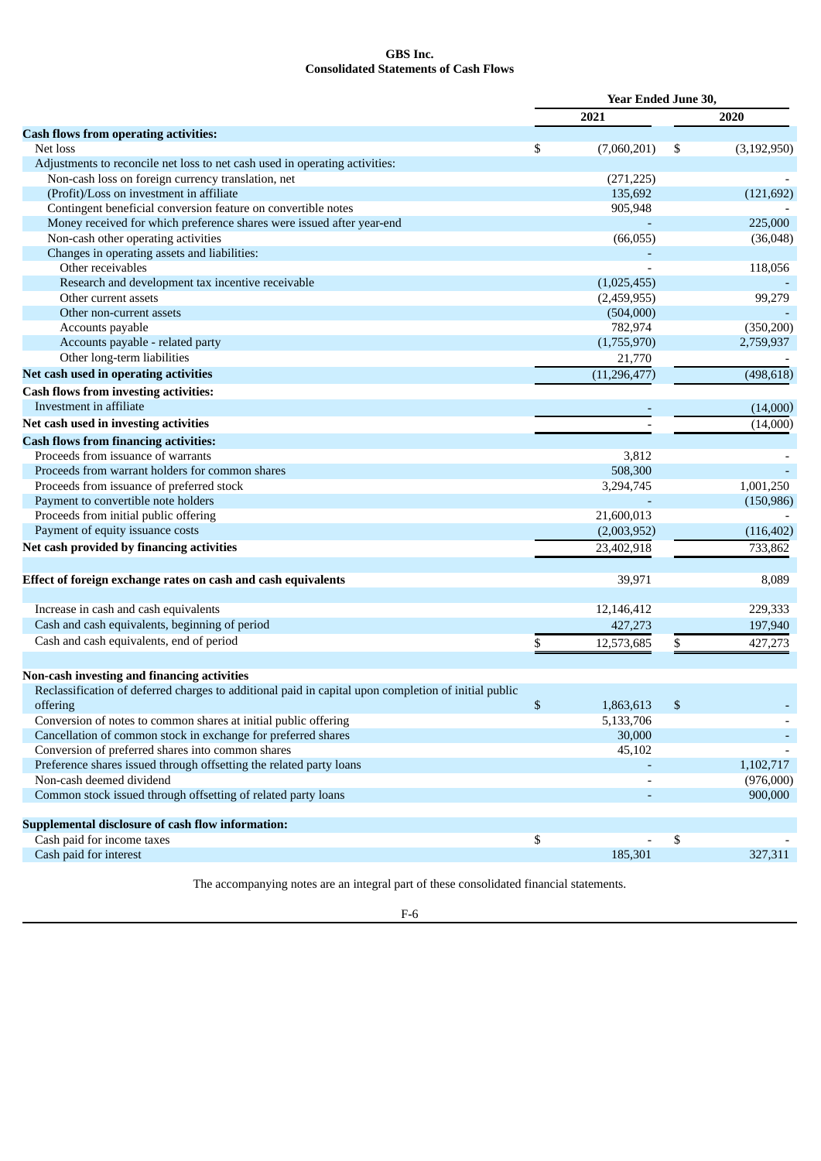# **GBS Inc. Consolidated Statements of Cash Flows**

<span id="page-64-0"></span>

|                                                                                                      |    | Year Ended June 30, |    |               |  |
|------------------------------------------------------------------------------------------------------|----|---------------------|----|---------------|--|
|                                                                                                      |    | 2021                |    | 2020          |  |
| <b>Cash flows from operating activities:</b>                                                         |    |                     |    |               |  |
| Net loss                                                                                             | S  | (7,060,201)         | \$ | (3, 192, 950) |  |
| Adjustments to reconcile net loss to net cash used in operating activities:                          |    |                     |    |               |  |
| Non-cash loss on foreign currency translation, net                                                   |    | (271, 225)          |    |               |  |
| (Profit)/Loss on investment in affiliate                                                             |    | 135,692             |    | (121, 692)    |  |
| Contingent beneficial conversion feature on convertible notes                                        |    | 905,948             |    |               |  |
| Money received for which preference shares were issued after year-end                                |    |                     |    | 225,000       |  |
| Non-cash other operating activities                                                                  |    | (66, 055)           |    | (36,048)      |  |
| Changes in operating assets and liabilities:                                                         |    |                     |    |               |  |
| Other receivables                                                                                    |    |                     |    | 118,056       |  |
| Research and development tax incentive receivable                                                    |    | (1,025,455)         |    |               |  |
| Other current assets                                                                                 |    | (2,459,955)         |    | 99,279        |  |
| Other non-current assets                                                                             |    | (504,000)           |    |               |  |
| Accounts payable                                                                                     |    | 782,974             |    | (350, 200)    |  |
| Accounts payable - related party                                                                     |    | (1,755,970)         |    | 2,759,937     |  |
| Other long-term liabilities                                                                          |    | 21,770              |    |               |  |
| Net cash used in operating activities                                                                |    | (11, 296, 477)      |    | (498, 618)    |  |
| <b>Cash flows from investing activities:</b>                                                         |    |                     |    |               |  |
| Investment in affiliate                                                                              |    |                     |    | (14,000)      |  |
| Net cash used in investing activities                                                                |    |                     |    | (14,000)      |  |
| <b>Cash flows from financing activities:</b>                                                         |    |                     |    |               |  |
| Proceeds from issuance of warrants                                                                   |    | 3,812               |    |               |  |
| Proceeds from warrant holders for common shares                                                      |    | 508,300             |    |               |  |
| Proceeds from issuance of preferred stock                                                            |    | 3,294,745           |    | 1,001,250     |  |
| Payment to convertible note holders                                                                  |    |                     |    | (150, 986)    |  |
| Proceeds from initial public offering                                                                |    | 21,600,013          |    |               |  |
| Payment of equity issuance costs                                                                     |    | (2,003,952)         |    | (116, 402)    |  |
| Net cash provided by financing activities                                                            |    | 23,402,918          |    | 733,862       |  |
|                                                                                                      |    |                     |    |               |  |
| Effect of foreign exchange rates on cash and cash equivalents                                        |    | 39,971              |    | 8,089         |  |
| Increase in cash and cash equivalents                                                                |    | 12,146,412          |    | 229,333       |  |
| Cash and cash equivalents, beginning of period                                                       |    | 427,273             |    | 197,940       |  |
|                                                                                                      |    |                     |    |               |  |
| Cash and cash equivalents, end of period                                                             | \$ | 12,573,685          | \$ | 427,273       |  |
| Non-cash investing and financing activities                                                          |    |                     |    |               |  |
| Reclassification of deferred charges to additional paid in capital upon completion of initial public |    |                     |    |               |  |
| offering                                                                                             | \$ | 1,863,613           | \$ |               |  |
| Conversion of notes to common shares at initial public offering                                      |    | 5,133,706           |    |               |  |
| Cancellation of common stock in exchange for preferred shares                                        |    | 30,000              |    |               |  |
| Conversion of preferred shares into common shares                                                    |    | 45,102              |    |               |  |
| Preference shares issued through offsetting the related party loans                                  |    |                     |    | 1,102,717     |  |
| Non-cash deemed dividend                                                                             |    |                     |    | (976,000)     |  |
| Common stock issued through offsetting of related party loans                                        |    |                     |    | 900,000       |  |
|                                                                                                      |    |                     |    |               |  |
| Supplemental disclosure of cash flow information:                                                    |    |                     |    |               |  |
| Cash paid for income taxes                                                                           | \$ |                     | \$ |               |  |
| Cash paid for interest                                                                               |    | 185,301             |    | 327,311       |  |
|                                                                                                      |    |                     |    |               |  |

The accompanying notes are an integral part of these consolidated financial statements.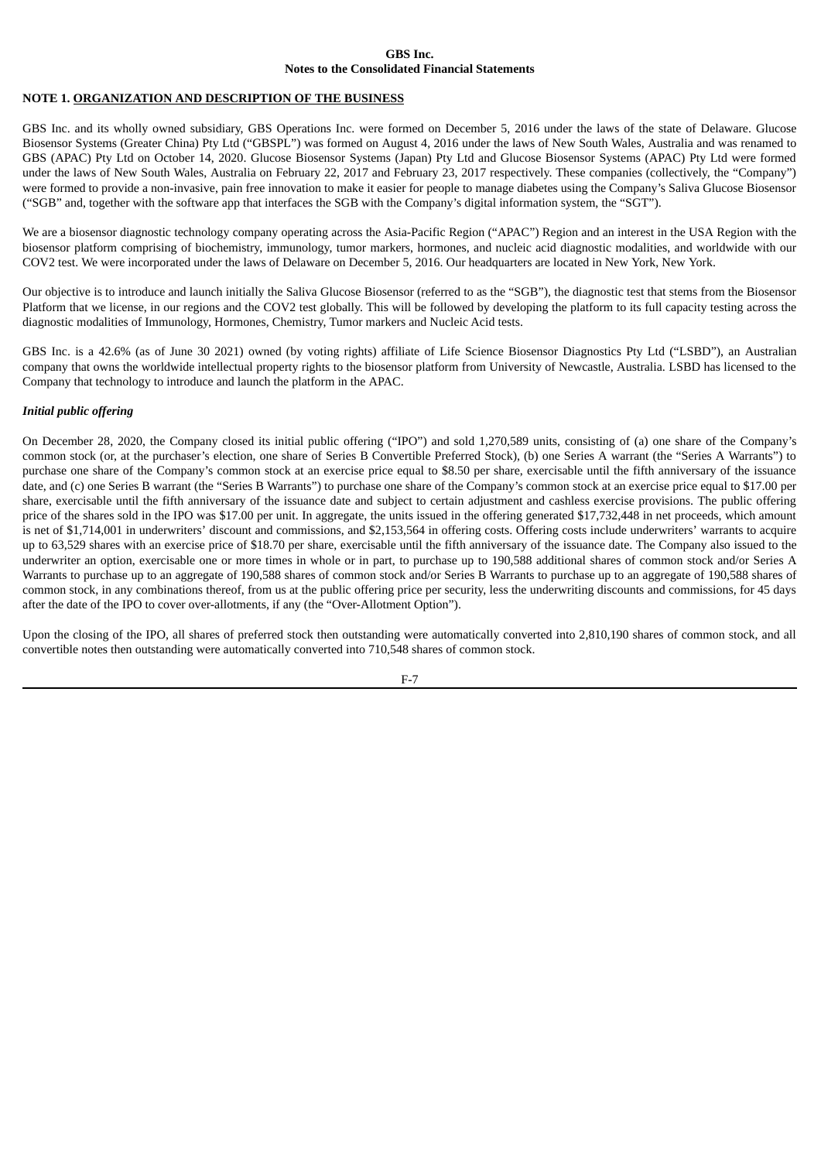# **GBS Inc. Notes to the Consolidated Financial Statements**

# <span id="page-65-0"></span>**NOTE 1. ORGANIZATION AND DESCRIPTION OF THE BUSINESS**

GBS Inc. and its wholly owned subsidiary, GBS Operations Inc. were formed on December 5, 2016 under the laws of the state of Delaware. Glucose Biosensor Systems (Greater China) Pty Ltd ("GBSPL") was formed on August 4, 2016 under the laws of New South Wales, Australia and was renamed to GBS (APAC) Pty Ltd on October 14, 2020. Glucose Biosensor Systems (Japan) Pty Ltd and Glucose Biosensor Systems (APAC) Pty Ltd were formed under the laws of New South Wales, Australia on February 22, 2017 and February 23, 2017 respectively. These companies (collectively, the "Company") were formed to provide a non-invasive, pain free innovation to make it easier for people to manage diabetes using the Company's Saliva Glucose Biosensor ("SGB" and, together with the software app that interfaces the SGB with the Company's digital information system, the "SGT").

We are a biosensor diagnostic technology company operating across the Asia-Pacific Region ("APAC") Region and an interest in the USA Region with the biosensor platform comprising of biochemistry, immunology, tumor markers, hormones, and nucleic acid diagnostic modalities, and worldwide with our COV2 test. We were incorporated under the laws of Delaware on December 5, 2016. Our headquarters are located in New York, New York.

Our objective is to introduce and launch initially the Saliva Glucose Biosensor (referred to as the "SGB"), the diagnostic test that stems from the Biosensor Platform that we license, in our regions and the COV2 test globally. This will be followed by developing the platform to its full capacity testing across the diagnostic modalities of Immunology, Hormones, Chemistry, Tumor markers and Nucleic Acid tests.

GBS Inc. is a 42.6% (as of June 30 2021) owned (by voting rights) affiliate of Life Science Biosensor Diagnostics Pty Ltd ("LSBD"), an Australian company that owns the worldwide intellectual property rights to the biosensor platform from University of Newcastle, Australia. LSBD has licensed to the Company that technology to introduce and launch the platform in the APAC.

# *Initial public offering*

On December 28, 2020, the Company closed its initial public offering ("IPO") and sold 1,270,589 units, consisting of (a) one share of the Company's common stock (or, at the purchaser's election, one share of Series B Convertible Preferred Stock), (b) one Series A warrant (the "Series A Warrants") to purchase one share of the Company's common stock at an exercise price equal to \$8.50 per share, exercisable until the fifth anniversary of the issuance date, and (c) one Series B warrant (the "Series B Warrants") to purchase one share of the Company's common stock at an exercise price equal to \$17.00 per share, exercisable until the fifth anniversary of the issuance date and subject to certain adjustment and cashless exercise provisions. The public offering price of the shares sold in the IPO was \$17.00 per unit. In aggregate, the units issued in the offering generated \$17,732,448 in net proceeds, which amount is net of \$1,714,001 in underwriters' discount and commissions, and \$2,153,564 in offering costs. Offering costs include underwriters' warrants to acquire up to 63,529 shares with an exercise price of \$18.70 per share, exercisable until the fifth anniversary of the issuance date. The Company also issued to the underwriter an option, exercisable one or more times in whole or in part, to purchase up to 190,588 additional shares of common stock and/or Series A Warrants to purchase up to an aggregate of 190,588 shares of common stock and/or Series B Warrants to purchase up to an aggregate of 190,588 shares of common stock, in any combinations thereof, from us at the public offering price per security, less the underwriting discounts and commissions, for 45 days after the date of the IPO to cover over-allotments, if any (the "Over-Allotment Option").

Upon the closing of the IPO, all shares of preferred stock then outstanding were automatically converted into 2,810,190 shares of common stock, and all convertible notes then outstanding were automatically converted into 710,548 shares of common stock.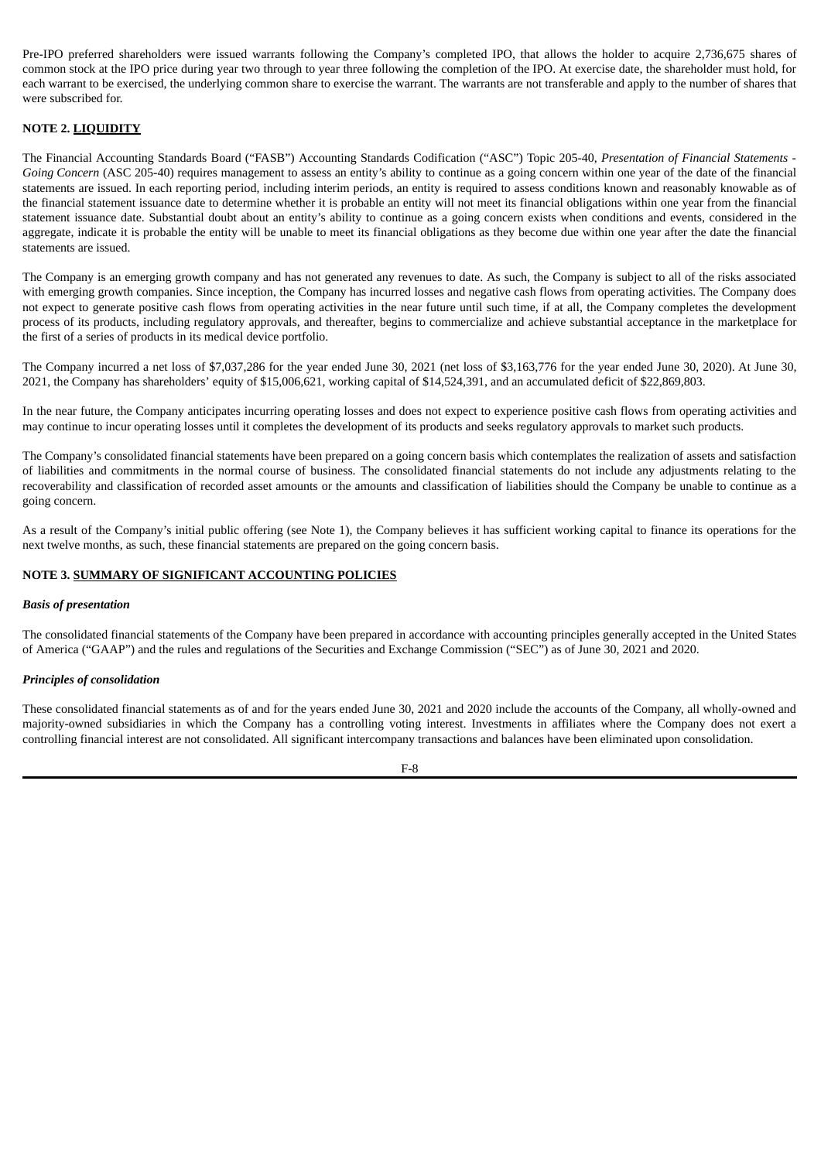Pre-IPO preferred shareholders were issued warrants following the Company's completed IPO, that allows the holder to acquire 2,736,675 shares of common stock at the IPO price during year two through to year three following the completion of the IPO. At exercise date, the shareholder must hold, for each warrant to be exercised, the underlying common share to exercise the warrant. The warrants are not transferable and apply to the number of shares that were subscribed for.

# **NOTE 2. LIQUIDITY**

The Financial Accounting Standards Board ("FASB") Accounting Standards Codification ("ASC") Topic 205-40, *Presentation of Financial Statements - Going Concern* (ASC 205-40) requires management to assess an entity's ability to continue as a going concern within one year of the date of the financial statements are issued. In each reporting period, including interim periods, an entity is required to assess conditions known and reasonably knowable as of the financial statement issuance date to determine whether it is probable an entity will not meet its financial obligations within one year from the financial statement issuance date. Substantial doubt about an entity's ability to continue as a going concern exists when conditions and events, considered in the aggregate, indicate it is probable the entity will be unable to meet its financial obligations as they become due within one year after the date the financial statements are issued.

The Company is an emerging growth company and has not generated any revenues to date. As such, the Company is subject to all of the risks associated with emerging growth companies. Since inception, the Company has incurred losses and negative cash flows from operating activities. The Company does not expect to generate positive cash flows from operating activities in the near future until such time, if at all, the Company completes the development process of its products, including regulatory approvals, and thereafter, begins to commercialize and achieve substantial acceptance in the marketplace for the first of a series of products in its medical device portfolio.

The Company incurred a net loss of \$7,037,286 for the year ended June 30, 2021 (net loss of \$3,163,776 for the year ended June 30, 2020). At June 30, 2021, the Company has shareholders' equity of \$15,006,621, working capital of \$14,524,391, and an accumulated deficit of \$22,869,803.

In the near future, the Company anticipates incurring operating losses and does not expect to experience positive cash flows from operating activities and may continue to incur operating losses until it completes the development of its products and seeks regulatory approvals to market such products.

The Company's consolidated financial statements have been prepared on a going concern basis which contemplates the realization of assets and satisfaction of liabilities and commitments in the normal course of business. The consolidated financial statements do not include any adjustments relating to the recoverability and classification of recorded asset amounts or the amounts and classification of liabilities should the Company be unable to continue as a going concern.

As a result of the Company's initial public offering (see Note 1), the Company believes it has sufficient working capital to finance its operations for the next twelve months, as such, these financial statements are prepared on the going concern basis.

# **NOTE 3. SUMMARY OF SIGNIFICANT ACCOUNTING POLICIES**

# *Basis of presentation*

The consolidated financial statements of the Company have been prepared in accordance with accounting principles generally accepted in the United States of America ("GAAP") and the rules and regulations of the Securities and Exchange Commission ("SEC") as of June 30, 2021 and 2020.

# *Principles of consolidation*

These consolidated financial statements as of and for the years ended June 30, 2021 and 2020 include the accounts of the Company, all wholly-owned and majority-owned subsidiaries in which the Company has a controlling voting interest. Investments in affiliates where the Company does not exert a controlling financial interest are not consolidated. All significant intercompany transactions and balances have been eliminated upon consolidation.

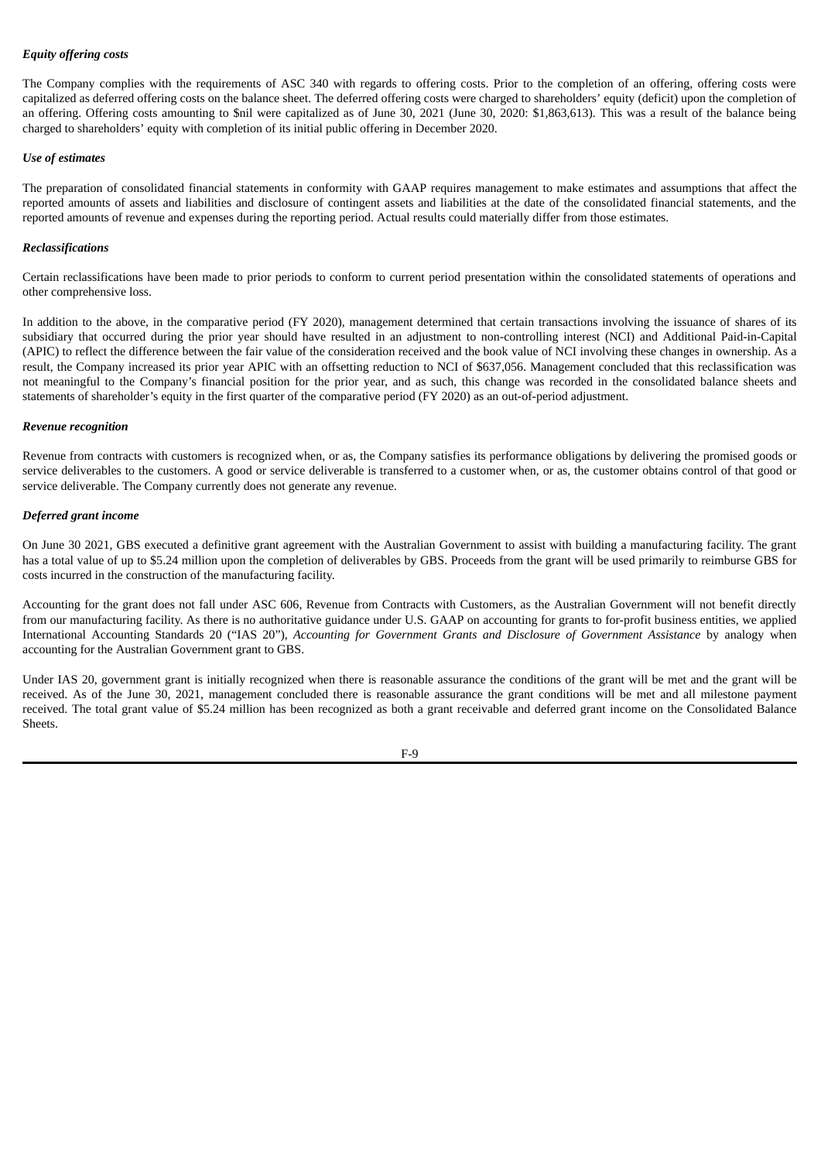# *Equity offering costs*

The Company complies with the requirements of ASC 340 with regards to offering costs. Prior to the completion of an offering, offering costs were capitalized as deferred offering costs on the balance sheet. The deferred offering costs were charged to shareholders' equity (deficit) upon the completion of an offering. Offering costs amounting to \$nil were capitalized as of June 30, 2021 (June 30, 2020: \$1,863,613). This was a result of the balance being charged to shareholders' equity with completion of its initial public offering in December 2020.

# *Use of estimates*

The preparation of consolidated financial statements in conformity with GAAP requires management to make estimates and assumptions that affect the reported amounts of assets and liabilities and disclosure of contingent assets and liabilities at the date of the consolidated financial statements, and the reported amounts of revenue and expenses during the reporting period. Actual results could materially differ from those estimates.

### *Reclassifications*

Certain reclassifications have been made to prior periods to conform to current period presentation within the consolidated statements of operations and other comprehensive loss.

In addition to the above, in the comparative period (FY 2020), management determined that certain transactions involving the issuance of shares of its subsidiary that occurred during the prior year should have resulted in an adjustment to non-controlling interest (NCI) and Additional Paid-in-Capital (APIC) to reflect the difference between the fair value of the consideration received and the book value of NCI involving these changes in ownership. As a result, the Company increased its prior year APIC with an offsetting reduction to NCI of \$637,056. Management concluded that this reclassification was not meaningful to the Company's financial position for the prior year, and as such, this change was recorded in the consolidated balance sheets and statements of shareholder's equity in the first quarter of the comparative period (FY 2020) as an out-of-period adjustment.

#### *Revenue recognition*

Revenue from contracts with customers is recognized when, or as, the Company satisfies its performance obligations by delivering the promised goods or service deliverables to the customers. A good or service deliverable is transferred to a customer when, or as, the customer obtains control of that good or service deliverable. The Company currently does not generate any revenue.

# *Deferred grant income*

On June 30 2021, GBS executed a definitive grant agreement with the Australian Government to assist with building a manufacturing facility. The grant has a total value of up to \$5.24 million upon the completion of deliverables by GBS. Proceeds from the grant will be used primarily to reimburse GBS for costs incurred in the construction of the manufacturing facility.

Accounting for the grant does not fall under ASC 606, Revenue from Contracts with Customers, as the Australian Government will not benefit directly from our manufacturing facility. As there is no authoritative guidance under U.S. GAAP on accounting for grants to for-profit business entities, we applied International Accounting Standards 20 ("IAS 20"), *Accounting for Government Grants and Disclosure of Government Assistance* by analogy when accounting for the Australian Government grant to GBS.

Under IAS 20, government grant is initially recognized when there is reasonable assurance the conditions of the grant will be met and the grant will be received. As of the June 30, 2021, management concluded there is reasonable assurance the grant conditions will be met and all milestone payment received. The total grant value of \$5.24 million has been recognized as both a grant receivable and deferred grant income on the Consolidated Balance **Sheets**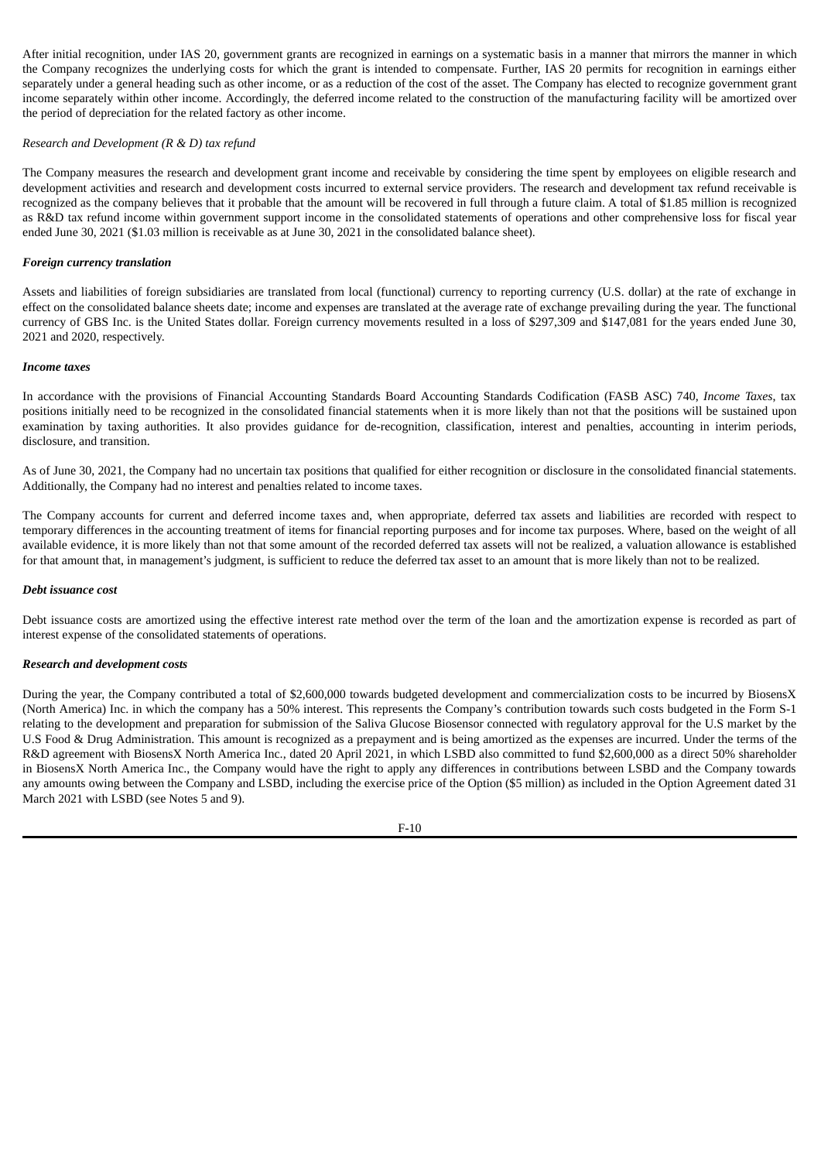After initial recognition, under IAS 20, government grants are recognized in earnings on a systematic basis in a manner that mirrors the manner in which the Company recognizes the underlying costs for which the grant is intended to compensate. Further, IAS 20 permits for recognition in earnings either separately under a general heading such as other income, or as a reduction of the cost of the asset. The Company has elected to recognize government grant income separately within other income. Accordingly, the deferred income related to the construction of the manufacturing facility will be amortized over the period of depreciation for the related factory as other income.

### *Research and Development (R & D) tax refund*

The Company measures the research and development grant income and receivable by considering the time spent by employees on eligible research and development activities and research and development costs incurred to external service providers. The research and development tax refund receivable is recognized as the company believes that it probable that the amount will be recovered in full through a future claim. A total of \$1.85 million is recognized as R&D tax refund income within government support income in the consolidated statements of operations and other comprehensive loss for fiscal year ended June 30, 2021 (\$1.03 million is receivable as at June 30, 2021 in the consolidated balance sheet).

### *Foreign currency translation*

Assets and liabilities of foreign subsidiaries are translated from local (functional) currency to reporting currency (U.S. dollar) at the rate of exchange in effect on the consolidated balance sheets date; income and expenses are translated at the average rate of exchange prevailing during the year. The functional currency of GBS Inc. is the United States dollar. Foreign currency movements resulted in a loss of \$297,309 and \$147,081 for the years ended June 30, 2021 and 2020, respectively.

#### *Income taxes*

In accordance with the provisions of Financial Accounting Standards Board Accounting Standards Codification (FASB ASC) 740, *Income Taxes*, tax positions initially need to be recognized in the consolidated financial statements when it is more likely than not that the positions will be sustained upon examination by taxing authorities. It also provides guidance for de-recognition, classification, interest and penalties, accounting in interim periods, disclosure, and transition.

As of June 30, 2021, the Company had no uncertain tax positions that qualified for either recognition or disclosure in the consolidated financial statements. Additionally, the Company had no interest and penalties related to income taxes.

The Company accounts for current and deferred income taxes and, when appropriate, deferred tax assets and liabilities are recorded with respect to temporary differences in the accounting treatment of items for financial reporting purposes and for income tax purposes. Where, based on the weight of all available evidence, it is more likely than not that some amount of the recorded deferred tax assets will not be realized, a valuation allowance is established for that amount that, in management's judgment, is sufficient to reduce the deferred tax asset to an amount that is more likely than not to be realized.

#### *Debt issuance cost*

Debt issuance costs are amortized using the effective interest rate method over the term of the loan and the amortization expense is recorded as part of interest expense of the consolidated statements of operations.

#### *Research and development costs*

During the year, the Company contributed a total of \$2,600,000 towards budgeted development and commercialization costs to be incurred by BiosensX (North America) Inc. in which the company has a 50% interest. This represents the Company's contribution towards such costs budgeted in the Form S-1 relating to the development and preparation for submission of the Saliva Glucose Biosensor connected with regulatory approval for the U.S market by the U.S Food & Drug Administration. This amount is recognized as a prepayment and is being amortized as the expenses are incurred. Under the terms of the R&D agreement with BiosensX North America Inc., dated 20 April 2021, in which LSBD also committed to fund \$2,600,000 as a direct 50% shareholder in BiosensX North America Inc., the Company would have the right to apply any differences in contributions between LSBD and the Company towards any amounts owing between the Company and LSBD, including the exercise price of the Option (\$5 million) as included in the Option Agreement dated 31 March 2021 with LSBD (see Notes 5 and 9).

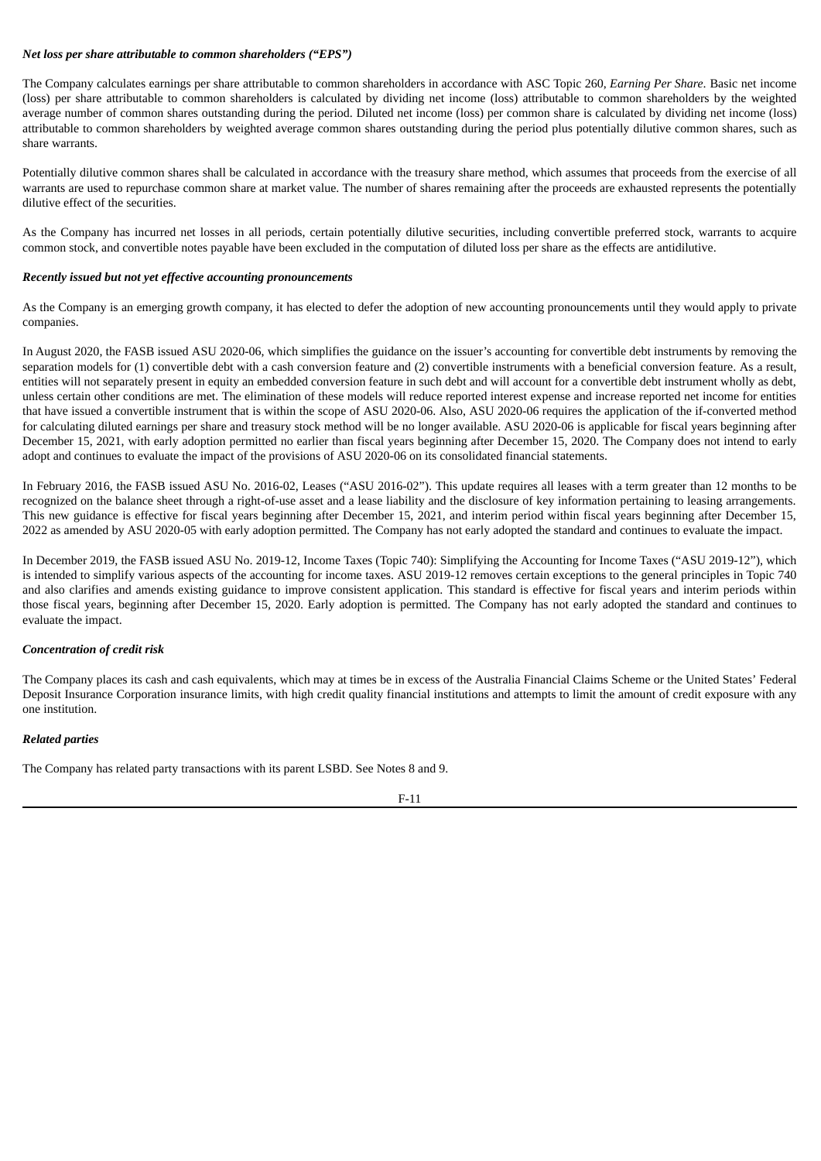### *Net loss per share attributable to common shareholders ("EPS")*

The Company calculates earnings per share attributable to common shareholders in accordance with ASC Topic 260, *Earning Per Share*. Basic net income (loss) per share attributable to common shareholders is calculated by dividing net income (loss) attributable to common shareholders by the weighted average number of common shares outstanding during the period. Diluted net income (loss) per common share is calculated by dividing net income (loss) attributable to common shareholders by weighted average common shares outstanding during the period plus potentially dilutive common shares, such as share warrants.

Potentially dilutive common shares shall be calculated in accordance with the treasury share method, which assumes that proceeds from the exercise of all warrants are used to repurchase common share at market value. The number of shares remaining after the proceeds are exhausted represents the potentially dilutive effect of the securities.

As the Company has incurred net losses in all periods, certain potentially dilutive securities, including convertible preferred stock, warrants to acquire common stock, and convertible notes payable have been excluded in the computation of diluted loss per share as the effects are antidilutive.

#### *Recently issued but not yet effective accounting pronouncements*

As the Company is an emerging growth company, it has elected to defer the adoption of new accounting pronouncements until they would apply to private companies.

In August 2020, the FASB issued ASU 2020-06, which simplifies the guidance on the issuer's accounting for convertible debt instruments by removing the separation models for (1) convertible debt with a cash conversion feature and (2) convertible instruments with a beneficial conversion feature. As a result, entities will not separately present in equity an embedded conversion feature in such debt and will account for a convertible debt instrument wholly as debt, unless certain other conditions are met. The elimination of these models will reduce reported interest expense and increase reported net income for entities that have issued a convertible instrument that is within the scope of ASU 2020-06. Also, ASU 2020-06 requires the application of the if-converted method for calculating diluted earnings per share and treasury stock method will be no longer available. ASU 2020-06 is applicable for fiscal years beginning after December 15, 2021, with early adoption permitted no earlier than fiscal years beginning after December 15, 2020. The Company does not intend to early adopt and continues to evaluate the impact of the provisions of ASU 2020-06 on its consolidated financial statements.

In February 2016, the FASB issued ASU No. 2016-02, Leases ("ASU 2016-02"). This update requires all leases with a term greater than 12 months to be recognized on the balance sheet through a right-of-use asset and a lease liability and the disclosure of key information pertaining to leasing arrangements. This new guidance is effective for fiscal years beginning after December 15, 2021, and interim period within fiscal years beginning after December 15, 2022 as amended by ASU 2020-05 with early adoption permitted. The Company has not early adopted the standard and continues to evaluate the impact.

In December 2019, the FASB issued ASU No. 2019-12, Income Taxes (Topic 740): Simplifying the Accounting for Income Taxes ("ASU 2019-12"), which is intended to simplify various aspects of the accounting for income taxes. ASU 2019-12 removes certain exceptions to the general principles in Topic 740 and also clarifies and amends existing guidance to improve consistent application. This standard is effective for fiscal years and interim periods within those fiscal years, beginning after December 15, 2020. Early adoption is permitted. The Company has not early adopted the standard and continues to evaluate the impact.

# *Concentration of credit risk*

The Company places its cash and cash equivalents, which may at times be in excess of the Australia Financial Claims Scheme or the United States' Federal Deposit Insurance Corporation insurance limits, with high credit quality financial institutions and attempts to limit the amount of credit exposure with any one institution.

# *Related parties*

The Company has related party transactions with its parent LSBD. See Notes 8 and 9.

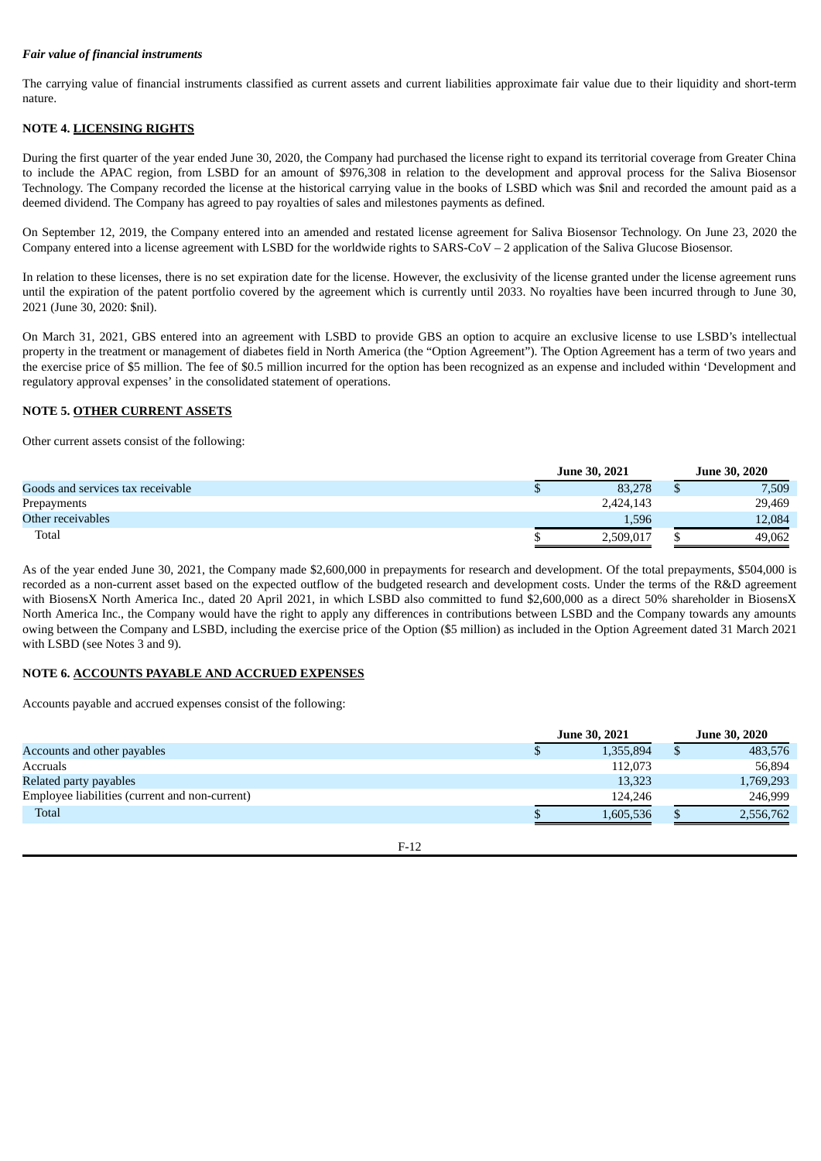### *Fair value of financial instruments*

The carrying value of financial instruments classified as current assets and current liabilities approximate fair value due to their liquidity and short-term nature.

# **NOTE 4. LICENSING RIGHTS**

During the first quarter of the year ended June 30, 2020, the Company had purchased the license right to expand its territorial coverage from Greater China to include the APAC region, from LSBD for an amount of \$976,308 in relation to the development and approval process for the Saliva Biosensor Technology. The Company recorded the license at the historical carrying value in the books of LSBD which was \$nil and recorded the amount paid as a deemed dividend. The Company has agreed to pay royalties of sales and milestones payments as defined.

On September 12, 2019, the Company entered into an amended and restated license agreement for Saliva Biosensor Technology. On June 23, 2020 the Company entered into a license agreement with LSBD for the worldwide rights to SARS-CoV – 2 application of the Saliva Glucose Biosensor.

In relation to these licenses, there is no set expiration date for the license. However, the exclusivity of the license granted under the license agreement runs until the expiration of the patent portfolio covered by the agreement which is currently until 2033. No royalties have been incurred through to June 30, 2021 (June 30, 2020: \$nil).

On March 31, 2021, GBS entered into an agreement with LSBD to provide GBS an option to acquire an exclusive license to use LSBD's intellectual property in the treatment or management of diabetes field in North America (the "Option Agreement"). The Option Agreement has a term of two years and the exercise price of \$5 million. The fee of \$0.5 million incurred for the option has been recognized as an expense and included within 'Development and regulatory approval expenses' in the consolidated statement of operations.

# **NOTE 5. OTHER CURRENT ASSETS**

Other current assets consist of the following:

|                                   | <b>June 30, 2021</b> |       | <b>June 30, 2020</b> |  |
|-----------------------------------|----------------------|-------|----------------------|--|
| Goods and services tax receivable | 83,278               |       | 7,509                |  |
| Prepayments                       | 2,424,143            |       | 29,469               |  |
| Other receivables                 |                      | 1,596 | 12,084               |  |
| Total                             | 2.509.017            |       | 49,062               |  |

As of the year ended June 30, 2021, the Company made \$2,600,000 in prepayments for research and development. Of the total prepayments, \$504,000 is recorded as a non-current asset based on the expected outflow of the budgeted research and development costs. Under the terms of the R&D agreement with BiosensX North America Inc., dated 20 April 2021, in which LSBD also committed to fund \$2,600,000 as a direct 50% shareholder in BiosensX North America Inc., the Company would have the right to apply any differences in contributions between LSBD and the Company towards any amounts owing between the Company and LSBD, including the exercise price of the Option (\$5 million) as included in the Option Agreement dated 31 March 2021 with LSBD (see Notes 3 and 9).

# **NOTE 6. ACCOUNTS PAYABLE AND ACCRUED EXPENSES**

Accounts payable and accrued expenses consist of the following:

|                                                | <b>June 30, 2021</b> |           | <b>June 30, 2020</b> |           |
|------------------------------------------------|----------------------|-----------|----------------------|-----------|
| Accounts and other payables                    |                      | 1,355,894 |                      | 483,576   |
| Accruals                                       |                      | 112,073   |                      | 56,894    |
| Related party payables                         |                      | 13,323    |                      | 1,769,293 |
| Employee liabilities (current and non-current) |                      | 124.246   |                      | 246,999   |
| <b>Total</b>                                   |                      | 1,605,536 |                      | 2,556,762 |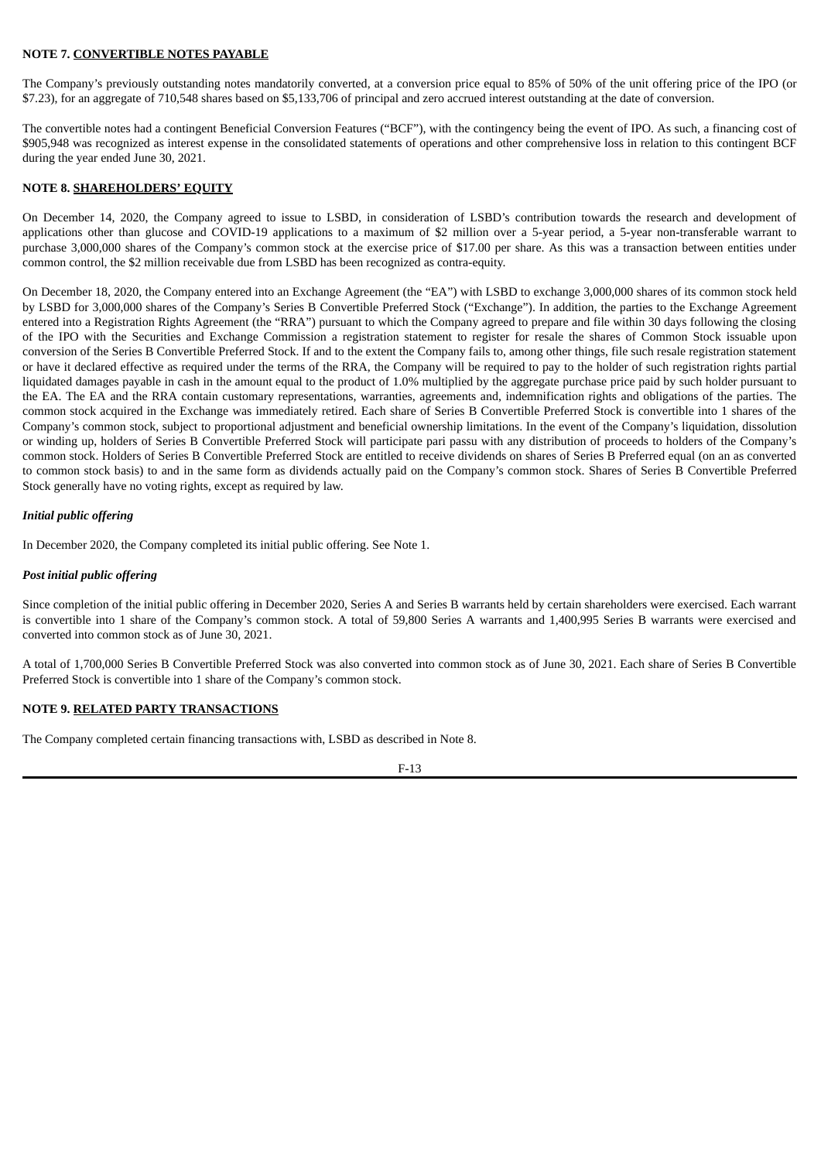# **NOTE 7. CONVERTIBLE NOTES PAYABLE**

The Company's previously outstanding notes mandatorily converted, at a conversion price equal to 85% of 50% of the unit offering price of the IPO (or \$7.23), for an aggregate of 710,548 shares based on \$5,133,706 of principal and zero accrued interest outstanding at the date of conversion.

The convertible notes had a contingent Beneficial Conversion Features ("BCF"), with the contingency being the event of IPO. As such, a financing cost of \$905,948 was recognized as interest expense in the consolidated statements of operations and other comprehensive loss in relation to this contingent BCF during the year ended June 30, 2021.

# **NOTE 8. SHAREHOLDERS' EQUITY**

On December 14, 2020, the Company agreed to issue to LSBD, in consideration of LSBD's contribution towards the research and development of applications other than glucose and COVID-19 applications to a maximum of \$2 million over a 5-year period, a 5-year non-transferable warrant to purchase 3,000,000 shares of the Company's common stock at the exercise price of \$17.00 per share. As this was a transaction between entities under common control, the \$2 million receivable due from LSBD has been recognized as contra-equity.

On December 18, 2020, the Company entered into an Exchange Agreement (the "EA") with LSBD to exchange 3,000,000 shares of its common stock held by LSBD for 3,000,000 shares of the Company's Series B Convertible Preferred Stock ("Exchange"). In addition, the parties to the Exchange Agreement entered into a Registration Rights Agreement (the "RRA") pursuant to which the Company agreed to prepare and file within 30 days following the closing of the IPO with the Securities and Exchange Commission a registration statement to register for resale the shares of Common Stock issuable upon conversion of the Series B Convertible Preferred Stock. If and to the extent the Company fails to, among other things, file such resale registration statement or have it declared effective as required under the terms of the RRA, the Company will be required to pay to the holder of such registration rights partial liquidated damages payable in cash in the amount equal to the product of 1.0% multiplied by the aggregate purchase price paid by such holder pursuant to the EA. The EA and the RRA contain customary representations, warranties, agreements and, indemnification rights and obligations of the parties. The common stock acquired in the Exchange was immediately retired. Each share of Series B Convertible Preferred Stock is convertible into 1 shares of the Company's common stock, subject to proportional adjustment and beneficial ownership limitations. In the event of the Company's liquidation, dissolution or winding up, holders of Series B Convertible Preferred Stock will participate pari passu with any distribution of proceeds to holders of the Company's common stock. Holders of Series B Convertible Preferred Stock are entitled to receive dividends on shares of Series B Preferred equal (on an as converted to common stock basis) to and in the same form as dividends actually paid on the Company's common stock. Shares of Series B Convertible Preferred Stock generally have no voting rights, except as required by law.

# *Initial public offering*

In December 2020, the Company completed its initial public offering. See Note 1.

# *Post initial public offering*

Since completion of the initial public offering in December 2020, Series A and Series B warrants held by certain shareholders were exercised. Each warrant is convertible into 1 share of the Company's common stock. A total of 59,800 Series A warrants and 1,400,995 Series B warrants were exercised and converted into common stock as of June 30, 2021.

A total of 1,700,000 Series B Convertible Preferred Stock was also converted into common stock as of June 30, 2021. Each share of Series B Convertible Preferred Stock is convertible into 1 share of the Company's common stock.

# **NOTE 9. RELATED PARTY TRANSACTIONS**

The Company completed certain financing transactions with, LSBD as described in Note 8.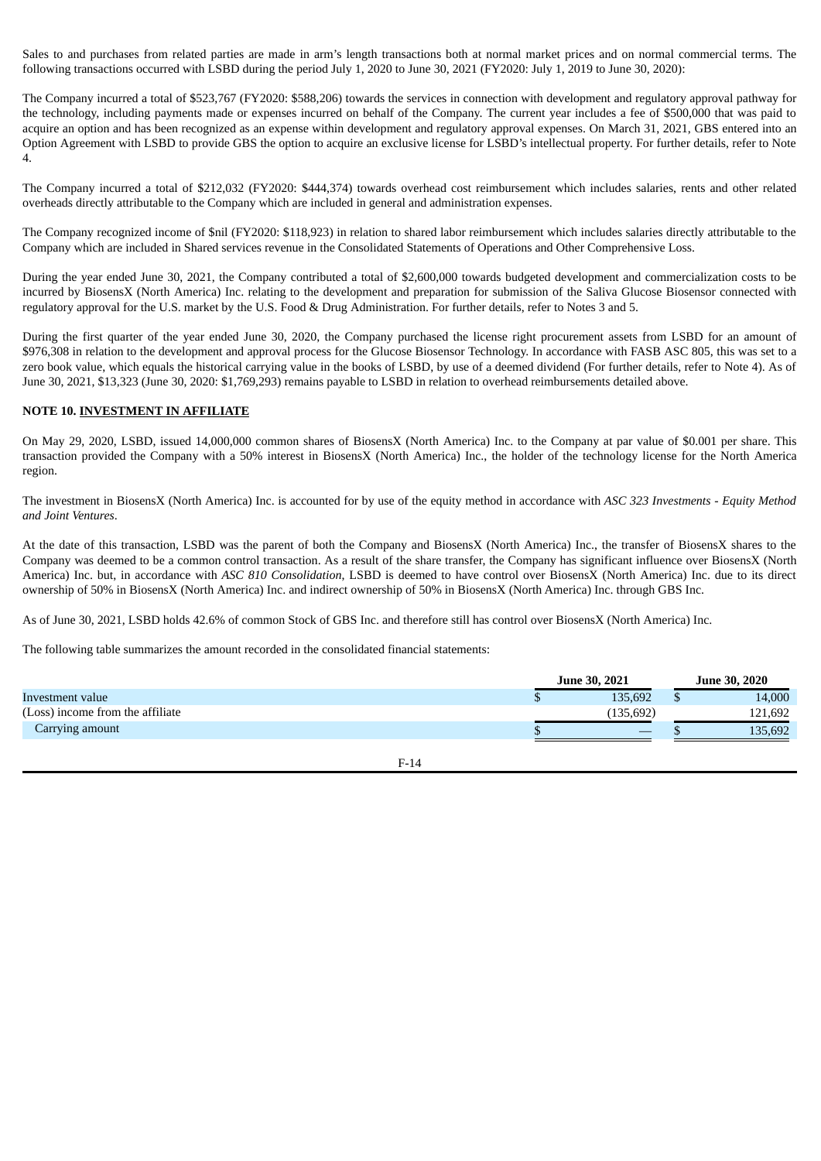Sales to and purchases from related parties are made in arm's length transactions both at normal market prices and on normal commercial terms. The following transactions occurred with LSBD during the period July 1, 2020 to June 30, 2021 (FY2020: July 1, 2019 to June 30, 2020):

The Company incurred a total of \$523,767 (FY2020: \$588,206) towards the services in connection with development and regulatory approval pathway for the technology, including payments made or expenses incurred on behalf of the Company. The current year includes a fee of \$500,000 that was paid to acquire an option and has been recognized as an expense within development and regulatory approval expenses. On March 31, 2021, GBS entered into an Option Agreement with LSBD to provide GBS the option to acquire an exclusive license for LSBD's intellectual property. For further details, refer to Note 4.

The Company incurred a total of \$212,032 (FY2020: \$444,374) towards overhead cost reimbursement which includes salaries, rents and other related overheads directly attributable to the Company which are included in general and administration expenses.

The Company recognized income of \$nil (FY2020: \$118,923) in relation to shared labor reimbursement which includes salaries directly attributable to the Company which are included in Shared services revenue in the Consolidated Statements of Operations and Other Comprehensive Loss.

During the year ended June 30, 2021, the Company contributed a total of \$2,600,000 towards budgeted development and commercialization costs to be incurred by BiosensX (North America) Inc. relating to the development and preparation for submission of the Saliva Glucose Biosensor connected with regulatory approval for the U.S. market by the U.S. Food & Drug Administration. For further details, refer to Notes 3 and 5.

During the first quarter of the year ended June 30, 2020, the Company purchased the license right procurement assets from LSBD for an amount of \$976,308 in relation to the development and approval process for the Glucose Biosensor Technology. In accordance with FASB ASC 805, this was set to a zero book value, which equals the historical carrying value in the books of LSBD, by use of a deemed dividend (For further details, refer to Note 4). As of June 30, 2021, \$13,323 (June 30, 2020: \$1,769,293) remains payable to LSBD in relation to overhead reimbursements detailed above.

# **NOTE 10. INVESTMENT IN AFFILIATE**

On May 29, 2020, LSBD, issued 14,000,000 common shares of BiosensX (North America) Inc. to the Company at par value of \$0.001 per share. This transaction provided the Company with a 50% interest in BiosensX (North America) Inc., the holder of the technology license for the North America region.

The investment in BiosensX (North America) Inc. is accounted for by use of the equity method in accordance with *ASC 323 Investments - Equity Method and Joint Ventures*.

At the date of this transaction, LSBD was the parent of both the Company and BiosensX (North America) Inc., the transfer of BiosensX shares to the Company was deemed to be a common control transaction. As a result of the share transfer, the Company has significant influence over BiosensX (North America) Inc. but, in accordance with *ASC 810 Consolidation*, LSBD is deemed to have control over BiosensX (North America) Inc. due to its direct ownership of 50% in BiosensX (North America) Inc. and indirect ownership of 50% in BiosensX (North America) Inc. through GBS Inc.

As of June 30, 2021, LSBD holds 42.6% of common Stock of GBS Inc. and therefore still has control over BiosensX (North America) Inc.

The following table summarizes the amount recorded in the consolidated financial statements:

|                                  | June 30, 2021 | <b>June 30, 2020</b> |
|----------------------------------|---------------|----------------------|
| Investment value                 | 135.692       | 14,000               |
| (Loss) income from the affiliate | 135.692       | 121,692              |
| Carrying amount                  |               | 135,692              |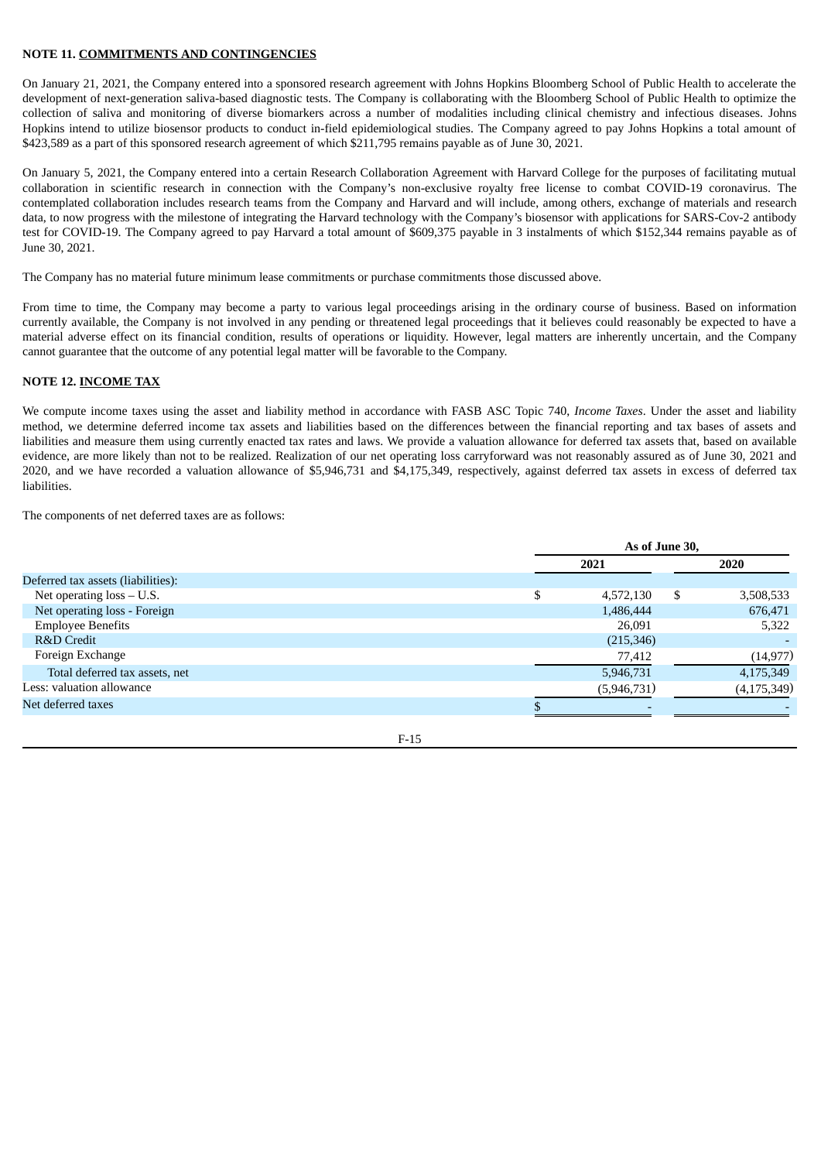## **NOTE 11. COMMITMENTS AND CONTINGENCIES**

On January 21, 2021, the Company entered into a sponsored research agreement with Johns Hopkins Bloomberg School of Public Health to accelerate the development of next-generation saliva-based diagnostic tests. The Company is collaborating with the Bloomberg School of Public Health to optimize the collection of saliva and monitoring of diverse biomarkers across a number of modalities including clinical chemistry and infectious diseases. Johns Hopkins intend to utilize biosensor products to conduct in-field epidemiological studies. The Company agreed to pay Johns Hopkins a total amount of \$423,589 as a part of this sponsored research agreement of which \$211,795 remains payable as of June 30, 2021.

On January 5, 2021, the Company entered into a certain Research Collaboration Agreement with Harvard College for the purposes of facilitating mutual collaboration in scientific research in connection with the Company's non-exclusive royalty free license to combat COVID-19 coronavirus. The contemplated collaboration includes research teams from the Company and Harvard and will include, among others, exchange of materials and research data, to now progress with the milestone of integrating the Harvard technology with the Company's biosensor with applications for SARS-Cov-2 antibody test for COVID-19. The Company agreed to pay Harvard a total amount of \$609,375 payable in 3 instalments of which \$152,344 remains payable as of June 30, 2021.

The Company has no material future minimum lease commitments or purchase commitments those discussed above.

From time to time, the Company may become a party to various legal proceedings arising in the ordinary course of business. Based on information currently available, the Company is not involved in any pending or threatened legal proceedings that it believes could reasonably be expected to have a material adverse effect on its financial condition, results of operations or liquidity. However, legal matters are inherently uncertain, and the Company cannot guarantee that the outcome of any potential legal matter will be favorable to the Company.

### **NOTE 12. INCOME TAX**

We compute income taxes using the asset and liability method in accordance with FASB ASC Topic 740, *Income Taxes*. Under the asset and liability method, we determine deferred income tax assets and liabilities based on the differences between the financial reporting and tax bases of assets and liabilities and measure them using currently enacted tax rates and laws. We provide a valuation allowance for deferred tax assets that, based on available evidence, are more likely than not to be realized. Realization of our net operating loss carryforward was not reasonably assured as of June 30, 2021 and 2020, and we have recorded a valuation allowance of \$5,946,731 and \$4,175,349, respectively, against deferred tax assets in excess of deferred tax liabilities.

The components of net deferred taxes are as follows:

|                                    | As of June 30,  |    |               |
|------------------------------------|-----------------|----|---------------|
|                                    | 2021            |    | 2020          |
| Deferred tax assets (liabilities): |                 |    |               |
| Net operating $loss - U.S.$        | \$<br>4,572,130 | \$ | 3,508,533     |
| Net operating loss - Foreign       | 1,486,444       |    | 676,471       |
| <b>Employee Benefits</b>           | 26,091          |    | 5,322         |
| R&D Credit                         | (215, 346)      |    |               |
| Foreign Exchange                   | 77,412          |    | (14, 977)     |
| Total deferred tax assets, net     | 5,946,731       |    | 4,175,349     |
| Less: valuation allowance          | (5,946,731)     |    | (4, 175, 349) |
| Net deferred taxes                 |                 |    |               |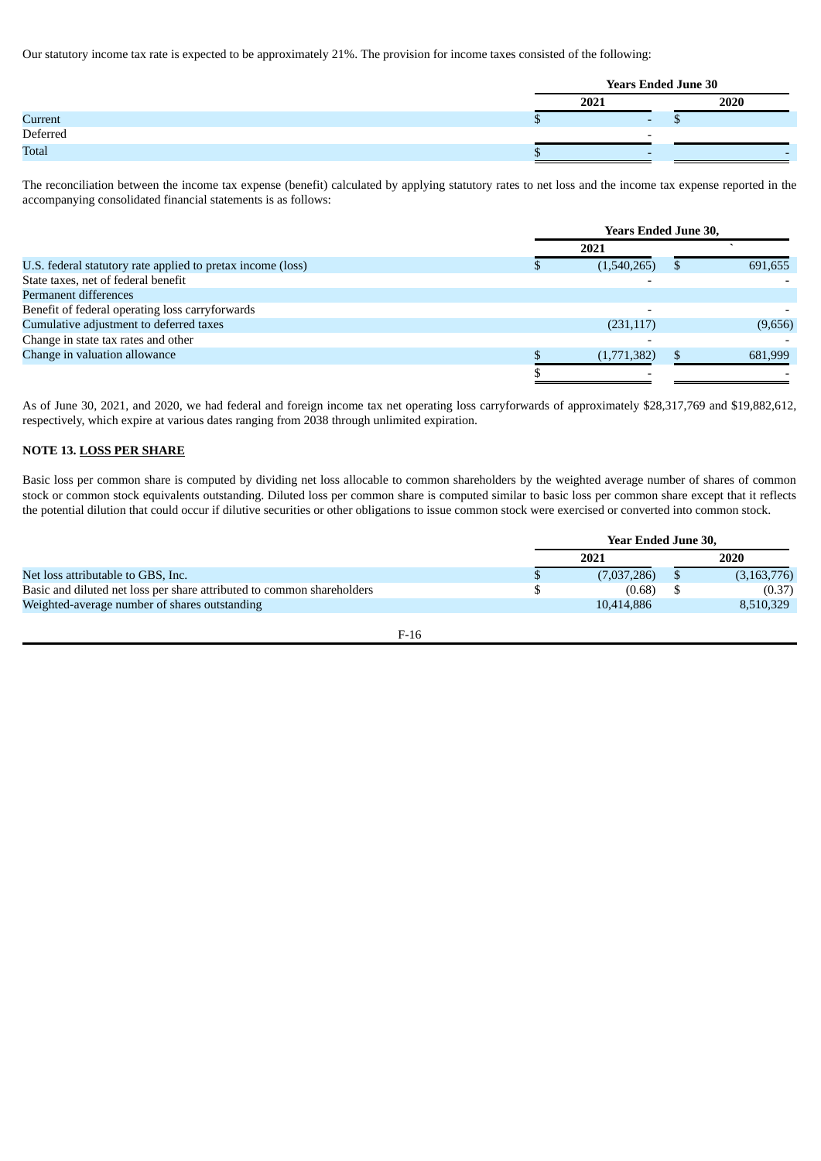Our statutory income tax rate is expected to be approximately 21%. The provision for income taxes consisted of the following:

|              | <b>Years Ended June 30</b> |      |  |
|--------------|----------------------------|------|--|
|              | 2021                       | 2020 |  |
| Current      |                            |      |  |
| Deferred     | -                          |      |  |
| <b>Total</b> | $\overline{\phantom{a}}$   |      |  |

The reconciliation between the income tax expense (benefit) calculated by applying statutory rates to net loss and the income tax expense reported in the accompanying consolidated financial statements is as follows:

|                                                             | <b>Years Ended June 30,</b> |  |         |
|-------------------------------------------------------------|-----------------------------|--|---------|
|                                                             | 2021                        |  |         |
| U.S. federal statutory rate applied to pretax income (loss) | (1,540,265)                 |  | 691,655 |
| State taxes, net of federal benefit                         |                             |  |         |
| Permanent differences                                       |                             |  |         |
| Benefit of federal operating loss carryforwards             |                             |  |         |
| Cumulative adjustment to deferred taxes                     | (231, 117)                  |  | (9,656) |
| Change in state tax rates and other                         |                             |  |         |
| Change in valuation allowance                               | (1,771,382)                 |  | 681,999 |
|                                                             |                             |  |         |
|                                                             |                             |  |         |

As of June 30, 2021, and 2020, we had federal and foreign income tax net operating loss carryforwards of approximately \$28,317,769 and \$19,882,612, respectively, which expire at various dates ranging from 2038 through unlimited expiration.

# **NOTE 13. LOSS PER SHARE**

Basic loss per common share is computed by dividing net loss allocable to common shareholders by the weighted average number of shares of common stock or common stock equivalents outstanding. Diluted loss per common share is computed similar to basic loss per common share except that it reflects the potential dilution that could occur if dilutive securities or other obligations to issue common stock were exercised or converted into common stock.

|                                                                        | <b>Year Ended June 30.</b> |  |             |
|------------------------------------------------------------------------|----------------------------|--|-------------|
|                                                                        | 2021                       |  | 2020        |
| Net loss attributable to GBS, Inc.                                     | (7,037,286)                |  | (3,163,776) |
| Basic and diluted net loss per share attributed to common shareholders | (0.68)                     |  | (0.37)      |
| Weighted-average number of shares outstanding                          | 10.414.886                 |  | 8,510,329   |
|                                                                        |                            |  |             |

|  | ×<br>۰, |
|--|---------|
|--|---------|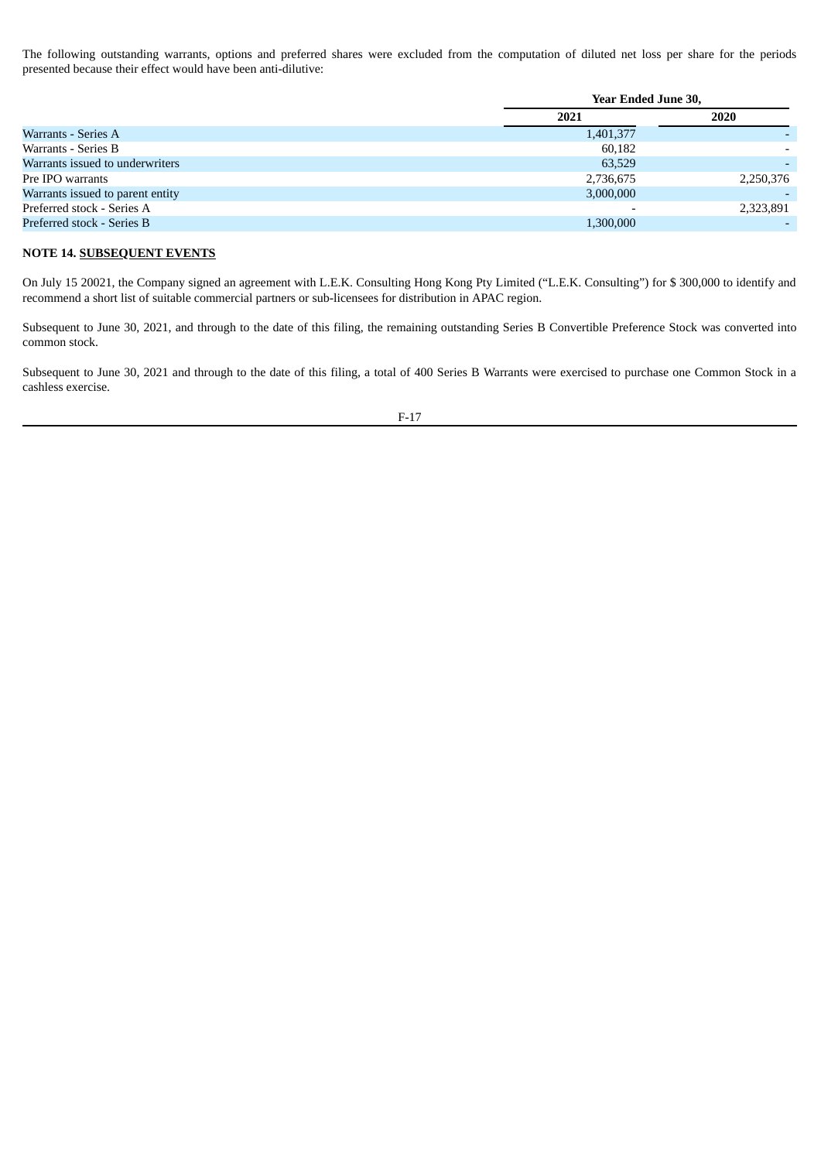The following outstanding warrants, options and preferred shares were excluded from the computation of diluted net loss per share for the periods presented because their effect would have been anti-dilutive:

|                                  |           | <b>Year Ended June 30,</b> |  |  |
|----------------------------------|-----------|----------------------------|--|--|
|                                  | 2021      | 2020                       |  |  |
| Warrants - Series A              | 1,401,377 |                            |  |  |
| Warrants - Series B              | 60,182    |                            |  |  |
| Warrants issued to underwriters  | 63,529    |                            |  |  |
| Pre IPO warrants                 | 2,736,675 | 2,250,376                  |  |  |
| Warrants issued to parent entity | 3,000,000 |                            |  |  |
| Preferred stock - Series A       |           | 2,323,891                  |  |  |
| Preferred stock - Series B       | 1,300,000 |                            |  |  |
|                                  |           |                            |  |  |

# **NOTE 14. SUBSEQUENT EVENTS**

On July 15 20021, the Company signed an agreement with L.E.K. Consulting Hong Kong Pty Limited ("L.E.K. Consulting") for \$ 300,000 to identify and recommend a short list of suitable commercial partners or sub-licensees for distribution in APAC region.

Subsequent to June 30, 2021, and through to the date of this filing, the remaining outstanding Series B Convertible Preference Stock was converted into common stock.

Subsequent to June 30, 2021 and through to the date of this filing, a total of 400 Series B Warrants were exercised to purchase one Common Stock in a cashless exercise.

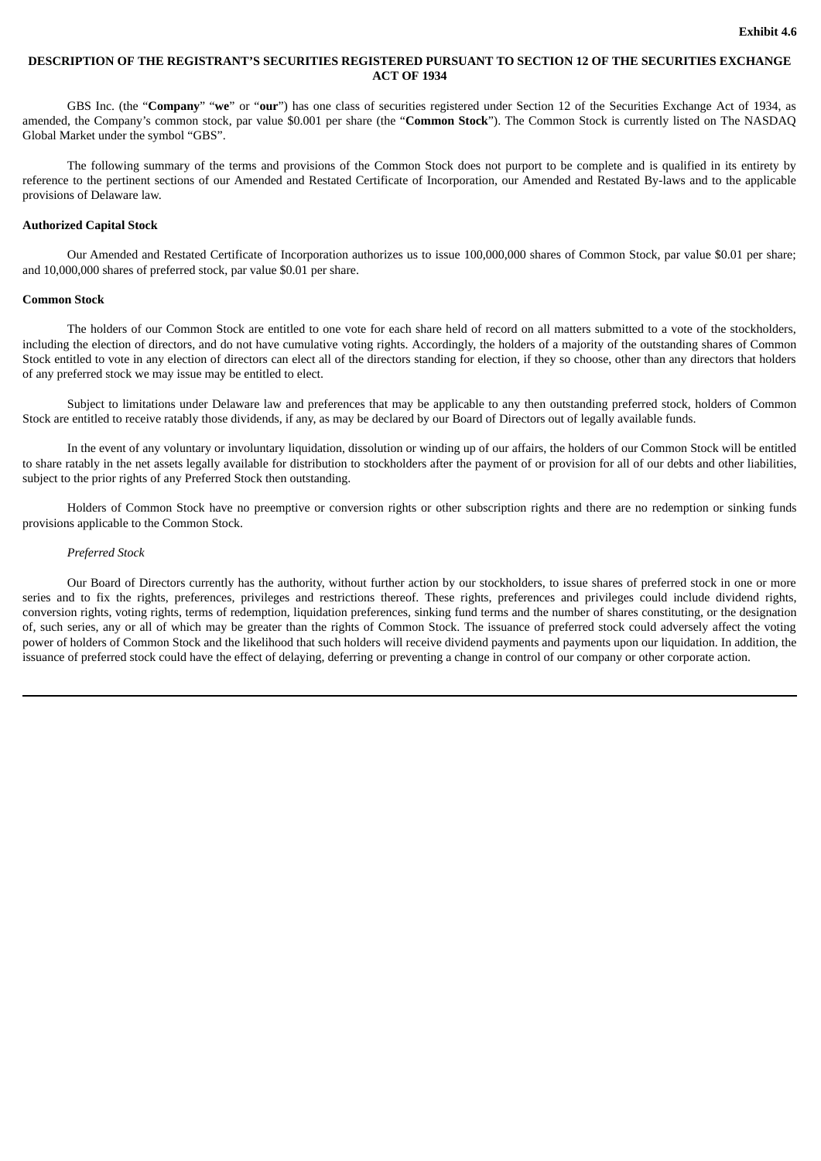## **DESCRIPTION OF THE REGISTRANT'S SECURITIES REGISTERED PURSUANT TO SECTION 12 OF THE SECURITIES EXCHANGE ACT OF 1934**

GBS Inc. (the "**Company**" "**we**" or "**our**") has one class of securities registered under Section 12 of the Securities Exchange Act of 1934, as amended, the Company's common stock, par value \$0.001 per share (the "**Common Stock**"). The Common Stock is currently listed on The NASDAQ Global Market under the symbol "GBS".

The following summary of the terms and provisions of the Common Stock does not purport to be complete and is qualified in its entirety by reference to the pertinent sections of our Amended and Restated Certificate of Incorporation, our Amended and Restated By-laws and to the applicable provisions of Delaware law.

## **Authorized Capital Stock**

Our Amended and Restated Certificate of Incorporation authorizes us to issue 100,000,000 shares of Common Stock, par value \$0.01 per share; and 10,000,000 shares of preferred stock, par value \$0.01 per share.

### **Common Stock**

The holders of our Common Stock are entitled to one vote for each share held of record on all matters submitted to a vote of the stockholders, including the election of directors, and do not have cumulative voting rights. Accordingly, the holders of a majority of the outstanding shares of Common Stock entitled to vote in any election of directors can elect all of the directors standing for election, if they so choose, other than any directors that holders of any preferred stock we may issue may be entitled to elect.

Subject to limitations under Delaware law and preferences that may be applicable to any then outstanding preferred stock, holders of Common Stock are entitled to receive ratably those dividends, if any, as may be declared by our Board of Directors out of legally available funds.

In the event of any voluntary or involuntary liquidation, dissolution or winding up of our affairs, the holders of our Common Stock will be entitled to share ratably in the net assets legally available for distribution to stockholders after the payment of or provision for all of our debts and other liabilities, subject to the prior rights of any Preferred Stock then outstanding.

Holders of Common Stock have no preemptive or conversion rights or other subscription rights and there are no redemption or sinking funds provisions applicable to the Common Stock.

### *Preferred Stock*

Our Board of Directors currently has the authority, without further action by our stockholders, to issue shares of preferred stock in one or more series and to fix the rights, preferences, privileges and restrictions thereof. These rights, preferences and privileges could include dividend rights, conversion rights, voting rights, terms of redemption, liquidation preferences, sinking fund terms and the number of shares constituting, or the designation of, such series, any or all of which may be greater than the rights of Common Stock. The issuance of preferred stock could adversely affect the voting power of holders of Common Stock and the likelihood that such holders will receive dividend payments and payments upon our liquidation. In addition, the issuance of preferred stock could have the effect of delaying, deferring or preventing a change in control of our company or other corporate action.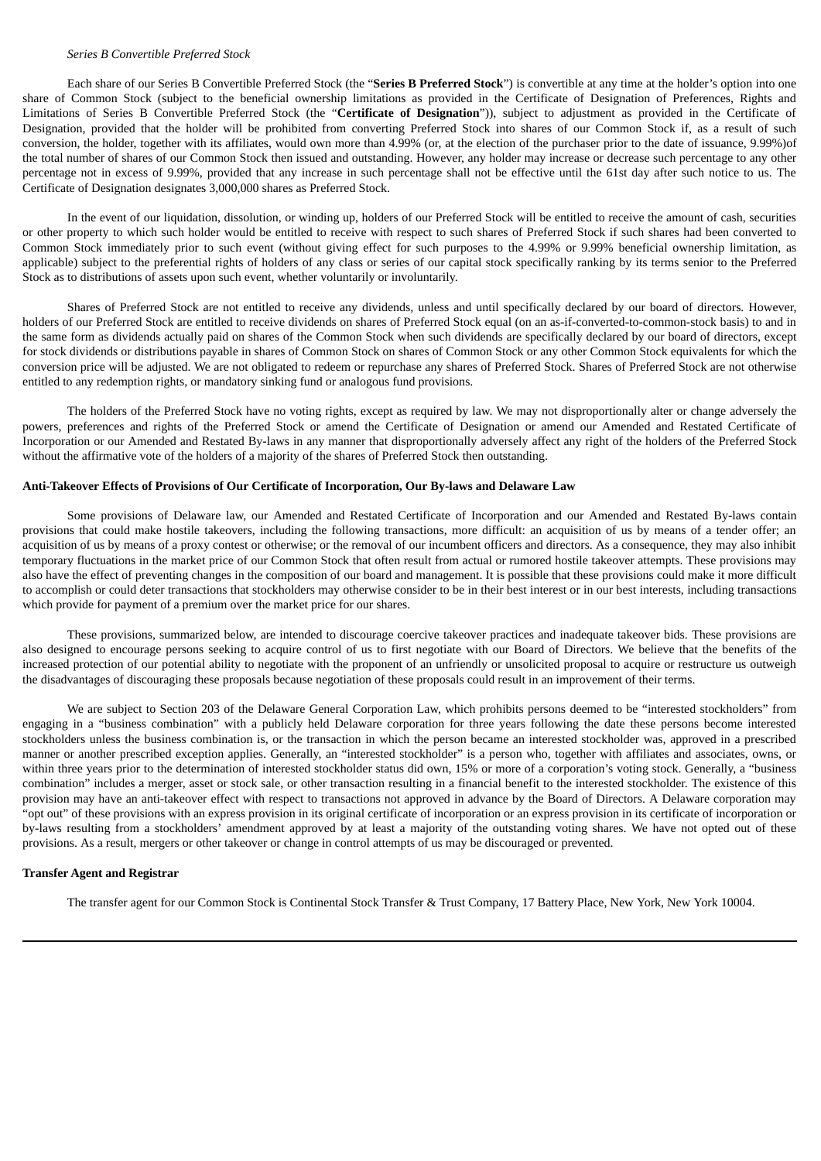## *Series B Convertible Preferred Stock*

Each share of our Series B Convertible Preferred Stock (the "**Series B Preferred Stock**") is convertible at any time at the holder's option into one share of Common Stock (subject to the beneficial ownership limitations as provided in the Certificate of Designation of Preferences, Rights and Limitations of Series B Convertible Preferred Stock (the "**Certificate of Designation**")), subject to adjustment as provided in the Certificate of Designation, provided that the holder will be prohibited from converting Preferred Stock into shares of our Common Stock if, as a result of such conversion, the holder, together with its affiliates, would own more than 4.99% (or, at the election of the purchaser prior to the date of issuance, 9.99%)of the total number of shares of our Common Stock then issued and outstanding. However, any holder may increase or decrease such percentage to any other percentage not in excess of 9.99%, provided that any increase in such percentage shall not be effective until the 61st day after such notice to us. The Certificate of Designation designates 3,000,000 shares as Preferred Stock.

In the event of our liquidation, dissolution, or winding up, holders of our Preferred Stock will be entitled to receive the amount of cash, securities or other property to which such holder would be entitled to receive with respect to such shares of Preferred Stock if such shares had been converted to Common Stock immediately prior to such event (without giving effect for such purposes to the 4.99% or 9.99% beneficial ownership limitation, as applicable) subject to the preferential rights of holders of any class or series of our capital stock specifically ranking by its terms senior to the Preferred Stock as to distributions of assets upon such event, whether voluntarily or involuntarily.

Shares of Preferred Stock are not entitled to receive any dividends, unless and until specifically declared by our board of directors. However, holders of our Preferred Stock are entitled to receive dividends on shares of Preferred Stock equal (on an as-if-converted-to-common-stock basis) to and in the same form as dividends actually paid on shares of the Common Stock when such dividends are specifically declared by our board of directors, except for stock dividends or distributions payable in shares of Common Stock on shares of Common Stock or any other Common Stock equivalents for which the conversion price will be adjusted. We are not obligated to redeem or repurchase any shares of Preferred Stock. Shares of Preferred Stock are not otherwise entitled to any redemption rights, or mandatory sinking fund or analogous fund provisions.

The holders of the Preferred Stock have no voting rights, except as required by law. We may not disproportionally alter or change adversely the powers, preferences and rights of the Preferred Stock or amend the Certificate of Designation or amend our Amended and Restated Certificate of Incorporation or our Amended and Restated By-laws in any manner that disproportionally adversely affect any right of the holders of the Preferred Stock without the affirmative vote of the holders of a majority of the shares of Preferred Stock then outstanding.

### **Anti-Takeover Effects of Provisions of Our Certificate of Incorporation, Our By-laws and Delaware Law**

Some provisions of Delaware law, our Amended and Restated Certificate of Incorporation and our Amended and Restated By-laws contain provisions that could make hostile takeovers, including the following transactions, more difficult: an acquisition of us by means of a tender offer; an acquisition of us by means of a proxy contest or otherwise; or the removal of our incumbent officers and directors. As a consequence, they may also inhibit temporary fluctuations in the market price of our Common Stock that often result from actual or rumored hostile takeover attempts. These provisions may also have the effect of preventing changes in the composition of our board and management. It is possible that these provisions could make it more difficult to accomplish or could deter transactions that stockholders may otherwise consider to be in their best interest or in our best interests, including transactions which provide for payment of a premium over the market price for our shares.

These provisions, summarized below, are intended to discourage coercive takeover practices and inadequate takeover bids. These provisions are also designed to encourage persons seeking to acquire control of us to first negotiate with our Board of Directors. We believe that the benefits of the increased protection of our potential ability to negotiate with the proponent of an unfriendly or unsolicited proposal to acquire or restructure us outweigh the disadvantages of discouraging these proposals because negotiation of these proposals could result in an improvement of their terms.

We are subject to Section 203 of the Delaware General Corporation Law, which prohibits persons deemed to be "interested stockholders" from engaging in a "business combination" with a publicly held Delaware corporation for three years following the date these persons become interested stockholders unless the business combination is, or the transaction in which the person became an interested stockholder was, approved in a prescribed manner or another prescribed exception applies. Generally, an "interested stockholder" is a person who, together with affiliates and associates, owns, or within three years prior to the determination of interested stockholder status did own, 15% or more of a corporation's voting stock. Generally, a "business combination" includes a merger, asset or stock sale, or other transaction resulting in a financial benefit to the interested stockholder. The existence of this provision may have an anti-takeover effect with respect to transactions not approved in advance by the Board of Directors. A Delaware corporation may "opt out" of these provisions with an express provision in its original certificate of incorporation or an express provision in its certificate of incorporation or by-laws resulting from a stockholders' amendment approved by at least a majority of the outstanding voting shares. We have not opted out of these provisions. As a result, mergers or other takeover or change in control attempts of us may be discouraged or prevented.

#### **Transfer Agent and Registrar**

The transfer agent for our Common Stock is Continental Stock Transfer & Trust Company, 17 Battery Place, New York, New York 10004.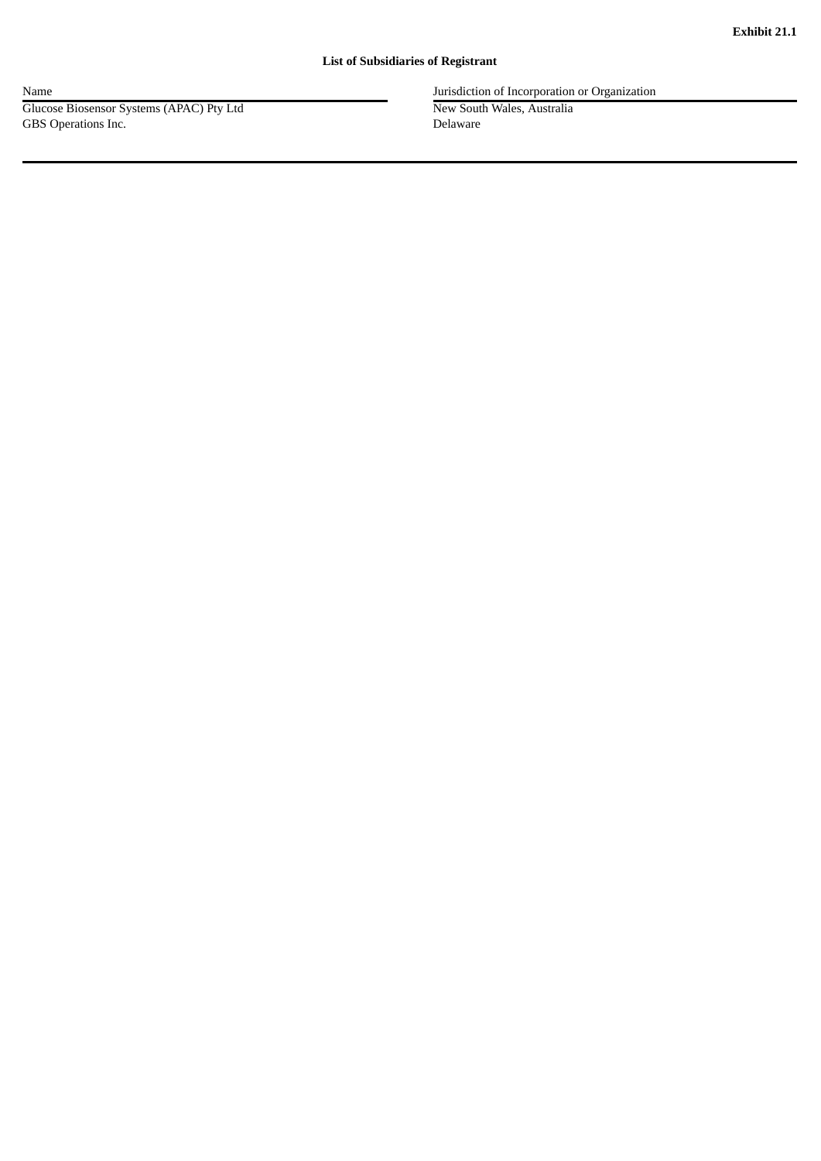# **List of Subsidiaries of Registrant**

Glucose Biosensor Systems (APAC) Pty Ltd GBS Operations Inc. **Delaware** 

Name Jurisdiction of Incorporation or Organization Glucose Biosensor Systems (APAC) Pty Ltd New South Wales, Australia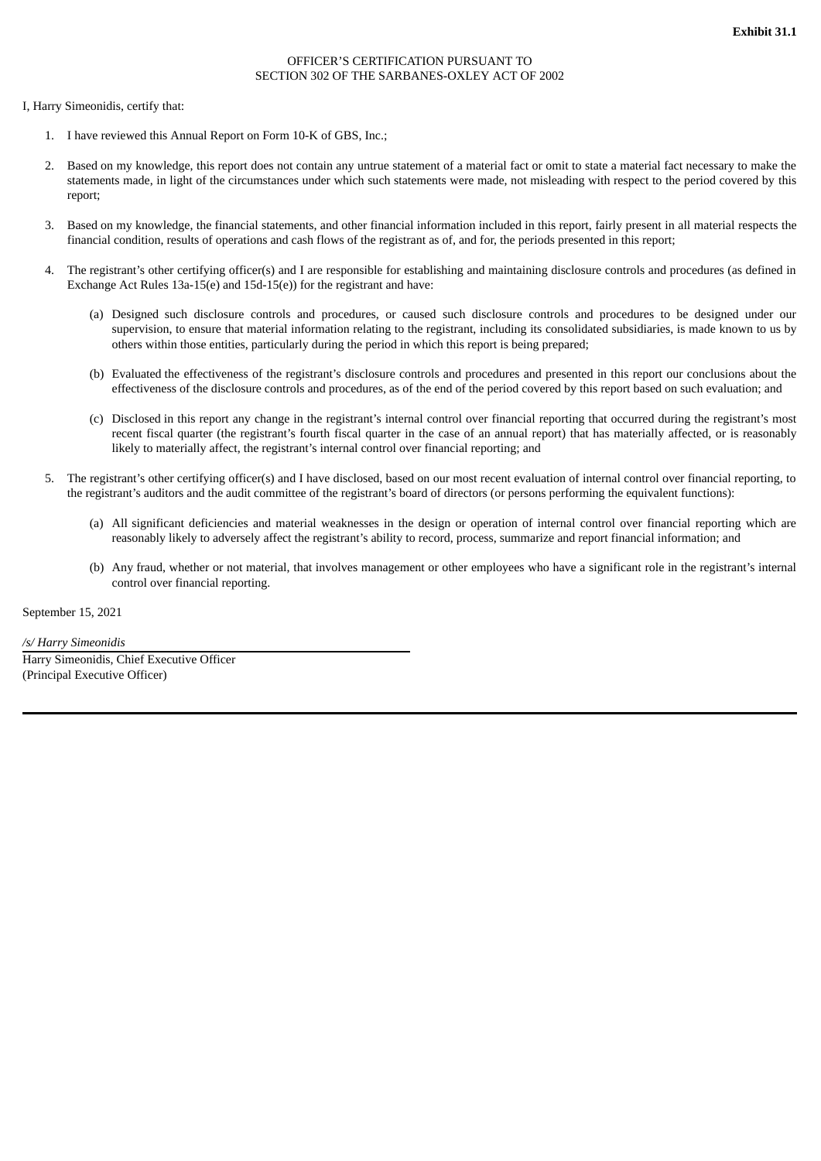## OFFICER'S CERTIFICATION PURSUANT TO SECTION 302 OF THE SARBANES-OXLEY ACT OF 2002

I, Harry Simeonidis, certify that:

- 1. I have reviewed this Annual Report on Form 10-K of GBS, Inc.;
- 2. Based on my knowledge, this report does not contain any untrue statement of a material fact or omit to state a material fact necessary to make the statements made, in light of the circumstances under which such statements were made, not misleading with respect to the period covered by this report;
- 3. Based on my knowledge, the financial statements, and other financial information included in this report, fairly present in all material respects the financial condition, results of operations and cash flows of the registrant as of, and for, the periods presented in this report;
- 4. The registrant's other certifying officer(s) and I are responsible for establishing and maintaining disclosure controls and procedures (as defined in Exchange Act Rules 13a-15(e) and 15d-15(e)) for the registrant and have:
	- (a) Designed such disclosure controls and procedures, or caused such disclosure controls and procedures to be designed under our supervision, to ensure that material information relating to the registrant, including its consolidated subsidiaries, is made known to us by others within those entities, particularly during the period in which this report is being prepared;
	- (b) Evaluated the effectiveness of the registrant's disclosure controls and procedures and presented in this report our conclusions about the effectiveness of the disclosure controls and procedures, as of the end of the period covered by this report based on such evaluation; and
	- (c) Disclosed in this report any change in the registrant's internal control over financial reporting that occurred during the registrant's most recent fiscal quarter (the registrant's fourth fiscal quarter in the case of an annual report) that has materially affected, or is reasonably likely to materially affect, the registrant's internal control over financial reporting; and
- 5. The registrant's other certifying officer(s) and I have disclosed, based on our most recent evaluation of internal control over financial reporting, to the registrant's auditors and the audit committee of the registrant's board of directors (or persons performing the equivalent functions):
	- (a) All significant deficiencies and material weaknesses in the design or operation of internal control over financial reporting which are reasonably likely to adversely affect the registrant's ability to record, process, summarize and report financial information; and
	- (b) Any fraud, whether or not material, that involves management or other employees who have a significant role in the registrant's internal control over financial reporting.

September 15, 2021

*/s/ Harry Simeonidis*

Harry Simeonidis, Chief Executive Officer (Principal Executive Officer)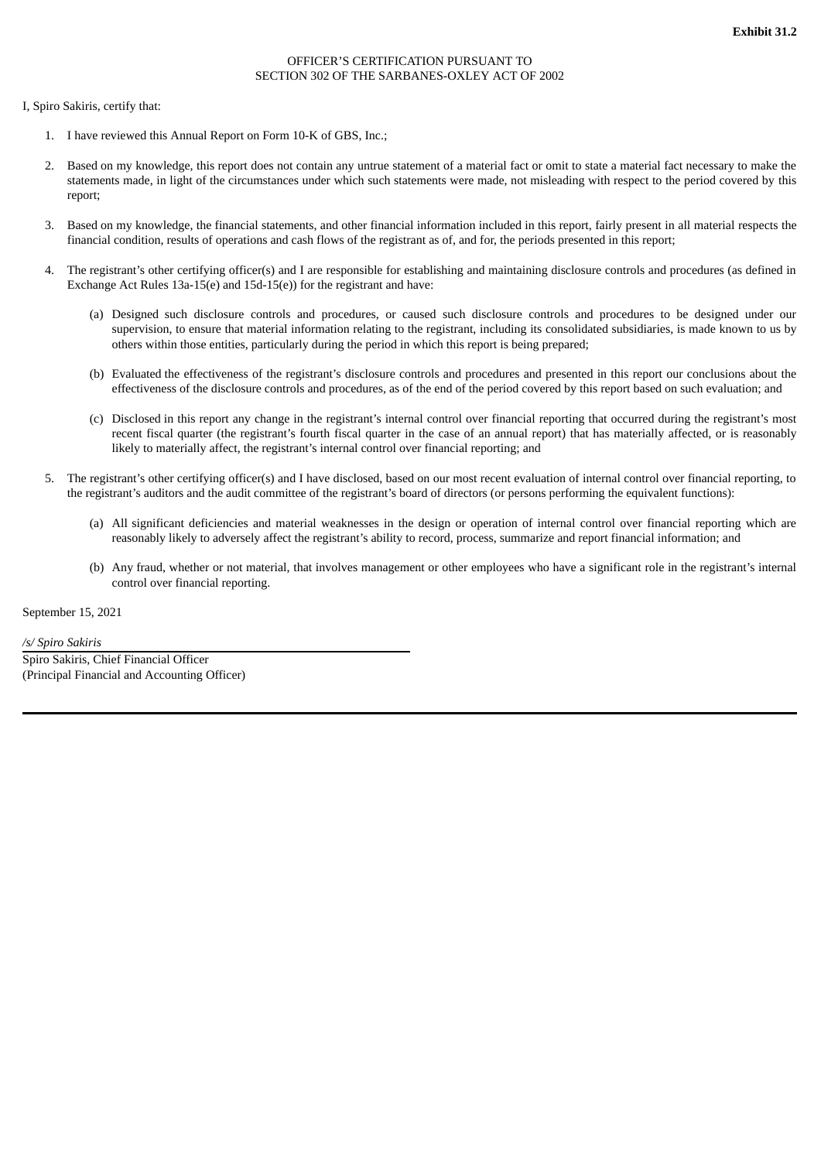## OFFICER'S CERTIFICATION PURSUANT TO SECTION 302 OF THE SARBANES-OXLEY ACT OF 2002

I, Spiro Sakiris, certify that:

- 1. I have reviewed this Annual Report on Form 10-K of GBS, Inc.;
- 2. Based on my knowledge, this report does not contain any untrue statement of a material fact or omit to state a material fact necessary to make the statements made, in light of the circumstances under which such statements were made, not misleading with respect to the period covered by this report;
- 3. Based on my knowledge, the financial statements, and other financial information included in this report, fairly present in all material respects the financial condition, results of operations and cash flows of the registrant as of, and for, the periods presented in this report;
- 4. The registrant's other certifying officer(s) and I are responsible for establishing and maintaining disclosure controls and procedures (as defined in Exchange Act Rules 13a-15(e) and 15d-15(e)) for the registrant and have:
	- (a) Designed such disclosure controls and procedures, or caused such disclosure controls and procedures to be designed under our supervision, to ensure that material information relating to the registrant, including its consolidated subsidiaries, is made known to us by others within those entities, particularly during the period in which this report is being prepared;
	- (b) Evaluated the effectiveness of the registrant's disclosure controls and procedures and presented in this report our conclusions about the effectiveness of the disclosure controls and procedures, as of the end of the period covered by this report based on such evaluation; and
	- (c) Disclosed in this report any change in the registrant's internal control over financial reporting that occurred during the registrant's most recent fiscal quarter (the registrant's fourth fiscal quarter in the case of an annual report) that has materially affected, or is reasonably likely to materially affect, the registrant's internal control over financial reporting; and
- 5. The registrant's other certifying officer(s) and I have disclosed, based on our most recent evaluation of internal control over financial reporting, to the registrant's auditors and the audit committee of the registrant's board of directors (or persons performing the equivalent functions):
	- (a) All significant deficiencies and material weaknesses in the design or operation of internal control over financial reporting which are reasonably likely to adversely affect the registrant's ability to record, process, summarize and report financial information; and
	- (b) Any fraud, whether or not material, that involves management or other employees who have a significant role in the registrant's internal control over financial reporting.

September 15, 2021

*/s/ Spiro Sakiris*

Spiro Sakiris, Chief Financial Officer (Principal Financial and Accounting Officer)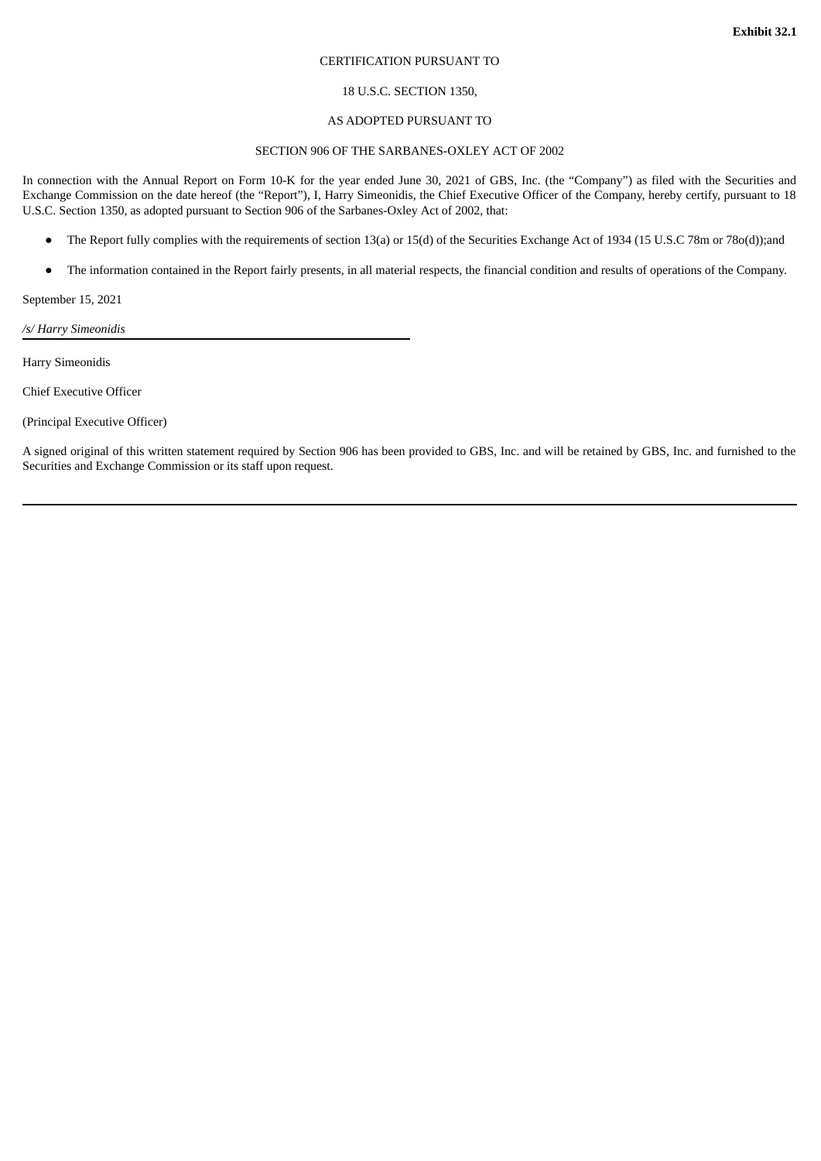# CERTIFICATION PURSUANT TO

### 18 U.S.C. SECTION 1350,

# AS ADOPTED PURSUANT TO

## SECTION 906 OF THE SARBANES-OXLEY ACT OF 2002

In connection with the Annual Report on Form 10-K for the year ended June 30, 2021 of GBS, Inc. (the "Company") as filed with the Securities and Exchange Commission on the date hereof (the "Report"), I, Harry Simeonidis, the Chief Executive Officer of the Company, hereby certify, pursuant to 18 U.S.C. Section 1350, as adopted pursuant to Section 906 of the Sarbanes-Oxley Act of 2002, that:

- The Report fully complies with the requirements of section 13(a) or 15(d) of the Securities Exchange Act of 1934 (15 U.S.C 78m or 78o(d));and
- The information contained in the Report fairly presents, in all material respects, the financial condition and results of operations of the Company.

September 15, 2021

*/s/ Harry Simeonidis*

Harry Simeonidis

Chief Executive Officer

(Principal Executive Officer)

A signed original of this written statement required by Section 906 has been provided to GBS, Inc. and will be retained by GBS, Inc. and furnished to the Securities and Exchange Commission or its staff upon request.